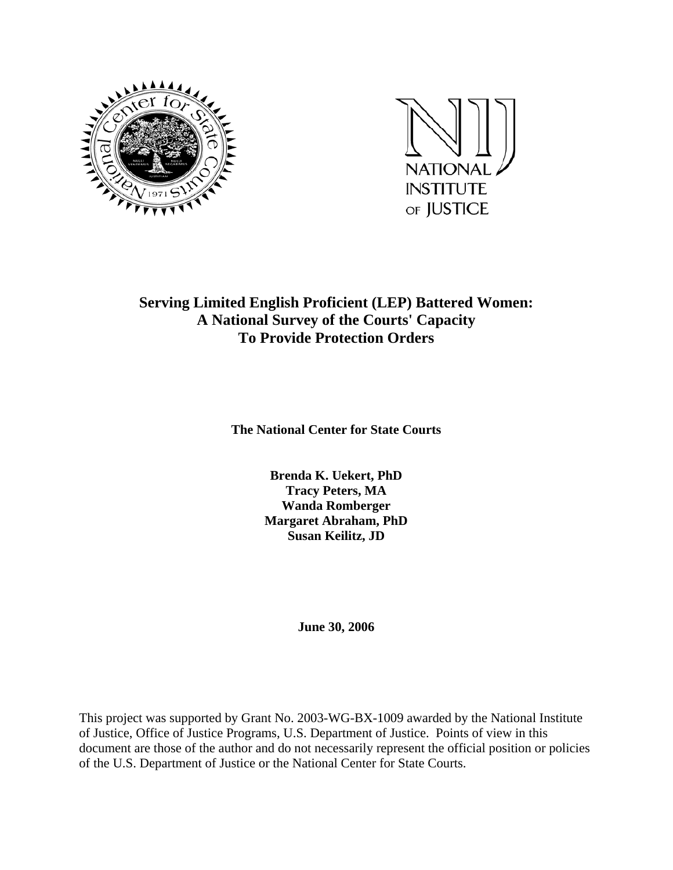



## **Serving Limited English Proficient (LEP) Battered Women: A National Survey of the Courts' Capacity To Provide Protection Orders**

**The National Center for State Courts** 

**Brenda K. Uekert, PhD Tracy Peters, MA Wanda Romberger Margaret Abraham, PhD Susan Keilitz, JD** 

**June 30, 2006** 

This project was supported by Grant No. 2003-WG-BX-1009 awarded by the National Institute of Justice, Office of Justice Programs, U.S. Department of Justice. Points of view in this document are those of the author and do not necessarily represent the official position or policies of the U.S. Department of Justice or the National Center for State Courts.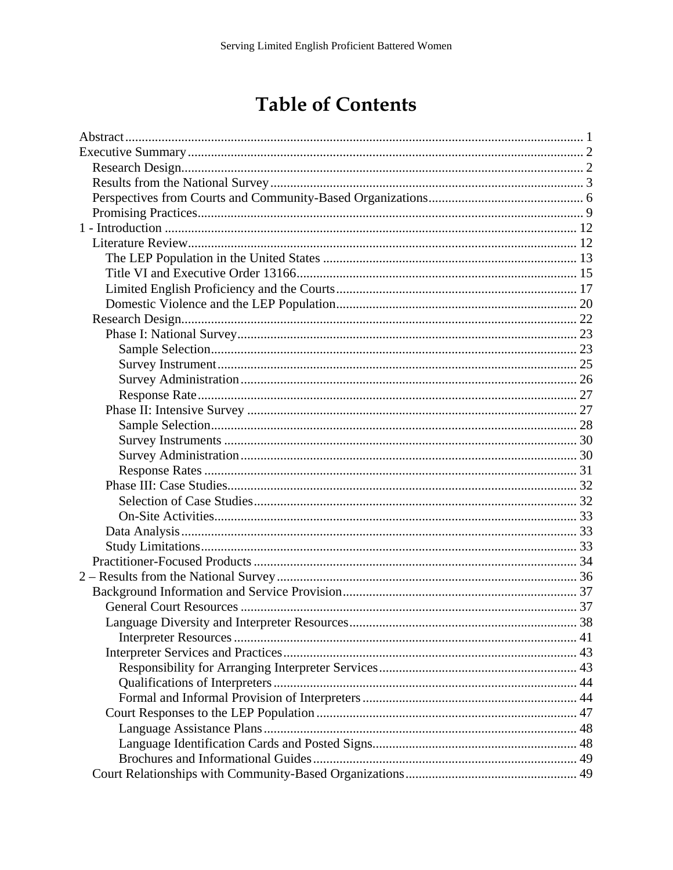# **Table of Contents**

| Language Diversity and Interpreter Resources |  |
|----------------------------------------------|--|
|                                              |  |
|                                              |  |
|                                              |  |
|                                              |  |
|                                              |  |
|                                              |  |
|                                              |  |
|                                              |  |
|                                              |  |
|                                              |  |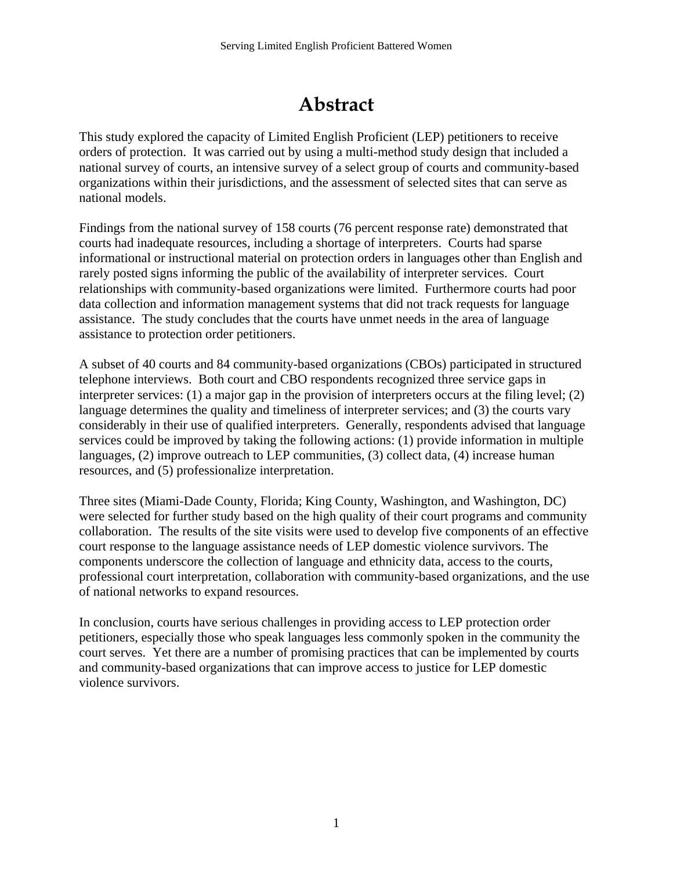# **Abstract**

<span id="page-3-0"></span>This study explored the capacity of Limited English Proficient (LEP) petitioners to receive orders of protection. It was carried out by using a multi-method study design that included a national survey of courts, an intensive survey of a select group of courts and community-based organizations within their jurisdictions, and the assessment of selected sites that can serve as national models.

Findings from the national survey of 158 courts (76 percent response rate) demonstrated that courts had inadequate resources, including a shortage of interpreters. Courts had sparse informational or instructional material on protection orders in languages other than English and rarely posted signs informing the public of the availability of interpreter services. Court relationships with community-based organizations were limited. Furthermore courts had poor data collection and information management systems that did not track requests for language assistance. The study concludes that the courts have unmet needs in the area of language assistance to protection order petitioners.

A subset of 40 courts and 84 community-based organizations (CBOs) participated in structured telephone interviews. Both court and CBO respondents recognized three service gaps in interpreter services: (1) a major gap in the provision of interpreters occurs at the filing level; (2) language determines the quality and timeliness of interpreter services; and (3) the courts vary considerably in their use of qualified interpreters. Generally, respondents advised that language services could be improved by taking the following actions: (1) provide information in multiple languages, (2) improve outreach to LEP communities, (3) collect data, (4) increase human resources, and (5) professionalize interpretation.

Three sites (Miami-Dade County, Florida; King County, Washington, and Washington, DC) were selected for further study based on the high quality of their court programs and community collaboration. The results of the site visits were used to develop five components of an effective court response to the language assistance needs of LEP domestic violence survivors. The components underscore the collection of language and ethnicity data, access to the courts, professional court interpretation, collaboration with community-based organizations, and the use of national networks to expand resources.

In conclusion, courts have serious challenges in providing access to LEP protection order petitioners, especially those who speak languages less commonly spoken in the community the court serves. Yet there are a number of promising practices that can be implemented by courts and community-based organizations that can improve access to justice for LEP domestic violence survivors.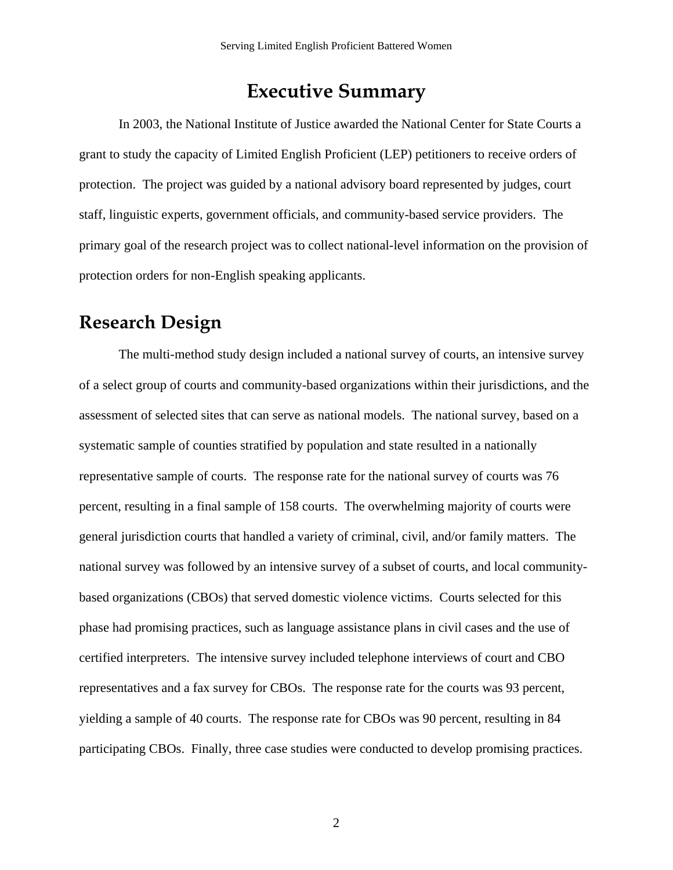## **Executive Summary**

<span id="page-4-0"></span>In 2003, the National Institute of Justice awarded the National Center for State Courts a grant to study the capacity of Limited English Proficient (LEP) petitioners to receive orders of protection. The project was guided by a national advisory board represented by judges, court staff, linguistic experts, government officials, and community-based service providers. The primary goal of the research project was to collect national-level information on the provision of protection orders for non-English speaking applicants.

## **Research Design**

The multi-method study design included a national survey of courts, an intensive survey of a select group of courts and community-based organizations within their jurisdictions, and the assessment of selected sites that can serve as national models. The national survey, based on a systematic sample of counties stratified by population and state resulted in a nationally representative sample of courts. The response rate for the national survey of courts was 76 percent, resulting in a final sample of 158 courts. The overwhelming majority of courts were general jurisdiction courts that handled a variety of criminal, civil, and/or family matters. The national survey was followed by an intensive survey of a subset of courts, and local communitybased organizations (CBOs) that served domestic violence victims. Courts selected for this phase had promising practices, such as language assistance plans in civil cases and the use of certified interpreters. The intensive survey included telephone interviews of court and CBO representatives and a fax survey for CBOs. The response rate for the courts was 93 percent, yielding a sample of 40 courts. The response rate for CBOs was 90 percent, resulting in 84 participating CBOs. Finally, three case studies were conducted to develop promising practices.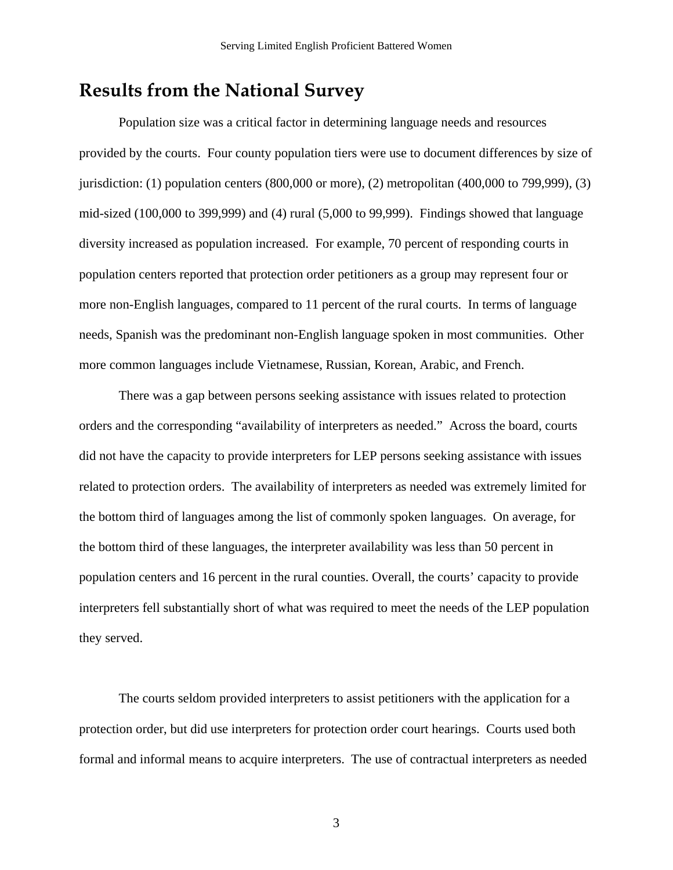## <span id="page-5-0"></span>**Results from the National Survey**

Population size was a critical factor in determining language needs and resources provided by the courts. Four county population tiers were use to document differences by size of jurisdiction: (1) population centers (800,000 or more), (2) metropolitan (400,000 to 799,999), (3) mid-sized (100,000 to 399,999) and (4) rural (5,000 to 99,999). Findings showed that language diversity increased as population increased. For example, 70 percent of responding courts in population centers reported that protection order petitioners as a group may represent four or more non-English languages, compared to 11 percent of the rural courts. In terms of language needs, Spanish was the predominant non-English language spoken in most communities. Other more common languages include Vietnamese, Russian, Korean, Arabic, and French.

There was a gap between persons seeking assistance with issues related to protection orders and the corresponding "availability of interpreters as needed." Across the board, courts did not have the capacity to provide interpreters for LEP persons seeking assistance with issues related to protection orders. The availability of interpreters as needed was extremely limited for the bottom third of languages among the list of commonly spoken languages. On average, for the bottom third of these languages, the interpreter availability was less than 50 percent in population centers and 16 percent in the rural counties. Overall, the courts' capacity to provide interpreters fell substantially short of what was required to meet the needs of the LEP population they served.

The courts seldom provided interpreters to assist petitioners with the application for a protection order, but did use interpreters for protection order court hearings. Courts used both formal and informal means to acquire interpreters. The use of contractual interpreters as needed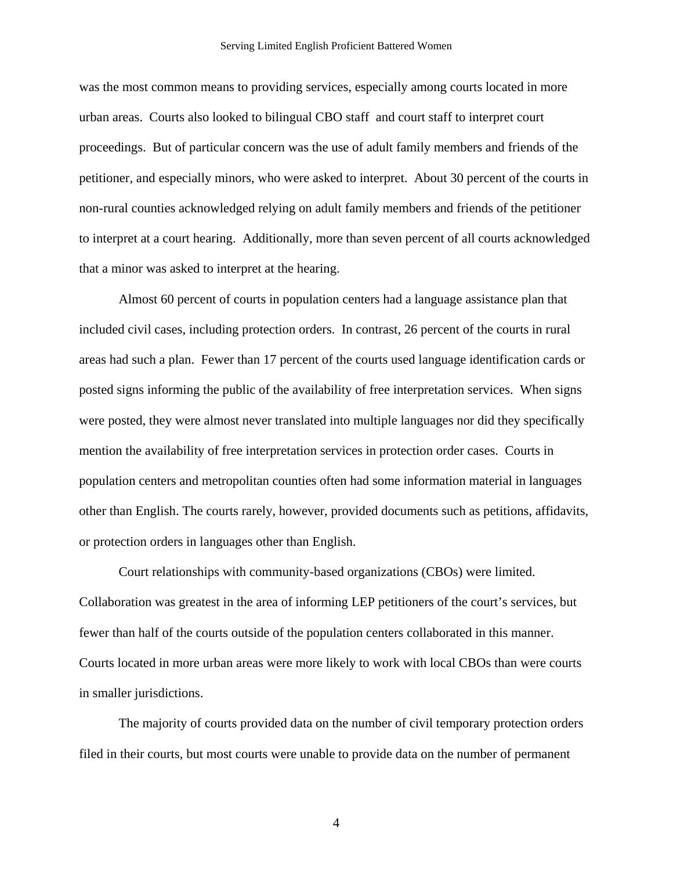was the most common means to providing services, especially among courts located in more urban areas. Courts also looked to bilingual CBO staff and court staff to interpret court proceedings. But of particular concern was the use of adult family members and friends of the petitioner, and especially minors, who were asked to interpret. About 30 percent of the courts in non-rural counties acknowledged relying on adult family members and friends of the petitioner to interpret at a court hearing. Additionally, more than seven percent of all courts acknowledged that a minor was asked to interpret at the hearing.

 Almost 60 percent of courts in population centers had a language assistance plan that included civil cases, including protection orders. In contrast, 26 percent of the courts in rural areas had such a plan. Fewer than 17 percent of the courts used language identification cards or posted signs informing the public of the availability of free interpretation services. When signs were posted, they were almost never translated into multiple languages nor did they specifically mention the availability of free interpretation services in protection order cases. Courts in population centers and metropolitan counties often had some information material in languages other than English. The courts rarely, however, provided documents such as petitions, affidavits, or protection orders in languages other than English.

Court relationships with community-based organizations (CBOs) were limited. Collaboration was greatest in the area of informing LEP petitioners of the court's services, but fewer than half of the courts outside of the population centers collaborated in this manner. Courts located in more urban areas were more likely to work with local CBOs than were courts in smaller jurisdictions.

The majority of courts provided data on the number of civil temporary protection orders filed in their courts, but most courts were unable to provide data on the number of permanent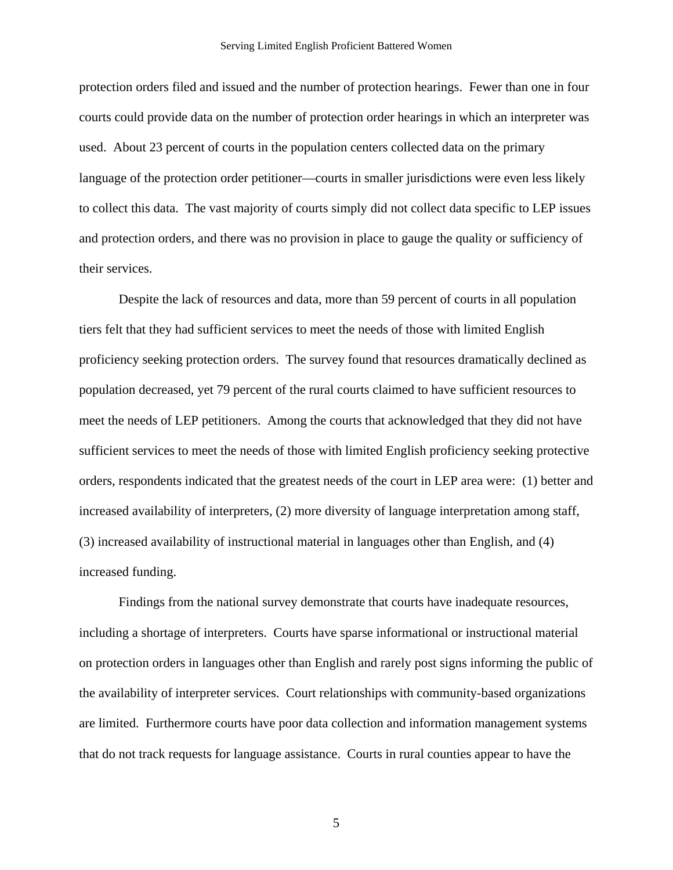protection orders filed and issued and the number of protection hearings. Fewer than one in four courts could provide data on the number of protection order hearings in which an interpreter was used. About 23 percent of courts in the population centers collected data on the primary language of the protection order petitioner—courts in smaller jurisdictions were even less likely to collect this data. The vast majority of courts simply did not collect data specific to LEP issues and protection orders, and there was no provision in place to gauge the quality or sufficiency of their services.

Despite the lack of resources and data, more than 59 percent of courts in all population tiers felt that they had sufficient services to meet the needs of those with limited English proficiency seeking protection orders. The survey found that resources dramatically declined as population decreased, yet 79 percent of the rural courts claimed to have sufficient resources to meet the needs of LEP petitioners. Among the courts that acknowledged that they did not have sufficient services to meet the needs of those with limited English proficiency seeking protective orders, respondents indicated that the greatest needs of the court in LEP area were: (1) better and increased availability of interpreters, (2) more diversity of language interpretation among staff, (3) increased availability of instructional material in languages other than English, and (4) increased funding.

 Findings from the national survey demonstrate that courts have inadequate resources, including a shortage of interpreters. Courts have sparse informational or instructional material on protection orders in languages other than English and rarely post signs informing the public of the availability of interpreter services. Court relationships with community-based organizations are limited. Furthermore courts have poor data collection and information management systems that do not track requests for language assistance. Courts in rural counties appear to have the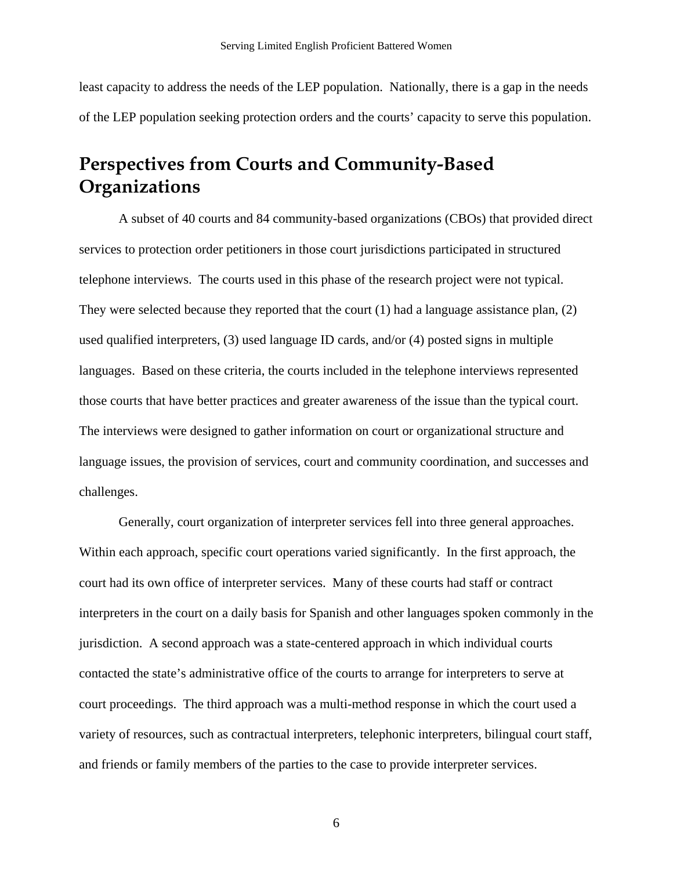<span id="page-8-0"></span>least capacity to address the needs of the LEP population. Nationally, there is a gap in the needs of the LEP population seeking protection orders and the courts' capacity to serve this population.

## **Perspectives from Courts and Community-Based Organizations**

A subset of 40 courts and 84 community-based organizations (CBOs) that provided direct services to protection order petitioners in those court jurisdictions participated in structured telephone interviews. The courts used in this phase of the research project were not typical. They were selected because they reported that the court (1) had a language assistance plan, (2) used qualified interpreters, (3) used language ID cards, and/or (4) posted signs in multiple languages. Based on these criteria, the courts included in the telephone interviews represented those courts that have better practices and greater awareness of the issue than the typical court. The interviews were designed to gather information on court or organizational structure and language issues, the provision of services, court and community coordination, and successes and challenges.

Generally, court organization of interpreter services fell into three general approaches. Within each approach, specific court operations varied significantly. In the first approach, the court had its own office of interpreter services. Many of these courts had staff or contract interpreters in the court on a daily basis for Spanish and other languages spoken commonly in the jurisdiction. A second approach was a state-centered approach in which individual courts contacted the state's administrative office of the courts to arrange for interpreters to serve at court proceedings. The third approach was a multi-method response in which the court used a variety of resources, such as contractual interpreters, telephonic interpreters, bilingual court staff, and friends or family members of the parties to the case to provide interpreter services.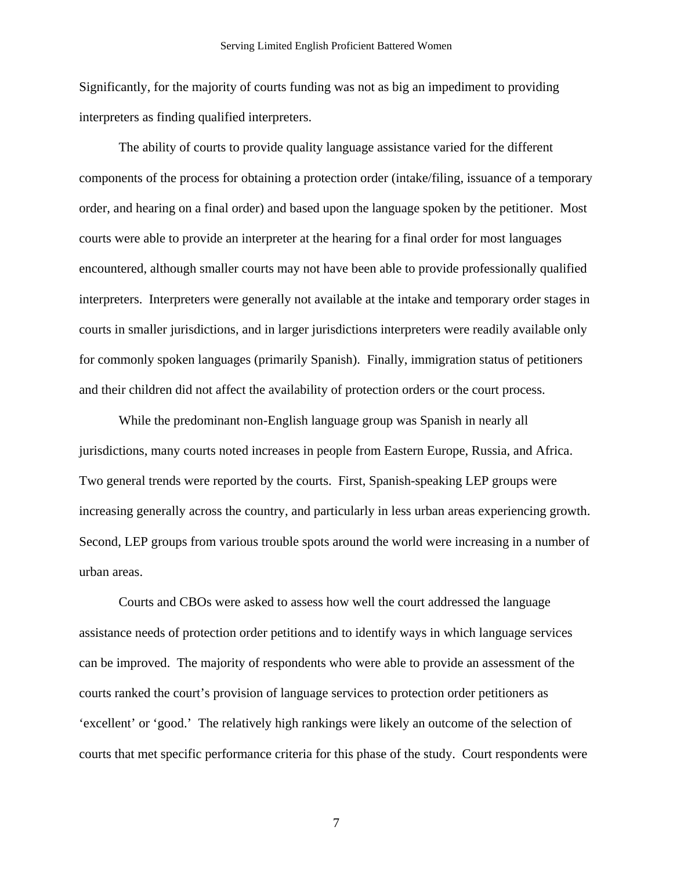Significantly, for the majority of courts funding was not as big an impediment to providing interpreters as finding qualified interpreters.

The ability of courts to provide quality language assistance varied for the different components of the process for obtaining a protection order (intake/filing, issuance of a temporary order, and hearing on a final order) and based upon the language spoken by the petitioner. Most courts were able to provide an interpreter at the hearing for a final order for most languages encountered, although smaller courts may not have been able to provide professionally qualified interpreters. Interpreters were generally not available at the intake and temporary order stages in courts in smaller jurisdictions, and in larger jurisdictions interpreters were readily available only for commonly spoken languages (primarily Spanish). Finally, immigration status of petitioners and their children did not affect the availability of protection orders or the court process.

While the predominant non-English language group was Spanish in nearly all jurisdictions, many courts noted increases in people from Eastern Europe, Russia, and Africa. Two general trends were reported by the courts. First, Spanish-speaking LEP groups were increasing generally across the country, and particularly in less urban areas experiencing growth. Second, LEP groups from various trouble spots around the world were increasing in a number of urban areas.

Courts and CBOs were asked to assess how well the court addressed the language assistance needs of protection order petitions and to identify ways in which language services can be improved. The majority of respondents who were able to provide an assessment of the courts ranked the court's provision of language services to protection order petitioners as 'excellent' or 'good.' The relatively high rankings were likely an outcome of the selection of courts that met specific performance criteria for this phase of the study. Court respondents were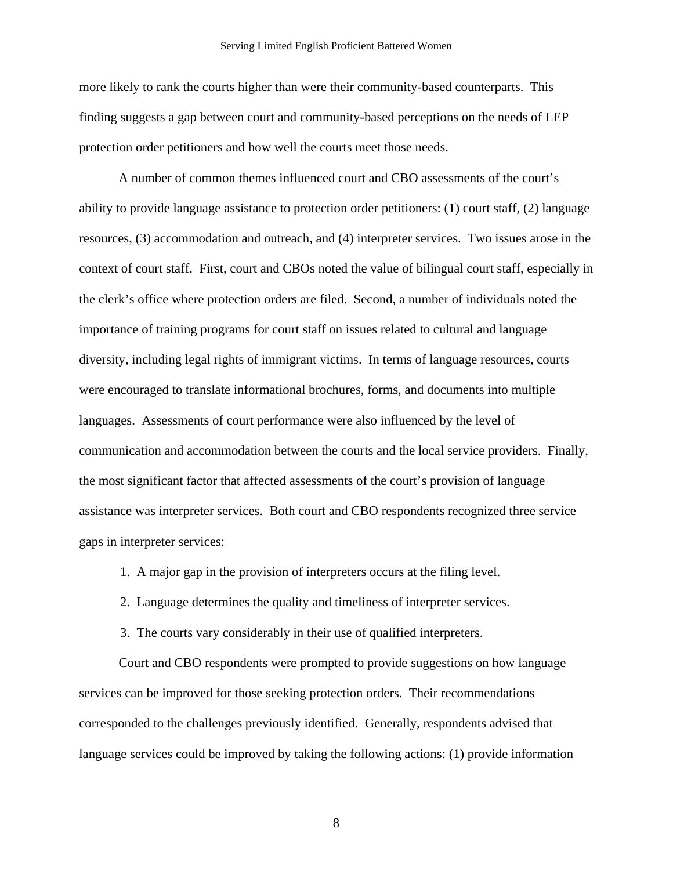more likely to rank the courts higher than were their community-based counterparts. This finding suggests a gap between court and community-based perceptions on the needs of LEP protection order petitioners and how well the courts meet those needs.

A number of common themes influenced court and CBO assessments of the court's ability to provide language assistance to protection order petitioners: (1) court staff, (2) language resources, (3) accommodation and outreach, and (4) interpreter services. Two issues arose in the context of court staff. First, court and CBOs noted the value of bilingual court staff, especially in the clerk's office where protection orders are filed. Second, a number of individuals noted the importance of training programs for court staff on issues related to cultural and language diversity, including legal rights of immigrant victims. In terms of language resources, courts were encouraged to translate informational brochures, forms, and documents into multiple languages. Assessments of court performance were also influenced by the level of communication and accommodation between the courts and the local service providers. Finally, the most significant factor that affected assessments of the court's provision of language assistance was interpreter services. Both court and CBO respondents recognized three service gaps in interpreter services:

1. A major gap in the provision of interpreters occurs at the filing level.

2. Language determines the quality and timeliness of interpreter services.

3. The courts vary considerably in their use of qualified interpreters.

Court and CBO respondents were prompted to provide suggestions on how language services can be improved for those seeking protection orders. Their recommendations corresponded to the challenges previously identified. Generally, respondents advised that language services could be improved by taking the following actions: (1) provide information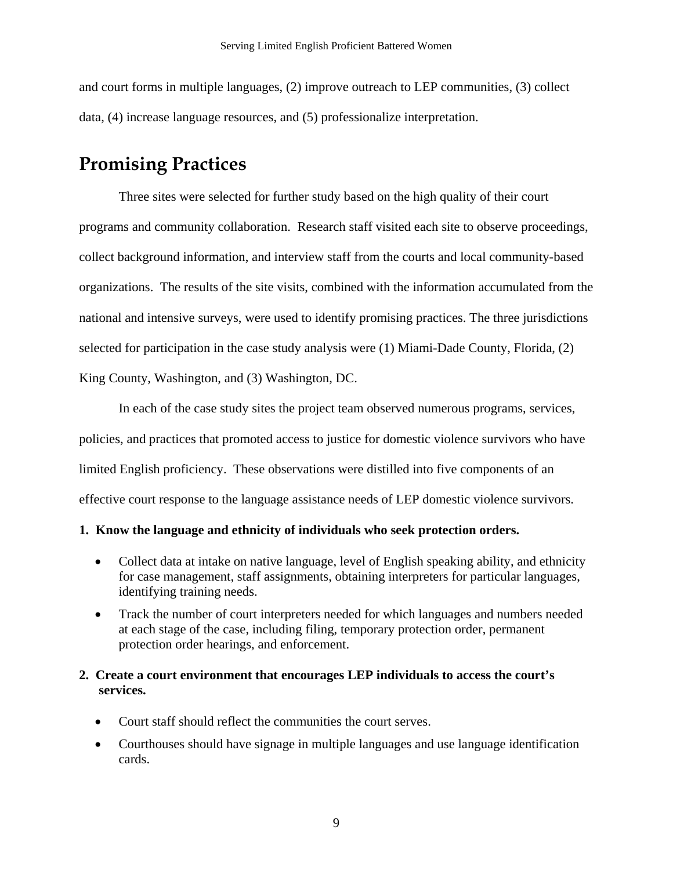<span id="page-11-0"></span>and court forms in multiple languages, (2) improve outreach to LEP communities, (3) collect data, (4) increase language resources, and (5) professionalize interpretation.

## **Promising Practices**

Three sites were selected for further study based on the high quality of their court programs and community collaboration. Research staff visited each site to observe proceedings, collect background information, and interview staff from the courts and local community-based organizations. The results of the site visits, combined with the information accumulated from the national and intensive surveys, were used to identify promising practices. The three jurisdictions selected for participation in the case study analysis were (1) Miami-Dade County, Florida, (2) King County, Washington, and (3) Washington, DC.

In each of the case study sites the project team observed numerous programs, services, policies, and practices that promoted access to justice for domestic violence survivors who have limited English proficiency. These observations were distilled into five components of an effective court response to the language assistance needs of LEP domestic violence survivors.

#### **1. Know the language and ethnicity of individuals who seek protection orders.**

- Collect data at intake on native language, level of English speaking ability, and ethnicity for case management, staff assignments, obtaining interpreters for particular languages, identifying training needs.
- Track the number of court interpreters needed for which languages and numbers needed at each stage of the case, including filing, temporary protection order, permanent protection order hearings, and enforcement.

### **2. Create a court environment that encourages LEP individuals to access the court's services.**

- Court staff should reflect the communities the court serves.
- Courthouses should have signage in multiple languages and use language identification cards.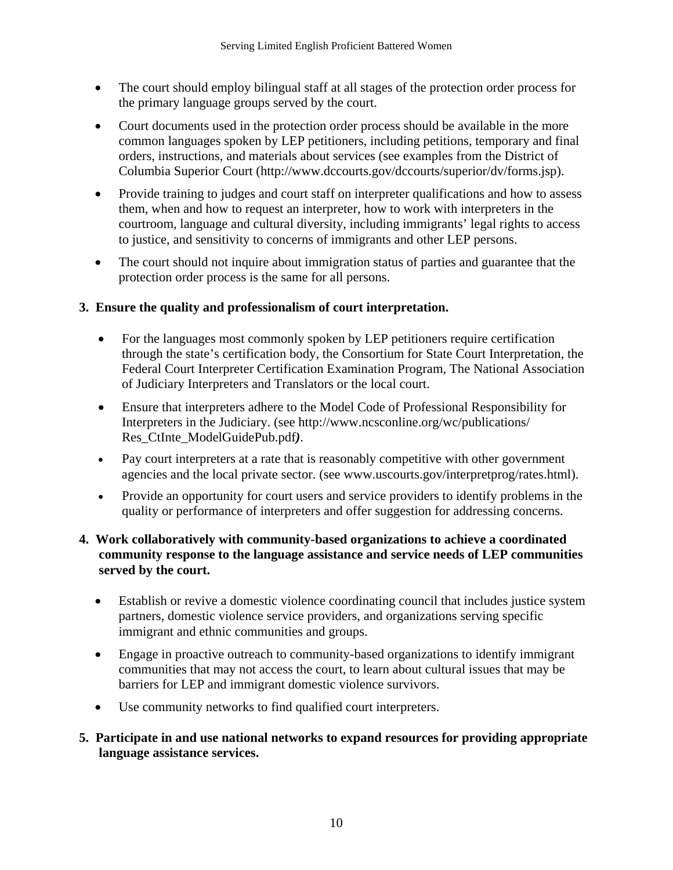- The court should employ bilingual staff at all stages of the protection order process for the primary language groups served by the court.
- Court documents used in the protection order process should be available in the more common languages spoken by LEP petitioners, including petitions, temporary and final orders, instructions, and materials about services (see examples from the District of Columbia Superior Court (http://www.dccourts.gov/dccourts/superior/dv/forms.jsp).
- Provide training to judges and court staff on interpreter qualifications and how to assess them, when and how to request an interpreter, how to work with interpreters in the courtroom, language and cultural diversity, including immigrants' legal rights to access to justice, and sensitivity to concerns of immigrants and other LEP persons.
- The court should not inquire about immigration status of parties and guarantee that the protection order process is the same for all persons.

### **3. Ensure the quality and professionalism of court interpretation.**

- For the languages most commonly spoken by LEP petitioners require certification through the state's certification body, the Consortium for State Court Interpretation, the Federal Court Interpreter Certification Examination Program, The National Association of Judiciary Interpreters and Translators or the local court.
- Ensure that interpreters adhere to the Model Code of Professional Responsibility for Interpreters in the Judiciary. (see http://www.ncsconline.org/wc/publications/ Res\_CtInte\_ModelGuidePub.pdf*)*.
- Pay court interpreters at a rate that is reasonably competitive with other government agencies and the local private sector. (see www.uscourts.gov/interpretprog/rates.html).
- Provide an opportunity for court users and service providers to identify problems in the quality or performance of interpreters and offer suggestion for addressing concerns.

#### **4. Work collaboratively with community-based organizations to achieve a coordinated community response to the language assistance and service needs of LEP communities served by the court.**

- Establish or revive a domestic violence coordinating council that includes justice system partners, domestic violence service providers, and organizations serving specific immigrant and ethnic communities and groups.
- Engage in proactive outreach to community-based organizations to identify immigrant communities that may not access the court, to learn about cultural issues that may be barriers for LEP and immigrant domestic violence survivors.
- Use community networks to find qualified court interpreters.

### **5. Participate in and use national networks to expand resources for providing appropriate language assistance services.**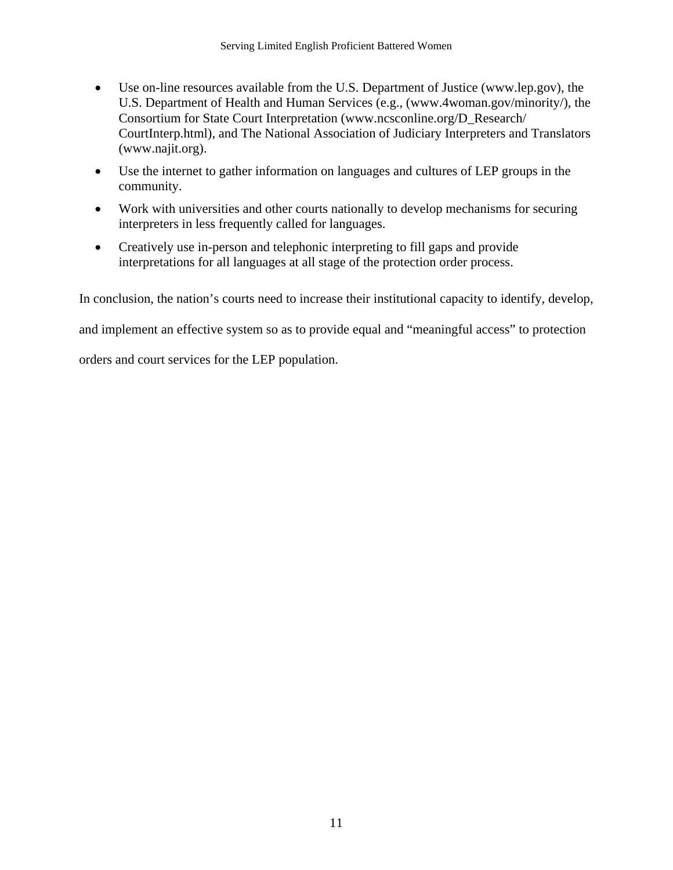- Use on-line resources available from the U.S. Department of Justice (www.lep.gov), the U.S. Department of Health and Human Services (e.g., (www.4woman.gov/minority/), the Consortium for State Court Interpretation (www.ncsconline.org/D\_Research/ CourtInterp.html), and The National Association of Judiciary Interpreters and Translators (www.najit.org).
- Use the internet to gather information on languages and cultures of LEP groups in the community.
- Work with universities and other courts nationally to develop mechanisms for securing interpreters in less frequently called for languages.
- Creatively use in-person and telephonic interpreting to fill gaps and provide interpretations for all languages at all stage of the protection order process.

In conclusion, the nation's courts need to increase their institutional capacity to identify, develop,

and implement an effective system so as to provide equal and "meaningful access" to protection

orders and court services for the LEP population.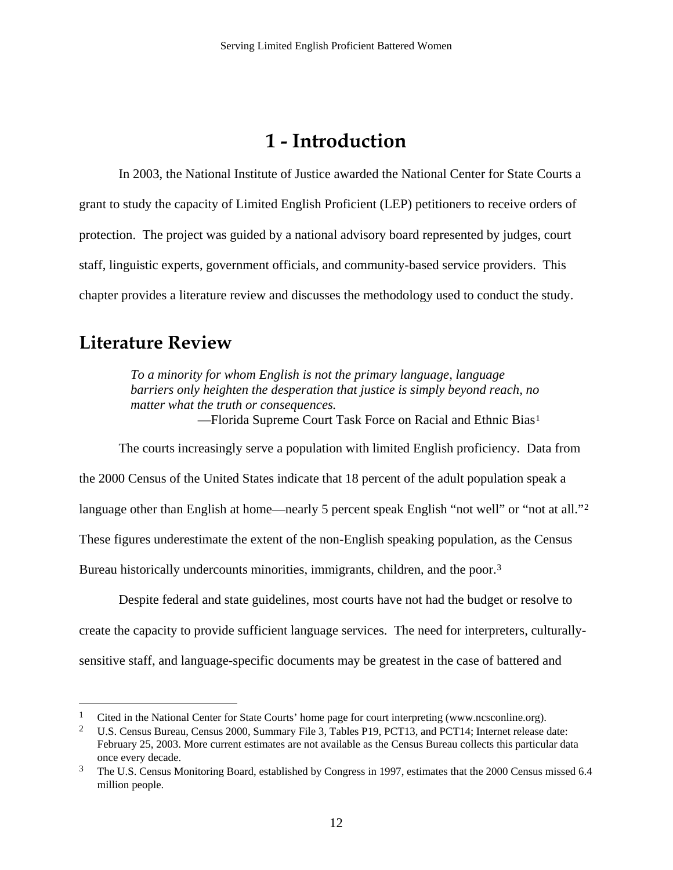## **1 - Introduction**

<span id="page-14-0"></span>In 2003, the National Institute of Justice awarded the National Center for State Courts a grant to study the capacity of Limited English Proficient (LEP) petitioners to receive orders of protection. The project was guided by a national advisory board represented by judges, court staff, linguistic experts, government officials, and community-based service providers. This chapter provides a literature review and discusses the methodology used to conduct the study.

## **Literature Review**

 $\overline{a}$ 

*To a minority for whom English is not the primary language, language barriers only heighten the desperation that justice is simply beyond reach, no matter what the truth or consequences.*  —Florida Supreme Court Task Force on Racial and Ethnic Bias[1](#page-14-1)

The courts increasingly serve a population with limited English proficiency. Data from

the 2000 Census of the United States indicate that 18 percent of the adult population speak a

language other than English at home—nearly 5 percent speak English "not well" or "not at all."<sup>2</sup>

These figures underestimate the extent of the non-English speaking population, as the Census

Bureau historically undercounts minorities, immigrants, children, and the poor.[3](#page-14-3)

Despite federal and state guidelines, most courts have not had the budget or resolve to create the capacity to provide sufficient language services. The need for interpreters, culturallysensitive staff, and language-specific documents may be greatest in the case of battered and

<sup>&</sup>lt;sup>1</sup> Cited in the National Center for State Courts' home page for court interpreting (www.ncsconline.org).

<sup>&</sup>lt;sup>2</sup> U.S. Census Bureau, Census 2000, Summary File 3, Tables P19, PCT13, and PCT14; Internet release date: February 25, 2003. More current estimates are not available as the Census Bureau collects this particular data once every decade.

<span id="page-14-3"></span><span id="page-14-2"></span><span id="page-14-1"></span><sup>&</sup>lt;sup>3</sup> The U.S. Census Monitoring Board, established by Congress in 1997, estimates that the 2000 Census missed 6.4 million people.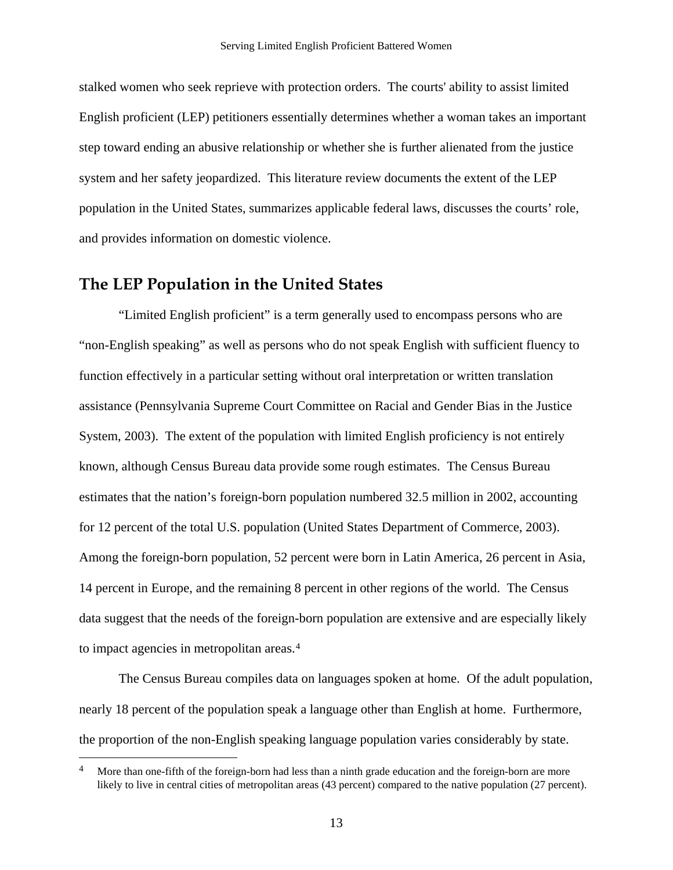<span id="page-15-0"></span>stalked women who seek reprieve with protection orders. The courts' ability to assist limited English proficient (LEP) petitioners essentially determines whether a woman takes an important step toward ending an abusive relationship or whether she is further alienated from the justice system and her safety jeopardized. This literature review documents the extent of the LEP population in the United States, summarizes applicable federal laws, discusses the courts' role, and provides information on domestic violence.

### **The LEP Population in the United States**

 $\overline{a}$ 

"Limited English proficient" is a term generally used to encompass persons who are "non-English speaking" as well as persons who do not speak English with sufficient fluency to function effectively in a particular setting without oral interpretation or written translation assistance (Pennsylvania Supreme Court Committee on Racial and Gender Bias in the Justice System, 2003). The extent of the population with limited English proficiency is not entirely known, although Census Bureau data provide some rough estimates. The Census Bureau estimates that the nation's foreign-born population numbered 32.5 million in 2002, accounting for 12 percent of the total U.S. population (United States Department of Commerce, 2003). Among the foreign-born population, 52 percent were born in Latin America, 26 percent in Asia, 14 percent in Europe, and the remaining 8 percent in other regions of the world. The Census data suggest that the needs of the foreign-born population are extensive and are especially likely to impact agencies in metropolitan areas.[4](#page-15-1)

The Census Bureau compiles data on languages spoken at home. Of the adult population, nearly 18 percent of the population speak a language other than English at home. Furthermore, the proportion of the non-English speaking language population varies considerably by state.

<span id="page-15-1"></span><sup>&</sup>lt;sup>4</sup> More than one-fifth of the foreign-born had less than a ninth grade education and the foreign-born are more likely to live in central cities of metropolitan areas (43 percent) compared to the native population (27 percent).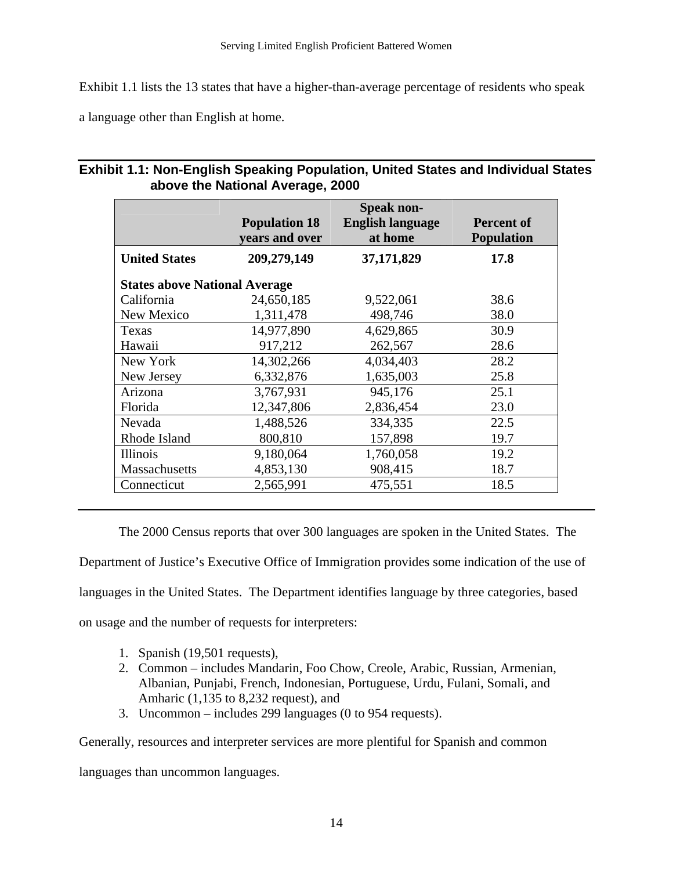Exhibit 1.1 lists the 13 states that have a higher-than-average percentage of residents who speak

a language other than English at home.

#### **Exhibit 1.1: Non-English Speaking Population, United States and Individual States above the National Average, 2000**

|                                      | <b>Population 18</b><br>vears and over | <b>Speak non-</b><br><b>English language</b><br>at home | <b>Percent of</b><br><b>Population</b> |  |  |
|--------------------------------------|----------------------------------------|---------------------------------------------------------|----------------------------------------|--|--|
| <b>United States</b>                 | 209,279,149                            | 37,171,829                                              | 17.8                                   |  |  |
| <b>States above National Average</b> |                                        |                                                         |                                        |  |  |
| California                           | 24,650,185                             | 9,522,061                                               | 38.6                                   |  |  |
| New Mexico                           | 1,311,478                              | 498,746                                                 | 38.0                                   |  |  |
| Texas                                | 14,977,890                             | 4,629,865                                               | 30.9                                   |  |  |
| Hawaii                               | 917,212                                | 262,567                                                 | 28.6                                   |  |  |
| New York                             | 14,302,266                             | 4,034,403                                               | 28.2                                   |  |  |
| New Jersey                           | 6,332,876                              | 1,635,003                                               | 25.8                                   |  |  |
| Arizona                              | 3,767,931                              | 945,176                                                 | 25.1                                   |  |  |
| Florida                              | 12,347,806                             | 2,836,454                                               | 23.0                                   |  |  |
| Nevada                               | 1,488,526                              | 334,335                                                 | 22.5                                   |  |  |
| Rhode Island                         | 800,810                                | 157,898                                                 | 19.7                                   |  |  |
| <i>Illinois</i>                      | 9,180,064                              | 1,760,058                                               | 19.2                                   |  |  |
| <b>Massachusetts</b>                 | 4,853,130                              | 908,415                                                 | 18.7                                   |  |  |
| Connecticut                          | 2,565,991                              | 475,551                                                 | 18.5                                   |  |  |

The 2000 Census reports that over 300 languages are spoken in the United States. The Department of Justice's Executive Office of Immigration provides some indication of the use of languages in the United States. The Department identifies language by three categories, based on usage and the number of requests for interpreters:

- 1. Spanish (19,501 requests),
- 2. Common includes Mandarin, Foo Chow, Creole, Arabic, Russian, Armenian, Albanian, Punjabi, French, Indonesian, Portuguese, Urdu, Fulani, Somali, and Amharic (1,135 to 8,232 request), and
- 3. Uncommon includes 299 languages (0 to 954 requests).

Generally, resources and interpreter services are more plentiful for Spanish and common

languages than uncommon languages.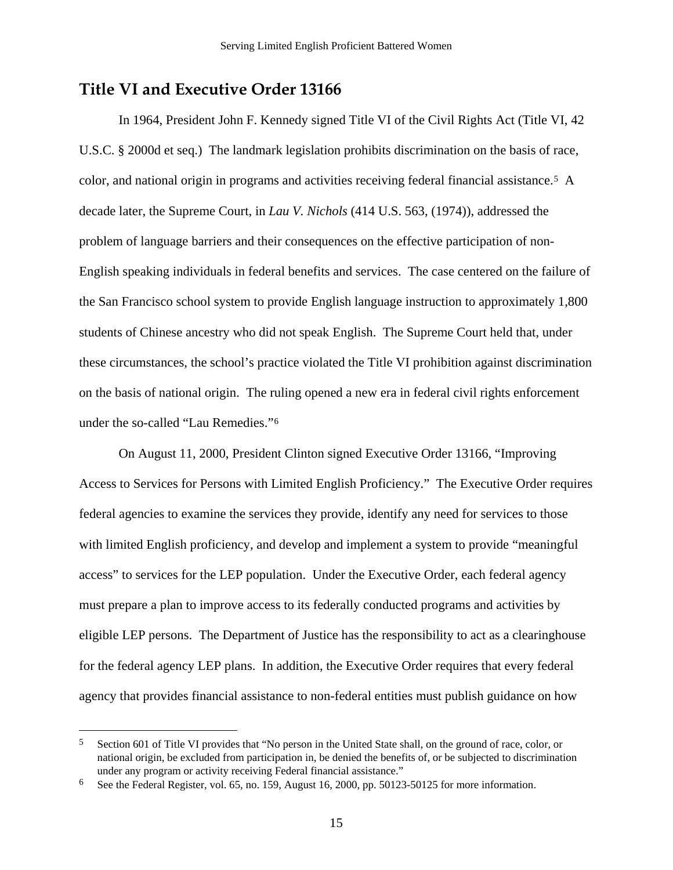### <span id="page-17-0"></span>**Title VI and Executive Order 13166**

In 1964, President John F. Kennedy signed Title VI of the Civil Rights Act (Title VI, 42 U.S.C. § 2000d et seq.) The landmark legislation prohibits discrimination on the basis of race, color, and national origin in programs and activities receiving federal financial assistance.[5](#page-17-0) A decade later, the Supreme Court, in *Lau V. Nichols* (414 U.S. 563, (1974)), addressed the problem of language barriers and their consequences on the effective participation of non-English speaking individuals in federal benefits and services. The case centered on the failure of the San Francisco school system to provide English language instruction to approximately 1,800 students of Chinese ancestry who did not speak English. The Supreme Court held that, under these circumstances, the school's practice violated the Title VI prohibition against discrimination on the basis of national origin. The ruling opened a new era in federal civil rights enforcement under the so-called "Lau Remedies.["6](#page-17-0)

On August 11, 2000, President Clinton signed Executive Order 13166, "Improving Access to Services for Persons with Limited English Proficiency." The Executive Order requires federal agencies to examine the services they provide, identify any need for services to those with limited English proficiency, and develop and implement a system to provide "meaningful access" to services for the LEP population. Under the Executive Order, each federal agency must prepare a plan to improve access to its federally conducted programs and activities by eligible LEP persons. The Department of Justice has the responsibility to act as a clearinghouse for the federal agency LEP plans. In addition, the Executive Order requires that every federal agency that provides financial assistance to non-federal entities must publish guidance on how

 $\overline{a}$ 

<sup>5</sup> Section 601 of Title VI provides that "No person in the United State shall, on the ground of race, color, or national origin, be excluded from participation in, be denied the benefits of, or be subjected to discrimination under any program or activity receiving Federal financial assistance."

<sup>6</sup> See the Federal Register, vol. 65, no. 159, August 16, 2000, pp. 50123-50125 for more information.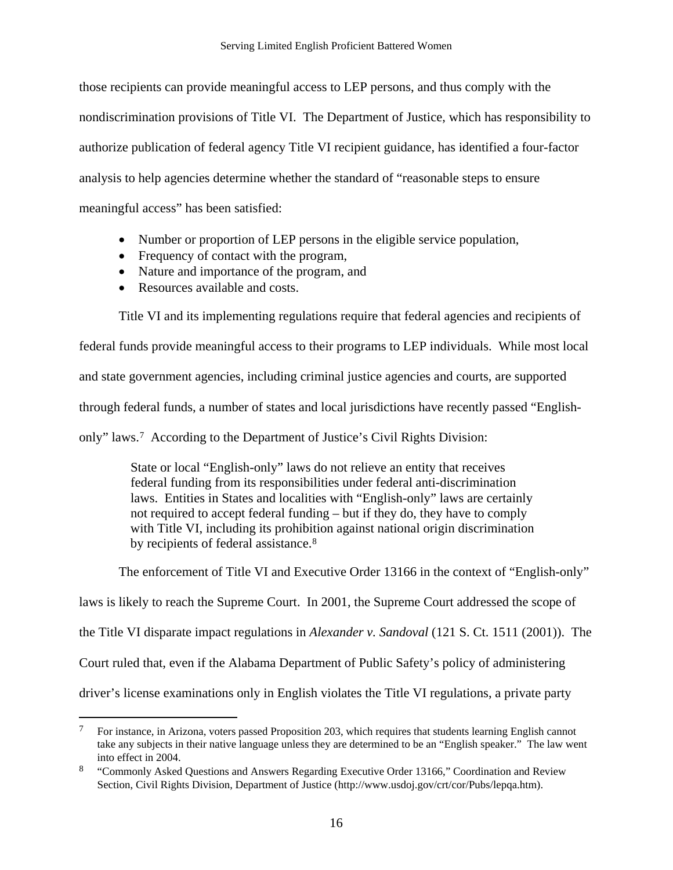<span id="page-18-0"></span>those recipients can provide meaningful access to LEP persons, and thus comply with the nondiscrimination provisions of Title VI. The Department of Justice, which has responsibility to authorize publication of federal agency Title VI recipient guidance, has identified a four-factor analysis to help agencies determine whether the standard of "reasonable steps to ensure meaningful access" has been satisfied:

- Number or proportion of LEP persons in the eligible service population,
- Frequency of contact with the program,
- Nature and importance of the program, and
- Resources available and costs.

 $\overline{a}$ 

Title VI and its implementing regulations require that federal agencies and recipients of

federal funds provide meaningful access to their programs to LEP individuals. While most local

and state government agencies, including criminal justice agencies and courts, are supported

through federal funds, a number of states and local jurisdictions have recently passed "English-

only" laws.[7](#page-18-0) According to the Department of Justice's Civil Rights Division:

State or local "English-only" laws do not relieve an entity that receives federal funding from its responsibilities under federal anti-discrimination laws. Entities in States and localities with "English-only" laws are certainly not required to accept federal funding – but if they do, they have to comply with Title VI, including its prohibition against national origin discrimination by recipients of federal assistance.<sup>[8](#page-18-0)</sup>

The enforcement of Title VI and Executive Order 13166 in the context of "English-only"

laws is likely to reach the Supreme Court. In 2001, the Supreme Court addressed the scope of

the Title VI disparate impact regulations in *Alexander v. Sandoval* (121 S. Ct. 1511 (2001)). The

Court ruled that, even if the Alabama Department of Public Safety's policy of administering

driver's license examinations only in English violates the Title VI regulations, a private party

<sup>&</sup>lt;sup>7</sup> For instance, in Arizona, voters passed Proposition 203, which requires that students learning English cannot take any subjects in their native language unless they are determined to be an "English speaker." The law went into effect in 2004.

<sup>&</sup>lt;sup>8</sup> "Commonly Asked Questions and Answers Regarding Executive Order 13166," Coordination and Review Section, Civil Rights Division, Department of Justice (http://www.usdoj.gov/crt/cor/Pubs/lepqa.htm).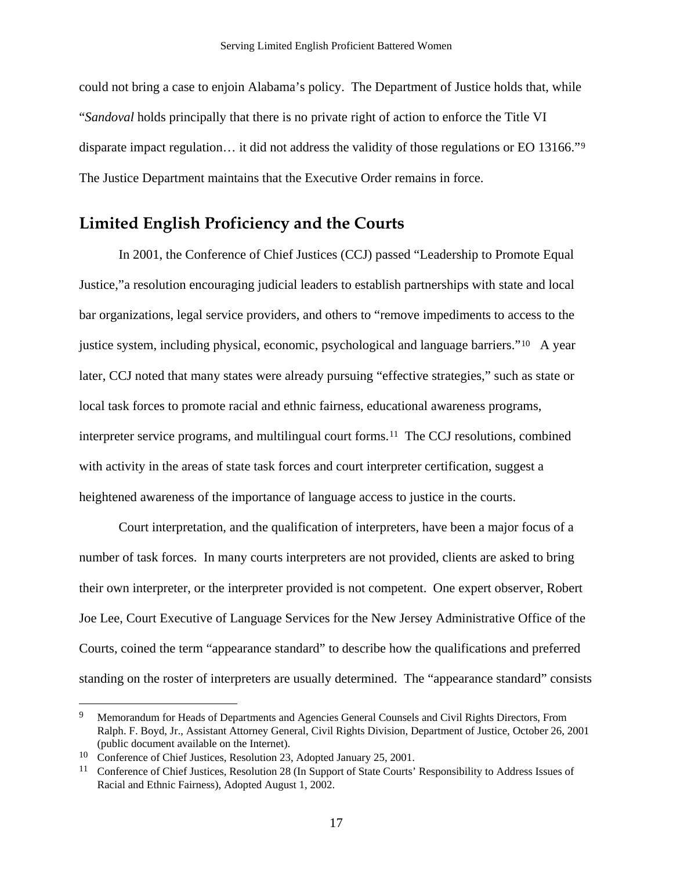<span id="page-19-0"></span>could not bring a case to enjoin Alabama's policy. The Department of Justice holds that, while "*Sandoval* holds principally that there is no private right of action to enforce the Title VI disparate impact regulation… it did not address the validity of those regulations or EO 13166."[9](#page-19-0)  The Justice Department maintains that the Executive Order remains in force.

## **Limited English Proficiency and the Courts**

In 2001, the Conference of Chief Justices (CCJ) passed "Leadership to Promote Equal Justice,"a resolution encouraging judicial leaders to establish partnerships with state and local bar organizations, legal service providers, and others to "remove impediments to access to the justice system, including physical, economic, psychological and language barriers."[1](#page-19-0)0 A year later, CCJ noted that many states were already pursuing "effective strategies," such as state or local task forces to promote racial and ethnic fairness, educational awareness programs, interpreter service programs, and multilingual court forms.[1](#page-19-0)1 The CCJ resolutions, combined with activity in the areas of state task forces and court interpreter certification, suggest a heightened awareness of the importance of language access to justice in the courts.

Court interpretation, and the qualification of interpreters, have been a major focus of a number of task forces. In many courts interpreters are not provided, clients are asked to bring their own interpreter, or the interpreter provided is not competent. One expert observer, Robert Joe Lee, Court Executive of Language Services for the New Jersey Administrative Office of the Courts, coined the term "appearance standard" to describe how the qualifications and preferred standing on the roster of interpreters are usually determined. The "appearance standard" consists

 $\overline{a}$ 

<sup>&</sup>lt;sup>9</sup> Memorandum for Heads of Departments and Agencies General Counsels and Civil Rights Directors, From Ralph. F. Boyd, Jr., Assistant Attorney General, Civil Rights Division, Department of Justice, October 26, 2001 (public document available on the Internet).

<sup>&</sup>lt;sup>10</sup> Conference of Chief Justices, Resolution 23, Adopted January 25, 2001.

<sup>&</sup>lt;sup>11</sup> Conference of Chief Justices, Resolution 28 (In Support of State Courts' Responsibility to Address Issues of Racial and Ethnic Fairness), Adopted August 1, 2002.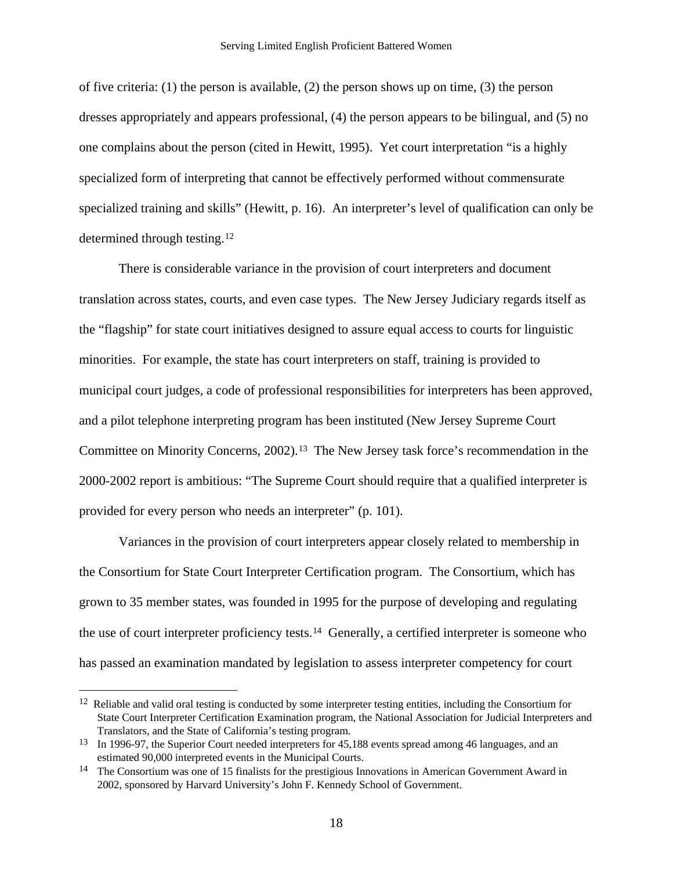<span id="page-20-0"></span>of five criteria: (1) the person is available, (2) the person shows up on time, (3) the person dresses appropriately and appears professional, (4) the person appears to be bilingual, and (5) no one complains about the person (cited in Hewitt, 1995). Yet court interpretation "is a highly specialized form of interpreting that cannot be effectively performed without commensurate specialized training and skills" (Hewitt, p. 16). An interpreter's level of qualification can only be determined through testing.[12](#page-20-0)

There is considerable variance in the provision of court interpreters and document translation across states, courts, and even case types. The New Jersey Judiciary regards itself as the "flagship" for state court initiatives designed to assure equal access to courts for linguistic minorities. For example, the state has court interpreters on staff, training is provided to municipal court judges, a code of professional responsibilities for interpreters has been approved, and a pilot telephone interpreting program has been instituted (New Jersey Supreme Court Committee on Minority Concerns, 2002).[13](#page-20-0) The New Jersey task force's recommendation in the 2000-2002 report is ambitious: "The Supreme Court should require that a qualified interpreter is provided for every person who needs an interpreter" (p. 101).

 Variances in the provision of court interpreters appear closely related to membership in the Consortium for State Court Interpreter Certification program. The Consortium, which has grown to 35 member states, was founded in 1995 for the purpose of developing and regulating the use of court interpreter proficiency tests.[14](#page-20-0) Generally, a certified interpreter is someone who has passed an examination mandated by legislation to assess interpreter competency for court

 $\overline{a}$ 

 $12$  Reliable and valid oral testing is conducted by some interpreter testing entities, including the Consortium for State Court Interpreter Certification Examination program, the National Association for Judicial Interpreters and Translators, and the State of California's testing program.

<sup>&</sup>lt;sup>13</sup> In 1996-97, the Superior Court needed interpreters for 45,188 events spread among 46 languages, and an estimated 90,000 interpreted events in the Municipal Courts.

<sup>14</sup> The Consortium was one of 15 finalists for the prestigious Innovations in American Government Award in 2002, sponsored by Harvard University's John F. Kennedy School of Government.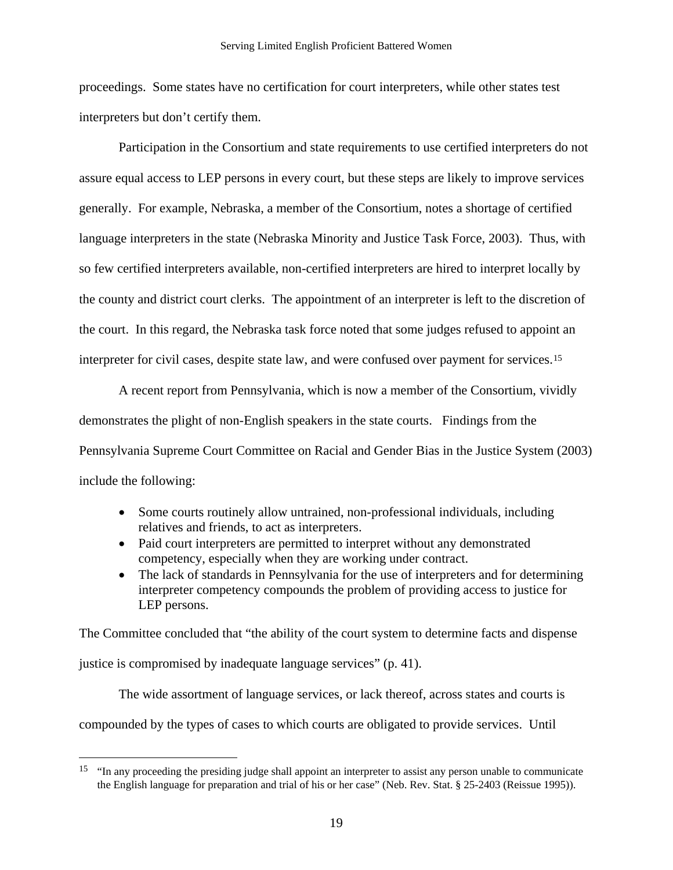<span id="page-21-0"></span>proceedings. Some states have no certification for court interpreters, while other states test interpreters but don't certify them.

Participation in the Consortium and state requirements to use certified interpreters do not assure equal access to LEP persons in every court, but these steps are likely to improve services generally. For example, Nebraska, a member of the Consortium, notes a shortage of certified language interpreters in the state (Nebraska Minority and Justice Task Force, 2003). Thus, with so few certified interpreters available, non-certified interpreters are hired to interpret locally by the county and district court clerks. The appointment of an interpreter is left to the discretion of the court. In this regard, the Nebraska task force noted that some judges refused to appoint an interpreter for civil cases, despite state law, and were confused over payment for services.[15](#page-21-0)

A recent report from Pennsylvania, which is now a member of the Consortium, vividly demonstrates the plight of non-English speakers in the state courts. Findings from the Pennsylvania Supreme Court Committee on Racial and Gender Bias in the Justice System (2003) include the following:

- Some courts routinely allow untrained, non-professional individuals, including relatives and friends, to act as interpreters.
- Paid court interpreters are permitted to interpret without any demonstrated competency, especially when they are working under contract.
- The lack of standards in Pennsylvania for the use of interpreters and for determining interpreter competency compounds the problem of providing access to justice for LEP persons.

The Committee concluded that "the ability of the court system to determine facts and dispense justice is compromised by inadequate language services" (p. 41).

The wide assortment of language services, or lack thereof, across states and courts is compounded by the types of cases to which courts are obligated to provide services. Until

<u>.</u>

<sup>&</sup>lt;sup>15</sup> "In any proceeding the presiding judge shall appoint an interpreter to assist any person unable to communicate the English language for preparation and trial of his or her case" (Neb. Rev. Stat. § 25-2403 (Reissue 1995)).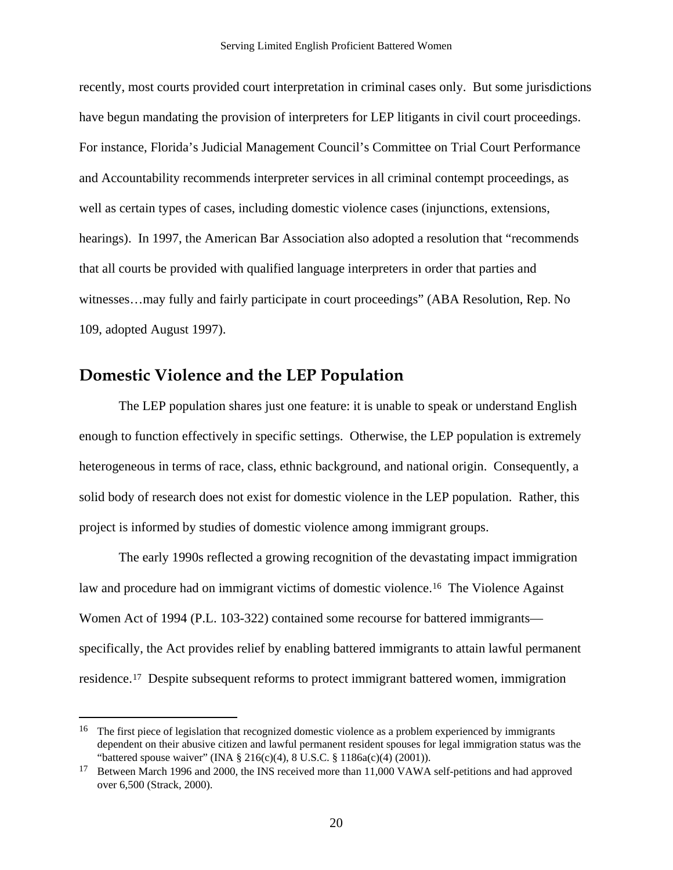<span id="page-22-0"></span>recently, most courts provided court interpretation in criminal cases only. But some jurisdictions have begun mandating the provision of interpreters for LEP litigants in civil court proceedings. For instance, Florida's Judicial Management Council's Committee on Trial Court Performance and Accountability recommends interpreter services in all criminal contempt proceedings, as well as certain types of cases, including domestic violence cases (injunctions, extensions, hearings). In 1997, the American Bar Association also adopted a resolution that "recommends that all courts be provided with qualified language interpreters in order that parties and witnesses…may fully and fairly participate in court proceedings" (ABA Resolution, Rep. No 109, adopted August 1997).

### **Domestic Violence and the LEP Population**

1

The LEP population shares just one feature: it is unable to speak or understand English enough to function effectively in specific settings. Otherwise, the LEP population is extremely heterogeneous in terms of race, class, ethnic background, and national origin. Consequently, a solid body of research does not exist for domestic violence in the LEP population. Rather, this project is informed by studies of domestic violence among immigrant groups.

The early 1990s reflected a growing recognition of the devastating impact immigration law and procedure had on immigrant victims of domestic violence.[16](#page-22-0) The Violence Against Women Act of 1994 (P.L. 103-322) contained some recourse for battered immigrants specifically, the Act provides relief by enabling battered immigrants to attain lawful permanent residence.[17](#page-22-0) Despite subsequent reforms to protect immigrant battered women, immigration

<sup>&</sup>lt;sup>16</sup> The first piece of legislation that recognized domestic violence as a problem experienced by immigrants dependent on their abusive citizen and lawful permanent resident spouses for legal immigration status was the "battered spouse waiver" (INA § 216(c)(4), 8 U.S.C. § 1186a(c)(4) (2001)).

<sup>&</sup>lt;sup>17</sup> Between March 1996 and 2000, the INS received more than 11,000 VAWA self-petitions and had approved over 6,500 (Strack, 2000).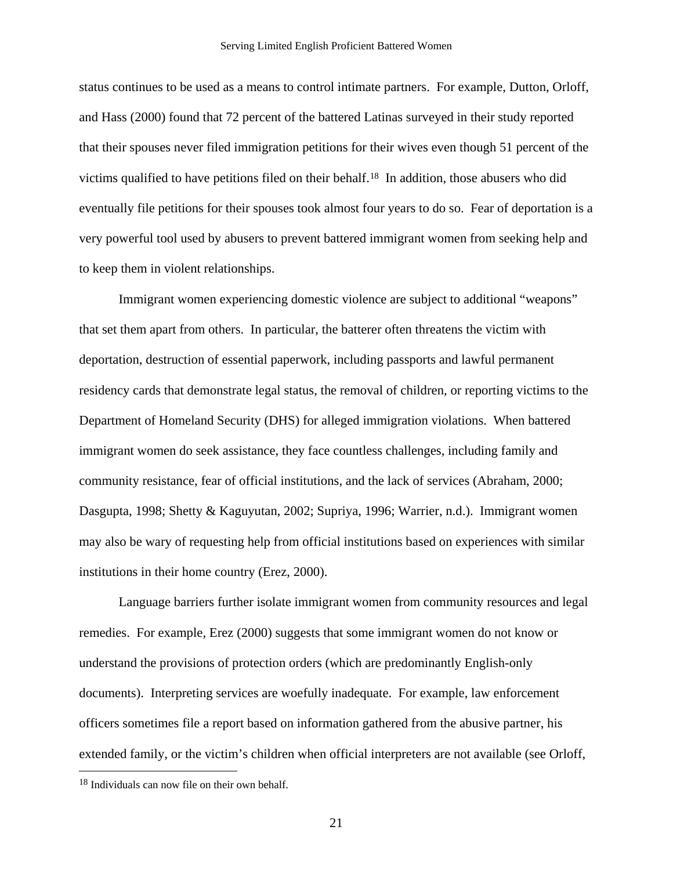<span id="page-23-0"></span>status continues to be used as a means to control intimate partners. For example, Dutton, Orloff, and Hass (2000) found that 72 percent of the battered Latinas surveyed in their study reported that their spouses never filed immigration petitions for their wives even though 51 percent of the victims qualified to have petitions filed on their behalf.[18](#page-23-0) In addition, those abusers who did eventually file petitions for their spouses took almost four years to do so. Fear of deportation is a very powerful tool used by abusers to prevent battered immigrant women from seeking help and to keep them in violent relationships.

Immigrant women experiencing domestic violence are subject to additional "weapons" that set them apart from others. In particular, the batterer often threatens the victim with deportation, destruction of essential paperwork, including passports and lawful permanent residency cards that demonstrate legal status, the removal of children, or reporting victims to the Department of Homeland Security (DHS) for alleged immigration violations. When battered immigrant women do seek assistance, they face countless challenges, including family and community resistance, fear of official institutions, and the lack of services (Abraham, 2000; Dasgupta, 1998; Shetty & Kaguyutan, 2002; Supriya, 1996; Warrier, n.d.). Immigrant women may also be wary of requesting help from official institutions based on experiences with similar institutions in their home country (Erez, 2000).

Language barriers further isolate immigrant women from community resources and legal remedies. For example, Erez (2000) suggests that some immigrant women do not know or understand the provisions of protection orders (which are predominantly English-only documents). Interpreting services are woefully inadequate. For example, law enforcement officers sometimes file a report based on information gathered from the abusive partner, his extended family, or the victim's children when official interpreters are not available (see Orloff,

<u>.</u>

<sup>18</sup> Individuals can now file on their own behalf.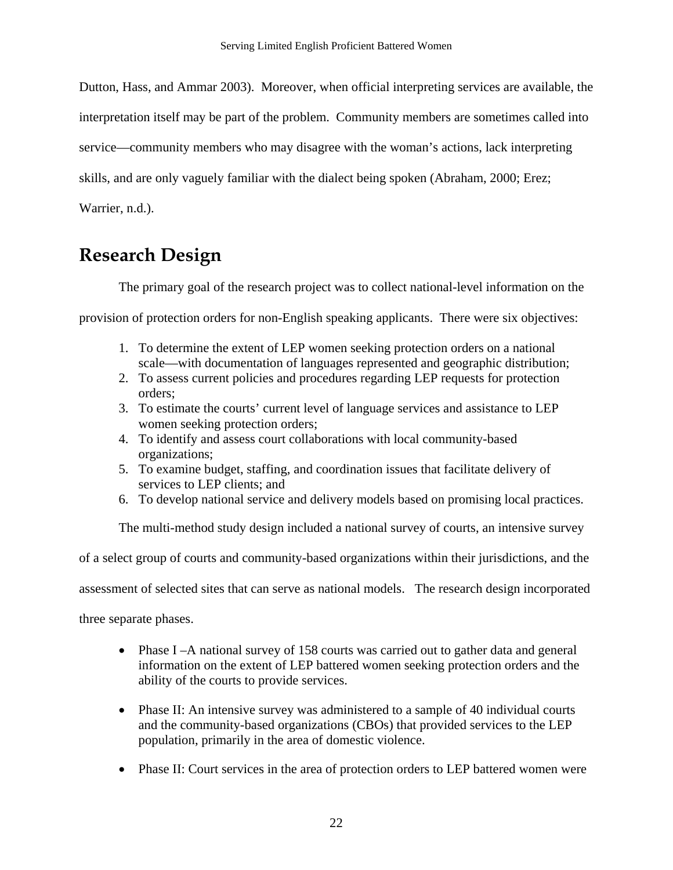<span id="page-24-0"></span>Dutton, Hass, and Ammar 2003). Moreover, when official interpreting services are available, the

interpretation itself may be part of the problem. Community members are sometimes called into

service—community members who may disagree with the woman's actions, lack interpreting

skills, and are only vaguely familiar with the dialect being spoken (Abraham, 2000; Erez;

Warrier, n.d.).

## **Research Design**

The primary goal of the research project was to collect national-level information on the

provision of protection orders for non-English speaking applicants. There were six objectives:

- 1. To determine the extent of LEP women seeking protection orders on a national scale—with documentation of languages represented and geographic distribution;
- 2. To assess current policies and procedures regarding LEP requests for protection orders;
- 3. To estimate the courts' current level of language services and assistance to LEP women seeking protection orders;
- 4. To identify and assess court collaborations with local community-based organizations;
- 5. To examine budget, staffing, and coordination issues that facilitate delivery of services to LEP clients; and
- 6. To develop national service and delivery models based on promising local practices.

The multi-method study design included a national survey of courts, an intensive survey

of a select group of courts and community-based organizations within their jurisdictions, and the

assessment of selected sites that can serve as national models. The research design incorporated

three separate phases.

- Phase I –A national survey of 158 courts was carried out to gather data and general information on the extent of LEP battered women seeking protection orders and the ability of the courts to provide services.
- Phase II: An intensive survey was administered to a sample of 40 individual courts and the community-based organizations (CBOs) that provided services to the LEP population, primarily in the area of domestic violence.
- Phase II: Court services in the area of protection orders to LEP battered women were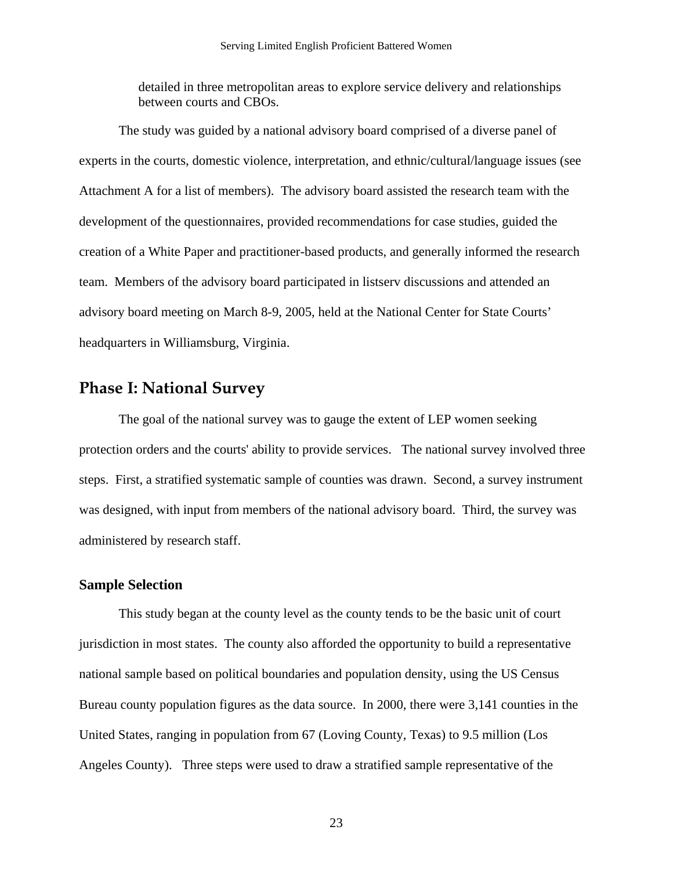detailed in three metropolitan areas to explore service delivery and relationships between courts and CBOs.

<span id="page-25-0"></span>The study was guided by a national advisory board comprised of a diverse panel of experts in the courts, domestic violence, interpretation, and ethnic/cultural/language issues (see Attachment A for a list of members). The advisory board assisted the research team with the development of the questionnaires, provided recommendations for case studies, guided the creation of a White Paper and practitioner-based products, and generally informed the research team. Members of the advisory board participated in listserv discussions and attended an advisory board meeting on March 8-9, 2005, held at the National Center for State Courts' headquarters in Williamsburg, Virginia.

### **Phase I: National Survey**

The goal of the national survey was to gauge the extent of LEP women seeking protection orders and the courts' ability to provide services. The national survey involved three steps. First, a stratified systematic sample of counties was drawn. Second, a survey instrument was designed, with input from members of the national advisory board. Third, the survey was administered by research staff.

#### **Sample Selection**

This study began at the county level as the county tends to be the basic unit of court jurisdiction in most states. The county also afforded the opportunity to build a representative national sample based on political boundaries and population density, using the US Census Bureau county population figures as the data source. In 2000, there were 3,141 counties in the United States, ranging in population from 67 (Loving County, Texas) to 9.5 million (Los Angeles County). Three steps were used to draw a stratified sample representative of the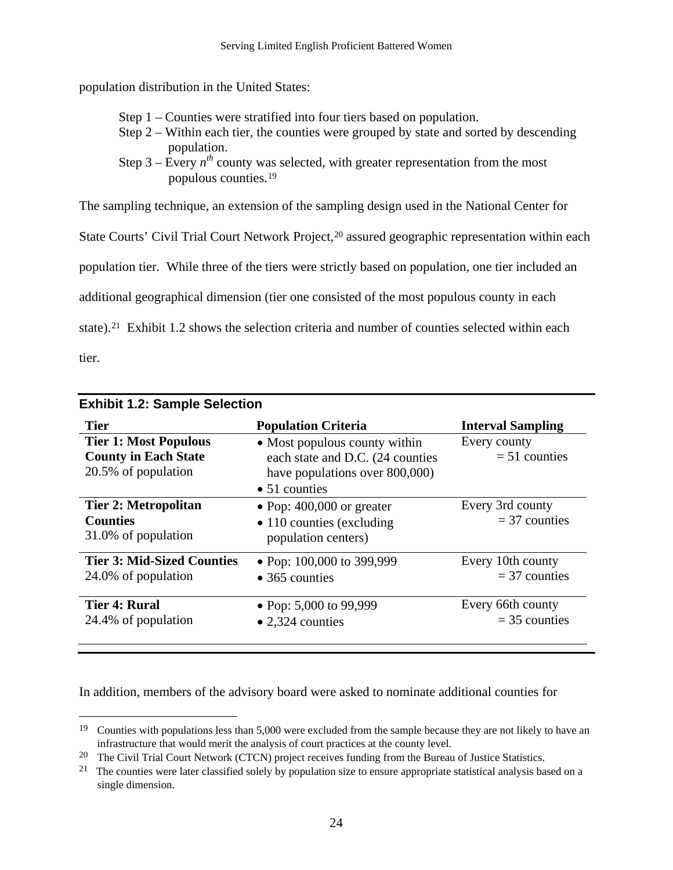<span id="page-26-0"></span>population distribution in the United States:

- Step 1 Counties were stratified into four tiers based on population.
- Step 2 Within each tier, the counties were grouped by state and sorted by descending population.
- Step  $3 -$  Every  $n^{th}$  county was selected, with greater representation from the most populous counties.[19](#page-26-0)

The sampling technique, an extension of the sampling design used in the National Center for

State Courts' Civil Trial Court Network Project,<sup>[2](#page-26-0)0</sup> assured geographic representation within each

population tier. While three of the tiers were strictly based on population, one tier included an

additional geographical dimension (tier one consisted of the most populous county in each

state).<sup>[21](#page-26-0)</sup> Exhibit 1.2 shows the selection criteria and number of counties selected within each

tier.

 $\overline{a}$ 

| <b>Exhibit 1.2: Sample Selection</b>                                               |                                                                                                                              |                                      |  |  |
|------------------------------------------------------------------------------------|------------------------------------------------------------------------------------------------------------------------------|--------------------------------------|--|--|
| <b>Tier</b>                                                                        | <b>Population Criteria</b>                                                                                                   | <b>Interval Sampling</b>             |  |  |
| <b>Tier 1: Most Populous</b><br><b>County in Each State</b><br>20.5% of population | • Most populous county within<br>each state and D.C. (24 counties<br>have populations over 800,000)<br>$\bullet$ 51 counties | Every county<br>$= 51$ counties      |  |  |
| <b>Tier 2: Metropolitan</b><br><b>Counties</b><br>31.0% of population              | • Pop: $400,000$ or greater<br>$\bullet$ 110 counties (excluding<br>population centers)                                      | Every 3rd county<br>$=$ 37 counties  |  |  |
| <b>Tier 3: Mid-Sized Counties</b><br>24.0% of population                           | • Pop: $100,000$ to 399,999<br>$\bullet$ 365 counties                                                                        | Every 10th county<br>$=$ 37 counties |  |  |
| <b>Tier 4: Rural</b><br>24.4% of population                                        | • Pop: 5,000 to 99,999<br>$\bullet$ 2,324 counties                                                                           | Every 66th county<br>$=$ 35 counties |  |  |

In addition, members of the advisory board were asked to nominate additional counties for

<sup>&</sup>lt;sup>19</sup> Counties with populations less than 5,000 were excluded from the sample because they are not likely to have an infrastructure that would merit the analysis of court practices at the county level.

<sup>&</sup>lt;sup>20</sup> The Civil Trial Court Network (CTCN) project receives funding from the Bureau of Justice Statistics.

<sup>&</sup>lt;sup>21</sup> The counties were later classified solely by population size to ensure appropriate statistical analysis based on a single dimension.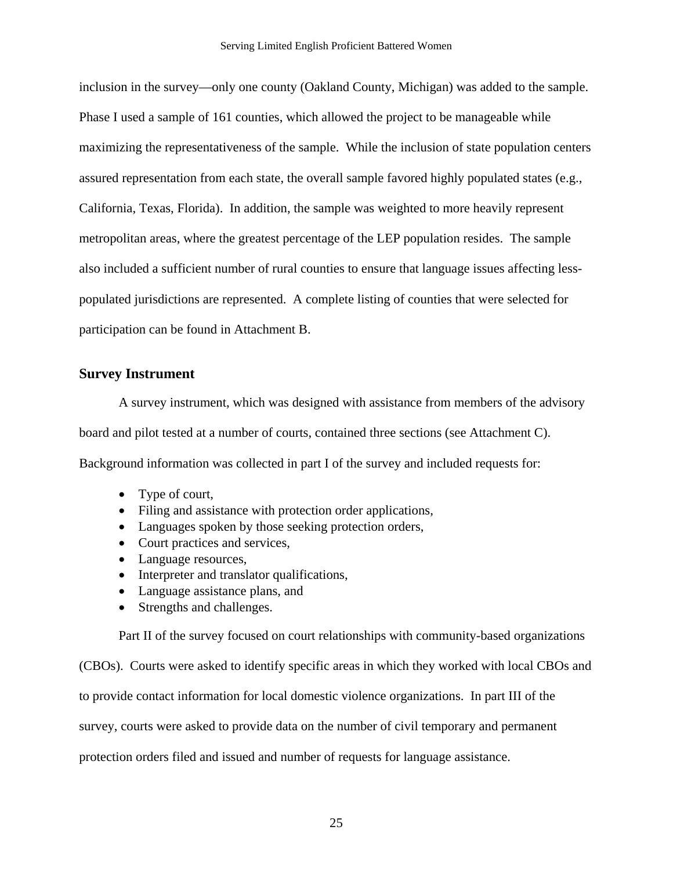<span id="page-27-0"></span>inclusion in the survey—only one county (Oakland County, Michigan) was added to the sample. Phase I used a sample of 161 counties, which allowed the project to be manageable while maximizing the representativeness of the sample. While the inclusion of state population centers assured representation from each state, the overall sample favored highly populated states (e.g., California, Texas, Florida). In addition, the sample was weighted to more heavily represent metropolitan areas, where the greatest percentage of the LEP population resides. The sample also included a sufficient number of rural counties to ensure that language issues affecting lesspopulated jurisdictions are represented. A complete listing of counties that were selected for participation can be found in Attachment B.

#### **Survey Instrument**

A survey instrument, which was designed with assistance from members of the advisory board and pilot tested at a number of courts, contained three sections (see Attachment C). Background information was collected in part I of the survey and included requests for:

- Type of court,
- Filing and assistance with protection order applications,
- Languages spoken by those seeking protection orders,
- Court practices and services,
- Language resources,
- Interpreter and translator qualifications,
- Language assistance plans, and
- Strengths and challenges.

Part II of the survey focused on court relationships with community-based organizations

(CBOs). Courts were asked to identify specific areas in which they worked with local CBOs and

to provide contact information for local domestic violence organizations. In part III of the

survey, courts were asked to provide data on the number of civil temporary and permanent

protection orders filed and issued and number of requests for language assistance.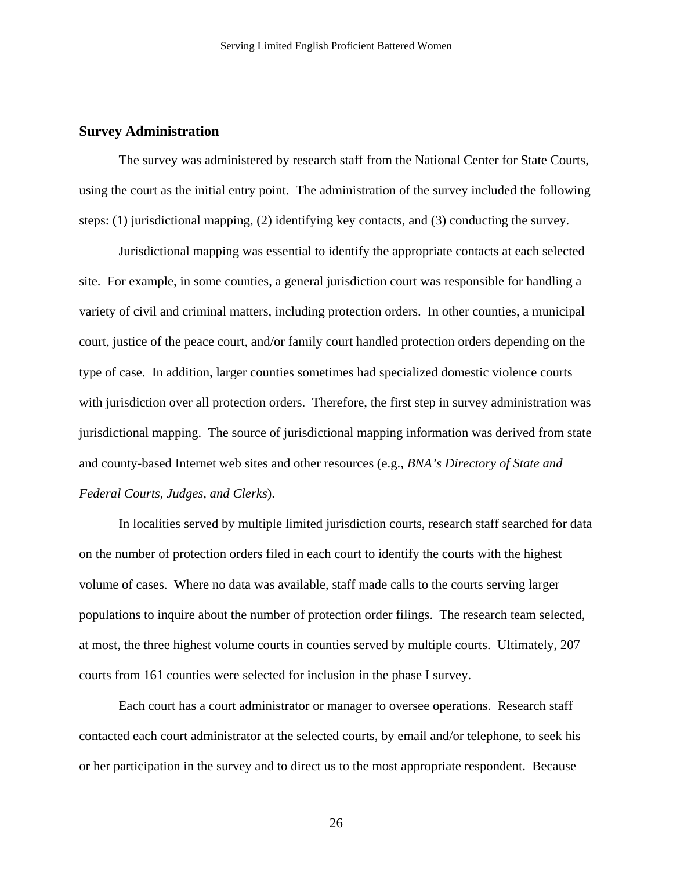#### <span id="page-28-0"></span>**Survey Administration**

The survey was administered by research staff from the National Center for State Courts, using the court as the initial entry point. The administration of the survey included the following steps: (1) jurisdictional mapping, (2) identifying key contacts, and (3) conducting the survey.

Jurisdictional mapping was essential to identify the appropriate contacts at each selected site. For example, in some counties, a general jurisdiction court was responsible for handling a variety of civil and criminal matters, including protection orders. In other counties, a municipal court, justice of the peace court, and/or family court handled protection orders depending on the type of case. In addition, larger counties sometimes had specialized domestic violence courts with jurisdiction over all protection orders. Therefore, the first step in survey administration was jurisdictional mapping. The source of jurisdictional mapping information was derived from state and county-based Internet web sites and other resources (e.g., *BNA's Directory of State and Federal Courts, Judges, and Clerks*).

In localities served by multiple limited jurisdiction courts, research staff searched for data on the number of protection orders filed in each court to identify the courts with the highest volume of cases. Where no data was available, staff made calls to the courts serving larger populations to inquire about the number of protection order filings. The research team selected, at most, the three highest volume courts in counties served by multiple courts. Ultimately, 207 courts from 161 counties were selected for inclusion in the phase I survey.

Each court has a court administrator or manager to oversee operations. Research staff contacted each court administrator at the selected courts, by email and/or telephone, to seek his or her participation in the survey and to direct us to the most appropriate respondent. Because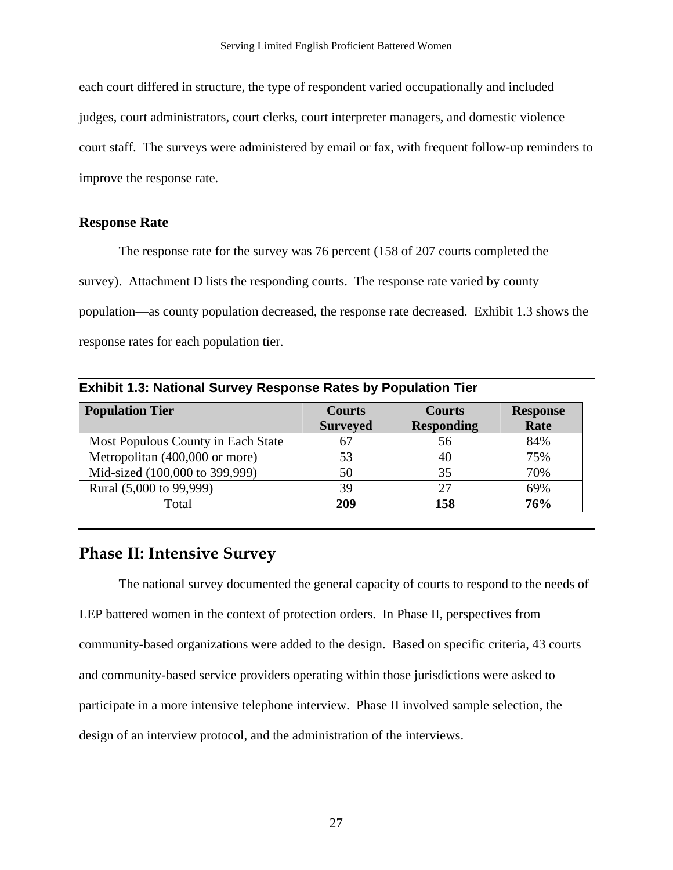<span id="page-29-0"></span>each court differed in structure, the type of respondent varied occupationally and included judges, court administrators, court clerks, court interpreter managers, and domestic violence court staff. The surveys were administered by email or fax, with frequent follow-up reminders to improve the response rate.

#### **Response Rate**

The response rate for the survey was 76 percent (158 of 207 courts completed the survey). Attachment D lists the responding courts. The response rate varied by county population—as county population decreased, the response rate decreased. Exhibit 1.3 shows the response rates for each population tier.

| <b>Population Tier</b>             | <b>Courts</b>   | <b>Courts</b>     | <b>Response</b> |
|------------------------------------|-----------------|-------------------|-----------------|
|                                    | <b>Surveyed</b> | <b>Responding</b> | Rate            |
| Most Populous County in Each State | 67              | 56                | 84%             |
| Metropolitan (400,000 or more)     | 53              | 40                | 75%             |
| Mid-sized (100,000 to 399,999)     | 50              | 35                | 70%             |
| Rural (5,000 to 99,999)            | 39              | 27                | 69%             |
| Total                              | 209             | 158               | 76%             |

## **Phase II: Intensive Survey**

The national survey documented the general capacity of courts to respond to the needs of LEP battered women in the context of protection orders. In Phase II, perspectives from community-based organizations were added to the design. Based on specific criteria, 43 courts and community-based service providers operating within those jurisdictions were asked to participate in a more intensive telephone interview. Phase II involved sample selection, the design of an interview protocol, and the administration of the interviews.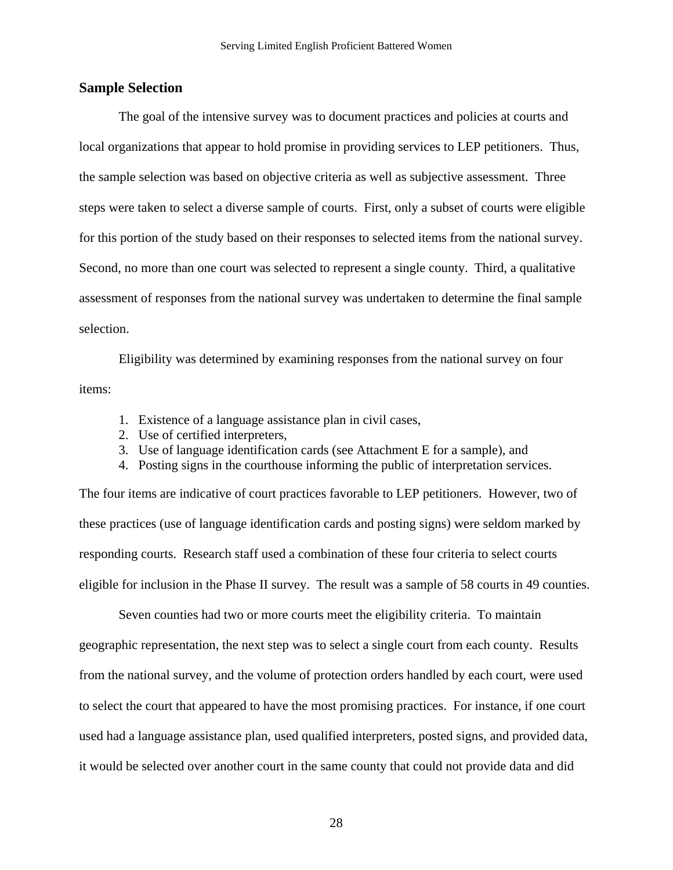#### <span id="page-30-0"></span>**Sample Selection**

The goal of the intensive survey was to document practices and policies at courts and local organizations that appear to hold promise in providing services to LEP petitioners. Thus, the sample selection was based on objective criteria as well as subjective assessment. Three steps were taken to select a diverse sample of courts. First, only a subset of courts were eligible for this portion of the study based on their responses to selected items from the national survey. Second, no more than one court was selected to represent a single county. Third, a qualitative assessment of responses from the national survey was undertaken to determine the final sample selection.

Eligibility was determined by examining responses from the national survey on four items:

- 1. Existence of a language assistance plan in civil cases,
- 2. Use of certified interpreters,
- 3. Use of language identification cards (see Attachment E for a sample), and
- 4. Posting signs in the courthouse informing the public of interpretation services.

The four items are indicative of court practices favorable to LEP petitioners. However, two of these practices (use of language identification cards and posting signs) were seldom marked by responding courts. Research staff used a combination of these four criteria to select courts eligible for inclusion in the Phase II survey. The result was a sample of 58 courts in 49 counties.

 Seven counties had two or more courts meet the eligibility criteria. To maintain geographic representation, the next step was to select a single court from each county. Results from the national survey, and the volume of protection orders handled by each court, were used to select the court that appeared to have the most promising practices. For instance, if one court used had a language assistance plan, used qualified interpreters, posted signs, and provided data, it would be selected over another court in the same county that could not provide data and did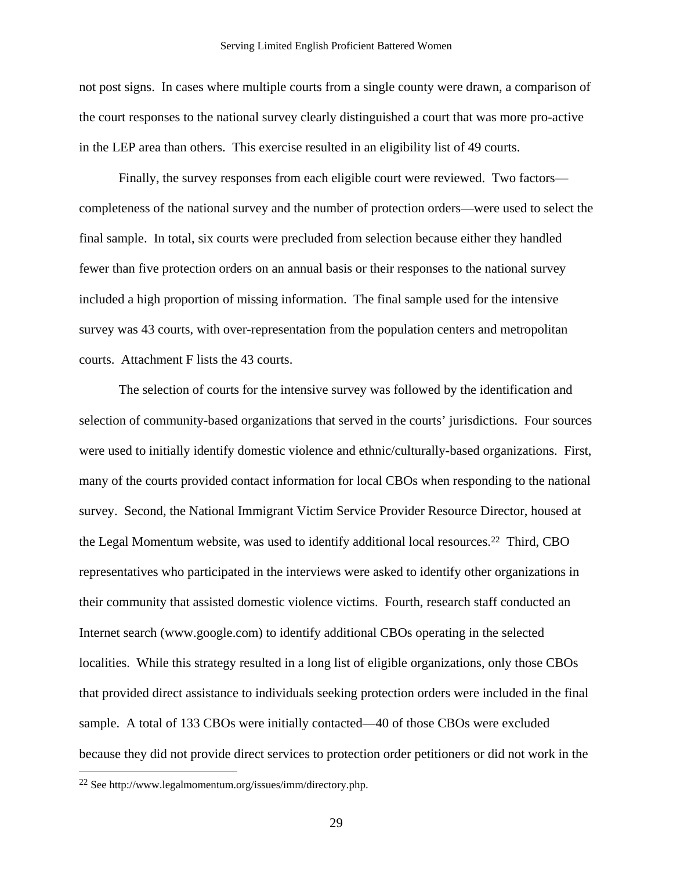<span id="page-31-0"></span>not post signs. In cases where multiple courts from a single county were drawn, a comparison of the court responses to the national survey clearly distinguished a court that was more pro-active in the LEP area than others. This exercise resulted in an eligibility list of 49 courts.

 Finally, the survey responses from each eligible court were reviewed. Two factors completeness of the national survey and the number of protection orders—were used to select the final sample. In total, six courts were precluded from selection because either they handled fewer than five protection orders on an annual basis or their responses to the national survey included a high proportion of missing information. The final sample used for the intensive survey was 43 courts, with over-representation from the population centers and metropolitan courts. Attachment F lists the 43 courts.

 The selection of courts for the intensive survey was followed by the identification and selection of community-based organizations that served in the courts' jurisdictions. Four sources were used to initially identify domestic violence and ethnic/culturally-based organizations. First, many of the courts provided contact information for local CBOs when responding to the national survey. Second, the National Immigrant Victim Service Provider Resource Director, housed at the Legal Momentum website, was used to identify additional local resources.[2](#page-31-0)2 Third, CBO representatives who participated in the interviews were asked to identify other organizations in their community that assisted domestic violence victims. Fourth, research staff conducted an Internet search (www.google.com) to identify additional CBOs operating in the selected localities. While this strategy resulted in a long list of eligible organizations, only those CBOs that provided direct assistance to individuals seeking protection orders were included in the final sample. A total of 133 CBOs were initially contacted—40 of those CBOs were excluded because they did not provide direct services to protection order petitioners or did not work in the

 $\overline{a}$ 

<sup>22</sup> See http://www.legalmomentum.org/issues/imm/directory.php.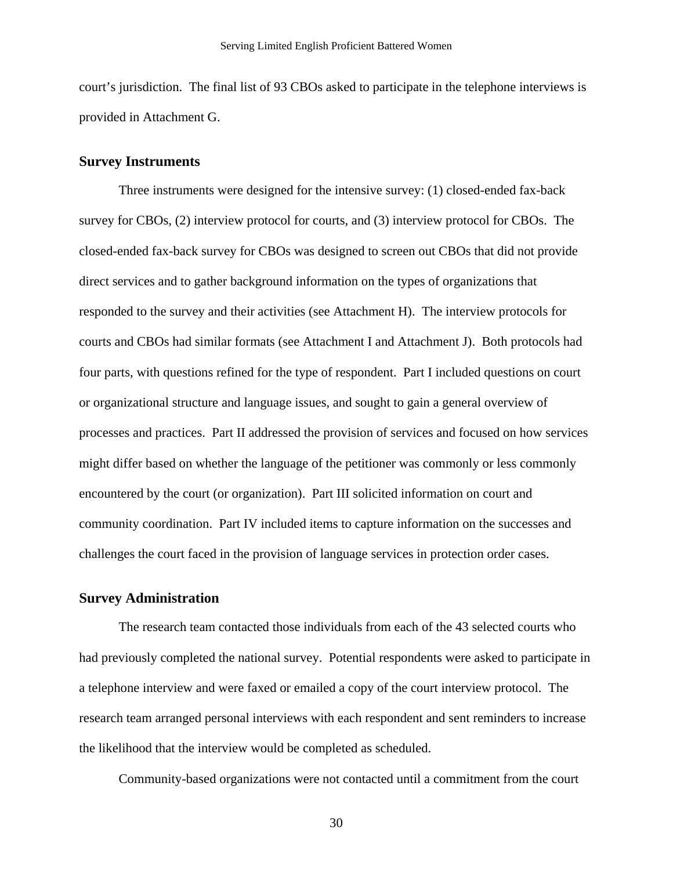<span id="page-32-0"></span>court's jurisdiction. The final list of 93 CBOs asked to participate in the telephone interviews is provided in Attachment G.

#### **Survey Instruments**

 Three instruments were designed for the intensive survey: (1) closed-ended fax-back survey for CBOs, (2) interview protocol for courts, and (3) interview protocol for CBOs. The closed-ended fax-back survey for CBOs was designed to screen out CBOs that did not provide direct services and to gather background information on the types of organizations that responded to the survey and their activities (see Attachment H). The interview protocols for courts and CBOs had similar formats (see Attachment I and Attachment J). Both protocols had four parts, with questions refined for the type of respondent. Part I included questions on court or organizational structure and language issues, and sought to gain a general overview of processes and practices. Part II addressed the provision of services and focused on how services might differ based on whether the language of the petitioner was commonly or less commonly encountered by the court (or organization). Part III solicited information on court and community coordination. Part IV included items to capture information on the successes and challenges the court faced in the provision of language services in protection order cases.

#### **Survey Administration**

The research team contacted those individuals from each of the 43 selected courts who had previously completed the national survey. Potential respondents were asked to participate in a telephone interview and were faxed or emailed a copy of the court interview protocol. The research team arranged personal interviews with each respondent and sent reminders to increase the likelihood that the interview would be completed as scheduled.

Community-based organizations were not contacted until a commitment from the court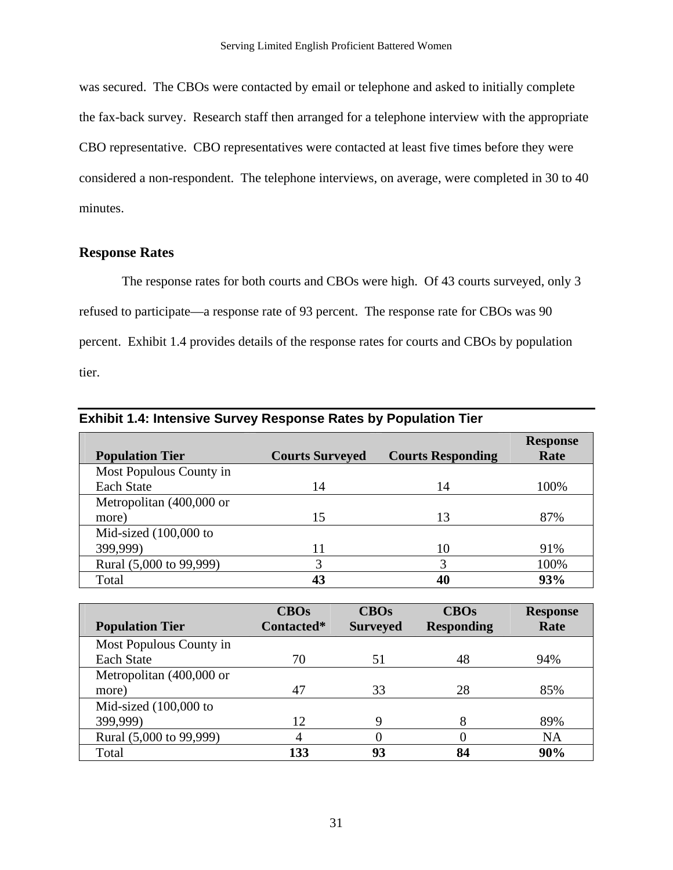<span id="page-33-0"></span>was secured. The CBOs were contacted by email or telephone and asked to initially complete the fax-back survey. Research staff then arranged for a telephone interview with the appropriate CBO representative. CBO representatives were contacted at least five times before they were considered a non-respondent. The telephone interviews, on average, were completed in 30 to 40 minutes.

### **Response Rates**

 The response rates for both courts and CBOs were high. Of 43 courts surveyed, only 3 refused to participate—a response rate of 93 percent. The response rate for CBOs was 90 percent. Exhibit 1.4 provides details of the response rates for courts and CBOs by population tier.

| <b>Exhibit 1.4: Intensive Survey Response Rates by Population Tier</b> |                        |                          |                         |
|------------------------------------------------------------------------|------------------------|--------------------------|-------------------------|
| <b>Population Tier</b>                                                 | <b>Courts Surveyed</b> | <b>Courts Responding</b> | <b>Response</b><br>Rate |
| Most Populous County in                                                |                        |                          |                         |
| <b>Each State</b>                                                      | 14                     | 14                       | 100%                    |
| Metropolitan (400,000 or                                               |                        |                          |                         |
| more)                                                                  | 15                     | 13                       | 87%                     |
| Mid-sized $(100,000)$ to                                               |                        |                          |                         |
| 399,999)                                                               | 11                     | 10                       | 91%                     |
| Rural (5,000 to 99,999)                                                | 3                      | 3                        | 100%                    |
| Total                                                                  | 43                     | 40                       | 93%                     |

|                          | <b>CBOs</b> | <b>CBOs</b>     | <b>CBOs</b>       | <b>Response</b> |
|--------------------------|-------------|-----------------|-------------------|-----------------|
| <b>Population Tier</b>   | Contacted*  | <b>Surveyed</b> | <b>Responding</b> | Rate            |
| Most Populous County in  |             |                 |                   |                 |
| <b>Each State</b>        | 70          | 51              | 48                | 94%             |
| Metropolitan (400,000 or |             |                 |                   |                 |
| more)                    | 47          | 33              | 28                | 85%             |
| Mid-sized $(100,000)$ to |             |                 |                   |                 |
| 399,999)                 | 12          | 9               |                   | 89%             |
| Rural (5,000 to 99,999)  | 4           |                 |                   | <b>NA</b>       |
| Total                    | 133         | 93              | 84                | 90%             |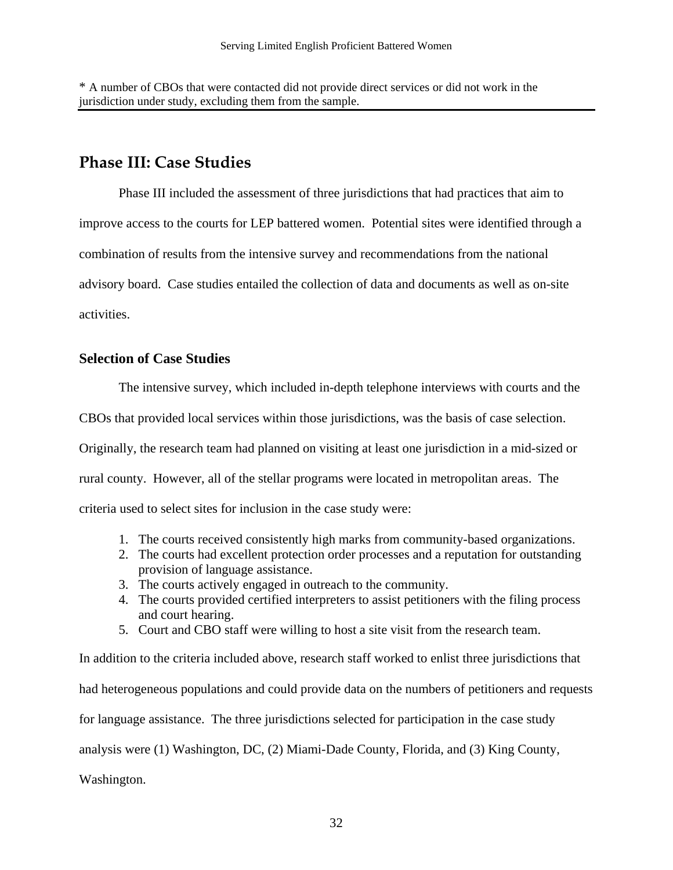<span id="page-34-0"></span>\* A number of CBOs that were contacted did not provide direct services or did not work in the jurisdiction under study, excluding them from the sample.

## **Phase III: Case Studies**

Phase III included the assessment of three jurisdictions that had practices that aim to improve access to the courts for LEP battered women. Potential sites were identified through a combination of results from the intensive survey and recommendations from the national advisory board. Case studies entailed the collection of data and documents as well as on-site activities.

#### **Selection of Case Studies**

The intensive survey, which included in-depth telephone interviews with courts and the

CBOs that provided local services within those jurisdictions, was the basis of case selection.

Originally, the research team had planned on visiting at least one jurisdiction in a mid-sized or

rural county. However, all of the stellar programs were located in metropolitan areas. The

criteria used to select sites for inclusion in the case study were:

- 1. The courts received consistently high marks from community-based organizations.
- 2. The courts had excellent protection order processes and a reputation for outstanding provision of language assistance.
- 3. The courts actively engaged in outreach to the community.
- 4. The courts provided certified interpreters to assist petitioners with the filing process and court hearing.
- 5. Court and CBO staff were willing to host a site visit from the research team.

In addition to the criteria included above, research staff worked to enlist three jurisdictions that had heterogeneous populations and could provide data on the numbers of petitioners and requests for language assistance. The three jurisdictions selected for participation in the case study analysis were (1) Washington, DC, (2) Miami-Dade County, Florida, and (3) King County, Washington.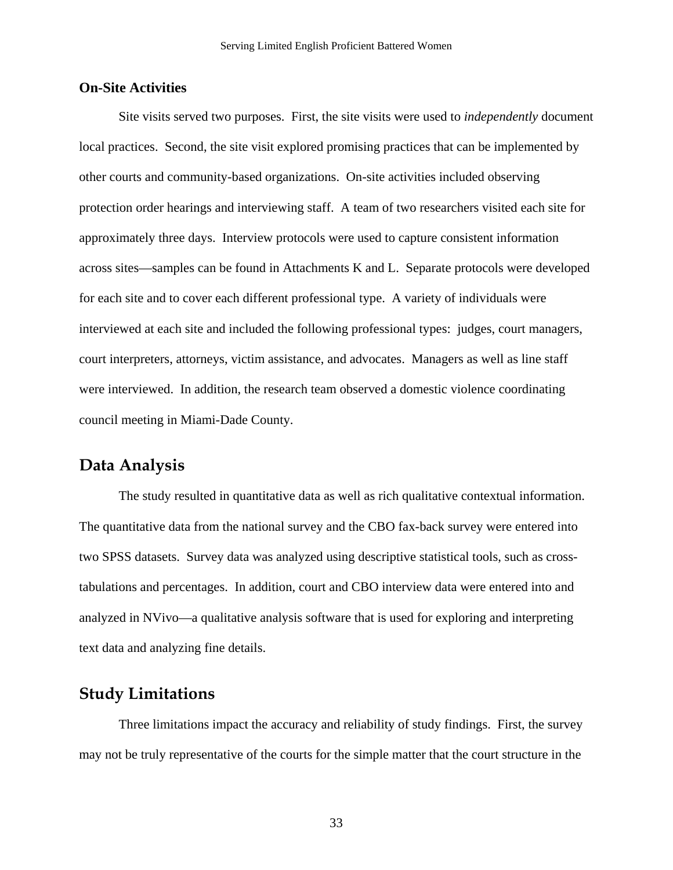#### <span id="page-35-0"></span>**On-Site Activities**

Site visits served two purposes. First, the site visits were used to *independently* document local practices. Second, the site visit explored promising practices that can be implemented by other courts and community-based organizations. On-site activities included observing protection order hearings and interviewing staff. A team of two researchers visited each site for approximately three days. Interview protocols were used to capture consistent information across sites—samples can be found in Attachments K and L. Separate protocols were developed for each site and to cover each different professional type. A variety of individuals were interviewed at each site and included the following professional types: judges, court managers, court interpreters, attorneys, victim assistance, and advocates. Managers as well as line staff were interviewed. In addition, the research team observed a domestic violence coordinating council meeting in Miami-Dade County.

### **Data Analysis**

The study resulted in quantitative data as well as rich qualitative contextual information. The quantitative data from the national survey and the CBO fax-back survey were entered into two SPSS datasets. Survey data was analyzed using descriptive statistical tools, such as crosstabulations and percentages. In addition, court and CBO interview data were entered into and analyzed in NVivo—a qualitative analysis software that is used for exploring and interpreting text data and analyzing fine details.

## **Study Limitations**

Three limitations impact the accuracy and reliability of study findings. First, the survey may not be truly representative of the courts for the simple matter that the court structure in the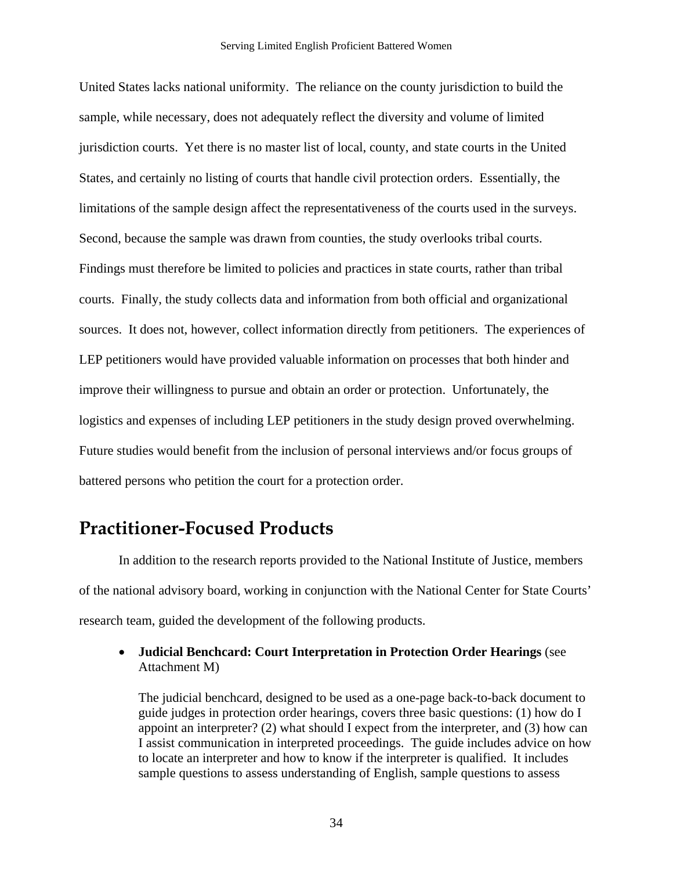United States lacks national uniformity. The reliance on the county jurisdiction to build the sample, while necessary, does not adequately reflect the diversity and volume of limited jurisdiction courts. Yet there is no master list of local, county, and state courts in the United States, and certainly no listing of courts that handle civil protection orders. Essentially, the limitations of the sample design affect the representativeness of the courts used in the surveys. Second, because the sample was drawn from counties, the study overlooks tribal courts. Findings must therefore be limited to policies and practices in state courts, rather than tribal courts. Finally, the study collects data and information from both official and organizational sources. It does not, however, collect information directly from petitioners. The experiences of LEP petitioners would have provided valuable information on processes that both hinder and improve their willingness to pursue and obtain an order or protection. Unfortunately, the logistics and expenses of including LEP petitioners in the study design proved overwhelming. Future studies would benefit from the inclusion of personal interviews and/or focus groups of battered persons who petition the court for a protection order.

## **Practitioner-Focused Products**

 In addition to the research reports provided to the National Institute of Justice, members of the national advisory board, working in conjunction with the National Center for State Courts' research team, guided the development of the following products.

• **Judicial Benchcard: Court Interpretation in Protection Order Hearings** (see Attachment M)

The judicial benchcard, designed to be used as a one-page back-to-back document to guide judges in protection order hearings, covers three basic questions: (1) how do I appoint an interpreter? (2) what should I expect from the interpreter, and (3) how can I assist communication in interpreted proceedings. The guide includes advice on how to locate an interpreter and how to know if the interpreter is qualified. It includes sample questions to assess understanding of English, sample questions to assess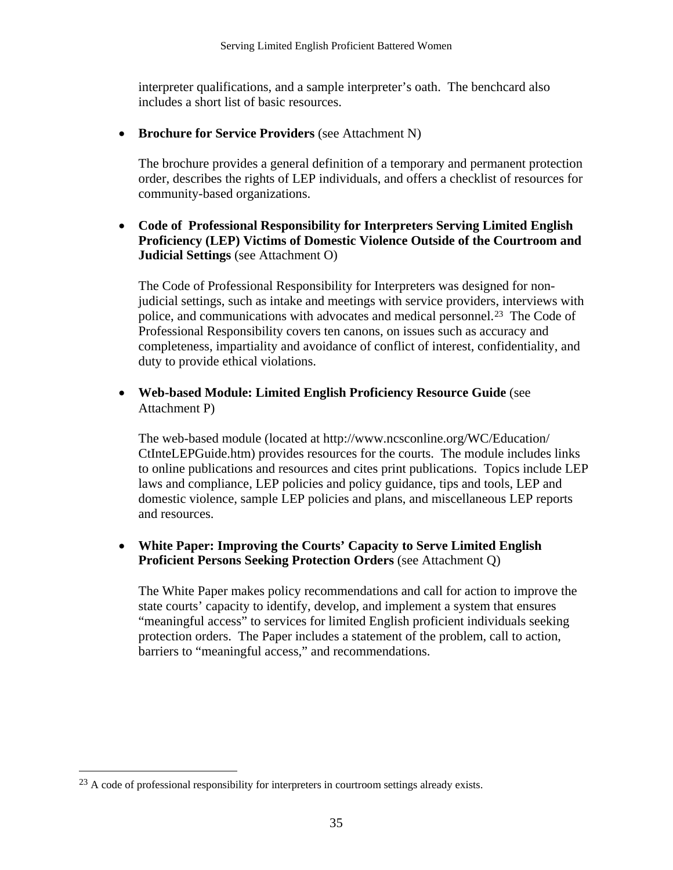<span id="page-37-0"></span>interpreter qualifications, and a sample interpreter's oath. The benchcard also includes a short list of basic resources.

• **Brochure for Service Providers** (see Attachment N)

The brochure provides a general definition of a temporary and permanent protection order, describes the rights of LEP individuals, and offers a checklist of resources for community-based organizations.

• **Code of Professional Responsibility for Interpreters Serving Limited English Proficiency (LEP) Victims of Domestic Violence Outside of the Courtroom and Judicial Settings** (see Attachment O)

The Code of Professional Responsibility for Interpreters was designed for nonjudicial settings, such as intake and meetings with service providers, interviews with police, and communications with advocates and medical personnel.[2](#page-37-0)3 The Code of Professional Responsibility covers ten canons, on issues such as accuracy and completeness, impartiality and avoidance of conflict of interest, confidentiality, and duty to provide ethical violations.

• **Web-based Module: Limited English Proficiency Resource Guide** (see Attachment P)

The web-based module (located at http://www.ncsconline.org/WC/Education/ CtInteLEPGuide.htm) provides resources for the courts. The module includes links to online publications and resources and cites print publications. Topics include LEP laws and compliance, LEP policies and policy guidance, tips and tools, LEP and domestic violence, sample LEP policies and plans, and miscellaneous LEP reports and resources.

#### • **White Paper: Improving the Courts' Capacity to Serve Limited English Proficient Persons Seeking Protection Orders** (see Attachment Q)

The White Paper makes policy recommendations and call for action to improve the state courts' capacity to identify, develop, and implement a system that ensures "meaningful access" to services for limited English proficient individuals seeking protection orders. The Paper includes a statement of the problem, call to action, barriers to "meaningful access," and recommendations.

 $\overline{a}$ 

<sup>&</sup>lt;sup>23</sup> A code of professional responsibility for interpreters in courtroom settings already exists.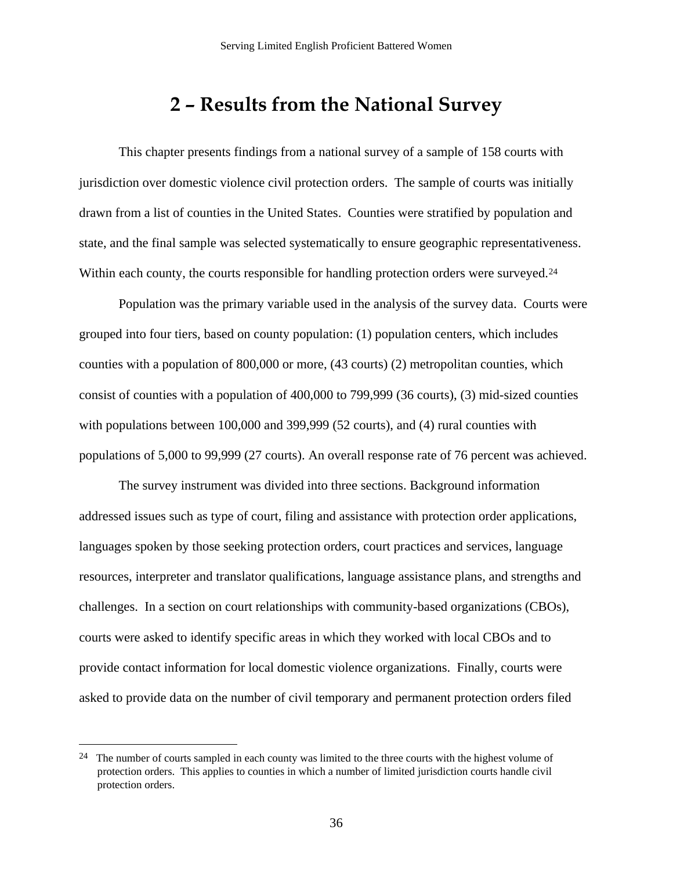## **2 – Results from the National Survey**

<span id="page-38-0"></span>This chapter presents findings from a national survey of a sample of 158 courts with jurisdiction over domestic violence civil protection orders. The sample of courts was initially drawn from a list of counties in the United States. Counties were stratified by population and state, and the final sample was selected systematically to ensure geographic representativeness. Within each county, the courts responsible for handling protection orders were surveyed.<sup>24</sup>

Population was the primary variable used in the analysis of the survey data. Courts were grouped into four tiers, based on county population: (1) population centers, which includes counties with a population of 800,000 or more, (43 courts) (2) metropolitan counties, which consist of counties with a population of 400,000 to 799,999 (36 courts), (3) mid-sized counties with populations between 100,000 and 399,999 (52 courts), and (4) rural counties with populations of 5,000 to 99,999 (27 courts). An overall response rate of 76 percent was achieved.

The survey instrument was divided into three sections. Background information addressed issues such as type of court, filing and assistance with protection order applications, languages spoken by those seeking protection orders, court practices and services, language resources, interpreter and translator qualifications, language assistance plans, and strengths and challenges. In a section on court relationships with community-based organizations (CBOs), courts were asked to identify specific areas in which they worked with local CBOs and to provide contact information for local domestic violence organizations. Finally, courts were asked to provide data on the number of civil temporary and permanent protection orders filed

<u>.</u>

<sup>&</sup>lt;sup>24</sup> The number of courts sampled in each county was limited to the three courts with the highest volume of protection orders. This applies to counties in which a number of limited jurisdiction courts handle civil protection orders.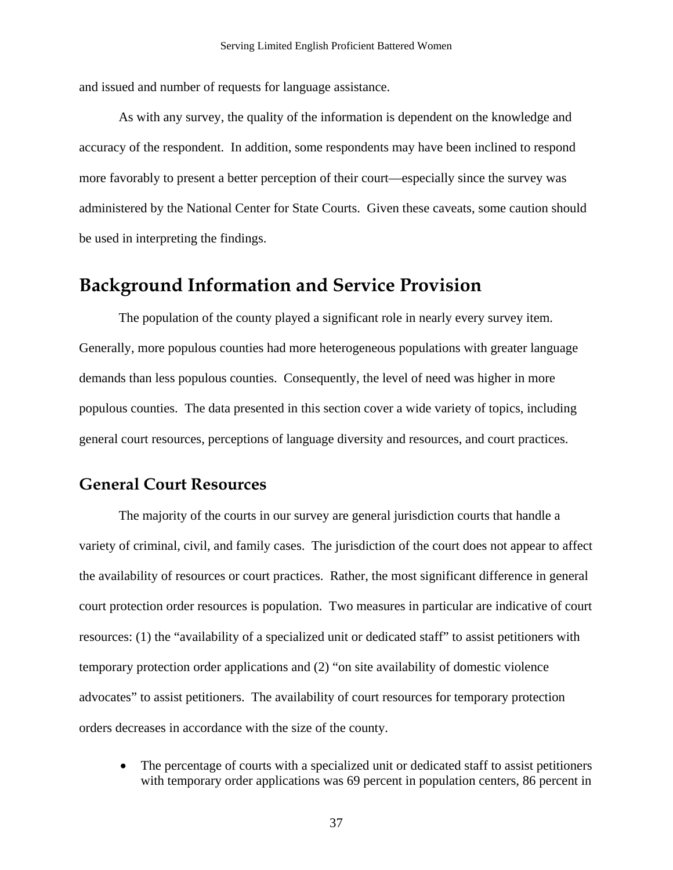and issued and number of requests for language assistance.

As with any survey, the quality of the information is dependent on the knowledge and accuracy of the respondent. In addition, some respondents may have been inclined to respond more favorably to present a better perception of their court—especially since the survey was administered by the National Center for State Courts. Given these caveats, some caution should be used in interpreting the findings.

## **Background Information and Service Provision**

The population of the county played a significant role in nearly every survey item. Generally, more populous counties had more heterogeneous populations with greater language demands than less populous counties. Consequently, the level of need was higher in more populous counties. The data presented in this section cover a wide variety of topics, including general court resources, perceptions of language diversity and resources, and court practices.

### **General Court Resources**

 The majority of the courts in our survey are general jurisdiction courts that handle a variety of criminal, civil, and family cases. The jurisdiction of the court does not appear to affect the availability of resources or court practices. Rather, the most significant difference in general court protection order resources is population. Two measures in particular are indicative of court resources: (1) the "availability of a specialized unit or dedicated staff" to assist petitioners with temporary protection order applications and (2) "on site availability of domestic violence advocates" to assist petitioners. The availability of court resources for temporary protection orders decreases in accordance with the size of the county.

• The percentage of courts with a specialized unit or dedicated staff to assist petitioners with temporary order applications was 69 percent in population centers, 86 percent in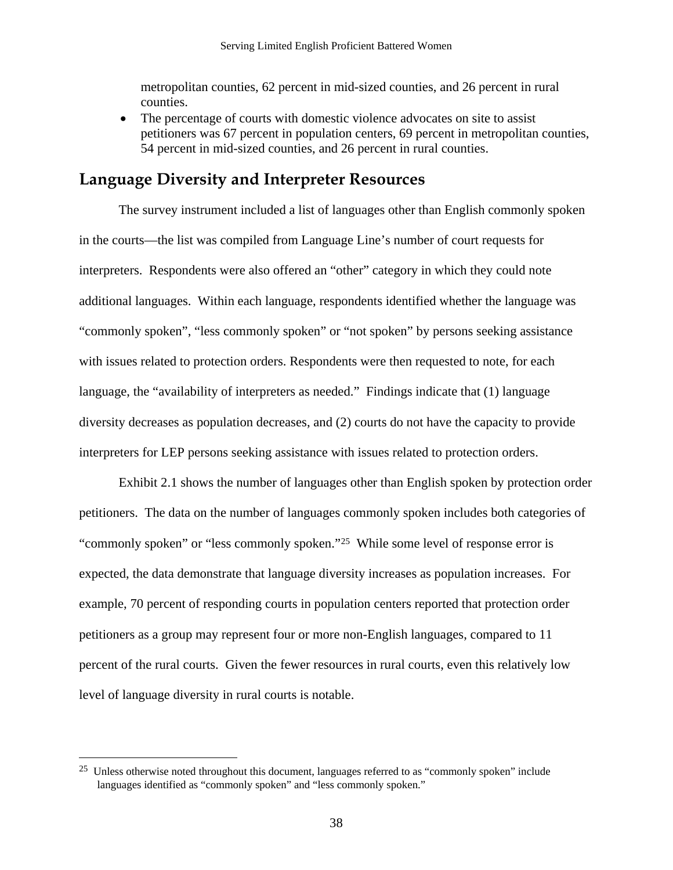<span id="page-40-0"></span>metropolitan counties, 62 percent in mid-sized counties, and 26 percent in rural counties.

• The percentage of courts with domestic violence advocates on site to assist petitioners was 67 percent in population centers, 69 percent in metropolitan counties, 54 percent in mid-sized counties, and 26 percent in rural counties.

## **Language Diversity and Interpreter Resources**

The survey instrument included a list of languages other than English commonly spoken in the courts—the list was compiled from Language Line's number of court requests for interpreters. Respondents were also offered an "other" category in which they could note additional languages. Within each language, respondents identified whether the language was "commonly spoken", "less commonly spoken" or "not spoken" by persons seeking assistance with issues related to protection orders. Respondents were then requested to note, for each language, the "availability of interpreters as needed." Findings indicate that (1) language diversity decreases as population decreases, and (2) courts do not have the capacity to provide interpreters for LEP persons seeking assistance with issues related to protection orders.

Exhibit 2.1 shows the number of languages other than English spoken by protection order petitioners. The data on the number of languages commonly spoken includes both categories of "commonly spoken" or "less commonly spoken.["2](#page-40-0)5 While some level of response error is expected, the data demonstrate that language diversity increases as population increases. For example, 70 percent of responding courts in population centers reported that protection order petitioners as a group may represent four or more non-English languages, compared to 11 percent of the rural courts. Given the fewer resources in rural courts, even this relatively low level of language diversity in rural courts is notable.

<u>.</u>

<sup>25</sup> Unless otherwise noted throughout this document, languages referred to as "commonly spoken" include languages identified as "commonly spoken" and "less commonly spoken."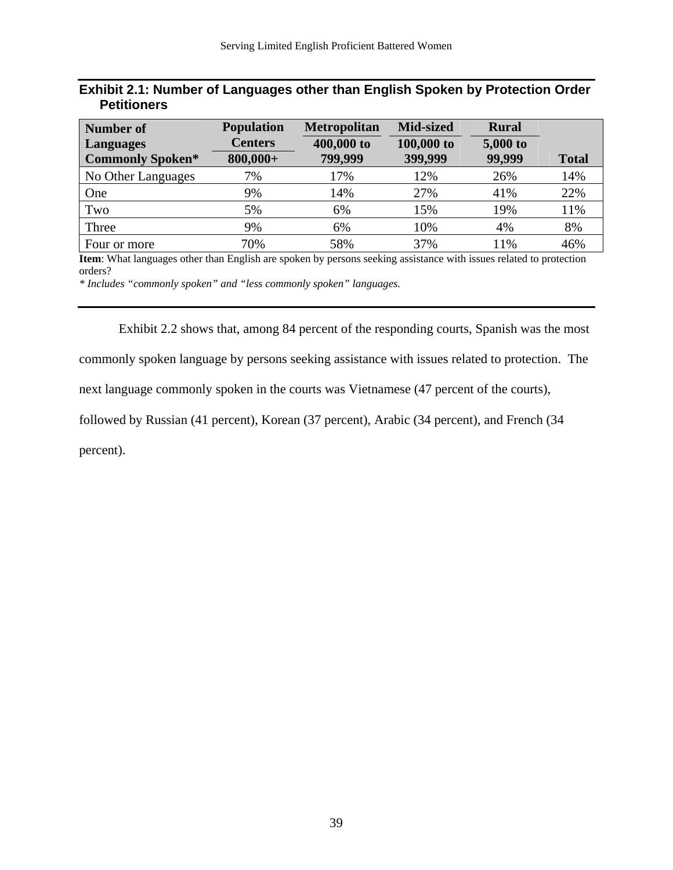| Exhibit 2.1: Number of Languages other than English Spoken by Protection Order |  |  |  |
|--------------------------------------------------------------------------------|--|--|--|
| <b>Petitioners</b>                                                             |  |  |  |

| Number of               | <b>Population</b> | <b>Metropolitan</b> | <b>Mid-sized</b> | <b>Rural</b> |              |
|-------------------------|-------------------|---------------------|------------------|--------------|--------------|
| <b>Languages</b>        | <b>Centers</b>    | 400,000 to          | 100,000 to       | 5,000 to     |              |
| <b>Commonly Spoken*</b> | $800,000+$        | 799,999             | 399,999          | 99,999       | <b>Total</b> |
| No Other Languages      | 7%                | 17%                 | 12%              | 26%          | 14%          |
| One                     | 9%                | 14%                 | 27%              | 41%          | 22%          |
| Two                     | 5%                | 6%                  | 15%              | 19%          | 11%          |
| Three                   | 9%                | 6%                  | 10%              | 4%           | 8%           |
| Four or more            | 70%               | 58%                 | 37%              | 11%          | 46%          |

**Item**: What languages other than English are spoken by persons seeking assistance with issues related to protection orders?

*\* Includes "commonly spoken" and "less commonly spoken" languages.* 

Exhibit 2.2 shows that, among 84 percent of the responding courts, Spanish was the most commonly spoken language by persons seeking assistance with issues related to protection. The next language commonly spoken in the courts was Vietnamese (47 percent of the courts), followed by Russian (41 percent), Korean (37 percent), Arabic (34 percent), and French (34

percent).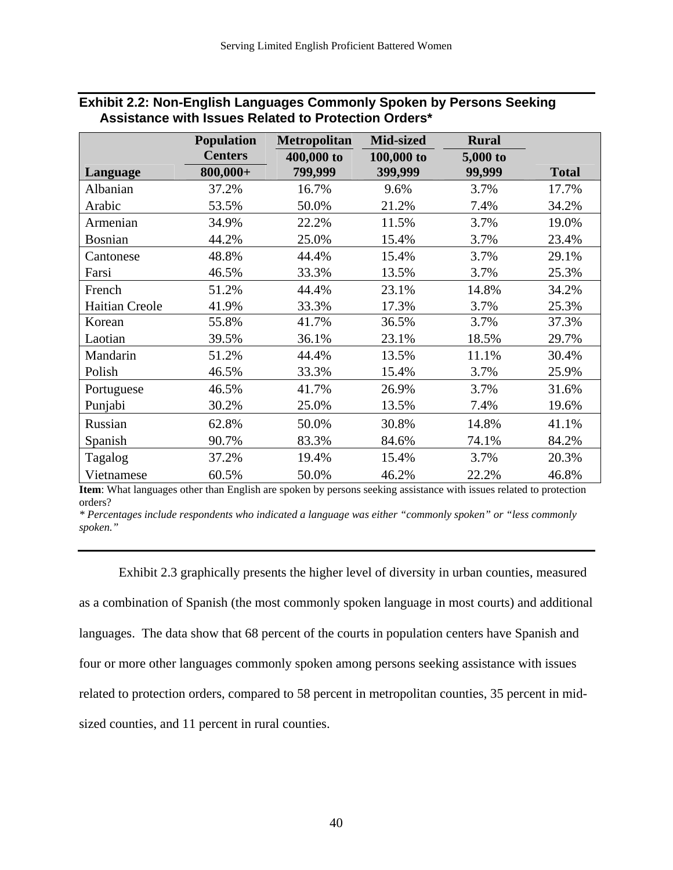|                       | <b>Population</b> | <b>Metropolitan</b> | Mid-sized  | <b>Rural</b> |              |
|-----------------------|-------------------|---------------------|------------|--------------|--------------|
|                       | <b>Centers</b>    | 400,000 to          | 100,000 to | 5,000 to     |              |
| Language              | $800,000+$        | 799,999             | 399,999    | 99,999       | <b>Total</b> |
| Albanian              | 37.2%             | 16.7%               | 9.6%       | 3.7%         | 17.7%        |
| Arabic                | 53.5%             | 50.0%               | 21.2%      | 7.4%         | 34.2%        |
| Armenian              | 34.9%             | 22.2%               | 11.5%      | 3.7%         | 19.0%        |
| <b>Bosnian</b>        | 44.2%             | 25.0%               | 15.4%      | 3.7%         | 23.4%        |
| Cantonese             | 48.8%             | 44.4%               | 15.4%      | 3.7%         | 29.1%        |
| Farsi                 | 46.5%             | 33.3%               | 13.5%      | 3.7%         | 25.3%        |
| French                | 51.2%             | 44.4%               | 23.1%      | 14.8%        | 34.2%        |
| <b>Haitian Creole</b> | 41.9%             | 33.3%               | 17.3%      | 3.7%         | 25.3%        |
| Korean                | 55.8%             | 41.7%               | 36.5%      | 3.7%         | 37.3%        |
| Laotian               | 39.5%             | 36.1%               | 23.1%      | 18.5%        | 29.7%        |
| Mandarin              | 51.2%             | 44.4%               | 13.5%      | 11.1%        | 30.4%        |
| Polish                | 46.5%             | 33.3%               | 15.4%      | 3.7%         | 25.9%        |
| Portuguese            | 46.5%             | 41.7%               | 26.9%      | 3.7%         | 31.6%        |
| Punjabi               | 30.2%             | 25.0%               | 13.5%      | 7.4%         | 19.6%        |
| Russian               | 62.8%             | 50.0%               | 30.8%      | 14.8%        | 41.1%        |
| Spanish               | 90.7%             | 83.3%               | 84.6%      | 74.1%        | 84.2%        |
| Tagalog               | 37.2%             | 19.4%               | 15.4%      | 3.7%         | 20.3%        |
| Vietnamese            | 60.5%             | 50.0%               | 46.2%      | 22.2%        | 46.8%        |

#### **Exhibit 2.2: Non-English Languages Commonly Spoken by Persons Seeking Assistance with Issues Related to Protection Orders\***

**Item**: What languages other than English are spoken by persons seeking assistance with issues related to protection orders?

*\* Percentages include respondents who indicated a language was either "commonly spoken" or "less commonly spoken."* 

 Exhibit 2.3 graphically presents the higher level of diversity in urban counties, measured as a combination of Spanish (the most commonly spoken language in most courts) and additional languages. The data show that 68 percent of the courts in population centers have Spanish and four or more other languages commonly spoken among persons seeking assistance with issues related to protection orders, compared to 58 percent in metropolitan counties, 35 percent in midsized counties, and 11 percent in rural counties.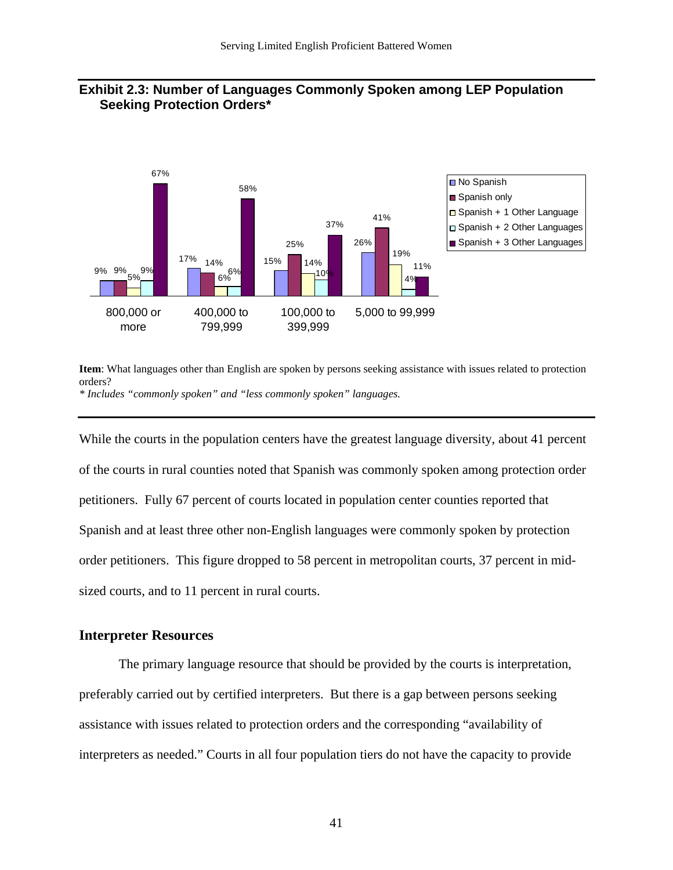

#### **Exhibit 2.3: Number of Languages Commonly Spoken among LEP Population Seeking Protection Orders\***

**Item**: What languages other than English are spoken by persons seeking assistance with issues related to protection orders? *\* Includes "commonly spoken" and "less commonly spoken" languages.* 

While the courts in the population centers have the greatest language diversity, about 41 percent of the courts in rural counties noted that Spanish was commonly spoken among protection order petitioners. Fully 67 percent of courts located in population center counties reported that Spanish and at least three other non-English languages were commonly spoken by protection order petitioners. This figure dropped to 58 percent in metropolitan courts, 37 percent in midsized courts, and to 11 percent in rural courts.

#### **Interpreter Resources**

The primary language resource that should be provided by the courts is interpretation, preferably carried out by certified interpreters. But there is a gap between persons seeking assistance with issues related to protection orders and the corresponding "availability of interpreters as needed." Courts in all four population tiers do not have the capacity to provide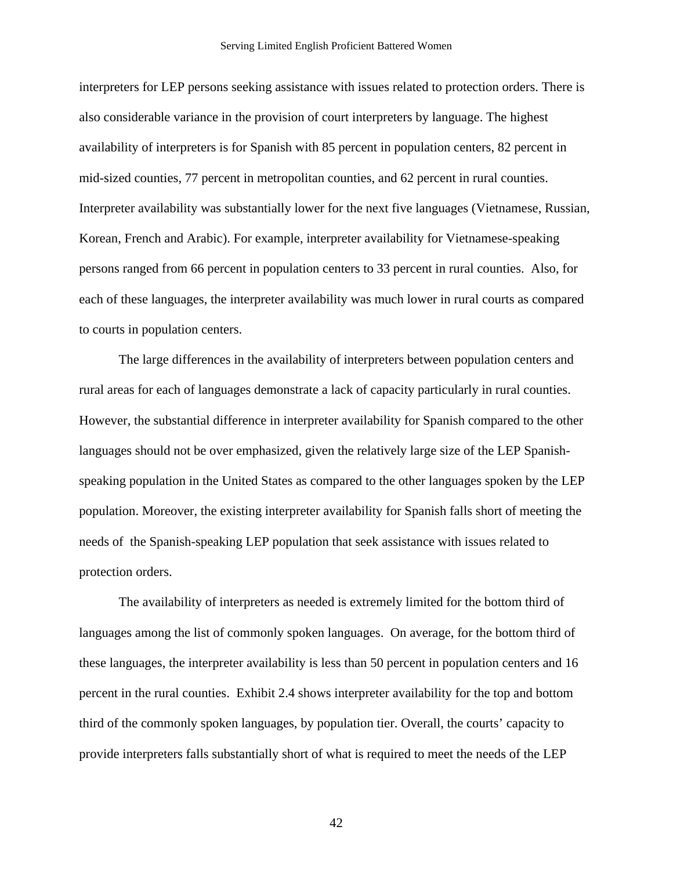interpreters for LEP persons seeking assistance with issues related to protection orders. There is also considerable variance in the provision of court interpreters by language. The highest availability of interpreters is for Spanish with 85 percent in population centers, 82 percent in mid-sized counties, 77 percent in metropolitan counties, and 62 percent in rural counties. Interpreter availability was substantially lower for the next five languages (Vietnamese, Russian, Korean, French and Arabic). For example, interpreter availability for Vietnamese-speaking persons ranged from 66 percent in population centers to 33 percent in rural counties. Also, for each of these languages, the interpreter availability was much lower in rural courts as compared to courts in population centers.

The large differences in the availability of interpreters between population centers and rural areas for each of languages demonstrate a lack of capacity particularly in rural counties. However, the substantial difference in interpreter availability for Spanish compared to the other languages should not be over emphasized, given the relatively large size of the LEP Spanishspeaking population in the United States as compared to the other languages spoken by the LEP population. Moreover, the existing interpreter availability for Spanish falls short of meeting the needs of the Spanish-speaking LEP population that seek assistance with issues related to protection orders.

The availability of interpreters as needed is extremely limited for the bottom third of languages among the list of commonly spoken languages. On average, for the bottom third of these languages, the interpreter availability is less than 50 percent in population centers and 16 percent in the rural counties. Exhibit 2.4 shows interpreter availability for the top and bottom third of the commonly spoken languages, by population tier. Overall, the courts' capacity to provide interpreters falls substantially short of what is required to meet the needs of the LEP

42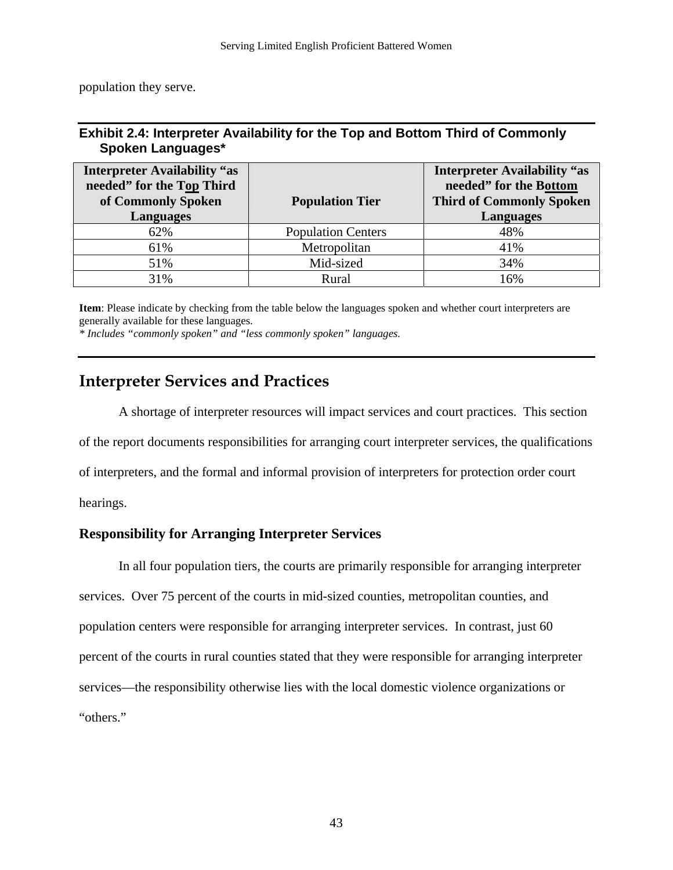population they serve.

#### **Exhibit 2.4: Interpreter Availability for the Top and Bottom Third of Commonly Spoken Languages\***

| <b>Interpreter Availability "as</b><br>needed" for the Top Third<br>of Commonly Spoken<br><b>Languages</b> | <b>Population Tier</b>    | <b>Interpreter Availability "as</b><br>needed" for the Bottom<br><b>Third of Commonly Spoken</b><br><b>Languages</b> |
|------------------------------------------------------------------------------------------------------------|---------------------------|----------------------------------------------------------------------------------------------------------------------|
| 62%                                                                                                        | <b>Population Centers</b> | 48%                                                                                                                  |
| 61%                                                                                                        | Metropolitan              | 41%                                                                                                                  |
| 51%                                                                                                        | Mid-sized                 | 34%                                                                                                                  |
| 31%                                                                                                        | Rural                     | 16%                                                                                                                  |

**Item**: Please indicate by checking from the table below the languages spoken and whether court interpreters are generally available for these languages.

*\* Includes "commonly spoken" and "less commonly spoken" languages.* 

## **Interpreter Services and Practices**

A shortage of interpreter resources will impact services and court practices. This section of the report documents responsibilities for arranging court interpreter services, the qualifications of interpreters, and the formal and informal provision of interpreters for protection order court hearings.

### **Responsibility for Arranging Interpreter Services**

 In all four population tiers, the courts are primarily responsible for arranging interpreter services. Over 75 percent of the courts in mid-sized counties, metropolitan counties, and population centers were responsible for arranging interpreter services. In contrast, just 60 percent of the courts in rural counties stated that they were responsible for arranging interpreter services—the responsibility otherwise lies with the local domestic violence organizations or "others."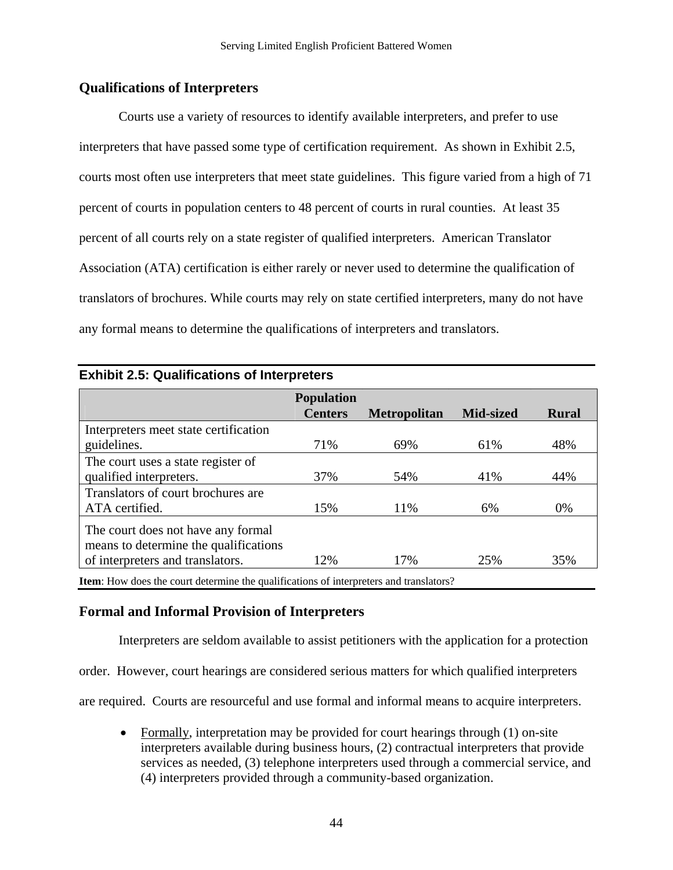#### **Qualifications of Interpreters**

 Courts use a variety of resources to identify available interpreters, and prefer to use interpreters that have passed some type of certification requirement. As shown in Exhibit 2.5, courts most often use interpreters that meet state guidelines. This figure varied from a high of 71 percent of courts in population centers to 48 percent of courts in rural counties. At least 35 percent of all courts rely on a state register of qualified interpreters. American Translator Association (ATA) certification is either rarely or never used to determine the qualification of translators of brochures. While courts may rely on state certified interpreters, many do not have any formal means to determine the qualifications of interpreters and translators.

|                                       | <b>Population</b> |                     |                  |              |
|---------------------------------------|-------------------|---------------------|------------------|--------------|
|                                       | <b>Centers</b>    | <b>Metropolitan</b> | <b>Mid-sized</b> | <b>Rural</b> |
| Interpreters meet state certification |                   |                     |                  |              |
| guidelines.                           | 71%               | 69%                 | 61%              | 48%          |
| The court uses a state register of    |                   |                     |                  |              |
| qualified interpreters.               | 37%               | 54%                 | 41%              | 44%          |
| Translators of court brochures are    |                   |                     |                  |              |
| ATA certified.                        | 15%               | 11%                 | 6%               | 0%           |
| The court does not have any formal    |                   |                     |                  |              |
| means to determine the qualifications |                   |                     |                  |              |
| of interpreters and translators.      | 12%               | 17%                 | 25%              | 35%          |

#### **Exhibit 2.5: Qualifications of Interpreters**

#### **Formal and Informal Provision of Interpreters**

Interpreters are seldom available to assist petitioners with the application for a protection

order. However, court hearings are considered serious matters for which qualified interpreters

are required. Courts are resourceful and use formal and informal means to acquire interpreters.

• Formally, interpretation may be provided for court hearings through (1) on-site interpreters available during business hours, (2) contractual interpreters that provide services as needed, (3) telephone interpreters used through a commercial service, and (4) interpreters provided through a community-based organization.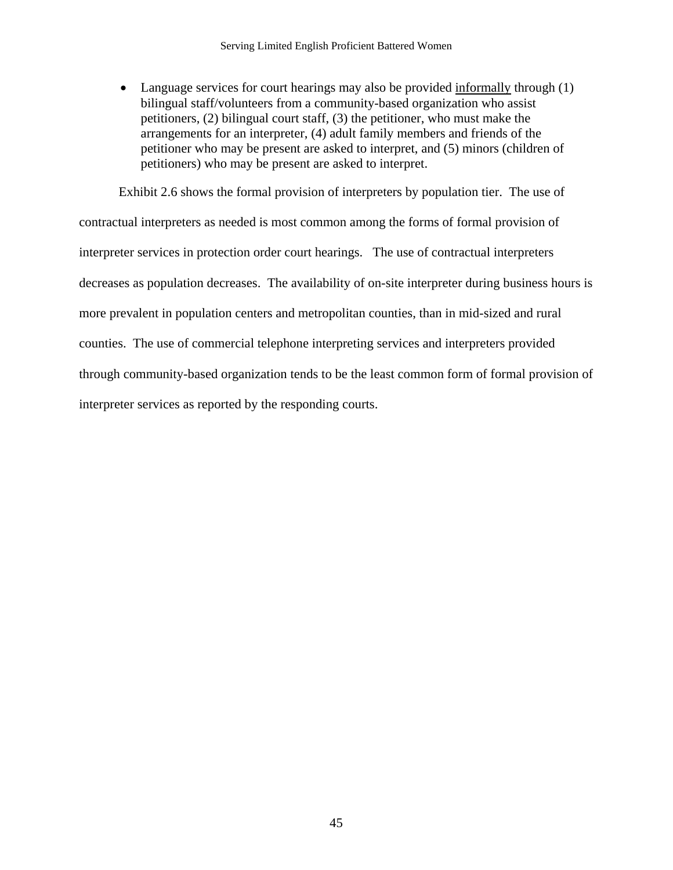• Language services for court hearings may also be provided informally through (1) bilingual staff/volunteers from a community-based organization who assist petitioners, (2) bilingual court staff, (3) the petitioner, who must make the arrangements for an interpreter, (4) adult family members and friends of the petitioner who may be present are asked to interpret, and (5) minors (children of petitioners) who may be present are asked to interpret.

Exhibit 2.6 shows the formal provision of interpreters by population tier. The use of contractual interpreters as needed is most common among the forms of formal provision of interpreter services in protection order court hearings. The use of contractual interpreters decreases as population decreases. The availability of on-site interpreter during business hours is more prevalent in population centers and metropolitan counties, than in mid-sized and rural counties. The use of commercial telephone interpreting services and interpreters provided through community-based organization tends to be the least common form of formal provision of interpreter services as reported by the responding courts.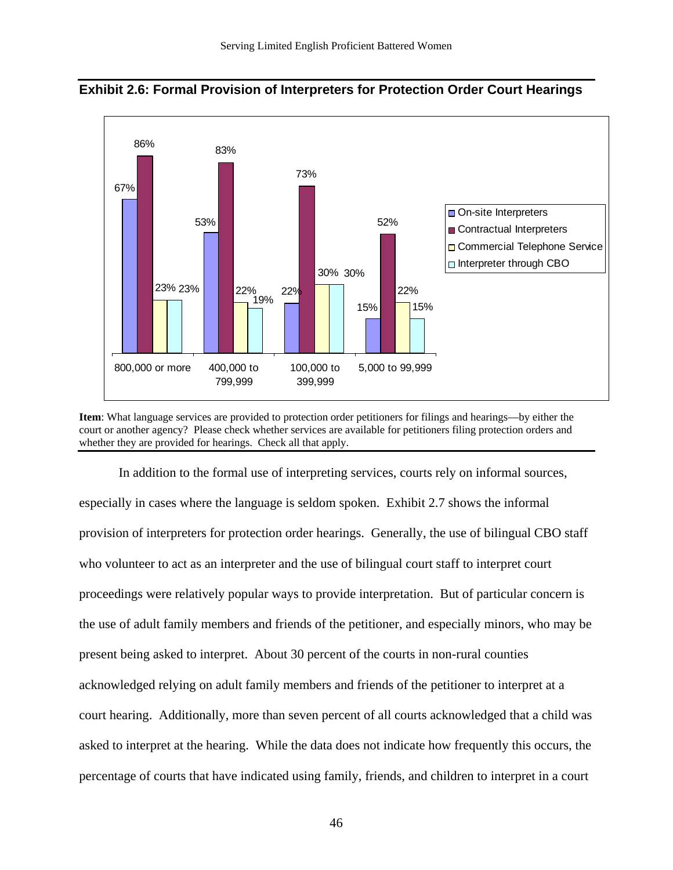

**Exhibit 2.6: Formal Provision of Interpreters for Protection Order Court Hearings**



 In addition to the formal use of interpreting services, courts rely on informal sources, especially in cases where the language is seldom spoken. Exhibit 2.7 shows the informal provision of interpreters for protection order hearings. Generally, the use of bilingual CBO staff who volunteer to act as an interpreter and the use of bilingual court staff to interpret court proceedings were relatively popular ways to provide interpretation. But of particular concern is the use of adult family members and friends of the petitioner, and especially minors, who may be present being asked to interpret. About 30 percent of the courts in non-rural counties acknowledged relying on adult family members and friends of the petitioner to interpret at a court hearing. Additionally, more than seven percent of all courts acknowledged that a child was asked to interpret at the hearing. While the data does not indicate how frequently this occurs, the percentage of courts that have indicated using family, friends, and children to interpret in a court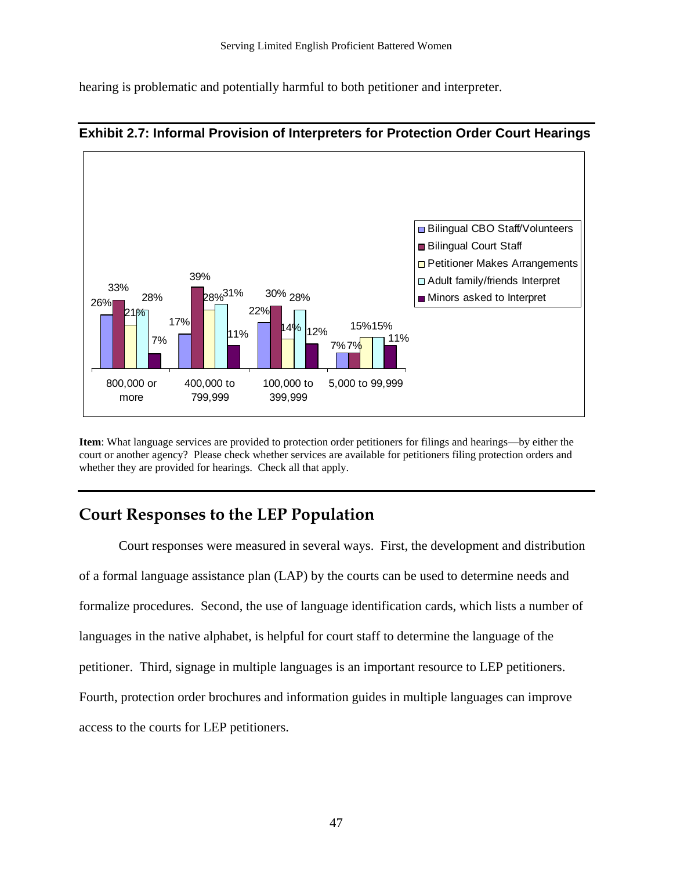hearing is problematic and potentially harmful to both petitioner and interpreter.



#### **Exhibit 2.7: Informal Provision of Interpreters for Protection Order Court Hearings**

**Item**: What language services are provided to protection order petitioners for filings and hearings—by either the court or another agency? Please check whether services are available for petitioners filing protection orders and whether they are provided for hearings. Check all that apply.

## **Court Responses to the LEP Population**

Court responses were measured in several ways. First, the development and distribution of a formal language assistance plan (LAP) by the courts can be used to determine needs and formalize procedures. Second, the use of language identification cards, which lists a number of languages in the native alphabet, is helpful for court staff to determine the language of the petitioner. Third, signage in multiple languages is an important resource to LEP petitioners. Fourth, protection order brochures and information guides in multiple languages can improve access to the courts for LEP petitioners.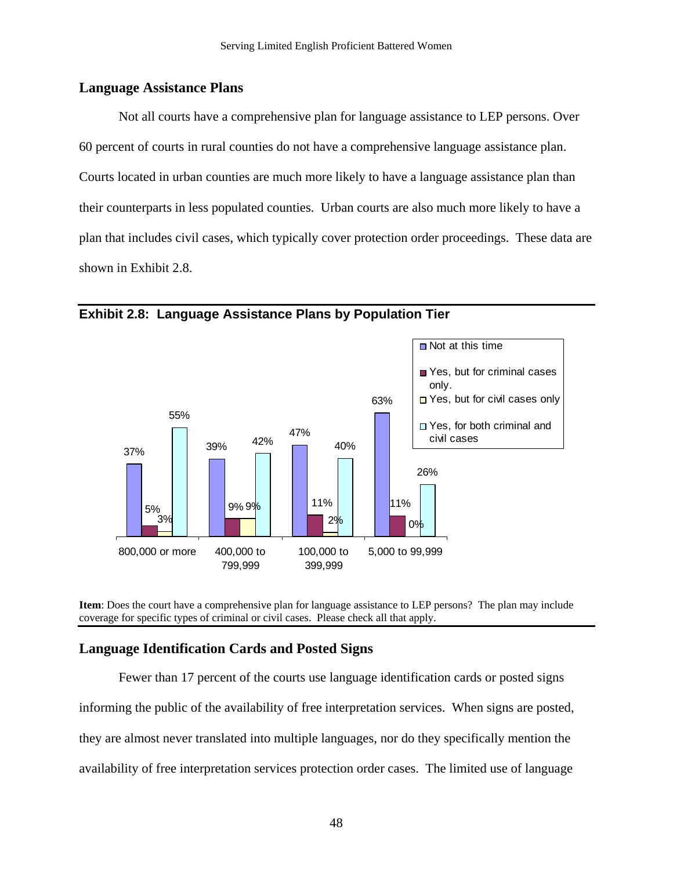#### **Language Assistance Plans**

 Not all courts have a comprehensive plan for language assistance to LEP persons. Over 60 percent of courts in rural counties do not have a comprehensive language assistance plan. Courts located in urban counties are much more likely to have a language assistance plan than their counterparts in less populated counties. Urban courts are also much more likely to have a plan that includes civil cases, which typically cover protection order proceedings. These data are shown in Exhibit 2.8.



**Exhibit 2.8: Language Assistance Plans by Population Tier** 

**Item**: Does the court have a comprehensive plan for language assistance to LEP persons? The plan may include coverage for specific types of criminal or civil cases. Please check all that apply.

#### **Language Identification Cards and Posted Signs**

 Fewer than 17 percent of the courts use language identification cards or posted signs informing the public of the availability of free interpretation services. When signs are posted, they are almost never translated into multiple languages, nor do they specifically mention the availability of free interpretation services protection order cases. The limited use of language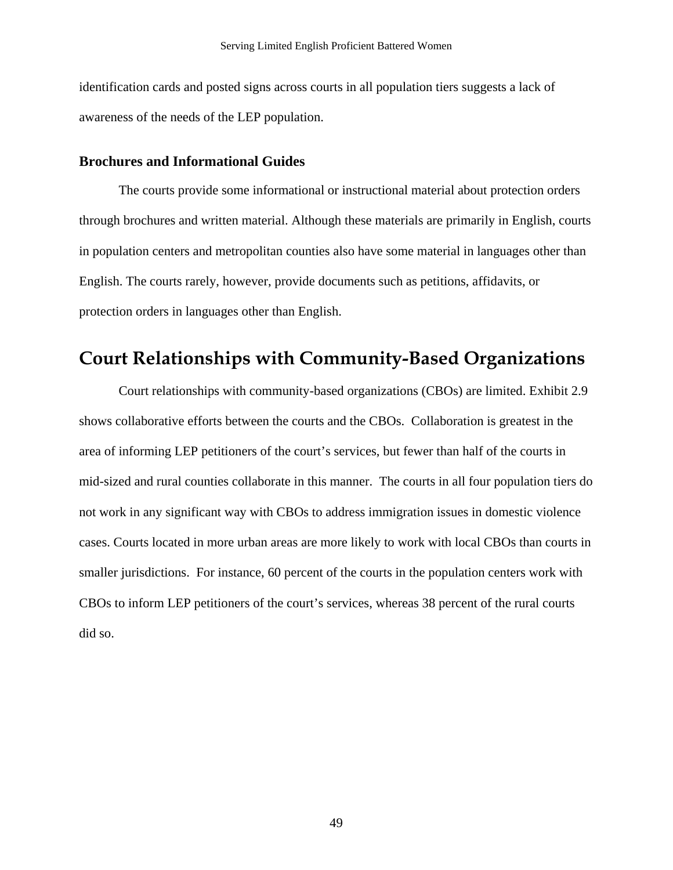identification cards and posted signs across courts in all population tiers suggests a lack of awareness of the needs of the LEP population.

#### **Brochures and Informational Guides**

The courts provide some informational or instructional material about protection orders through brochures and written material. Although these materials are primarily in English, courts in population centers and metropolitan counties also have some material in languages other than English. The courts rarely, however, provide documents such as petitions, affidavits, or protection orders in languages other than English.

## **Court Relationships with Community-Based Organizations**

 Court relationships with community-based organizations (CBOs) are limited. Exhibit 2.9 shows collaborative efforts between the courts and the CBOs. Collaboration is greatest in the area of informing LEP petitioners of the court's services, but fewer than half of the courts in mid-sized and rural counties collaborate in this manner. The courts in all four population tiers do not work in any significant way with CBOs to address immigration issues in domestic violence cases. Courts located in more urban areas are more likely to work with local CBOs than courts in smaller jurisdictions. For instance, 60 percent of the courts in the population centers work with CBOs to inform LEP petitioners of the court's services, whereas 38 percent of the rural courts did so.

49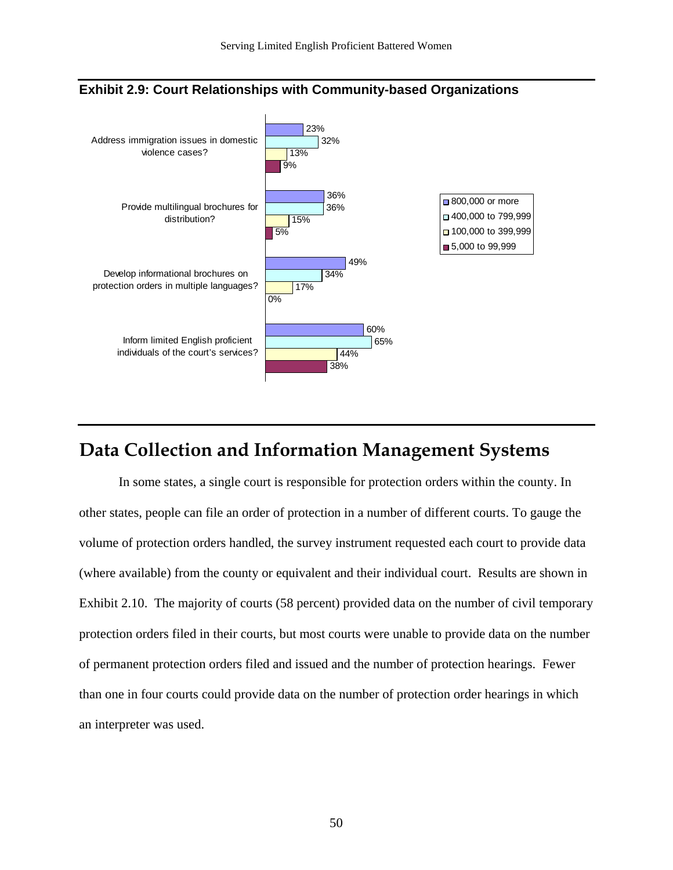

#### **Exhibit 2.9: Court Relationships with Community-based Organizations**

# **Data Collection and Information Management Systems**

 In some states, a single court is responsible for protection orders within the county. In other states, people can file an order of protection in a number of different courts. To gauge the volume of protection orders handled, the survey instrument requested each court to provide data (where available) from the county or equivalent and their individual court. Results are shown in Exhibit 2.10. The majority of courts (58 percent) provided data on the number of civil temporary protection orders filed in their courts, but most courts were unable to provide data on the number of permanent protection orders filed and issued and the number of protection hearings. Fewer than one in four courts could provide data on the number of protection order hearings in which an interpreter was used.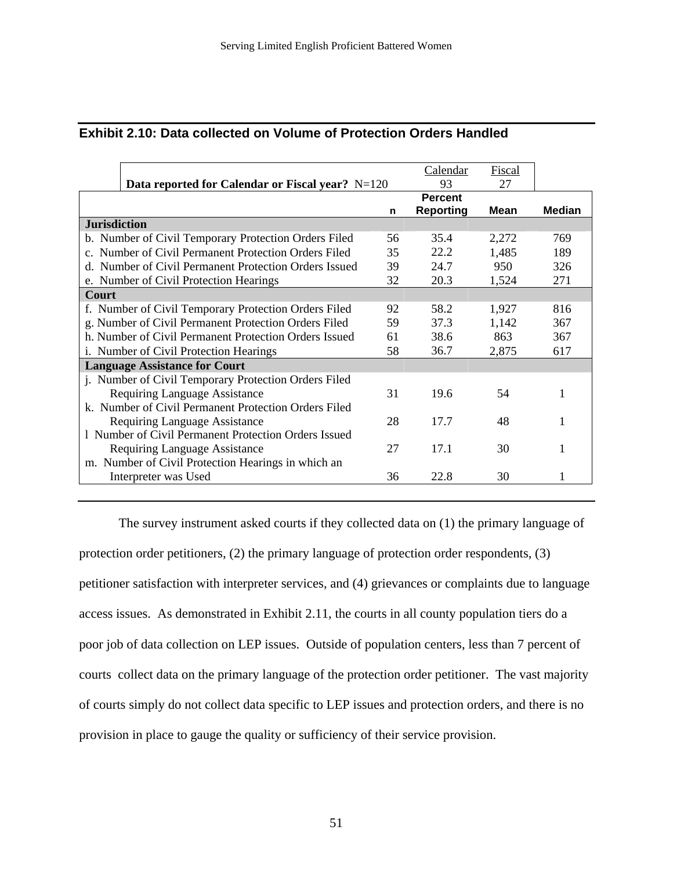| <b>Exhibit 2.10: Data collected on Volume of Protection Orders Handled</b> |
|----------------------------------------------------------------------------|
|                                                                            |

|                                                         |    | Calendar         | <b>Fiscal</b> |               |
|---------------------------------------------------------|----|------------------|---------------|---------------|
| <b>Data reported for Calendar or Fiscal year?</b> N=120 |    | 93               | 27            |               |
|                                                         |    |                  |               |               |
|                                                         | n  | <b>Reporting</b> | <b>Mean</b>   | <b>Median</b> |
| <b>Jurisdiction</b>                                     |    |                  |               |               |
| b. Number of Civil Temporary Protection Orders Filed    | 56 | 35.4             | 2,272         | 769           |
| c. Number of Civil Permanent Protection Orders Filed    | 35 | 22.2             | 1,485         | 189           |
| Number of Civil Permanent Protection Orders Issued      | 39 | 24.7             | 950           | 326           |
| e. Number of Civil Protection Hearings                  | 32 | 20.3             | 1,524         | 271           |
| Court                                                   |    |                  |               |               |
| f. Number of Civil Temporary Protection Orders Filed    | 92 | 58.2             | 1,927         | 816           |
| g. Number of Civil Permanent Protection Orders Filed    | 59 | 37.3             | 1,142         | 367           |
| h. Number of Civil Permanent Protection Orders Issued   | 61 | 38.6             | 863           | 367           |
| i. Number of Civil Protection Hearings                  | 58 | 36.7             | 2,875         | 617           |
| <b>Language Assistance for Court</b>                    |    |                  |               |               |
| j. Number of Civil Temporary Protection Orders Filed    |    |                  |               |               |
| Requiring Language Assistance                           | 31 | 19.6             | 54            |               |
| k. Number of Civil Permanent Protection Orders Filed    |    |                  |               |               |
| Requiring Language Assistance                           | 28 | 17.7             | 48            |               |
| 1 Number of Civil Permanent Protection Orders Issued    |    |                  |               |               |
| Requiring Language Assistance                           | 27 | 17.1             | 30            |               |
| m. Number of Civil Protection Hearings in which an      |    |                  |               |               |
| Interpreter was Used                                    | 36 | 22.8             | 30            |               |

The survey instrument asked courts if they collected data on (1) the primary language of protection order petitioners, (2) the primary language of protection order respondents, (3) petitioner satisfaction with interpreter services, and (4) grievances or complaints due to language access issues. As demonstrated in Exhibit 2.11, the courts in all county population tiers do a poor job of data collection on LEP issues. Outside of population centers, less than 7 percent of courts collect data on the primary language of the protection order petitioner. The vast majority of courts simply do not collect data specific to LEP issues and protection orders, and there is no provision in place to gauge the quality or sufficiency of their service provision.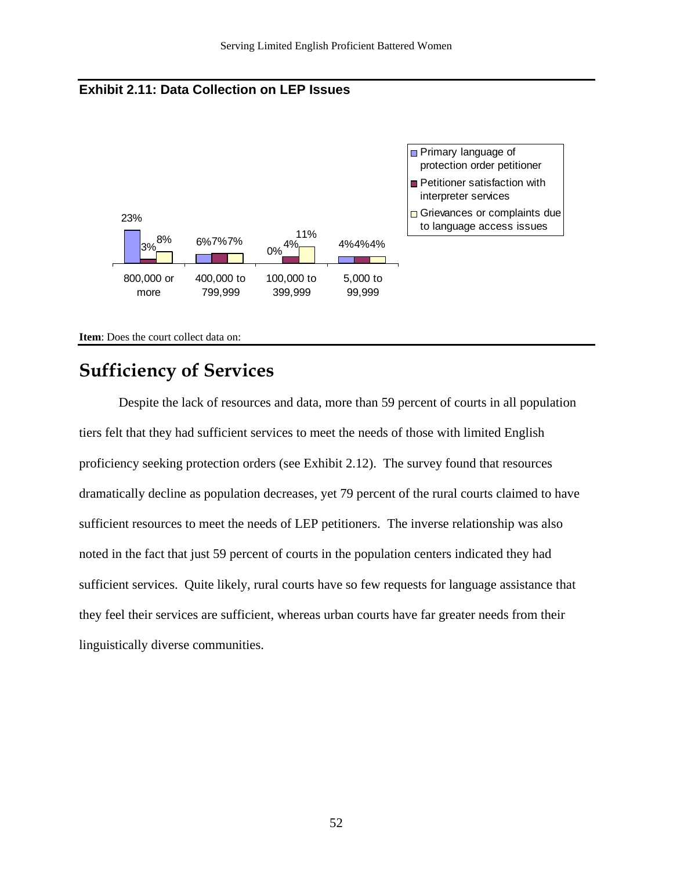



**Item**: Does the court collect data on:

# **Sufficiency of Services**

 Despite the lack of resources and data, more than 59 percent of courts in all population tiers felt that they had sufficient services to meet the needs of those with limited English proficiency seeking protection orders (see Exhibit 2.12). The survey found that resources dramatically decline as population decreases, yet 79 percent of the rural courts claimed to have sufficient resources to meet the needs of LEP petitioners. The inverse relationship was also noted in the fact that just 59 percent of courts in the population centers indicated they had sufficient services. Quite likely, rural courts have so few requests for language assistance that they feel their services are sufficient, whereas urban courts have far greater needs from their linguistically diverse communities.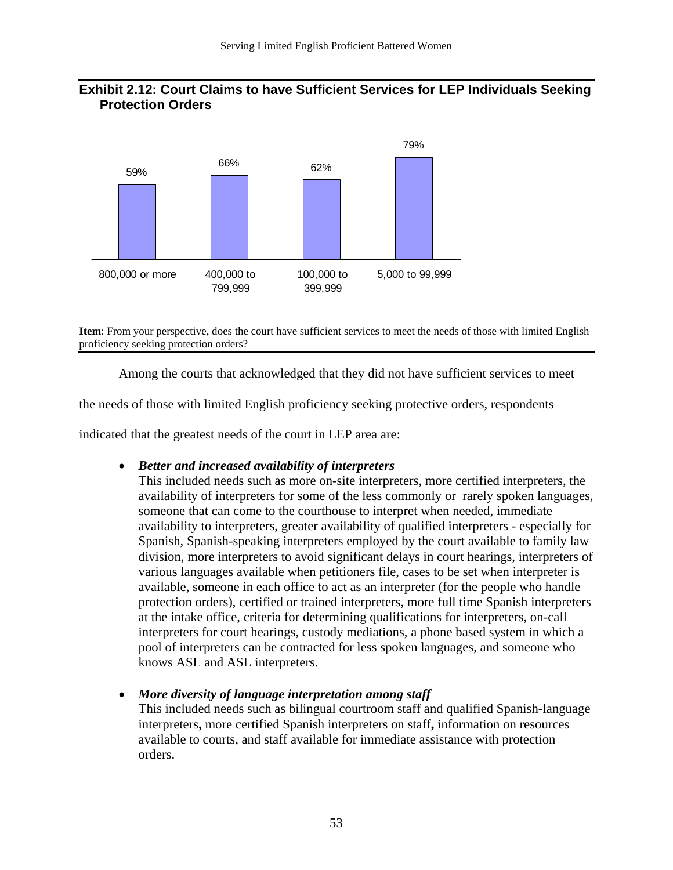#### **Exhibit 2.12: Court Claims to have Sufficient Services for LEP Individuals Seeking Protection Orders**



**Item**: From your perspective, does the court have sufficient services to meet the needs of those with limited English proficiency seeking protection orders?

Among the courts that acknowledged that they did not have sufficient services to meet

the needs of those with limited English proficiency seeking protective orders, respondents

indicated that the greatest needs of the court in LEP area are:

#### • *Better and increased availability of interpreters*

This included needs such as more on-site interpreters, more certified interpreters, the availability of interpreters for some of the less commonly or rarely spoken languages, someone that can come to the courthouse to interpret when needed, immediate availability to interpreters, greater availability of qualified interpreters - especially for Spanish, Spanish-speaking interpreters employed by the court available to family law division, more interpreters to avoid significant delays in court hearings, interpreters of various languages available when petitioners file, cases to be set when interpreter is available, someone in each office to act as an interpreter (for the people who handle protection orders), certified or trained interpreters, more full time Spanish interpreters at the intake office, criteria for determining qualifications for interpreters, on-call interpreters for court hearings, custody mediations, a phone based system in which a pool of interpreters can be contracted for less spoken languages, and someone who knows ASL and ASL interpreters.

#### • *More diversity of language interpretation among staff*

This included needs such as bilingual courtroom staff and qualified Spanish-language interpreters**,** more certified Spanish interpreters on staff**,** information on resources available to courts, and staff available for immediate assistance with protection orders.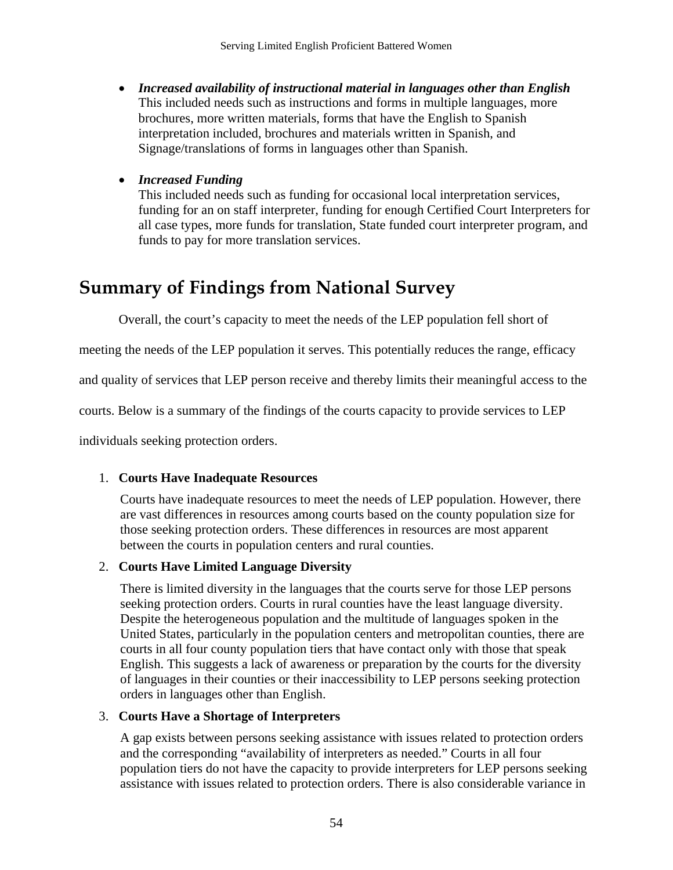• *Increased availability of instructional material in languages other than English*  This included needs such as instructions and forms in multiple languages, more brochures, more written materials, forms that have the English to Spanish interpretation included, brochures and materials written in Spanish, and Signage/translations of forms in languages other than Spanish.

#### • *Increased Funding*

This included needs such as funding for occasional local interpretation services, funding for an on staff interpreter, funding for enough Certified Court Interpreters for all case types, more funds for translation, State funded court interpreter program, and funds to pay for more translation services.

# **Summary of Findings from National Survey**

Overall, the court's capacity to meet the needs of the LEP population fell short of

meeting the needs of the LEP population it serves. This potentially reduces the range, efficacy

and quality of services that LEP person receive and thereby limits their meaningful access to the

courts. Below is a summary of the findings of the courts capacity to provide services to LEP

individuals seeking protection orders.

#### 1. **Courts Have Inadequate Resources**

Courts have inadequate resources to meet the needs of LEP population. However, there are vast differences in resources among courts based on the county population size for those seeking protection orders. These differences in resources are most apparent between the courts in population centers and rural counties.

#### 2. **Courts Have Limited Language Diversity**

There is limited diversity in the languages that the courts serve for those LEP persons seeking protection orders. Courts in rural counties have the least language diversity. Despite the heterogeneous population and the multitude of languages spoken in the United States, particularly in the population centers and metropolitan counties, there are courts in all four county population tiers that have contact only with those that speak English. This suggests a lack of awareness or preparation by the courts for the diversity of languages in their counties or their inaccessibility to LEP persons seeking protection orders in languages other than English.

#### 3. **Courts Have a Shortage of Interpreters**

A gap exists between persons seeking assistance with issues related to protection orders and the corresponding "availability of interpreters as needed." Courts in all four population tiers do not have the capacity to provide interpreters for LEP persons seeking assistance with issues related to protection orders. There is also considerable variance in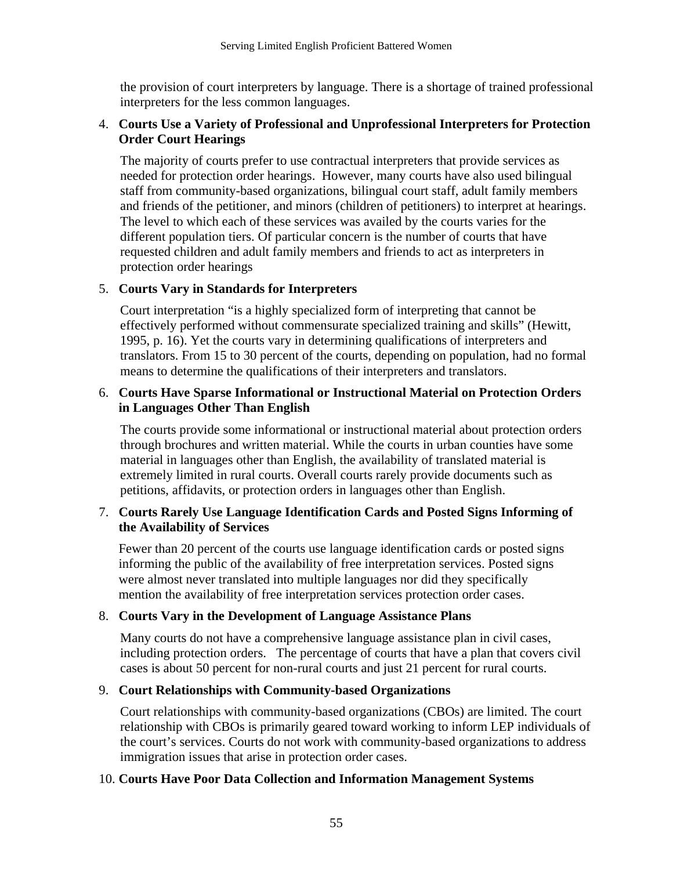the provision of court interpreters by language. There is a shortage of trained professional interpreters for the less common languages.

#### 4. **Courts Use a Variety of Professional and Unprofessional Interpreters for Protection Order Court Hearings**

The majority of courts prefer to use contractual interpreters that provide services as needed for protection order hearings. However, many courts have also used bilingual staff from community-based organizations, bilingual court staff, adult family members and friends of the petitioner, and minors (children of petitioners) to interpret at hearings. The level to which each of these services was availed by the courts varies for the different population tiers. Of particular concern is the number of courts that have requested children and adult family members and friends to act as interpreters in protection order hearings

#### 5. **Courts Vary in Standards for Interpreters**

Court interpretation "is a highly specialized form of interpreting that cannot be effectively performed without commensurate specialized training and skills" (Hewitt, 1995, p. 16). Yet the courts vary in determining qualifications of interpreters and translators. From 15 to 30 percent of the courts, depending on population, had no formal means to determine the qualifications of their interpreters and translators.

#### 6. **Courts Have Sparse Informational or Instructional Material on Protection Orders in Languages Other Than English**

The courts provide some informational or instructional material about protection orders through brochures and written material. While the courts in urban counties have some material in languages other than English, the availability of translated material is extremely limited in rural courts. Overall courts rarely provide documents such as petitions, affidavits, or protection orders in languages other than English.

#### 7. **Courts Rarely Use Language Identification Cards and Posted Signs Informing of the Availability of Services**

 Fewer than 20 percent of the courts use language identification cards or posted signs informing the public of the availability of free interpretation services. Posted signs were almost never translated into multiple languages nor did they specifically mention the availability of free interpretation services protection order cases.

#### 8. **Courts Vary in the Development of Language Assistance Plans**

Many courts do not have a comprehensive language assistance plan in civil cases, including protection orders. The percentage of courts that have a plan that covers civil cases is about 50 percent for non-rural courts and just 21 percent for rural courts.

#### 9. **Court Relationships with Community-based Organizations**

Court relationships with community-based organizations (CBOs) are limited. The court relationship with CBOs is primarily geared toward working to inform LEP individuals of the court's services. Courts do not work with community-based organizations to address immigration issues that arise in protection order cases.

#### 10. **Courts Have Poor Data Collection and Information Management Systems**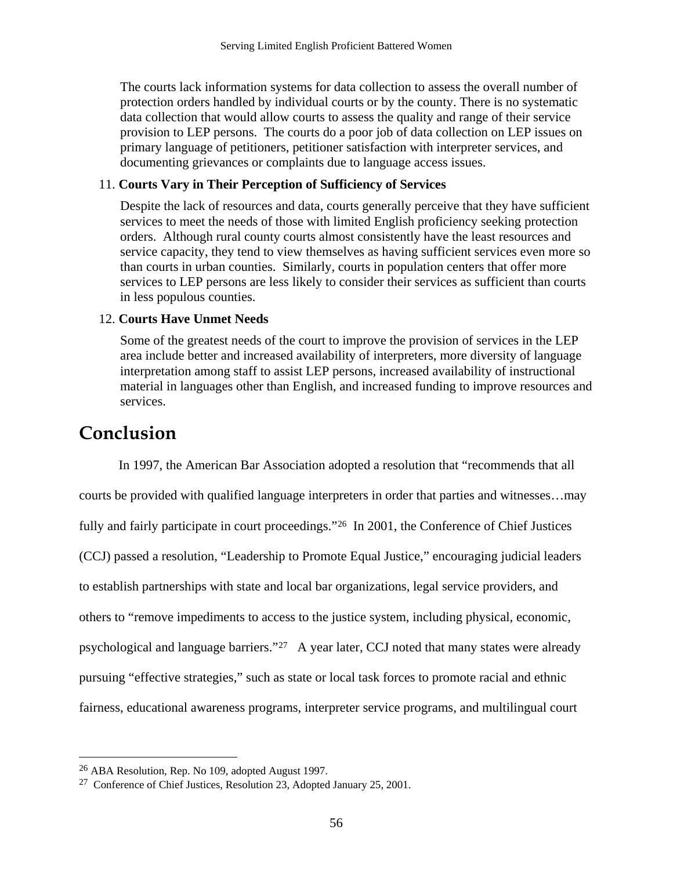<span id="page-58-0"></span>The courts lack information systems for data collection to assess the overall number of protection orders handled by individual courts or by the county. There is no systematic data collection that would allow courts to assess the quality and range of their service provision to LEP persons. The courts do a poor job of data collection on LEP issues on primary language of petitioners, petitioner satisfaction with interpreter services, and documenting grievances or complaints due to language access issues.

#### 11. **Courts Vary in Their Perception of Sufficiency of Services**

Despite the lack of resources and data, courts generally perceive that they have sufficient services to meet the needs of those with limited English proficiency seeking protection orders. Although rural county courts almost consistently have the least resources and service capacity, they tend to view themselves as having sufficient services even more so than courts in urban counties. Similarly, courts in population centers that offer more services to LEP persons are less likely to consider their services as sufficient than courts in less populous counties.

#### 12. **Courts Have Unmet Needs**

Some of the greatest needs of the court to improve the provision of services in the LEP area include better and increased availability of interpreters, more diversity of language interpretation among staff to assist LEP persons, increased availability of instructional material in languages other than English, and increased funding to improve resources and services.

# **Conclusion**

 $\overline{a}$ 

In 1997, the American Bar Association adopted a resolution that "recommends that all courts be provided with qualified language interpreters in order that parties and witnesses…may fully and fairly participate in court proceedings."<sup>26</sup> In 2001, the Conference of Chief Justices (CCJ) passed a resolution, "Leadership to Promote Equal Justice," encouraging judicial leaders to establish partnerships with state and local bar organizations, legal service providers, and others to "remove impediments to access to the justice system, including physical, economic, psychological and language barriers."[27](#page-58-0) A year later, CCJ noted that many states were already pursuing "effective strategies," such as state or local task forces to promote racial and ethnic fairness, educational awareness programs, interpreter service programs, and multilingual court

<sup>26</sup> ABA Resolution, Rep. No 109, adopted August 1997.

<sup>27</sup> Conference of Chief Justices, Resolution 23, Adopted January 25, 2001.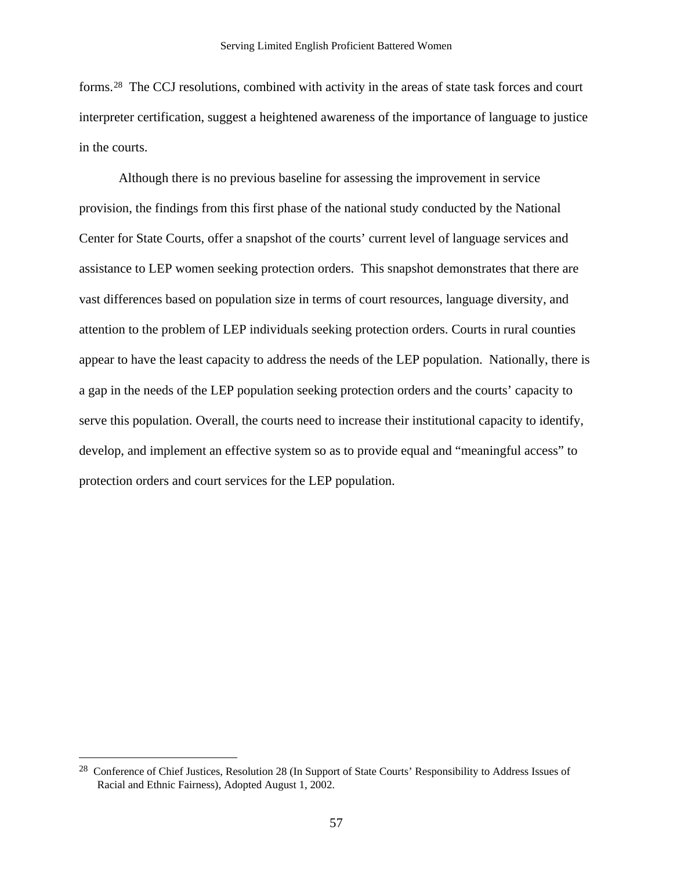<span id="page-59-0"></span>forms.[28](#page-59-0) The CCJ resolutions, combined with activity in the areas of state task forces and court interpreter certification, suggest a heightened awareness of the importance of language to justice in the courts.

Although there is no previous baseline for assessing the improvement in service provision, the findings from this first phase of the national study conducted by the National Center for State Courts, offer a snapshot of the courts' current level of language services and assistance to LEP women seeking protection orders. This snapshot demonstrates that there are vast differences based on population size in terms of court resources, language diversity, and attention to the problem of LEP individuals seeking protection orders. Courts in rural counties appear to have the least capacity to address the needs of the LEP population. Nationally, there is a gap in the needs of the LEP population seeking protection orders and the courts' capacity to serve this population. Overall, the courts need to increase their institutional capacity to identify, develop, and implement an effective system so as to provide equal and "meaningful access" to protection orders and court services for the LEP population.

 $\overline{a}$ 

<sup>&</sup>lt;sup>28</sup> Conference of Chief Justices, Resolution 28 (In Support of State Courts' Responsibility to Address Issues of Racial and Ethnic Fairness), Adopted August 1, 2002.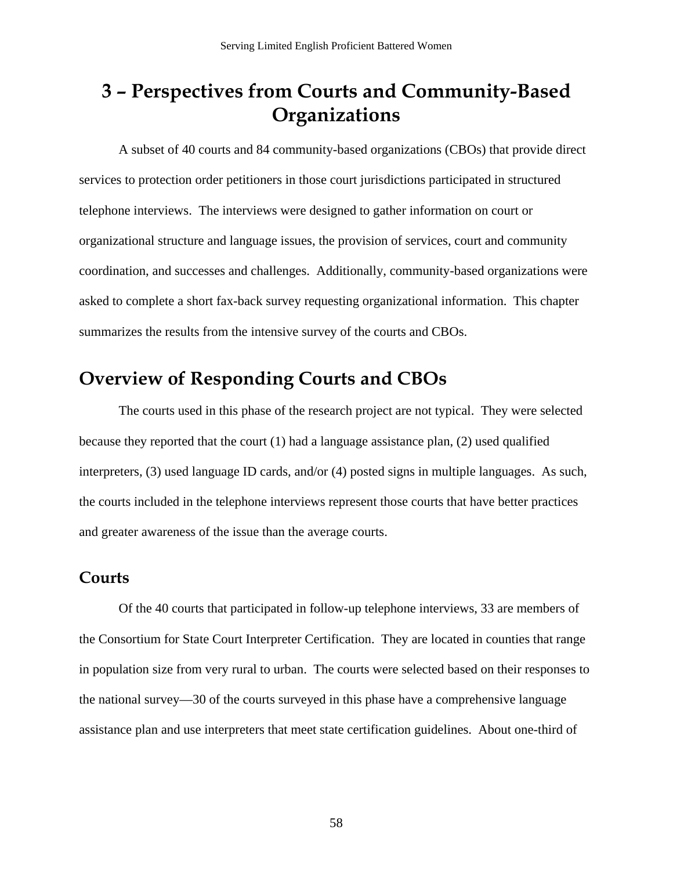# **3 – Perspectives from Courts and Community-Based Organizations**

A subset of 40 courts and 84 community-based organizations (CBOs) that provide direct services to protection order petitioners in those court jurisdictions participated in structured telephone interviews. The interviews were designed to gather information on court or organizational structure and language issues, the provision of services, court and community coordination, and successes and challenges. Additionally, community-based organizations were asked to complete a short fax-back survey requesting organizational information. This chapter summarizes the results from the intensive survey of the courts and CBOs.

## **Overview of Responding Courts and CBOs**

The courts used in this phase of the research project are not typical. They were selected because they reported that the court (1) had a language assistance plan, (2) used qualified interpreters, (3) used language ID cards, and/or (4) posted signs in multiple languages. As such, the courts included in the telephone interviews represent those courts that have better practices and greater awareness of the issue than the average courts.

### **Courts**

Of the 40 courts that participated in follow-up telephone interviews, 33 are members of the Consortium for State Court Interpreter Certification. They are located in counties that range in population size from very rural to urban. The courts were selected based on their responses to the national survey—30 of the courts surveyed in this phase have a comprehensive language assistance plan and use interpreters that meet state certification guidelines. About one-third of

58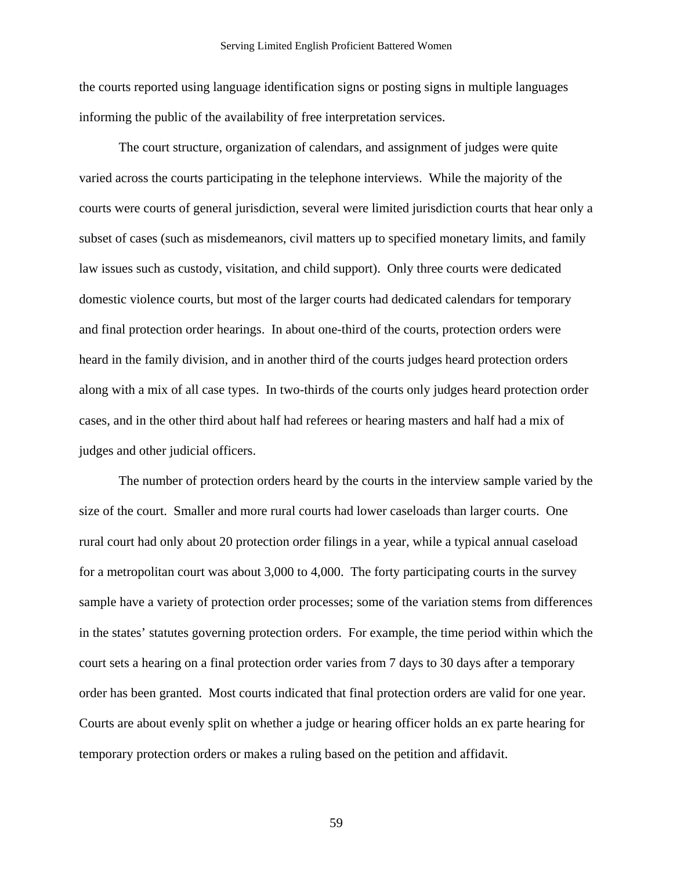the courts reported using language identification signs or posting signs in multiple languages informing the public of the availability of free interpretation services.

The court structure, organization of calendars, and assignment of judges were quite varied across the courts participating in the telephone interviews. While the majority of the courts were courts of general jurisdiction, several were limited jurisdiction courts that hear only a subset of cases (such as misdemeanors, civil matters up to specified monetary limits, and family law issues such as custody, visitation, and child support). Only three courts were dedicated domestic violence courts, but most of the larger courts had dedicated calendars for temporary and final protection order hearings. In about one-third of the courts, protection orders were heard in the family division, and in another third of the courts judges heard protection orders along with a mix of all case types. In two-thirds of the courts only judges heard protection order cases, and in the other third about half had referees or hearing masters and half had a mix of judges and other judicial officers.

The number of protection orders heard by the courts in the interview sample varied by the size of the court. Smaller and more rural courts had lower caseloads than larger courts. One rural court had only about 20 protection order filings in a year, while a typical annual caseload for a metropolitan court was about 3,000 to 4,000. The forty participating courts in the survey sample have a variety of protection order processes; some of the variation stems from differences in the states' statutes governing protection orders. For example, the time period within which the court sets a hearing on a final protection order varies from 7 days to 30 days after a temporary order has been granted. Most courts indicated that final protection orders are valid for one year. Courts are about evenly split on whether a judge or hearing officer holds an ex parte hearing for temporary protection orders or makes a ruling based on the petition and affidavit.

59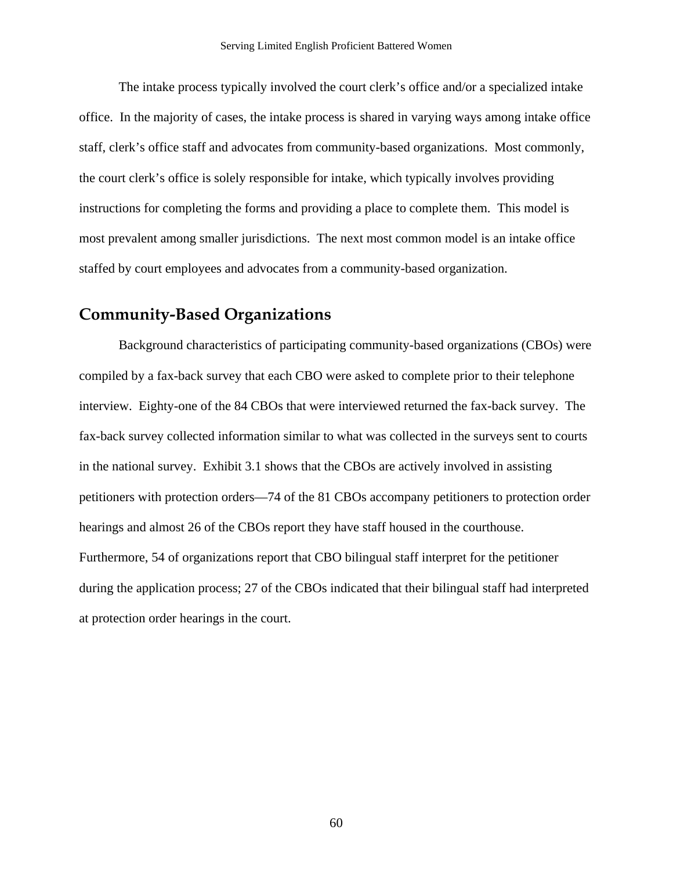The intake process typically involved the court clerk's office and/or a specialized intake office. In the majority of cases, the intake process is shared in varying ways among intake office staff, clerk's office staff and advocates from community-based organizations. Most commonly, the court clerk's office is solely responsible for intake, which typically involves providing instructions for completing the forms and providing a place to complete them. This model is most prevalent among smaller jurisdictions. The next most common model is an intake office staffed by court employees and advocates from a community-based organization.

### **Community-Based Organizations**

Background characteristics of participating community-based organizations (CBOs) were compiled by a fax-back survey that each CBO were asked to complete prior to their telephone interview. Eighty-one of the 84 CBOs that were interviewed returned the fax-back survey. The fax-back survey collected information similar to what was collected in the surveys sent to courts in the national survey. Exhibit 3.1 shows that the CBOs are actively involved in assisting petitioners with protection orders—74 of the 81 CBOs accompany petitioners to protection order hearings and almost 26 of the CBOs report they have staff housed in the courthouse. Furthermore, 54 of organizations report that CBO bilingual staff interpret for the petitioner during the application process; 27 of the CBOs indicated that their bilingual staff had interpreted at protection order hearings in the court.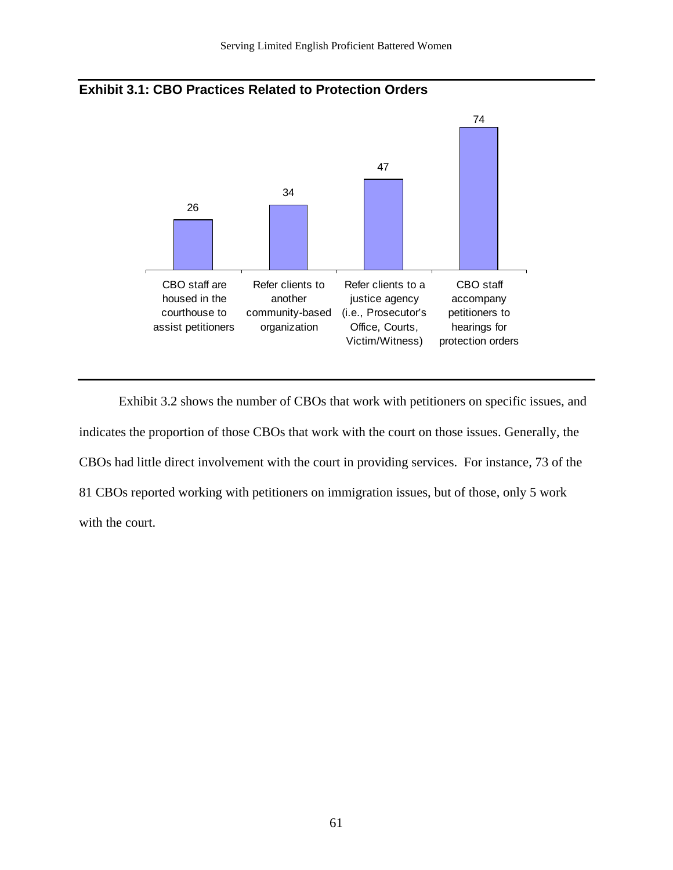



Exhibit 3.2 shows the number of CBOs that work with petitioners on specific issues, and indicates the proportion of those CBOs that work with the court on those issues. Generally, the CBOs had little direct involvement with the court in providing services. For instance, 73 of the 81 CBOs reported working with petitioners on immigration issues, but of those, only 5 work with the court.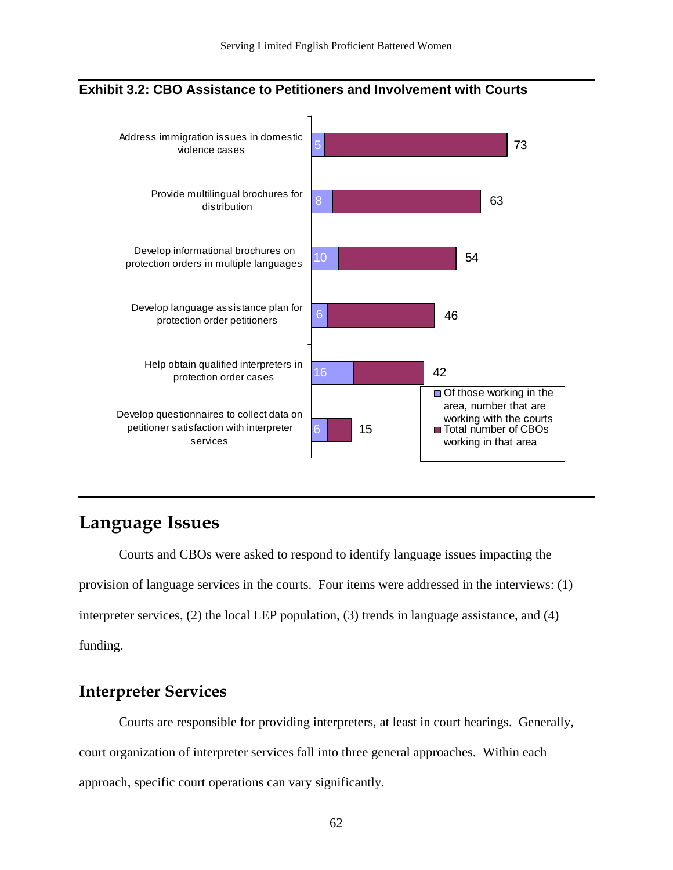

#### **Exhibit 3.2: CBO Assistance to Petitioners and Involvement with Courts**

# **Language Issues**

Courts and CBOs were asked to respond to identify language issues impacting the provision of language services in the courts. Four items were addressed in the interviews: (1) interpreter services, (2) the local LEP population, (3) trends in language assistance, and (4) funding.

### **Interpreter Services**

Courts are responsible for providing interpreters, at least in court hearings. Generally, court organization of interpreter services fall into three general approaches. Within each approach, specific court operations can vary significantly.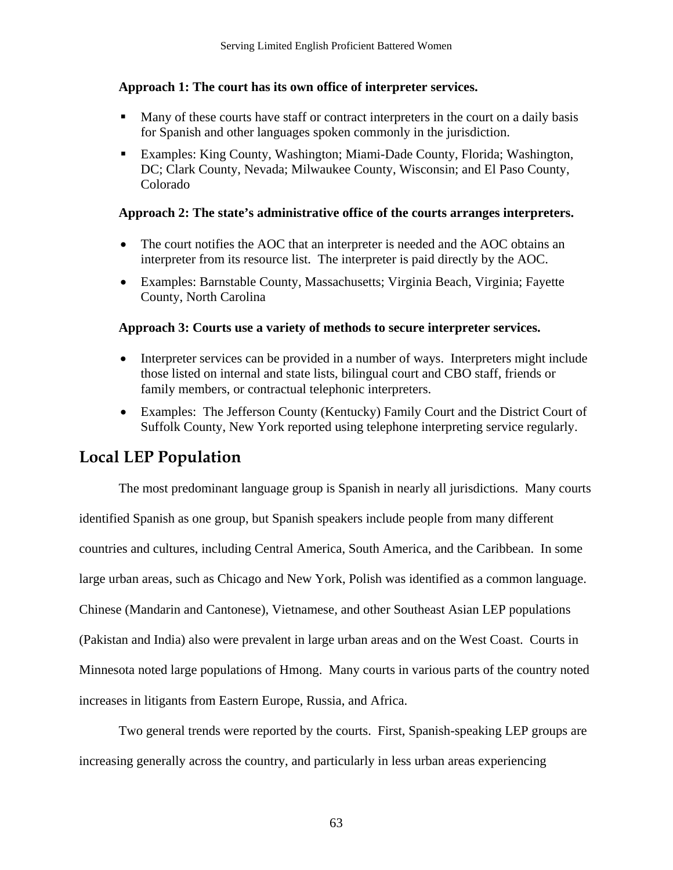#### **Approach 1: The court has its own office of interpreter services.**

- **Many of these courts have staff or contract interpreters in the court on a daily basis** for Spanish and other languages spoken commonly in the jurisdiction.
- Examples: King County, Washington; Miami-Dade County, Florida; Washington, DC; Clark County, Nevada; Milwaukee County, Wisconsin; and El Paso County, Colorado

#### **Approach 2: The state's administrative office of the courts arranges interpreters.**

- The court notifies the AOC that an interpreter is needed and the AOC obtains an interpreter from its resource list. The interpreter is paid directly by the AOC.
- Examples: Barnstable County, Massachusetts; Virginia Beach, Virginia; Fayette County, North Carolina

#### **Approach 3: Courts use a variety of methods to secure interpreter services.**

- Interpreter services can be provided in a number of ways. Interpreters might include those listed on internal and state lists, bilingual court and CBO staff, friends or family members, or contractual telephonic interpreters.
- Examples: The Jefferson County (Kentucky) Family Court and the District Court of Suffolk County, New York reported using telephone interpreting service regularly.

## **Local LEP Population**

The most predominant language group is Spanish in nearly all jurisdictions. Many courts identified Spanish as one group, but Spanish speakers include people from many different countries and cultures, including Central America, South America, and the Caribbean. In some large urban areas, such as Chicago and New York, Polish was identified as a common language. Chinese (Mandarin and Cantonese), Vietnamese, and other Southeast Asian LEP populations (Pakistan and India) also were prevalent in large urban areas and on the West Coast. Courts in Minnesota noted large populations of Hmong. Many courts in various parts of the country noted increases in litigants from Eastern Europe, Russia, and Africa.

Two general trends were reported by the courts. First, Spanish-speaking LEP groups are increasing generally across the country, and particularly in less urban areas experiencing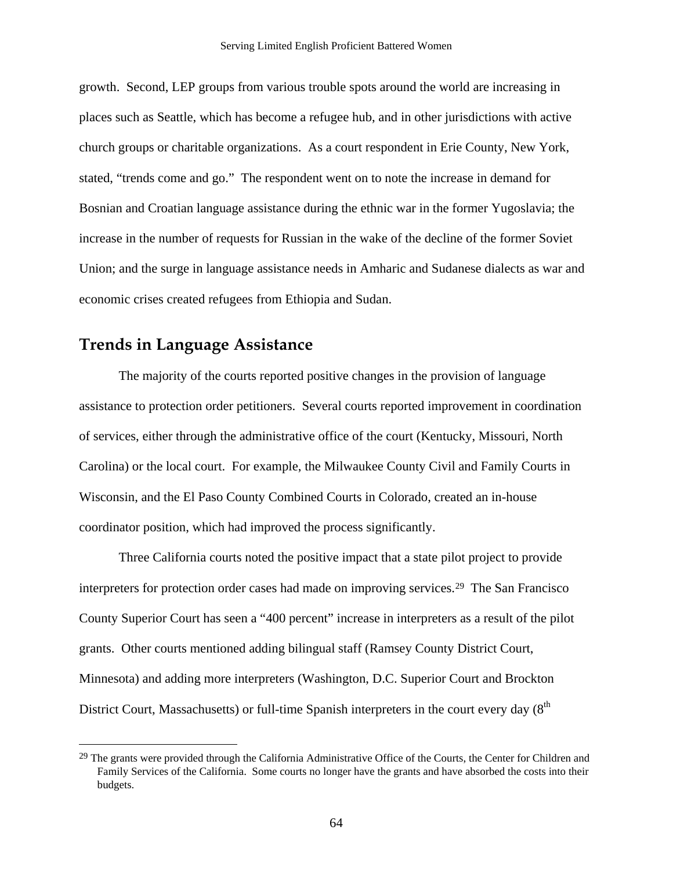<span id="page-66-0"></span>growth. Second, LEP groups from various trouble spots around the world are increasing in places such as Seattle, which has become a refugee hub, and in other jurisdictions with active church groups or charitable organizations. As a court respondent in Erie County, New York, stated, "trends come and go." The respondent went on to note the increase in demand for Bosnian and Croatian language assistance during the ethnic war in the former Yugoslavia; the increase in the number of requests for Russian in the wake of the decline of the former Soviet Union; and the surge in language assistance needs in Amharic and Sudanese dialects as war and economic crises created refugees from Ethiopia and Sudan.

### **Trends in Language Assistance**

<u>.</u>

The majority of the courts reported positive changes in the provision of language assistance to protection order petitioners. Several courts reported improvement in coordination of services, either through the administrative office of the court (Kentucky, Missouri, North Carolina) or the local court. For example, the Milwaukee County Civil and Family Courts in Wisconsin, and the El Paso County Combined Courts in Colorado, created an in-house coordinator position, which had improved the process significantly.

Three California courts noted the positive impact that a state pilot project to provide interpreters for protection order cases had made on improving services[.2](#page-66-0)9 The San Francisco County Superior Court has seen a "400 percent" increase in interpreters as a result of the pilot grants. Other courts mentioned adding bilingual staff (Ramsey County District Court, Minnesota) and adding more interpreters (Washington, D.C. Superior Court and Brockton District Court, Massachusetts) or full-time Spanish interpreters in the court every day  $(8<sup>th</sup>$ 

<sup>&</sup>lt;sup>29</sup> The grants were provided through the California Administrative Office of the Courts, the Center for Children and Family Services of the California. Some courts no longer have the grants and have absorbed the costs into their budgets.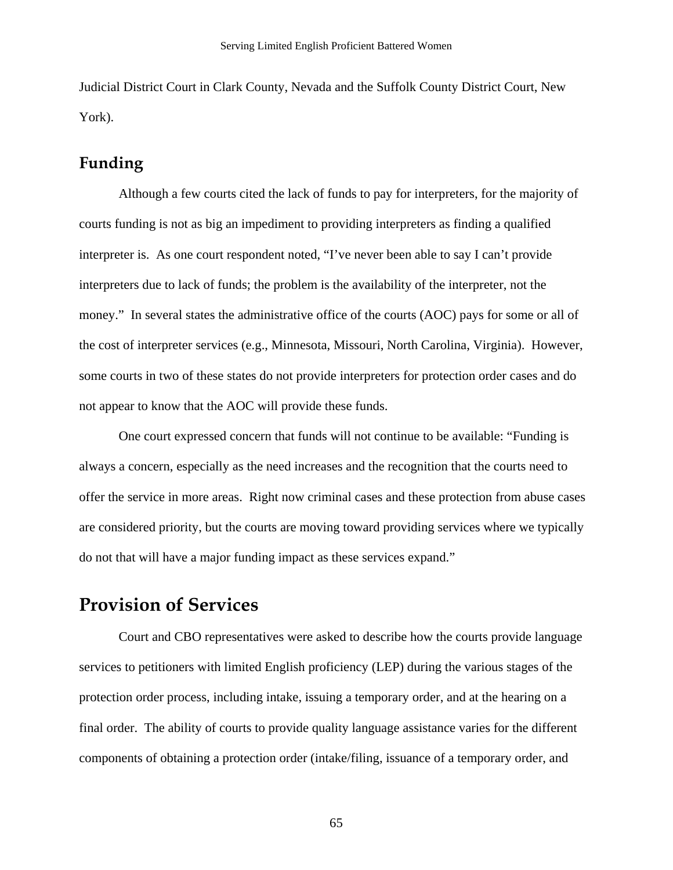Judicial District Court in Clark County, Nevada and the Suffolk County District Court, New York).

### **Funding**

Although a few courts cited the lack of funds to pay for interpreters, for the majority of courts funding is not as big an impediment to providing interpreters as finding a qualified interpreter is. As one court respondent noted, "I've never been able to say I can't provide interpreters due to lack of funds; the problem is the availability of the interpreter, not the money." In several states the administrative office of the courts (AOC) pays for some or all of the cost of interpreter services (e.g., Minnesota, Missouri, North Carolina, Virginia). However, some courts in two of these states do not provide interpreters for protection order cases and do not appear to know that the AOC will provide these funds.

One court expressed concern that funds will not continue to be available: "Funding is always a concern, especially as the need increases and the recognition that the courts need to offer the service in more areas. Right now criminal cases and these protection from abuse cases are considered priority, but the courts are moving toward providing services where we typically do not that will have a major funding impact as these services expand."

## **Provision of Services**

Court and CBO representatives were asked to describe how the courts provide language services to petitioners with limited English proficiency (LEP) during the various stages of the protection order process, including intake, issuing a temporary order, and at the hearing on a final order. The ability of courts to provide quality language assistance varies for the different components of obtaining a protection order (intake/filing, issuance of a temporary order, and

65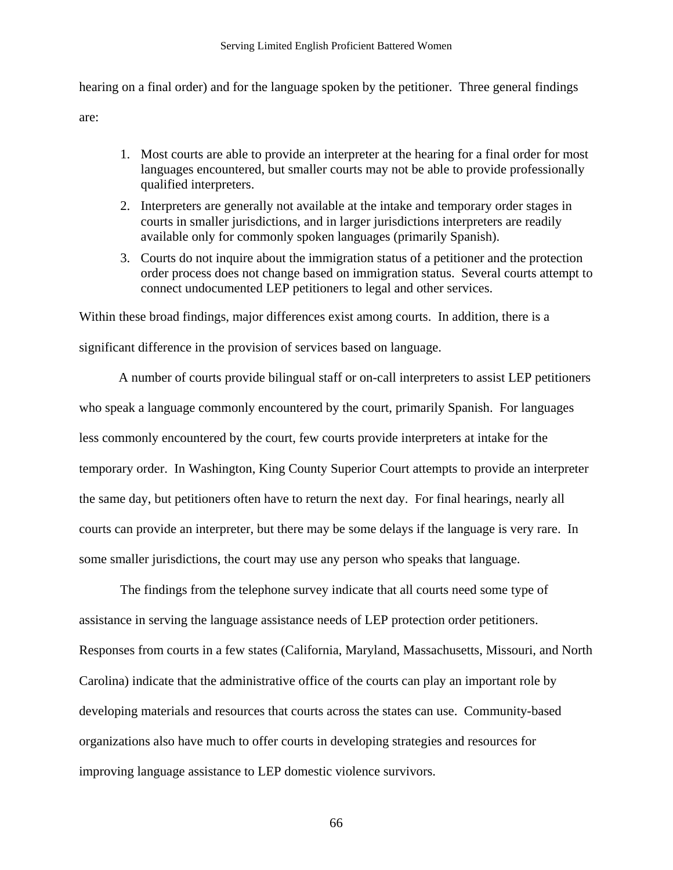hearing on a final order) and for the language spoken by the petitioner. Three general findings are:

- 1. Most courts are able to provide an interpreter at the hearing for a final order for most languages encountered, but smaller courts may not be able to provide professionally qualified interpreters.
- 2. Interpreters are generally not available at the intake and temporary order stages in courts in smaller jurisdictions, and in larger jurisdictions interpreters are readily available only for commonly spoken languages (primarily Spanish).
- 3. Courts do not inquire about the immigration status of a petitioner and the protection order process does not change based on immigration status. Several courts attempt to connect undocumented LEP petitioners to legal and other services.

Within these broad findings, major differences exist among courts. In addition, there is a

significant difference in the provision of services based on language.

A number of courts provide bilingual staff or on-call interpreters to assist LEP petitioners who speak a language commonly encountered by the court, primarily Spanish. For languages less commonly encountered by the court, few courts provide interpreters at intake for the temporary order. In Washington, King County Superior Court attempts to provide an interpreter the same day, but petitioners often have to return the next day. For final hearings, nearly all courts can provide an interpreter, but there may be some delays if the language is very rare. In some smaller jurisdictions, the court may use any person who speaks that language.

The findings from the telephone survey indicate that all courts need some type of assistance in serving the language assistance needs of LEP protection order petitioners. Responses from courts in a few states (California, Maryland, Massachusetts, Missouri, and North Carolina) indicate that the administrative office of the courts can play an important role by developing materials and resources that courts across the states can use. Community-based organizations also have much to offer courts in developing strategies and resources for improving language assistance to LEP domestic violence survivors.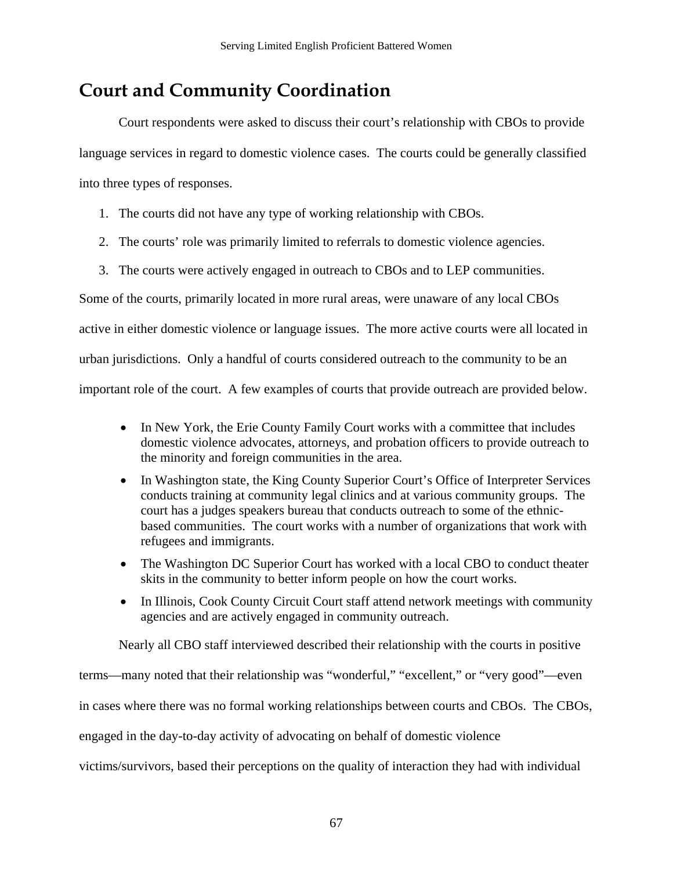# **Court and Community Coordination**

 Court respondents were asked to discuss their court's relationship with CBOs to provide language services in regard to domestic violence cases. The courts could be generally classified into three types of responses.

- 1. The courts did not have any type of working relationship with CBOs.
- 2. The courts' role was primarily limited to referrals to domestic violence agencies.
- 3. The courts were actively engaged in outreach to CBOs and to LEP communities.

Some of the courts, primarily located in more rural areas, were unaware of any local CBOs active in either domestic violence or language issues. The more active courts were all located in urban jurisdictions. Only a handful of courts considered outreach to the community to be an

important role of the court. A few examples of courts that provide outreach are provided below.

- In New York, the Erie County Family Court works with a committee that includes domestic violence advocates, attorneys, and probation officers to provide outreach to the minority and foreign communities in the area.
- In Washington state, the King County Superior Court's Office of Interpreter Services conducts training at community legal clinics and at various community groups. The court has a judges speakers bureau that conducts outreach to some of the ethnicbased communities. The court works with a number of organizations that work with refugees and immigrants.
- The Washington DC Superior Court has worked with a local CBO to conduct theater skits in the community to better inform people on how the court works.
- In Illinois, Cook County Circuit Court staff attend network meetings with community agencies and are actively engaged in community outreach.

Nearly all CBO staff interviewed described their relationship with the courts in positive

terms—many noted that their relationship was "wonderful," "excellent," or "very good"—even

in cases where there was no formal working relationships between courts and CBOs. The CBOs,

engaged in the day-to-day activity of advocating on behalf of domestic violence

victims/survivors, based their perceptions on the quality of interaction they had with individual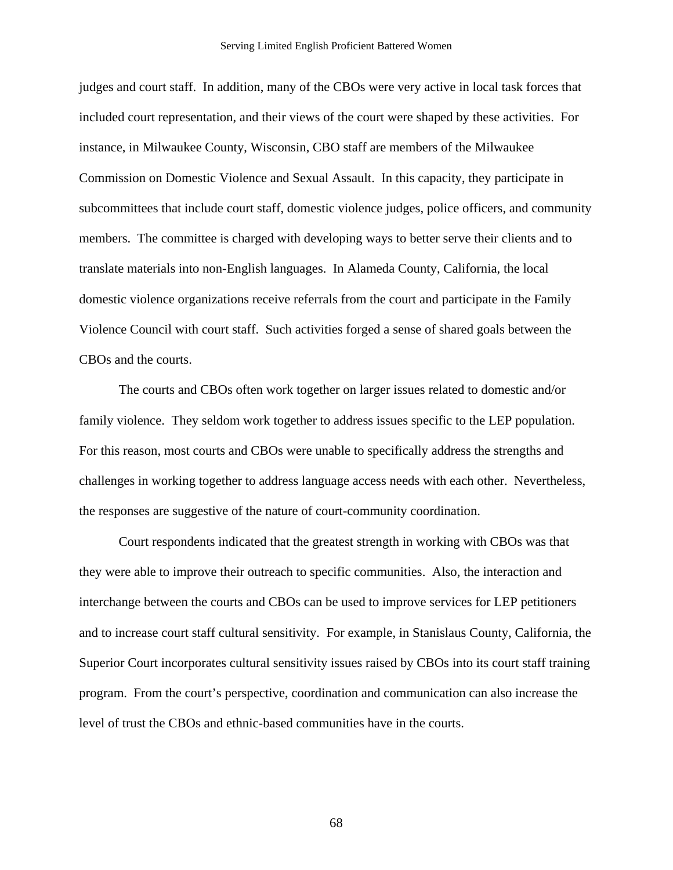judges and court staff. In addition, many of the CBOs were very active in local task forces that included court representation, and their views of the court were shaped by these activities. For instance, in Milwaukee County, Wisconsin, CBO staff are members of the Milwaukee Commission on Domestic Violence and Sexual Assault. In this capacity, they participate in subcommittees that include court staff, domestic violence judges, police officers, and community members. The committee is charged with developing ways to better serve their clients and to translate materials into non-English languages. In Alameda County, California, the local domestic violence organizations receive referrals from the court and participate in the Family Violence Council with court staff. Such activities forged a sense of shared goals between the CBOs and the courts.

The courts and CBOs often work together on larger issues related to domestic and/or family violence. They seldom work together to address issues specific to the LEP population. For this reason, most courts and CBOs were unable to specifically address the strengths and challenges in working together to address language access needs with each other. Nevertheless, the responses are suggestive of the nature of court-community coordination.

Court respondents indicated that the greatest strength in working with CBOs was that they were able to improve their outreach to specific communities. Also, the interaction and interchange between the courts and CBOs can be used to improve services for LEP petitioners and to increase court staff cultural sensitivity. For example, in Stanislaus County, California, the Superior Court incorporates cultural sensitivity issues raised by CBOs into its court staff training program. From the court's perspective, coordination and communication can also increase the level of trust the CBOs and ethnic-based communities have in the courts.

68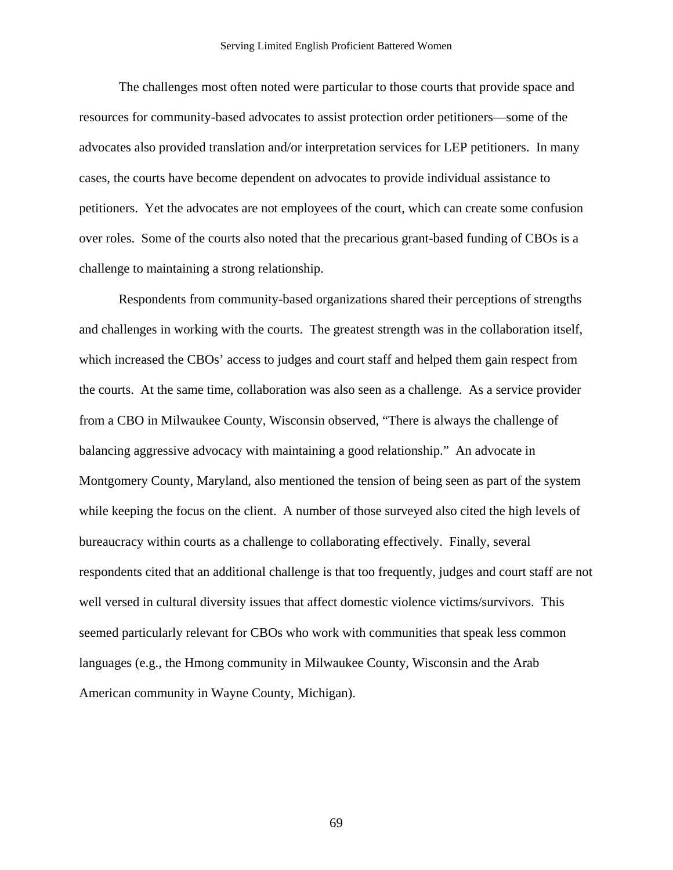The challenges most often noted were particular to those courts that provide space and resources for community-based advocates to assist protection order petitioners—some of the advocates also provided translation and/or interpretation services for LEP petitioners. In many cases, the courts have become dependent on advocates to provide individual assistance to petitioners. Yet the advocates are not employees of the court, which can create some confusion over roles. Some of the courts also noted that the precarious grant-based funding of CBOs is a challenge to maintaining a strong relationship.

Respondents from community-based organizations shared their perceptions of strengths and challenges in working with the courts. The greatest strength was in the collaboration itself, which increased the CBOs' access to judges and court staff and helped them gain respect from the courts. At the same time, collaboration was also seen as a challenge. As a service provider from a CBO in Milwaukee County, Wisconsin observed, "There is always the challenge of balancing aggressive advocacy with maintaining a good relationship." An advocate in Montgomery County, Maryland, also mentioned the tension of being seen as part of the system while keeping the focus on the client. A number of those surveyed also cited the high levels of bureaucracy within courts as a challenge to collaborating effectively. Finally, several respondents cited that an additional challenge is that too frequently, judges and court staff are not well versed in cultural diversity issues that affect domestic violence victims/survivors. This seemed particularly relevant for CBOs who work with communities that speak less common languages (e.g., the Hmong community in Milwaukee County, Wisconsin and the Arab American community in Wayne County, Michigan).

69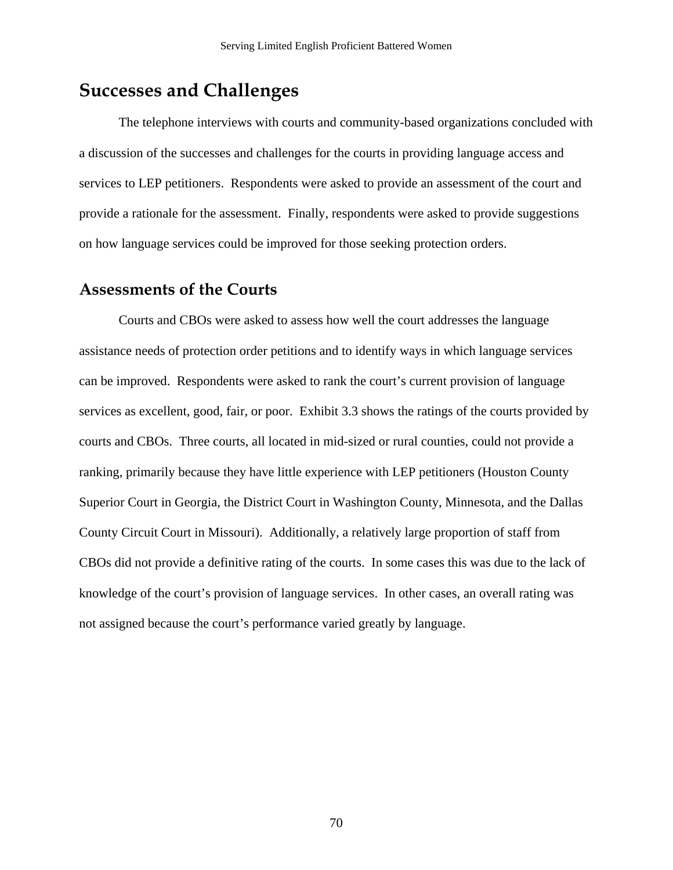# **Successes and Challenges**

The telephone interviews with courts and community-based organizations concluded with a discussion of the successes and challenges for the courts in providing language access and services to LEP petitioners. Respondents were asked to provide an assessment of the court and provide a rationale for the assessment. Finally, respondents were asked to provide suggestions on how language services could be improved for those seeking protection orders.

## **Assessments of the Courts**

Courts and CBOs were asked to assess how well the court addresses the language assistance needs of protection order petitions and to identify ways in which language services can be improved. Respondents were asked to rank the court's current provision of language services as excellent, good, fair, or poor. Exhibit 3.3 shows the ratings of the courts provided by courts and CBOs. Three courts, all located in mid-sized or rural counties, could not provide a ranking, primarily because they have little experience with LEP petitioners (Houston County Superior Court in Georgia, the District Court in Washington County, Minnesota, and the Dallas County Circuit Court in Missouri). Additionally, a relatively large proportion of staff from CBOs did not provide a definitive rating of the courts. In some cases this was due to the lack of knowledge of the court's provision of language services. In other cases, an overall rating was not assigned because the court's performance varied greatly by language.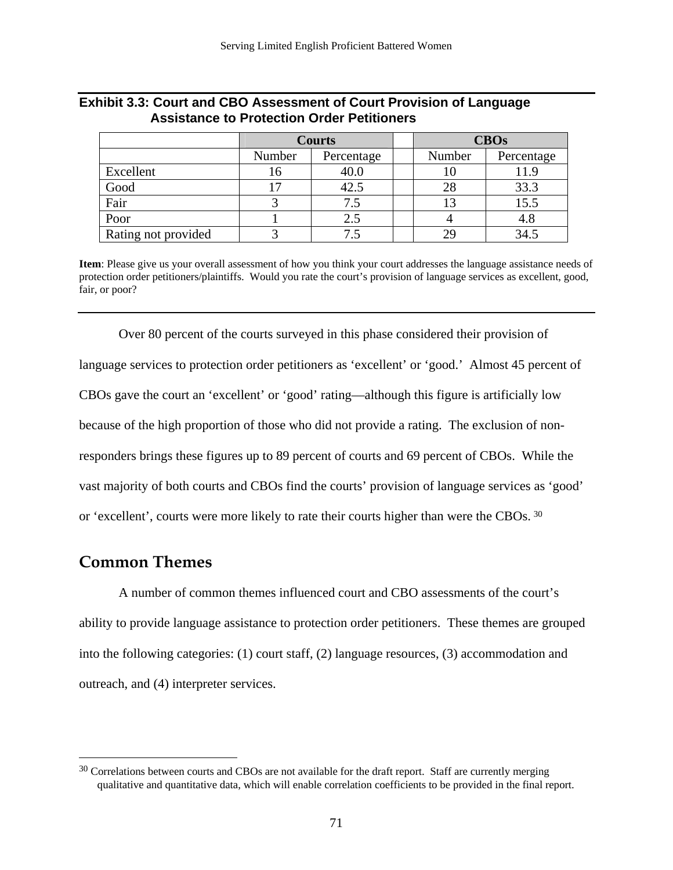|                     | <b>Courts</b> |            | <b>CBOs</b> |            |
|---------------------|---------------|------------|-------------|------------|
|                     | Number        | Percentage | Number      | Percentage |
| Excellent           | 16            | 40.0       | 10          | 11.9       |
| Good                | 17            | 42.5       | 28          | 33.3       |
| Fair                |               | 7.5        | 13          | 15.5       |
| Poor                |               | 2.5        |             | 4.8        |
| Rating not provided |               |            | 29          | 34.5       |

### <span id="page-73-0"></span>**Exhibit 3.3: Court and CBO Assessment of Court Provision of Language Assistance to Protection Order Petitioners**

**Item**: Please give us your overall assessment of how you think your court addresses the language assistance needs of protection order petitioners/plaintiffs. Would you rate the court's provision of language services as excellent, good, fair, or poor?

Over 80 percent of the courts surveyed in this phase considered their provision of language services to protection order petitioners as 'excellent' or 'good.' Almost 45 percent of CBOs gave the court an 'excellent' or 'good' rating—although this figure is artificially low because of the high proportion of those who did not provide a rating. The exclusion of nonresponders brings these figures up to 89 percent of courts and 69 percent of CBOs. While the vast majority of both courts and CBOs find the courts' provision of language services as 'good' or 'excellent', courts were more likely to rate their courts higher than were the CBOs. [30](#page-73-0)

# **Common Themes**

 $\overline{a}$ 

A number of common themes influenced court and CBO assessments of the court's ability to provide language assistance to protection order petitioners. These themes are grouped into the following categories: (1) court staff, (2) language resources, (3) accommodation and outreach, and (4) interpreter services.

<sup>&</sup>lt;sup>30</sup> Correlations between courts and CBOs are not available for the draft report. Staff are currently merging qualitative and quantitative data, which will enable correlation coefficients to be provided in the final report.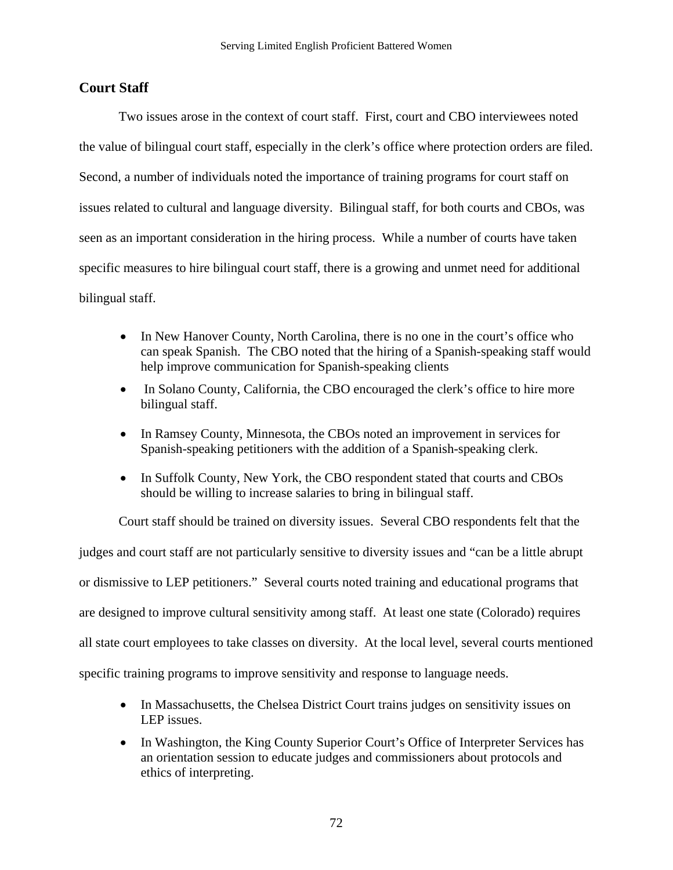## **Court Staff**

Two issues arose in the context of court staff. First, court and CBO interviewees noted the value of bilingual court staff, especially in the clerk's office where protection orders are filed. Second, a number of individuals noted the importance of training programs for court staff on issues related to cultural and language diversity. Bilingual staff, for both courts and CBOs, was seen as an important consideration in the hiring process. While a number of courts have taken specific measures to hire bilingual court staff, there is a growing and unmet need for additional bilingual staff.

- In New Hanover County, North Carolina, there is no one in the court's office who can speak Spanish. The CBO noted that the hiring of a Spanish-speaking staff would help improve communication for Spanish-speaking clients
- In Solano County, California, the CBO encouraged the clerk's office to hire more bilingual staff.
- In Ramsey County, Minnesota, the CBOs noted an improvement in services for Spanish-speaking petitioners with the addition of a Spanish-speaking clerk.
- In Suffolk County, New York, the CBO respondent stated that courts and CBOs should be willing to increase salaries to bring in bilingual staff.

Court staff should be trained on diversity issues. Several CBO respondents felt that the judges and court staff are not particularly sensitive to diversity issues and "can be a little abrupt or dismissive to LEP petitioners." Several courts noted training and educational programs that are designed to improve cultural sensitivity among staff. At least one state (Colorado) requires all state court employees to take classes on diversity. At the local level, several courts mentioned specific training programs to improve sensitivity and response to language needs.

- In Massachusetts, the Chelsea District Court trains judges on sensitivity issues on LEP issues.
- In Washington, the King County Superior Court's Office of Interpreter Services has an orientation session to educate judges and commissioners about protocols and ethics of interpreting.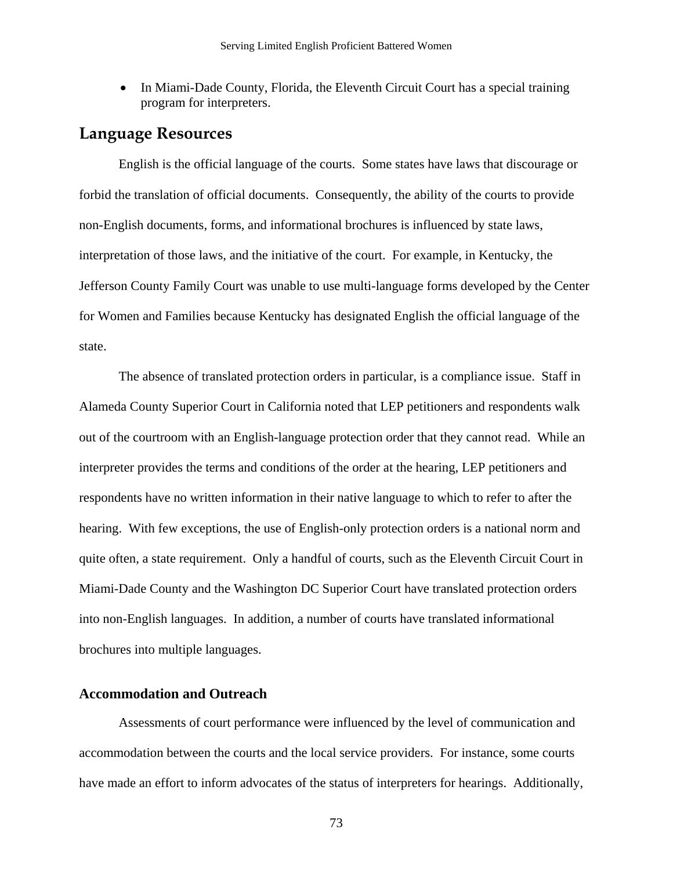• In Miami-Dade County, Florida, the Eleventh Circuit Court has a special training program for interpreters.

## **Language Resources**

English is the official language of the courts. Some states have laws that discourage or forbid the translation of official documents. Consequently, the ability of the courts to provide non-English documents, forms, and informational brochures is influenced by state laws, interpretation of those laws, and the initiative of the court. For example, in Kentucky, the Jefferson County Family Court was unable to use multi-language forms developed by the Center for Women and Families because Kentucky has designated English the official language of the state.

The absence of translated protection orders in particular, is a compliance issue. Staff in Alameda County Superior Court in California noted that LEP petitioners and respondents walk out of the courtroom with an English-language protection order that they cannot read. While an interpreter provides the terms and conditions of the order at the hearing, LEP petitioners and respondents have no written information in their native language to which to refer to after the hearing. With few exceptions, the use of English-only protection orders is a national norm and quite often, a state requirement. Only a handful of courts, such as the Eleventh Circuit Court in Miami-Dade County and the Washington DC Superior Court have translated protection orders into non-English languages. In addition, a number of courts have translated informational brochures into multiple languages.

### **Accommodation and Outreach**

Assessments of court performance were influenced by the level of communication and accommodation between the courts and the local service providers. For instance, some courts have made an effort to inform advocates of the status of interpreters for hearings. Additionally,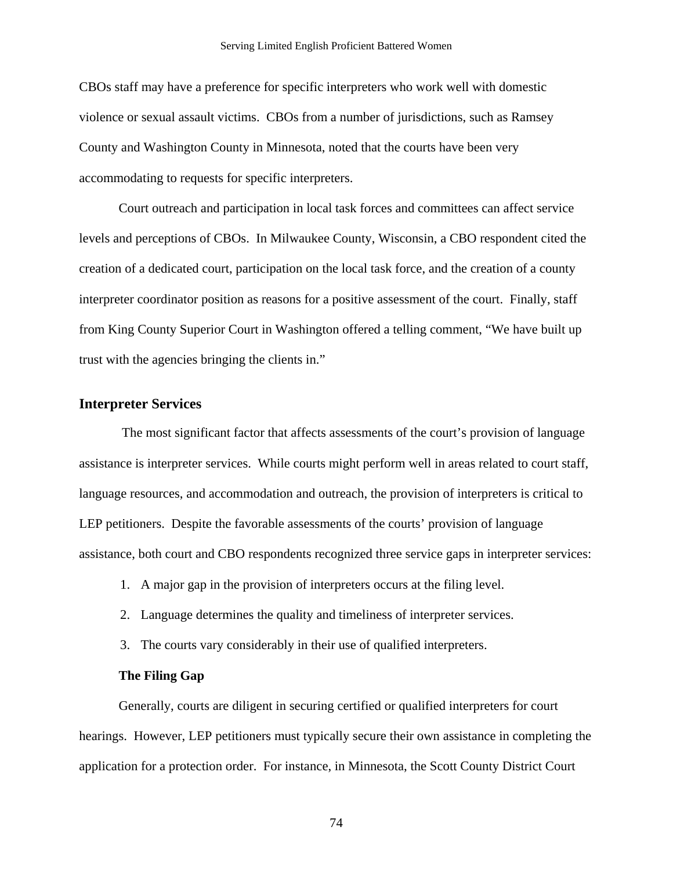CBOs staff may have a preference for specific interpreters who work well with domestic violence or sexual assault victims. CBOs from a number of jurisdictions, such as Ramsey County and Washington County in Minnesota, noted that the courts have been very accommodating to requests for specific interpreters.

Court outreach and participation in local task forces and committees can affect service levels and perceptions of CBOs. In Milwaukee County, Wisconsin, a CBO respondent cited the creation of a dedicated court, participation on the local task force, and the creation of a county interpreter coordinator position as reasons for a positive assessment of the court. Finally, staff from King County Superior Court in Washington offered a telling comment, "We have built up trust with the agencies bringing the clients in."

### **Interpreter Services**

 The most significant factor that affects assessments of the court's provision of language assistance is interpreter services. While courts might perform well in areas related to court staff, language resources, and accommodation and outreach, the provision of interpreters is critical to LEP petitioners. Despite the favorable assessments of the courts' provision of language assistance, both court and CBO respondents recognized three service gaps in interpreter services:

- 1. A major gap in the provision of interpreters occurs at the filing level.
- 2. Language determines the quality and timeliness of interpreter services.
- 3. The courts vary considerably in their use of qualified interpreters.

### **The Filing Gap**

Generally, courts are diligent in securing certified or qualified interpreters for court hearings. However, LEP petitioners must typically secure their own assistance in completing the application for a protection order. For instance, in Minnesota, the Scott County District Court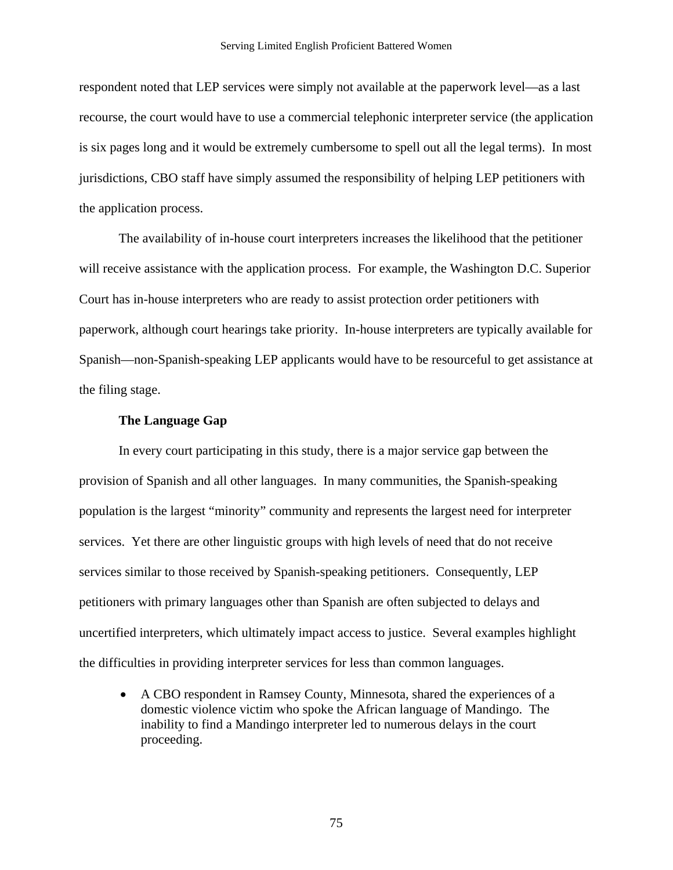respondent noted that LEP services were simply not available at the paperwork level—as a last recourse, the court would have to use a commercial telephonic interpreter service (the application is six pages long and it would be extremely cumbersome to spell out all the legal terms). In most jurisdictions, CBO staff have simply assumed the responsibility of helping LEP petitioners with the application process.

The availability of in-house court interpreters increases the likelihood that the petitioner will receive assistance with the application process. For example, the Washington D.C. Superior Court has in-house interpreters who are ready to assist protection order petitioners with paperwork, although court hearings take priority. In-house interpreters are typically available for Spanish—non-Spanish-speaking LEP applicants would have to be resourceful to get assistance at the filing stage.

### **The Language Gap**

In every court participating in this study, there is a major service gap between the provision of Spanish and all other languages. In many communities, the Spanish-speaking population is the largest "minority" community and represents the largest need for interpreter services. Yet there are other linguistic groups with high levels of need that do not receive services similar to those received by Spanish-speaking petitioners. Consequently, LEP petitioners with primary languages other than Spanish are often subjected to delays and uncertified interpreters, which ultimately impact access to justice. Several examples highlight the difficulties in providing interpreter services for less than common languages.

• A CBO respondent in Ramsey County, Minnesota, shared the experiences of a domestic violence victim who spoke the African language of Mandingo. The inability to find a Mandingo interpreter led to numerous delays in the court proceeding.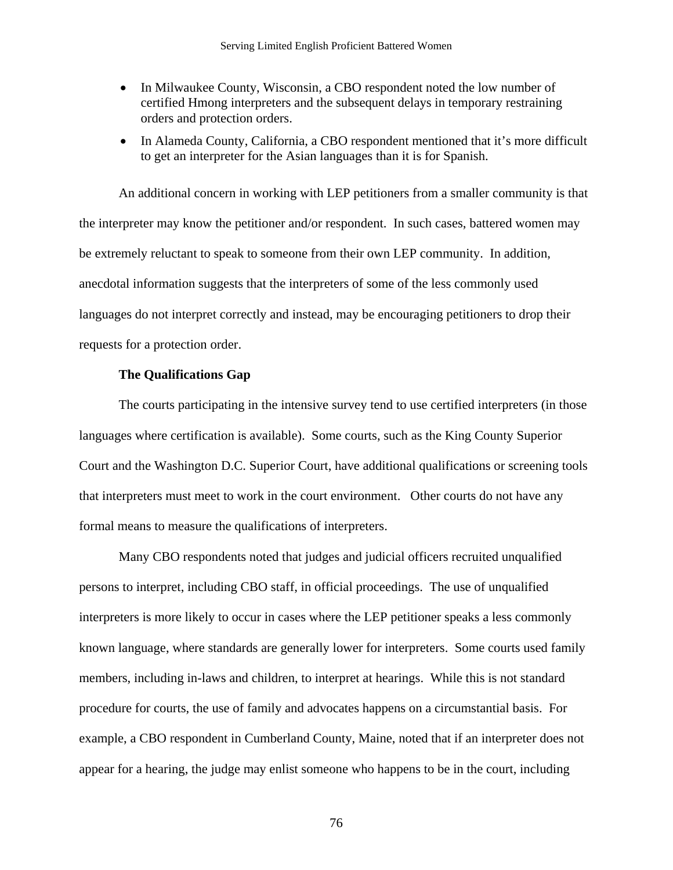- In Milwaukee County, Wisconsin, a CBO respondent noted the low number of certified Hmong interpreters and the subsequent delays in temporary restraining orders and protection orders.
- In Alameda County, California, a CBO respondent mentioned that it's more difficult to get an interpreter for the Asian languages than it is for Spanish.

An additional concern in working with LEP petitioners from a smaller community is that the interpreter may know the petitioner and/or respondent. In such cases, battered women may be extremely reluctant to speak to someone from their own LEP community. In addition, anecdotal information suggests that the interpreters of some of the less commonly used languages do not interpret correctly and instead, may be encouraging petitioners to drop their requests for a protection order.

### **The Qualifications Gap**

The courts participating in the intensive survey tend to use certified interpreters (in those languages where certification is available). Some courts, such as the King County Superior Court and the Washington D.C. Superior Court, have additional qualifications or screening tools that interpreters must meet to work in the court environment. Other courts do not have any formal means to measure the qualifications of interpreters.

Many CBO respondents noted that judges and judicial officers recruited unqualified persons to interpret, including CBO staff, in official proceedings. The use of unqualified interpreters is more likely to occur in cases where the LEP petitioner speaks a less commonly known language, where standards are generally lower for interpreters. Some courts used family members, including in-laws and children, to interpret at hearings. While this is not standard procedure for courts, the use of family and advocates happens on a circumstantial basis. For example, a CBO respondent in Cumberland County, Maine, noted that if an interpreter does not appear for a hearing, the judge may enlist someone who happens to be in the court, including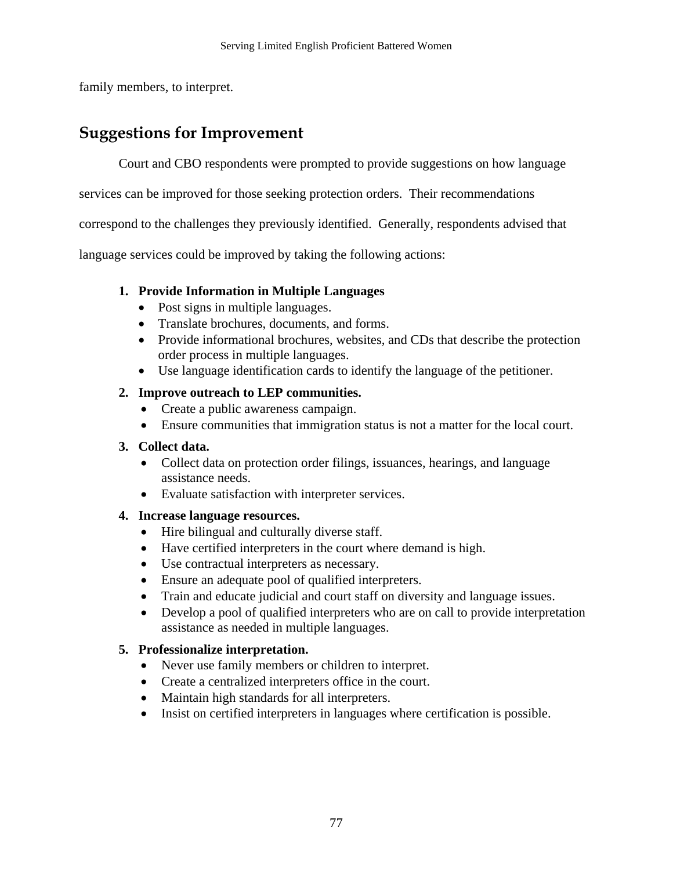family members, to interpret.

# **Suggestions for Improvement**

Court and CBO respondents were prompted to provide suggestions on how language

services can be improved for those seeking protection orders. Their recommendations

correspond to the challenges they previously identified. Generally, respondents advised that

language services could be improved by taking the following actions:

## **1. Provide Information in Multiple Languages**

- Post signs in multiple languages.
- Translate brochures, documents, and forms.
- Provide informational brochures, websites, and CDs that describe the protection order process in multiple languages.
- Use language identification cards to identify the language of the petitioner.

## **2. Improve outreach to LEP communities.**

- Create a public awareness campaign.
- Ensure communities that immigration status is not a matter for the local court.

### **3. Collect data.**

- Collect data on protection order filings, issuances, hearings, and language assistance needs.
- Evaluate satisfaction with interpreter services.

## **4. Increase language resources.**

- Hire bilingual and culturally diverse staff.
- Have certified interpreters in the court where demand is high.
- Use contractual interpreters as necessary.
- Ensure an adequate pool of qualified interpreters.
- Train and educate judicial and court staff on diversity and language issues.
- Develop a pool of qualified interpreters who are on call to provide interpretation assistance as needed in multiple languages.

## **5. Professionalize interpretation.**

- Never use family members or children to interpret.
- Create a centralized interpreters office in the court.
- Maintain high standards for all interpreters.
- Insist on certified interpreters in languages where certification is possible.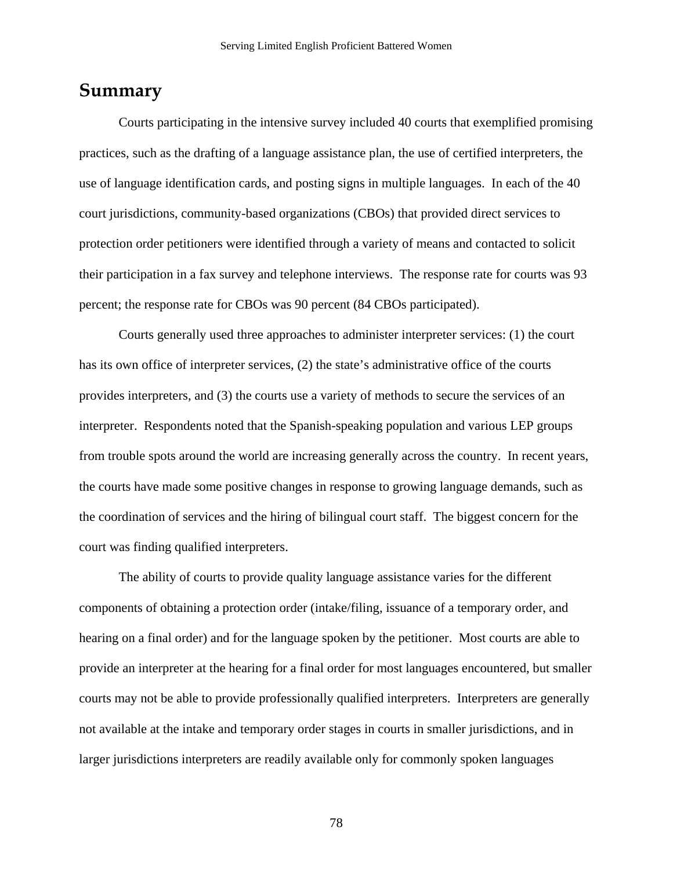## **Summary**

Courts participating in the intensive survey included 40 courts that exemplified promising practices, such as the drafting of a language assistance plan, the use of certified interpreters, the use of language identification cards, and posting signs in multiple languages. In each of the 40 court jurisdictions, community-based organizations (CBOs) that provided direct services to protection order petitioners were identified through a variety of means and contacted to solicit their participation in a fax survey and telephone interviews. The response rate for courts was 93 percent; the response rate for CBOs was 90 percent (84 CBOs participated).

Courts generally used three approaches to administer interpreter services: (1) the court has its own office of interpreter services, (2) the state's administrative office of the courts provides interpreters, and (3) the courts use a variety of methods to secure the services of an interpreter. Respondents noted that the Spanish-speaking population and various LEP groups from trouble spots around the world are increasing generally across the country. In recent years, the courts have made some positive changes in response to growing language demands, such as the coordination of services and the hiring of bilingual court staff. The biggest concern for the court was finding qualified interpreters.

The ability of courts to provide quality language assistance varies for the different components of obtaining a protection order (intake/filing, issuance of a temporary order, and hearing on a final order) and for the language spoken by the petitioner. Most courts are able to provide an interpreter at the hearing for a final order for most languages encountered, but smaller courts may not be able to provide professionally qualified interpreters. Interpreters are generally not available at the intake and temporary order stages in courts in smaller jurisdictions, and in larger jurisdictions interpreters are readily available only for commonly spoken languages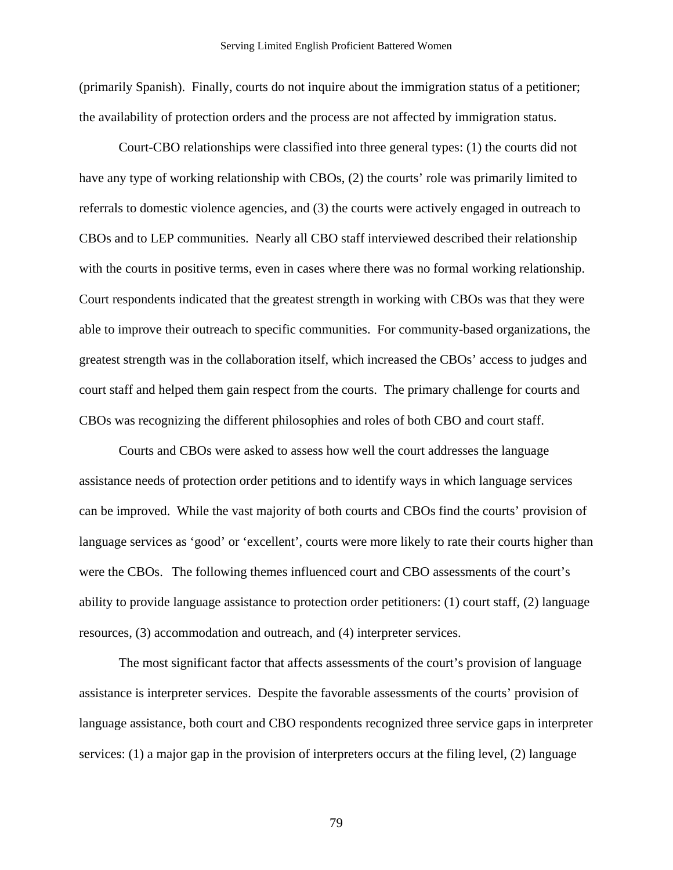(primarily Spanish). Finally, courts do not inquire about the immigration status of a petitioner; the availability of protection orders and the process are not affected by immigration status.

Court-CBO relationships were classified into three general types: (1) the courts did not have any type of working relationship with CBOs, (2) the courts' role was primarily limited to referrals to domestic violence agencies, and (3) the courts were actively engaged in outreach to CBOs and to LEP communities. Nearly all CBO staff interviewed described their relationship with the courts in positive terms, even in cases where there was no formal working relationship. Court respondents indicated that the greatest strength in working with CBOs was that they were able to improve their outreach to specific communities. For community-based organizations, the greatest strength was in the collaboration itself, which increased the CBOs' access to judges and court staff and helped them gain respect from the courts. The primary challenge for courts and CBOs was recognizing the different philosophies and roles of both CBO and court staff.

Courts and CBOs were asked to assess how well the court addresses the language assistance needs of protection order petitions and to identify ways in which language services can be improved. While the vast majority of both courts and CBOs find the courts' provision of language services as 'good' or 'excellent', courts were more likely to rate their courts higher than were the CBOs. The following themes influenced court and CBO assessments of the court's ability to provide language assistance to protection order petitioners: (1) court staff, (2) language resources, (3) accommodation and outreach, and (4) interpreter services.

The most significant factor that affects assessments of the court's provision of language assistance is interpreter services. Despite the favorable assessments of the courts' provision of language assistance, both court and CBO respondents recognized three service gaps in interpreter services: (1) a major gap in the provision of interpreters occurs at the filing level, (2) language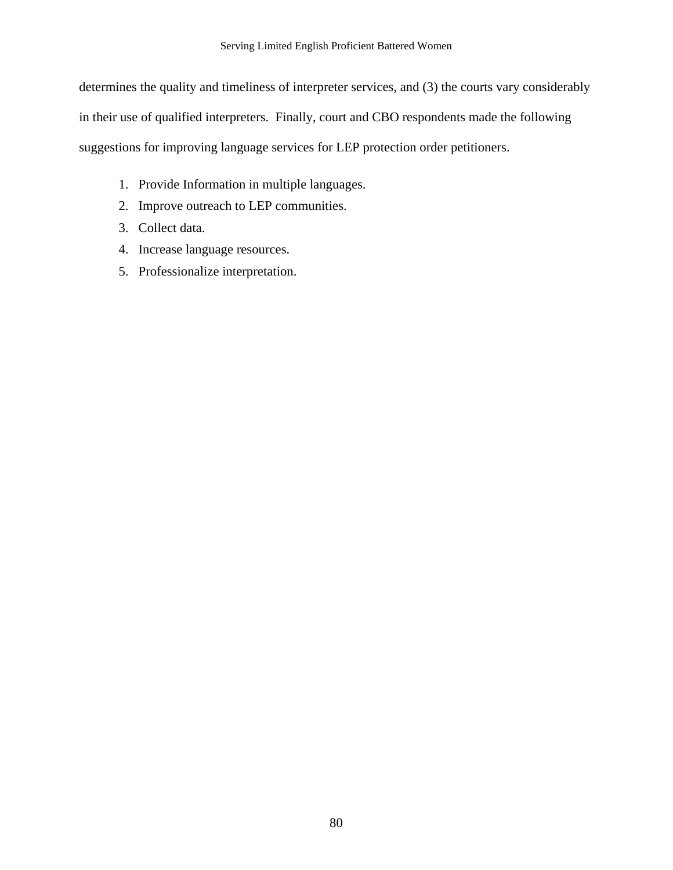determines the quality and timeliness of interpreter services, and (3) the courts vary considerably in their use of qualified interpreters. Finally, court and CBO respondents made the following suggestions for improving language services for LEP protection order petitioners.

- 1. Provide Information in multiple languages.
- 2. Improve outreach to LEP communities.
- 3. Collect data.
- 4. Increase language resources.
- 5. Professionalize interpretation.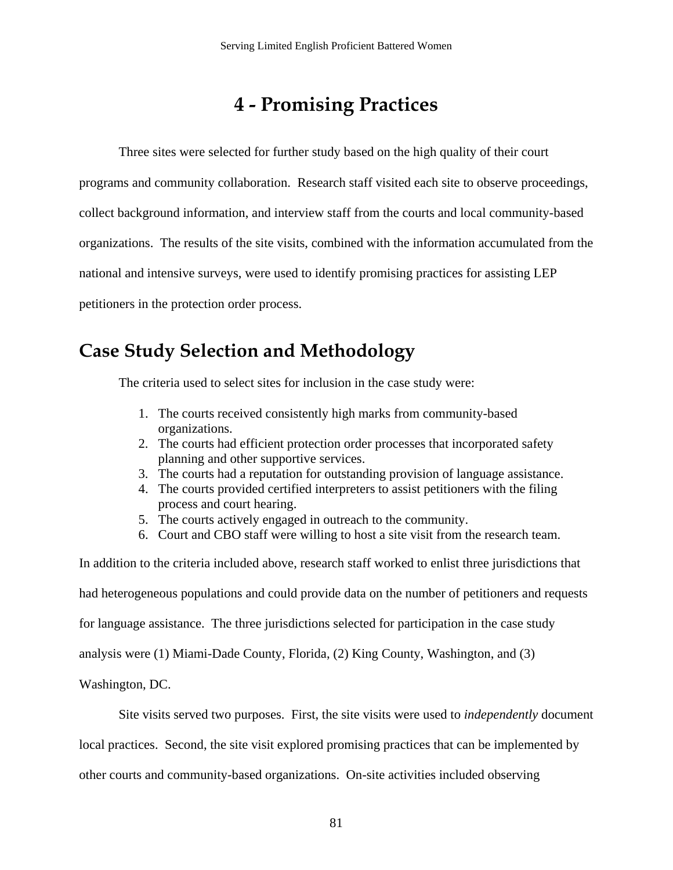# **4 - Promising Practices**

Three sites were selected for further study based on the high quality of their court

programs and community collaboration. Research staff visited each site to observe proceedings,

collect background information, and interview staff from the courts and local community-based

organizations. The results of the site visits, combined with the information accumulated from the

national and intensive surveys, were used to identify promising practices for assisting LEP

petitioners in the protection order process.

# **Case Study Selection and Methodology**

The criteria used to select sites for inclusion in the case study were:

- 1. The courts received consistently high marks from community-based organizations.
- 2. The courts had efficient protection order processes that incorporated safety planning and other supportive services.
- 3. The courts had a reputation for outstanding provision of language assistance.
- 4. The courts provided certified interpreters to assist petitioners with the filing process and court hearing.
- 5. The courts actively engaged in outreach to the community.
- 6. Court and CBO staff were willing to host a site visit from the research team.

In addition to the criteria included above, research staff worked to enlist three jurisdictions that had heterogeneous populations and could provide data on the number of petitioners and requests for language assistance. The three jurisdictions selected for participation in the case study analysis were (1) Miami-Dade County, Florida, (2) King County, Washington, and (3)

Washington, DC.

Site visits served two purposes. First, the site visits were used to *independently* document

local practices. Second, the site visit explored promising practices that can be implemented by

other courts and community-based organizations. On-site activities included observing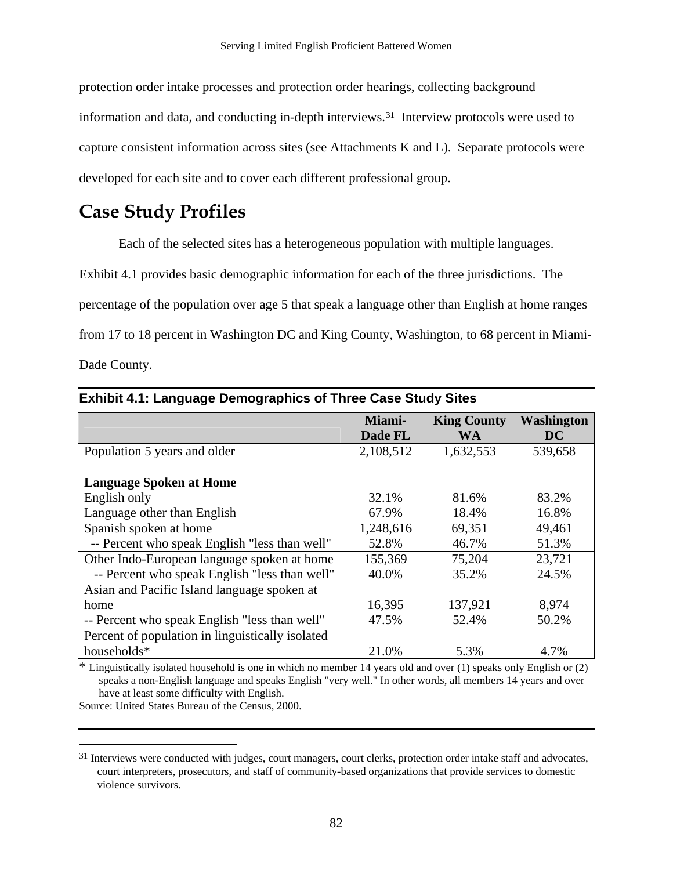<span id="page-84-0"></span>protection order intake processes and protection order hearings, collecting background information and data, and conducting in-depth interviews.[3](#page-84-0)1 Interview protocols were used to capture consistent information across sites (see Attachments K and L). Separate protocols were developed for each site and to cover each different professional group.

# **Case Study Profiles**

Each of the selected sites has a heterogeneous population with multiple languages.

Exhibit 4.1 provides basic demographic information for each of the three jurisdictions. The

percentage of the population over age 5 that speak a language other than English at home ranges

from 17 to 18 percent in Washington DC and King County, Washington, to 68 percent in Miami-

Dade County.

 $\overline{a}$ 

|                                                  | Miami-    | <b>King County</b> | <b>Washington</b> |
|--------------------------------------------------|-----------|--------------------|-------------------|
|                                                  | Dade FL   | WA                 | <b>DC</b>         |
| Population 5 years and older                     | 2,108,512 | 1,632,553          | 539,658           |
|                                                  |           |                    |                   |
| <b>Language Spoken at Home</b>                   |           |                    |                   |
| English only                                     | 32.1%     | 81.6%              | 83.2%             |
| Language other than English                      | 67.9%     | 18.4%              | 16.8%             |
| Spanish spoken at home                           | 1,248,616 | 69,351             | 49,461            |
| -- Percent who speak English "less than well"    | 52.8%     | 46.7%              | 51.3%             |
| Other Indo-European language spoken at home      | 155,369   | 75,204             | 23,721            |
| -- Percent who speak English "less than well"    | 40.0%     | 35.2%              | 24.5%             |
| Asian and Pacific Island language spoken at      |           |                    |                   |
| home                                             | 16,395    | 137,921            | 8,974             |
| -- Percent who speak English "less than well"    | 47.5%     | 52.4%              | 50.2%             |
| Percent of population in linguistically isolated |           |                    |                   |
| households*                                      | 21.0%     | 5.3%               | 4.7%              |

### **Exhibit 4.1: Language Demographics of Three Case Study Sites**

\* Linguistically isolated household is one in which no member 14 years old and over (1) speaks only English or (2) speaks a non-English language and speaks English "very well." In other words, all members 14 years and over have at least some difficulty with English.

Source: United States Bureau of the Census, 2000.

<sup>&</sup>lt;sup>31</sup> Interviews were conducted with judges, court managers, court clerks, protection order intake staff and advocates, court interpreters, prosecutors, and staff of community-based organizations that provide services to domestic violence survivors.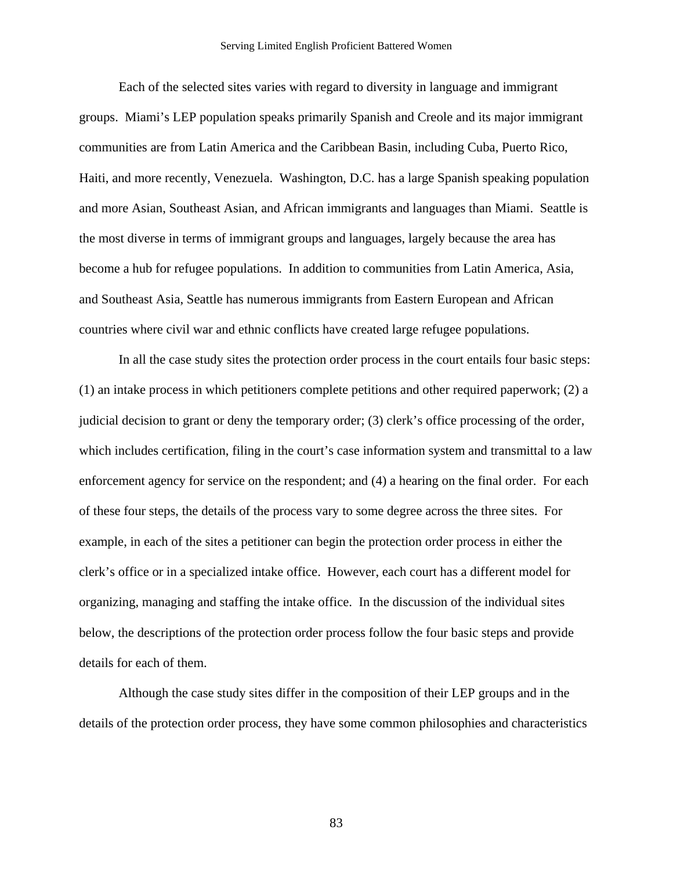#### Serving Limited English Proficient Battered Women

Each of the selected sites varies with regard to diversity in language and immigrant groups. Miami's LEP population speaks primarily Spanish and Creole and its major immigrant communities are from Latin America and the Caribbean Basin, including Cuba, Puerto Rico, Haiti, and more recently, Venezuela. Washington, D.C. has a large Spanish speaking population and more Asian, Southeast Asian, and African immigrants and languages than Miami. Seattle is the most diverse in terms of immigrant groups and languages, largely because the area has become a hub for refugee populations. In addition to communities from Latin America, Asia, and Southeast Asia, Seattle has numerous immigrants from Eastern European and African countries where civil war and ethnic conflicts have created large refugee populations.

In all the case study sites the protection order process in the court entails four basic steps: (1) an intake process in which petitioners complete petitions and other required paperwork; (2) a judicial decision to grant or deny the temporary order; (3) clerk's office processing of the order, which includes certification, filing in the court's case information system and transmittal to a law enforcement agency for service on the respondent; and (4) a hearing on the final order. For each of these four steps, the details of the process vary to some degree across the three sites. For example, in each of the sites a petitioner can begin the protection order process in either the clerk's office or in a specialized intake office. However, each court has a different model for organizing, managing and staffing the intake office. In the discussion of the individual sites below, the descriptions of the protection order process follow the four basic steps and provide details for each of them.

Although the case study sites differ in the composition of their LEP groups and in the details of the protection order process, they have some common philosophies and characteristics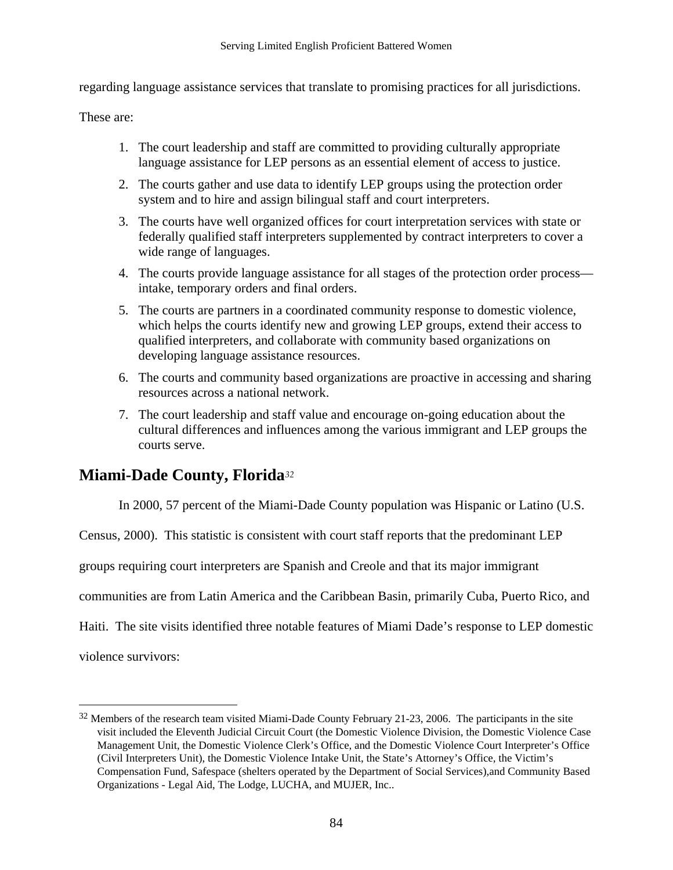<span id="page-86-0"></span>regarding language assistance services that translate to promising practices for all jurisdictions.

These are:

- 1. The court leadership and staff are committed to providing culturally appropriate language assistance for LEP persons as an essential element of access to justice.
- 2. The courts gather and use data to identify LEP groups using the protection order system and to hire and assign bilingual staff and court interpreters.
- 3. The courts have well organized offices for court interpretation services with state or federally qualified staff interpreters supplemented by contract interpreters to cover a wide range of languages.
- 4. The courts provide language assistance for all stages of the protection order process intake, temporary orders and final orders.
- 5. The courts are partners in a coordinated community response to domestic violence, which helps the courts identify new and growing LEP groups, extend their access to qualified interpreters, and collaborate with community based organizations on developing language assistance resources.
- 6. The courts and community based organizations are proactive in accessing and sharing resources across a national network.
- 7. The court leadership and staff value and encourage on-going education about the cultural differences and influences among the various immigrant and LEP groups the courts serve.

# **Miami-Dade County, Florida***[32](#page-86-0)*

In 2000, 57 percent of the Miami-Dade County population was Hispanic or Latino (U.S.

Census, 2000). This statistic is consistent with court staff reports that the predominant LEP

groups requiring court interpreters are Spanish and Creole and that its major immigrant

communities are from Latin America and the Caribbean Basin, primarily Cuba, Puerto Rico, and

Haiti. The site visits identified three notable features of Miami Dade's response to LEP domestic

violence survivors:

 $\overline{a}$ 

 $32$  Members of the research team visited Miami-Dade County February 21-23, 2006. The participants in the site visit included the Eleventh Judicial Circuit Court (the Domestic Violence Division, the Domestic Violence Case Management Unit, the Domestic Violence Clerk's Office, and the Domestic Violence Court Interpreter's Office (Civil Interpreters Unit), the Domestic Violence Intake Unit, the State's Attorney's Office, the Victim's Compensation Fund, Safespace (shelters operated by the Department of Social Services),and Community Based Organizations - Legal Aid, The Lodge, LUCHA, and MUJER, Inc..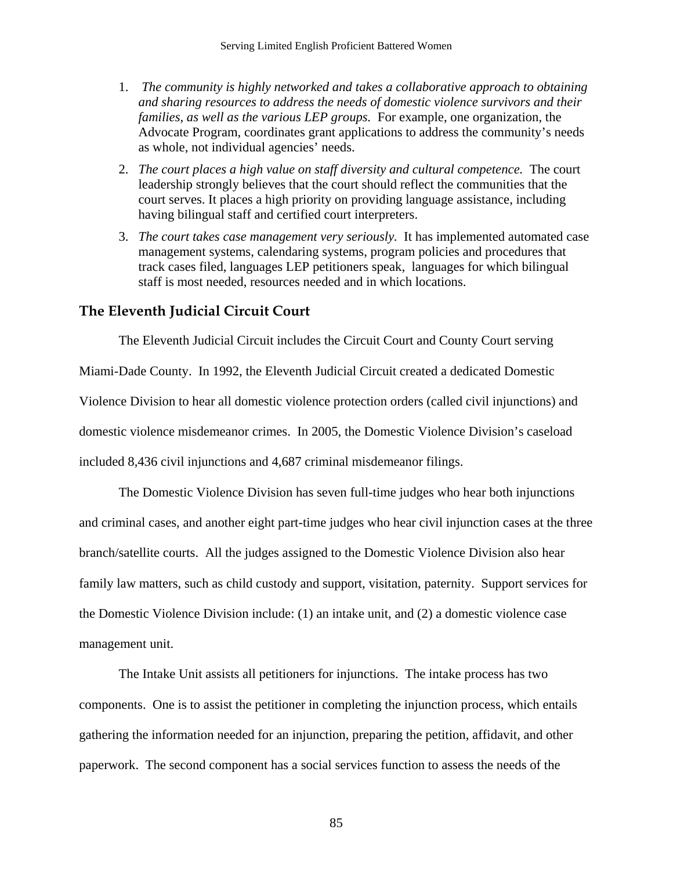- 1. *The community is highly networked and takes a collaborative approach to obtaining and sharing resources to address the needs of domestic violence survivors and their families, as well as the various LEP groups.* For example, one organization, the Advocate Program, coordinates grant applications to address the community's needs as whole, not individual agencies' needs.
- 2. *The court places a high value on staff diversity and cultural competence.* The court leadership strongly believes that the court should reflect the communities that the court serves. It places a high priority on providing language assistance, including having bilingual staff and certified court interpreters.
- 3. *The court takes case management very seriously.* It has implemented automated case management systems, calendaring systems, program policies and procedures that track cases filed, languages LEP petitioners speak, languages for which bilingual staff is most needed, resources needed and in which locations.

## **The Eleventh Judicial Circuit Court**

The Eleventh Judicial Circuit includes the Circuit Court and County Court serving

Miami-Dade County. In 1992, the Eleventh Judicial Circuit created a dedicated Domestic Violence Division to hear all domestic violence protection orders (called civil injunctions) and domestic violence misdemeanor crimes. In 2005, the Domestic Violence Division's caseload included 8,436 civil injunctions and 4,687 criminal misdemeanor filings.

The Domestic Violence Division has seven full-time judges who hear both injunctions and criminal cases, and another eight part-time judges who hear civil injunction cases at the three branch/satellite courts. All the judges assigned to the Domestic Violence Division also hear family law matters, such as child custody and support, visitation, paternity. Support services for the Domestic Violence Division include: (1) an intake unit, and (2) a domestic violence case management unit.

The Intake Unit assists all petitioners for injunctions. The intake process has two components. One is to assist the petitioner in completing the injunction process, which entails gathering the information needed for an injunction, preparing the petition, affidavit, and other paperwork. The second component has a social services function to assess the needs of the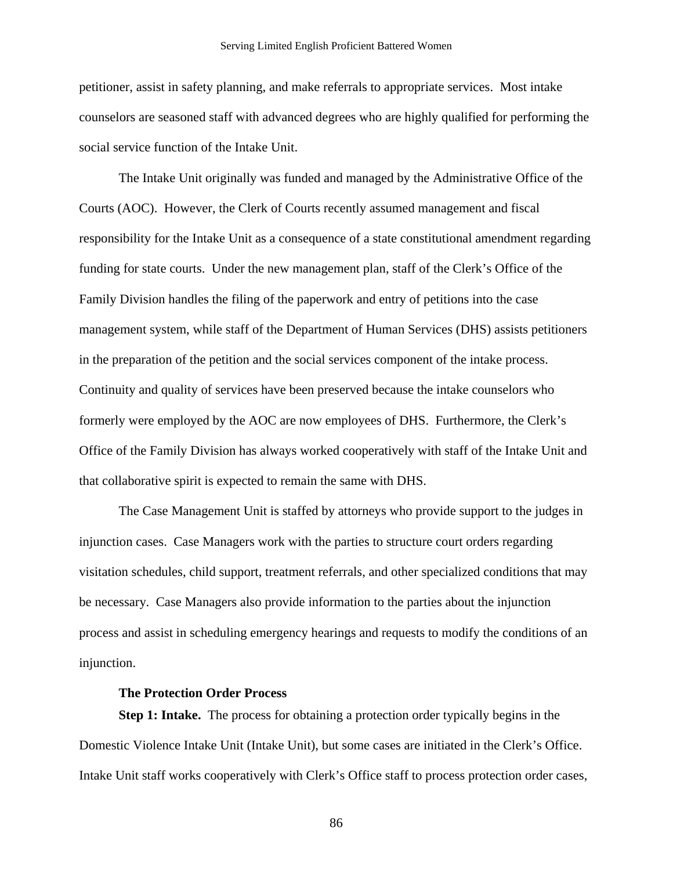petitioner, assist in safety planning, and make referrals to appropriate services. Most intake counselors are seasoned staff with advanced degrees who are highly qualified for performing the social service function of the Intake Unit.

The Intake Unit originally was funded and managed by the Administrative Office of the Courts (AOC). However, the Clerk of Courts recently assumed management and fiscal responsibility for the Intake Unit as a consequence of a state constitutional amendment regarding funding for state courts. Under the new management plan, staff of the Clerk's Office of the Family Division handles the filing of the paperwork and entry of petitions into the case management system, while staff of the Department of Human Services (DHS) assists petitioners in the preparation of the petition and the social services component of the intake process. Continuity and quality of services have been preserved because the intake counselors who formerly were employed by the AOC are now employees of DHS. Furthermore, the Clerk's Office of the Family Division has always worked cooperatively with staff of the Intake Unit and that collaborative spirit is expected to remain the same with DHS.

The Case Management Unit is staffed by attorneys who provide support to the judges in injunction cases. Case Managers work with the parties to structure court orders regarding visitation schedules, child support, treatment referrals, and other specialized conditions that may be necessary. Case Managers also provide information to the parties about the injunction process and assist in scheduling emergency hearings and requests to modify the conditions of an injunction.

### **The Protection Order Process**

**Step 1: Intake.** The process for obtaining a protection order typically begins in the Domestic Violence Intake Unit (Intake Unit), but some cases are initiated in the Clerk's Office. Intake Unit staff works cooperatively with Clerk's Office staff to process protection order cases,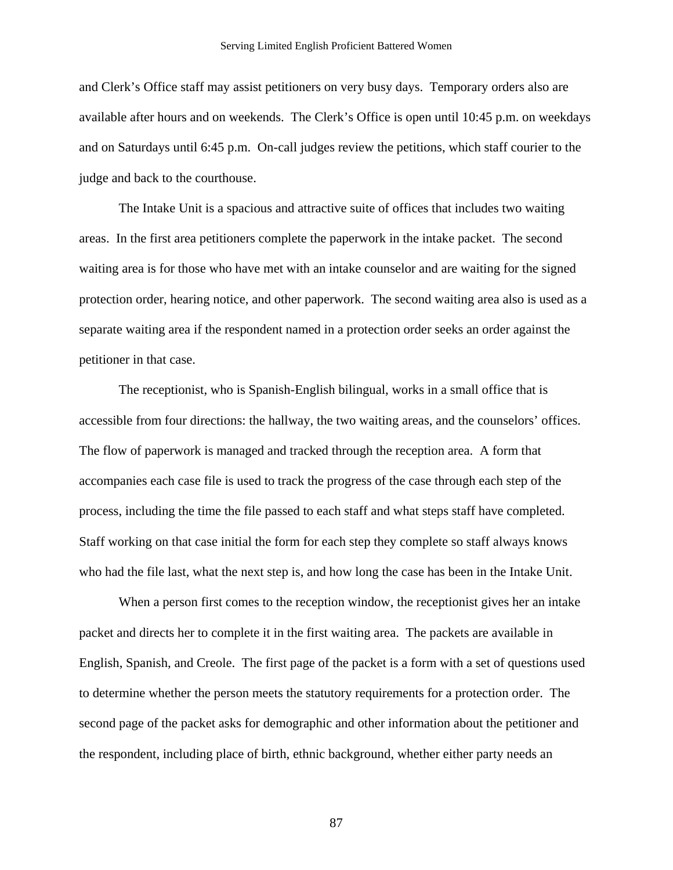and Clerk's Office staff may assist petitioners on very busy days. Temporary orders also are available after hours and on weekends. The Clerk's Office is open until 10:45 p.m. on weekdays and on Saturdays until 6:45 p.m. On-call judges review the petitions, which staff courier to the judge and back to the courthouse.

The Intake Unit is a spacious and attractive suite of offices that includes two waiting areas. In the first area petitioners complete the paperwork in the intake packet. The second waiting area is for those who have met with an intake counselor and are waiting for the signed protection order, hearing notice, and other paperwork. The second waiting area also is used as a separate waiting area if the respondent named in a protection order seeks an order against the petitioner in that case.

The receptionist, who is Spanish-English bilingual, works in a small office that is accessible from four directions: the hallway, the two waiting areas, and the counselors' offices. The flow of paperwork is managed and tracked through the reception area. A form that accompanies each case file is used to track the progress of the case through each step of the process, including the time the file passed to each staff and what steps staff have completed. Staff working on that case initial the form for each step they complete so staff always knows who had the file last, what the next step is, and how long the case has been in the Intake Unit.

When a person first comes to the reception window, the receptionist gives her an intake packet and directs her to complete it in the first waiting area. The packets are available in English, Spanish, and Creole. The first page of the packet is a form with a set of questions used to determine whether the person meets the statutory requirements for a protection order. The second page of the packet asks for demographic and other information about the petitioner and the respondent, including place of birth, ethnic background, whether either party needs an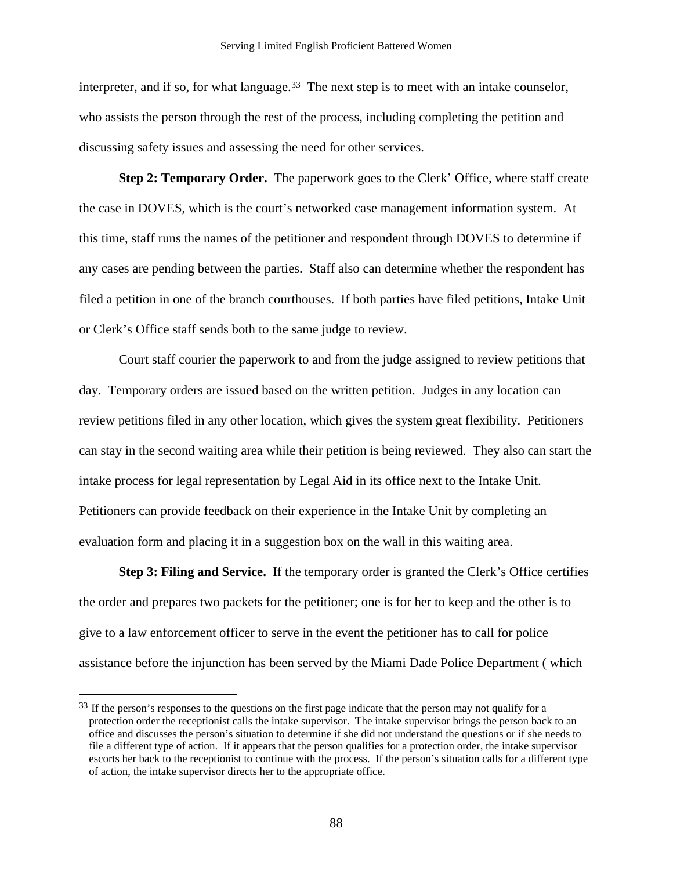<span id="page-90-0"></span>interpreter, and if so, for what language.<sup>[3](#page-90-0)3</sup> The next step is to meet with an intake counselor, who assists the person through the rest of the process, including completing the petition and discussing safety issues and assessing the need for other services.

**Step 2: Temporary Order.** The paperwork goes to the Clerk' Office, where staff create the case in DOVES, which is the court's networked case management information system. At this time, staff runs the names of the petitioner and respondent through DOVES to determine if any cases are pending between the parties. Staff also can determine whether the respondent has filed a petition in one of the branch courthouses. If both parties have filed petitions, Intake Unit or Clerk's Office staff sends both to the same judge to review.

Court staff courier the paperwork to and from the judge assigned to review petitions that day. Temporary orders are issued based on the written petition. Judges in any location can review petitions filed in any other location, which gives the system great flexibility. Petitioners can stay in the second waiting area while their petition is being reviewed. They also can start the intake process for legal representation by Legal Aid in its office next to the Intake Unit. Petitioners can provide feedback on their experience in the Intake Unit by completing an evaluation form and placing it in a suggestion box on the wall in this waiting area.

**Step 3: Filing and Service.** If the temporary order is granted the Clerk's Office certifies the order and prepares two packets for the petitioner; one is for her to keep and the other is to give to a law enforcement officer to serve in the event the petitioner has to call for police assistance before the injunction has been served by the Miami Dade Police Department ( which

 $\overline{a}$ 

<sup>&</sup>lt;sup>33</sup> If the person's responses to the questions on the first page indicate that the person may not qualify for a protection order the receptionist calls the intake supervisor. The intake supervisor brings the person back to an office and discusses the person's situation to determine if she did not understand the questions or if she needs to file a different type of action. If it appears that the person qualifies for a protection order, the intake supervisor escorts her back to the receptionist to continue with the process. If the person's situation calls for a different type of action, the intake supervisor directs her to the appropriate office.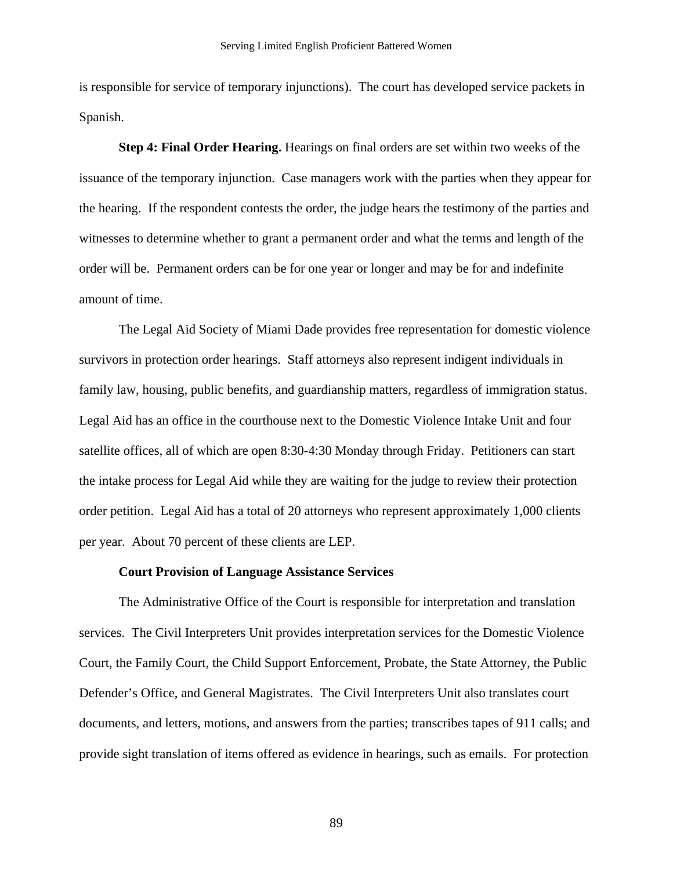is responsible for service of temporary injunctions). The court has developed service packets in Spanish.

**Step 4: Final Order Hearing.** Hearings on final orders are set within two weeks of the issuance of the temporary injunction. Case managers work with the parties when they appear for the hearing. If the respondent contests the order, the judge hears the testimony of the parties and witnesses to determine whether to grant a permanent order and what the terms and length of the order will be. Permanent orders can be for one year or longer and may be for and indefinite amount of time.

The Legal Aid Society of Miami Dade provides free representation for domestic violence survivors in protection order hearings. Staff attorneys also represent indigent individuals in family law, housing, public benefits, and guardianship matters, regardless of immigration status. Legal Aid has an office in the courthouse next to the Domestic Violence Intake Unit and four satellite offices, all of which are open 8:30-4:30 Monday through Friday. Petitioners can start the intake process for Legal Aid while they are waiting for the judge to review their protection order petition. Legal Aid has a total of 20 attorneys who represent approximately 1,000 clients per year. About 70 percent of these clients are LEP.

### **Court Provision of Language Assistance Services**

The Administrative Office of the Court is responsible for interpretation and translation services. The Civil Interpreters Unit provides interpretation services for the Domestic Violence Court, the Family Court, the Child Support Enforcement, Probate, the State Attorney, the Public Defender's Office, and General Magistrates. The Civil Interpreters Unit also translates court documents, and letters, motions, and answers from the parties; transcribes tapes of 911 calls; and provide sight translation of items offered as evidence in hearings, such as emails. For protection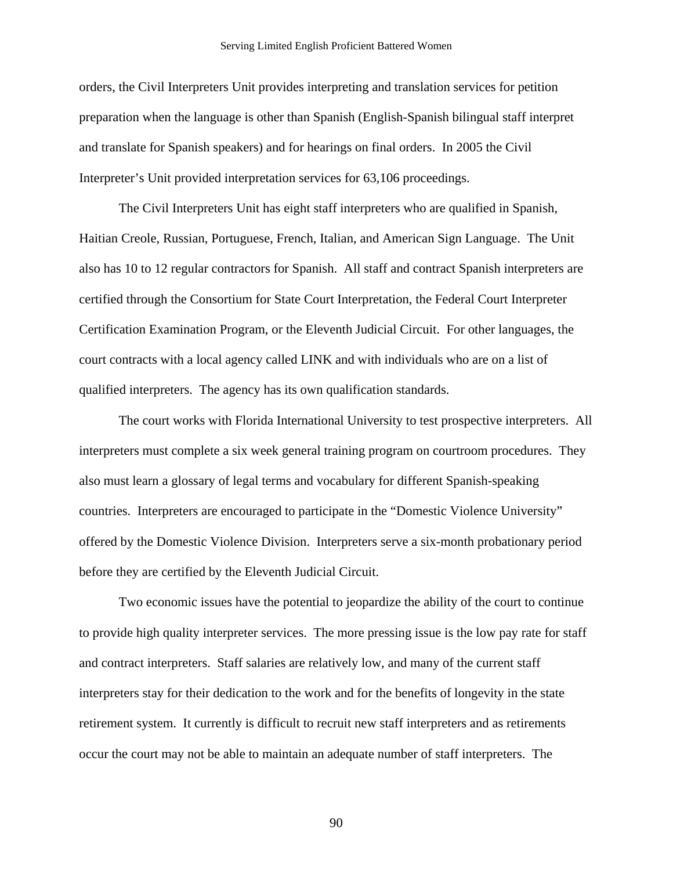orders, the Civil Interpreters Unit provides interpreting and translation services for petition preparation when the language is other than Spanish (English-Spanish bilingual staff interpret and translate for Spanish speakers) and for hearings on final orders. In 2005 the Civil Interpreter's Unit provided interpretation services for 63,106 proceedings.

The Civil Interpreters Unit has eight staff interpreters who are qualified in Spanish, Haitian Creole, Russian, Portuguese, French, Italian, and American Sign Language. The Unit also has 10 to 12 regular contractors for Spanish. All staff and contract Spanish interpreters are certified through the Consortium for State Court Interpretation, the Federal Court Interpreter Certification Examination Program, or the Eleventh Judicial Circuit. For other languages, the court contracts with a local agency called LINK and with individuals who are on a list of qualified interpreters. The agency has its own qualification standards.

The court works with Florida International University to test prospective interpreters. All interpreters must complete a six week general training program on courtroom procedures. They also must learn a glossary of legal terms and vocabulary for different Spanish-speaking countries. Interpreters are encouraged to participate in the "Domestic Violence University" offered by the Domestic Violence Division. Interpreters serve a six-month probationary period before they are certified by the Eleventh Judicial Circuit.

Two economic issues have the potential to jeopardize the ability of the court to continue to provide high quality interpreter services. The more pressing issue is the low pay rate for staff and contract interpreters. Staff salaries are relatively low, and many of the current staff interpreters stay for their dedication to the work and for the benefits of longevity in the state retirement system. It currently is difficult to recruit new staff interpreters and as retirements occur the court may not be able to maintain an adequate number of staff interpreters. The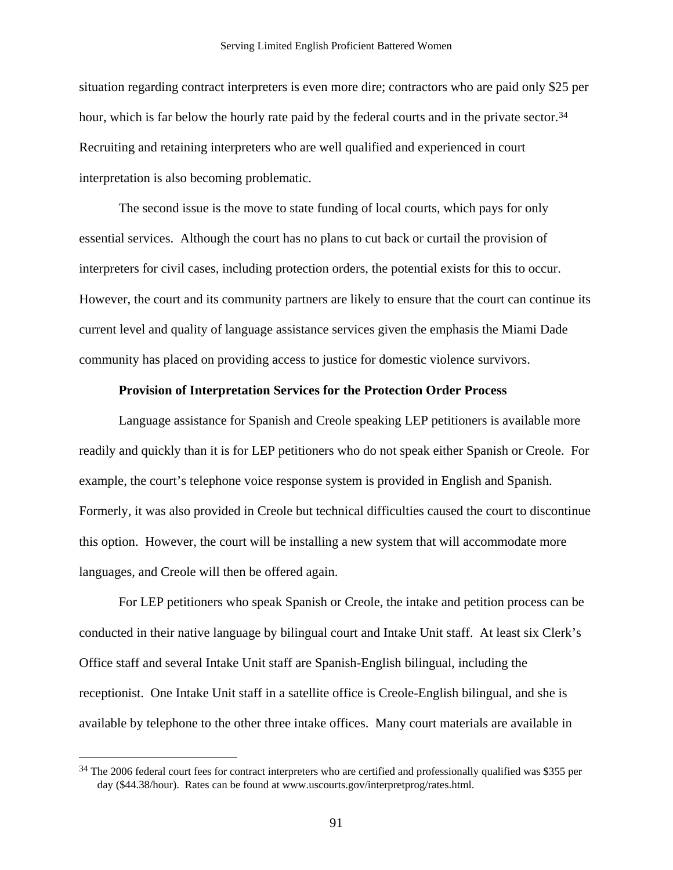<span id="page-93-0"></span>situation regarding contract interpreters is even more dire; contractors who are paid only \$25 per hour, which is far below the hourly rate paid by the federal courts and in the private sector.<sup>[34](#page-93-0)</sup> Recruiting and retaining interpreters who are well qualified and experienced in court interpretation is also becoming problematic.

The second issue is the move to state funding of local courts, which pays for only essential services. Although the court has no plans to cut back or curtail the provision of interpreters for civil cases, including protection orders, the potential exists for this to occur. However, the court and its community partners are likely to ensure that the court can continue its current level and quality of language assistance services given the emphasis the Miami Dade community has placed on providing access to justice for domestic violence survivors.

### **Provision of Interpretation Services for the Protection Order Process**

Language assistance for Spanish and Creole speaking LEP petitioners is available more readily and quickly than it is for LEP petitioners who do not speak either Spanish or Creole. For example, the court's telephone voice response system is provided in English and Spanish. Formerly, it was also provided in Creole but technical difficulties caused the court to discontinue this option. However, the court will be installing a new system that will accommodate more languages, and Creole will then be offered again.

For LEP petitioners who speak Spanish or Creole, the intake and petition process can be conducted in their native language by bilingual court and Intake Unit staff. At least six Clerk's Office staff and several Intake Unit staff are Spanish-English bilingual, including the receptionist. One Intake Unit staff in a satellite office is Creole-English bilingual, and she is available by telephone to the other three intake offices. Many court materials are available in

 $\overline{a}$ 

<sup>&</sup>lt;sup>34</sup> The 2006 federal court fees for contract interpreters who are certified and professionally qualified was \$355 per day (\$44.38/hour). Rates can be found at www.uscourts.gov/interpretprog/rates.html.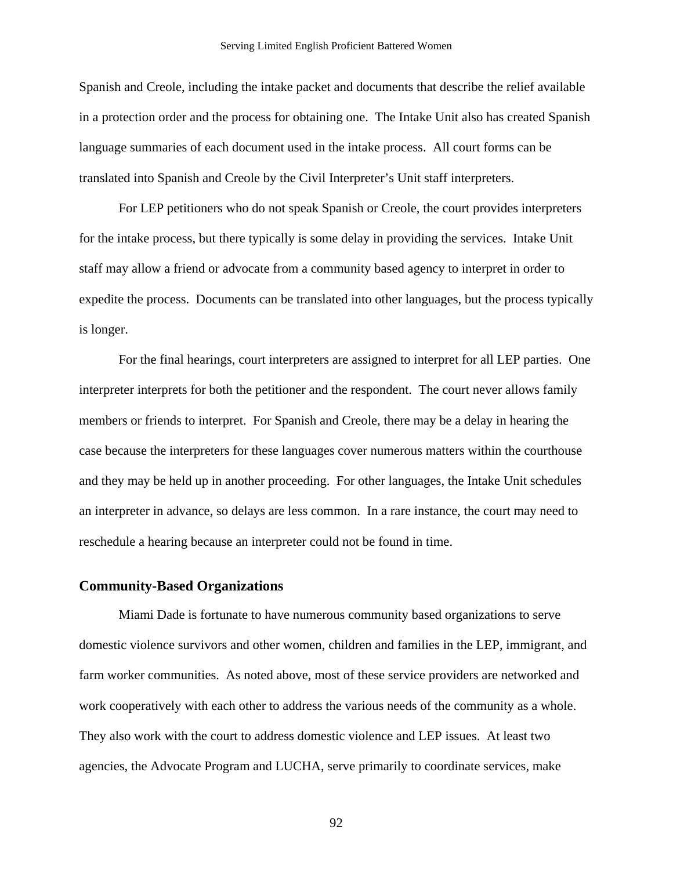Spanish and Creole, including the intake packet and documents that describe the relief available in a protection order and the process for obtaining one. The Intake Unit also has created Spanish language summaries of each document used in the intake process. All court forms can be translated into Spanish and Creole by the Civil Interpreter's Unit staff interpreters.

For LEP petitioners who do not speak Spanish or Creole, the court provides interpreters for the intake process, but there typically is some delay in providing the services. Intake Unit staff may allow a friend or advocate from a community based agency to interpret in order to expedite the process. Documents can be translated into other languages, but the process typically is longer.

For the final hearings, court interpreters are assigned to interpret for all LEP parties. One interpreter interprets for both the petitioner and the respondent. The court never allows family members or friends to interpret. For Spanish and Creole, there may be a delay in hearing the case because the interpreters for these languages cover numerous matters within the courthouse and they may be held up in another proceeding. For other languages, the Intake Unit schedules an interpreter in advance, so delays are less common. In a rare instance, the court may need to reschedule a hearing because an interpreter could not be found in time.

### **Community-Based Organizations**

Miami Dade is fortunate to have numerous community based organizations to serve domestic violence survivors and other women, children and families in the LEP, immigrant, and farm worker communities. As noted above, most of these service providers are networked and work cooperatively with each other to address the various needs of the community as a whole. They also work with the court to address domestic violence and LEP issues. At least two agencies, the Advocate Program and LUCHA, serve primarily to coordinate services, make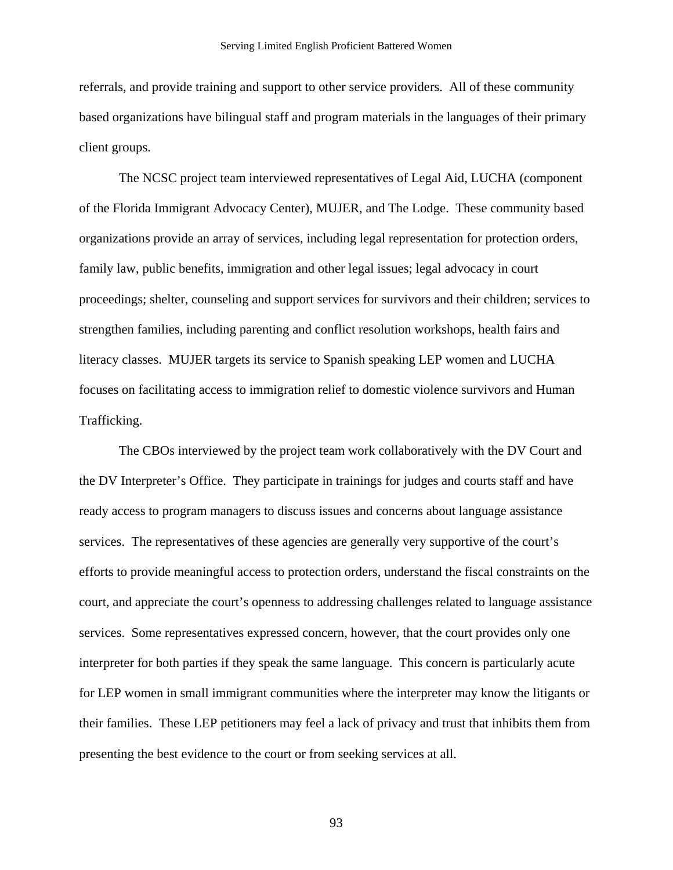referrals, and provide training and support to other service providers. All of these community based organizations have bilingual staff and program materials in the languages of their primary client groups.

The NCSC project team interviewed representatives of Legal Aid, LUCHA (component of the Florida Immigrant Advocacy Center), MUJER, and The Lodge. These community based organizations provide an array of services, including legal representation for protection orders, family law, public benefits, immigration and other legal issues; legal advocacy in court proceedings; shelter, counseling and support services for survivors and their children; services to strengthen families, including parenting and conflict resolution workshops, health fairs and literacy classes. MUJER targets its service to Spanish speaking LEP women and LUCHA focuses on facilitating access to immigration relief to domestic violence survivors and Human Trafficking.

The CBOs interviewed by the project team work collaboratively with the DV Court and the DV Interpreter's Office. They participate in trainings for judges and courts staff and have ready access to program managers to discuss issues and concerns about language assistance services. The representatives of these agencies are generally very supportive of the court's efforts to provide meaningful access to protection orders, understand the fiscal constraints on the court, and appreciate the court's openness to addressing challenges related to language assistance services. Some representatives expressed concern, however, that the court provides only one interpreter for both parties if they speak the same language. This concern is particularly acute for LEP women in small immigrant communities where the interpreter may know the litigants or their families. These LEP petitioners may feel a lack of privacy and trust that inhibits them from presenting the best evidence to the court or from seeking services at all.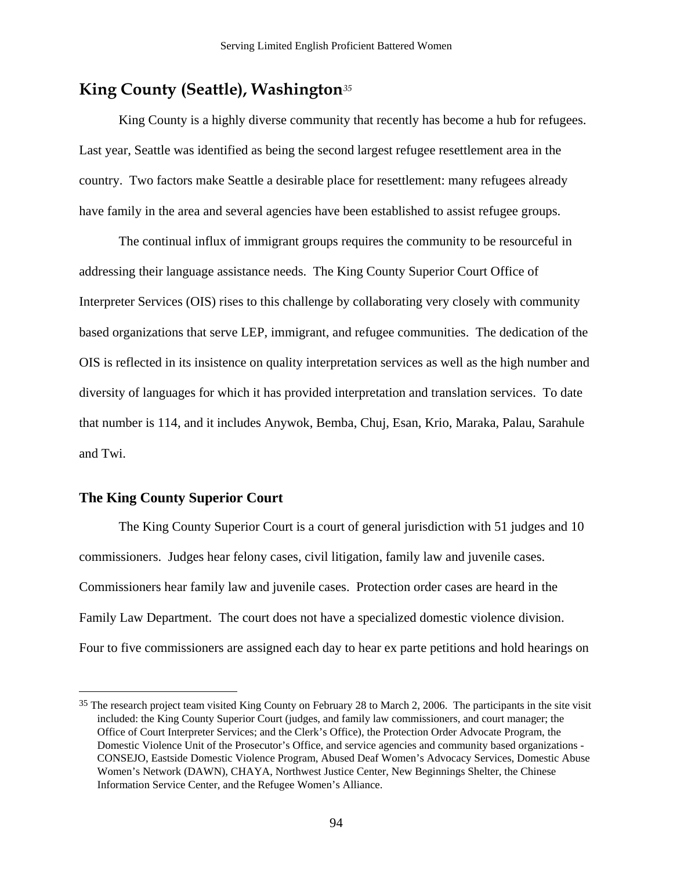# <span id="page-96-0"></span>**King County (Seattle), Washington***[3](#page-96-0)5*

King County is a highly diverse community that recently has become a hub for refugees. Last year, Seattle was identified as being the second largest refugee resettlement area in the country. Two factors make Seattle a desirable place for resettlement: many refugees already have family in the area and several agencies have been established to assist refugee groups.

The continual influx of immigrant groups requires the community to be resourceful in addressing their language assistance needs. The King County Superior Court Office of Interpreter Services (OIS) rises to this challenge by collaborating very closely with community based organizations that serve LEP, immigrant, and refugee communities. The dedication of the OIS is reflected in its insistence on quality interpretation services as well as the high number and diversity of languages for which it has provided interpretation and translation services. To date that number is 114, and it includes Anywok, Bemba, Chuj, Esan, Krio, Maraka, Palau, Sarahule and Twi.

### **The King County Superior Court**

 $\overline{a}$ 

The King County Superior Court is a court of general jurisdiction with 51 judges and 10 commissioners. Judges hear felony cases, civil litigation, family law and juvenile cases. Commissioners hear family law and juvenile cases. Protection order cases are heard in the Family Law Department. The court does not have a specialized domestic violence division. Four to five commissioners are assigned each day to hear ex parte petitions and hold hearings on

<sup>&</sup>lt;sup>35</sup> The research project team visited King County on February 28 to March 2, 2006. The participants in the site visit included: the King County Superior Court (judges, and family law commissioners, and court manager; the Office of Court Interpreter Services; and the Clerk's Office), the Protection Order Advocate Program, the Domestic Violence Unit of the Prosecutor's Office, and service agencies and community based organizations - CONSEJO, Eastside Domestic Violence Program, Abused Deaf Women's Advocacy Services, Domestic Abuse Women's Network (DAWN), CHAYA, Northwest Justice Center, New Beginnings Shelter, the Chinese Information Service Center, and the Refugee Women's Alliance.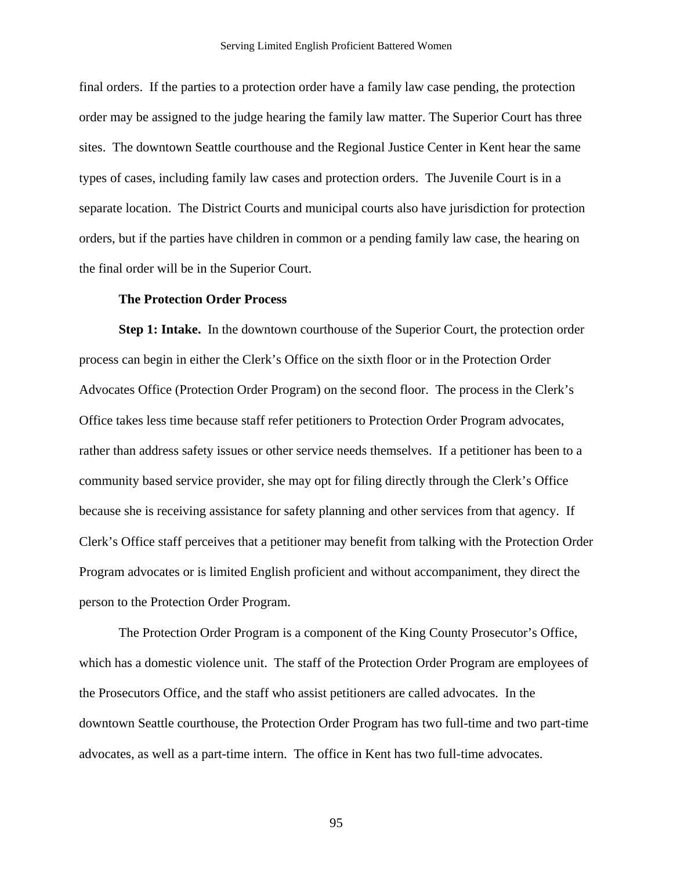final orders. If the parties to a protection order have a family law case pending, the protection order may be assigned to the judge hearing the family law matter. The Superior Court has three sites. The downtown Seattle courthouse and the Regional Justice Center in Kent hear the same types of cases, including family law cases and protection orders. The Juvenile Court is in a separate location. The District Courts and municipal courts also have jurisdiction for protection orders, but if the parties have children in common or a pending family law case, the hearing on the final order will be in the Superior Court.

### **The Protection Order Process**

**Step 1: Intake.** In the downtown courthouse of the Superior Court, the protection order process can begin in either the Clerk's Office on the sixth floor or in the Protection Order Advocates Office (Protection Order Program) on the second floor. The process in the Clerk's Office takes less time because staff refer petitioners to Protection Order Program advocates, rather than address safety issues or other service needs themselves. If a petitioner has been to a community based service provider, she may opt for filing directly through the Clerk's Office because she is receiving assistance for safety planning and other services from that agency. If Clerk's Office staff perceives that a petitioner may benefit from talking with the Protection Order Program advocates or is limited English proficient and without accompaniment, they direct the person to the Protection Order Program.

The Protection Order Program is a component of the King County Prosecutor's Office, which has a domestic violence unit. The staff of the Protection Order Program are employees of the Prosecutors Office, and the staff who assist petitioners are called advocates. In the downtown Seattle courthouse, the Protection Order Program has two full-time and two part-time advocates, as well as a part-time intern. The office in Kent has two full-time advocates.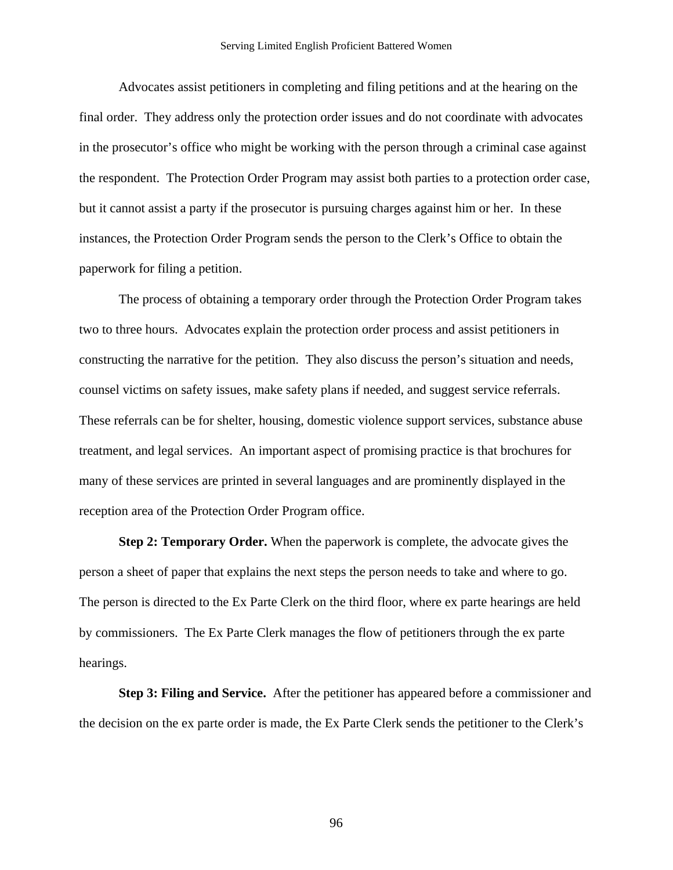Advocates assist petitioners in completing and filing petitions and at the hearing on the final order. They address only the protection order issues and do not coordinate with advocates in the prosecutor's office who might be working with the person through a criminal case against the respondent. The Protection Order Program may assist both parties to a protection order case, but it cannot assist a party if the prosecutor is pursuing charges against him or her. In these instances, the Protection Order Program sends the person to the Clerk's Office to obtain the paperwork for filing a petition.

The process of obtaining a temporary order through the Protection Order Program takes two to three hours. Advocates explain the protection order process and assist petitioners in constructing the narrative for the petition. They also discuss the person's situation and needs, counsel victims on safety issues, make safety plans if needed, and suggest service referrals. These referrals can be for shelter, housing, domestic violence support services, substance abuse treatment, and legal services. An important aspect of promising practice is that brochures for many of these services are printed in several languages and are prominently displayed in the reception area of the Protection Order Program office.

**Step 2: Temporary Order.** When the paperwork is complete, the advocate gives the person a sheet of paper that explains the next steps the person needs to take and where to go. The person is directed to the Ex Parte Clerk on the third floor, where ex parte hearings are held by commissioners. The Ex Parte Clerk manages the flow of petitioners through the ex parte hearings.

**Step 3: Filing and Service.** After the petitioner has appeared before a commissioner and the decision on the ex parte order is made, the Ex Parte Clerk sends the petitioner to the Clerk's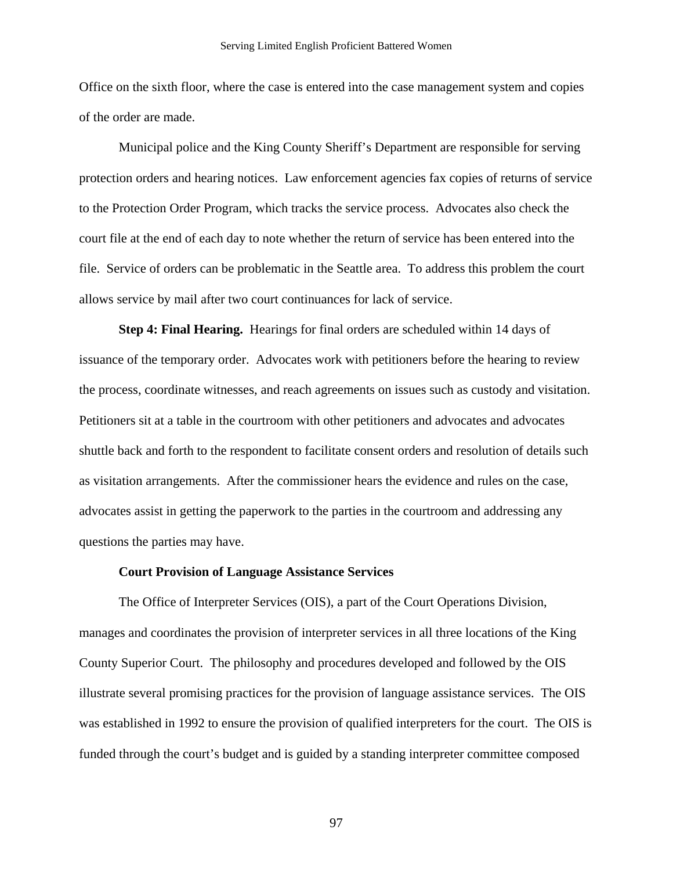Office on the sixth floor, where the case is entered into the case management system and copies of the order are made.

Municipal police and the King County Sheriff's Department are responsible for serving protection orders and hearing notices. Law enforcement agencies fax copies of returns of service to the Protection Order Program, which tracks the service process. Advocates also check the court file at the end of each day to note whether the return of service has been entered into the file. Service of orders can be problematic in the Seattle area. To address this problem the court allows service by mail after two court continuances for lack of service.

**Step 4: Final Hearing.** Hearings for final orders are scheduled within 14 days of issuance of the temporary order. Advocates work with petitioners before the hearing to review the process, coordinate witnesses, and reach agreements on issues such as custody and visitation. Petitioners sit at a table in the courtroom with other petitioners and advocates and advocates shuttle back and forth to the respondent to facilitate consent orders and resolution of details such as visitation arrangements. After the commissioner hears the evidence and rules on the case, advocates assist in getting the paperwork to the parties in the courtroom and addressing any questions the parties may have.

### **Court Provision of Language Assistance Services**

The Office of Interpreter Services (OIS), a part of the Court Operations Division, manages and coordinates the provision of interpreter services in all three locations of the King County Superior Court. The philosophy and procedures developed and followed by the OIS illustrate several promising practices for the provision of language assistance services. The OIS was established in 1992 to ensure the provision of qualified interpreters for the court. The OIS is funded through the court's budget and is guided by a standing interpreter committee composed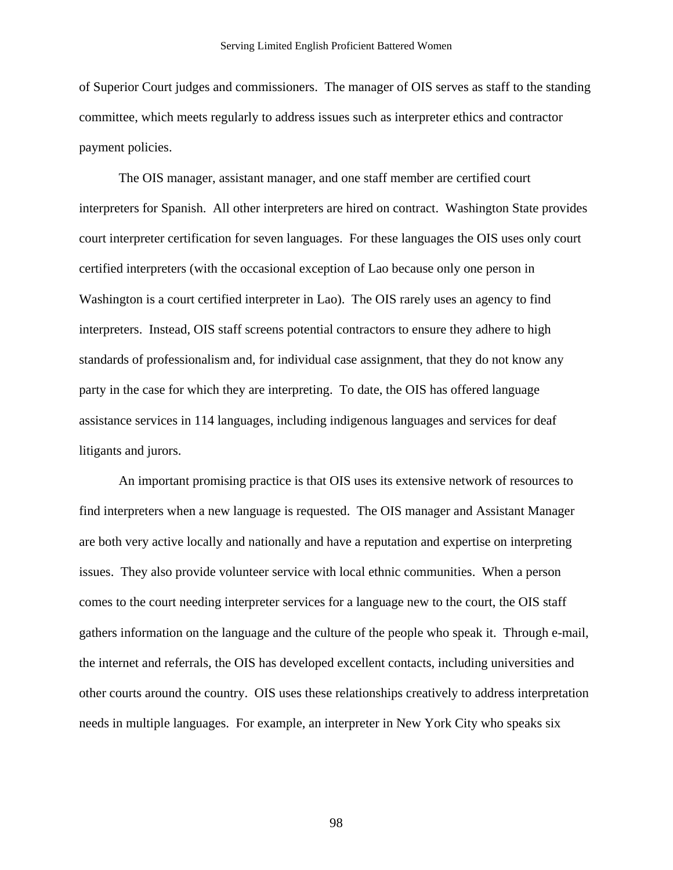of Superior Court judges and commissioners. The manager of OIS serves as staff to the standing committee, which meets regularly to address issues such as interpreter ethics and contractor payment policies.

The OIS manager, assistant manager, and one staff member are certified court interpreters for Spanish. All other interpreters are hired on contract. Washington State provides court interpreter certification for seven languages. For these languages the OIS uses only court certified interpreters (with the occasional exception of Lao because only one person in Washington is a court certified interpreter in Lao). The OIS rarely uses an agency to find interpreters. Instead, OIS staff screens potential contractors to ensure they adhere to high standards of professionalism and, for individual case assignment, that they do not know any party in the case for which they are interpreting. To date, the OIS has offered language assistance services in 114 languages, including indigenous languages and services for deaf litigants and jurors.

An important promising practice is that OIS uses its extensive network of resources to find interpreters when a new language is requested. The OIS manager and Assistant Manager are both very active locally and nationally and have a reputation and expertise on interpreting issues. They also provide volunteer service with local ethnic communities. When a person comes to the court needing interpreter services for a language new to the court, the OIS staff gathers information on the language and the culture of the people who speak it. Through e-mail, the internet and referrals, the OIS has developed excellent contacts, including universities and other courts around the country. OIS uses these relationships creatively to address interpretation needs in multiple languages. For example, an interpreter in New York City who speaks six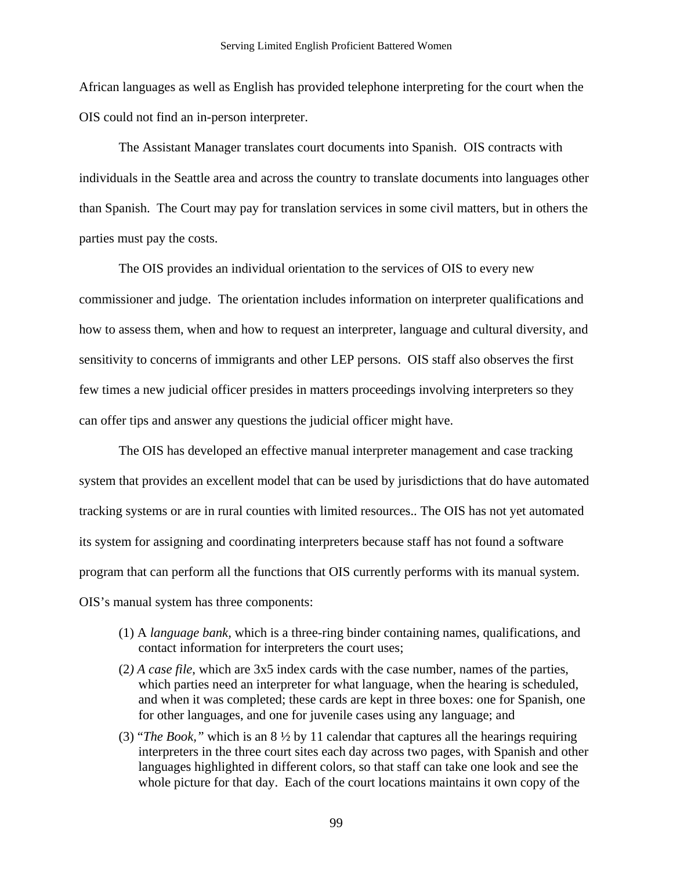African languages as well as English has provided telephone interpreting for the court when the OIS could not find an in-person interpreter.

The Assistant Manager translates court documents into Spanish. OIS contracts with individuals in the Seattle area and across the country to translate documents into languages other than Spanish. The Court may pay for translation services in some civil matters, but in others the parties must pay the costs.

The OIS provides an individual orientation to the services of OIS to every new commissioner and judge. The orientation includes information on interpreter qualifications and how to assess them, when and how to request an interpreter, language and cultural diversity, and sensitivity to concerns of immigrants and other LEP persons. OIS staff also observes the first few times a new judicial officer presides in matters proceedings involving interpreters so they can offer tips and answer any questions the judicial officer might have.

The OIS has developed an effective manual interpreter management and case tracking system that provides an excellent model that can be used by jurisdictions that do have automated tracking systems or are in rural counties with limited resources.. The OIS has not yet automated its system for assigning and coordinating interpreters because staff has not found a software program that can perform all the functions that OIS currently performs with its manual system. OIS's manual system has three components:

- (1) A *language bank,* which is a three-ring binder containing names, qualifications, and contact information for interpreters the court uses;
- (2*) A case file*, which are 3x5 index cards with the case number, names of the parties, which parties need an interpreter for what language, when the hearing is scheduled, and when it was completed; these cards are kept in three boxes: one for Spanish, one for other languages, and one for juvenile cases using any language; and
- (3) "*The Book,"* which is an 8 ½ by 11 calendar that captures all the hearings requiring interpreters in the three court sites each day across two pages, with Spanish and other languages highlighted in different colors, so that staff can take one look and see the whole picture for that day. Each of the court locations maintains it own copy of the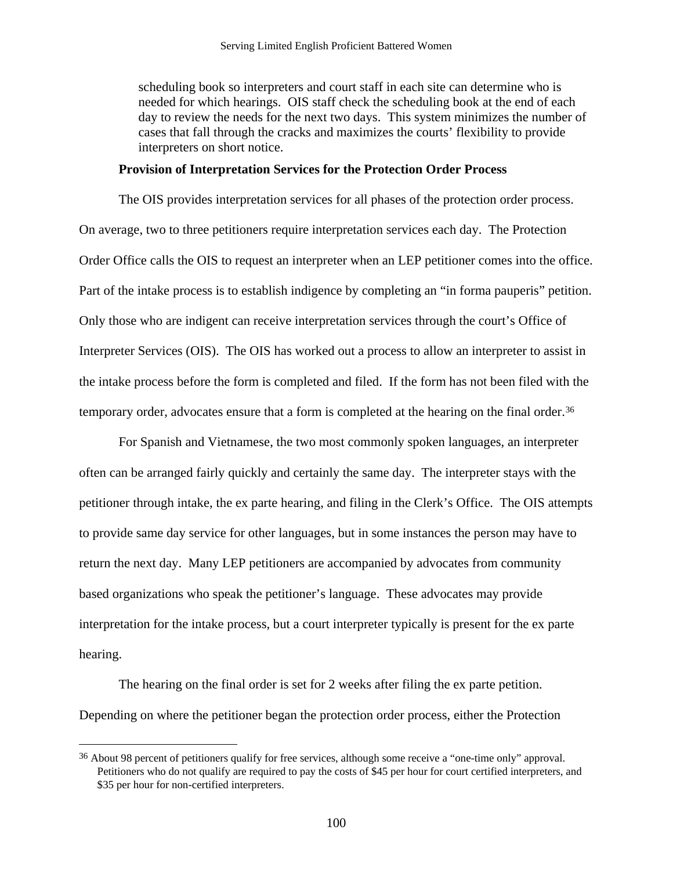<span id="page-102-0"></span>scheduling book so interpreters and court staff in each site can determine who is needed for which hearings. OIS staff check the scheduling book at the end of each day to review the needs for the next two days. This system minimizes the number of cases that fall through the cracks and maximizes the courts' flexibility to provide interpreters on short notice.

### **Provision of Interpretation Services for the Protection Order Process**

The OIS provides interpretation services for all phases of the protection order process. On average, two to three petitioners require interpretation services each day. The Protection Order Office calls the OIS to request an interpreter when an LEP petitioner comes into the office. Part of the intake process is to establish indigence by completing an "in forma pauperis" petition. Only those who are indigent can receive interpretation services through the court's Office of Interpreter Services (OIS). The OIS has worked out a process to allow an interpreter to assist in the intake process before the form is completed and filed. If the form has not been filed with the temporary order, advocates ensure that a form is completed at the hearing on the final order.<sup>[36](#page-102-0)</sup>

For Spanish and Vietnamese, the two most commonly spoken languages, an interpreter often can be arranged fairly quickly and certainly the same day. The interpreter stays with the petitioner through intake, the ex parte hearing, and filing in the Clerk's Office. The OIS attempts to provide same day service for other languages, but in some instances the person may have to return the next day. Many LEP petitioners are accompanied by advocates from community based organizations who speak the petitioner's language. These advocates may provide interpretation for the intake process, but a court interpreter typically is present for the ex parte hearing.

The hearing on the final order is set for 2 weeks after filing the ex parte petition. Depending on where the petitioner began the protection order process, either the Protection

<u>.</u>

<sup>36</sup> About 98 percent of petitioners qualify for free services, although some receive a "one-time only" approval. Petitioners who do not qualify are required to pay the costs of \$45 per hour for court certified interpreters, and \$35 per hour for non-certified interpreters.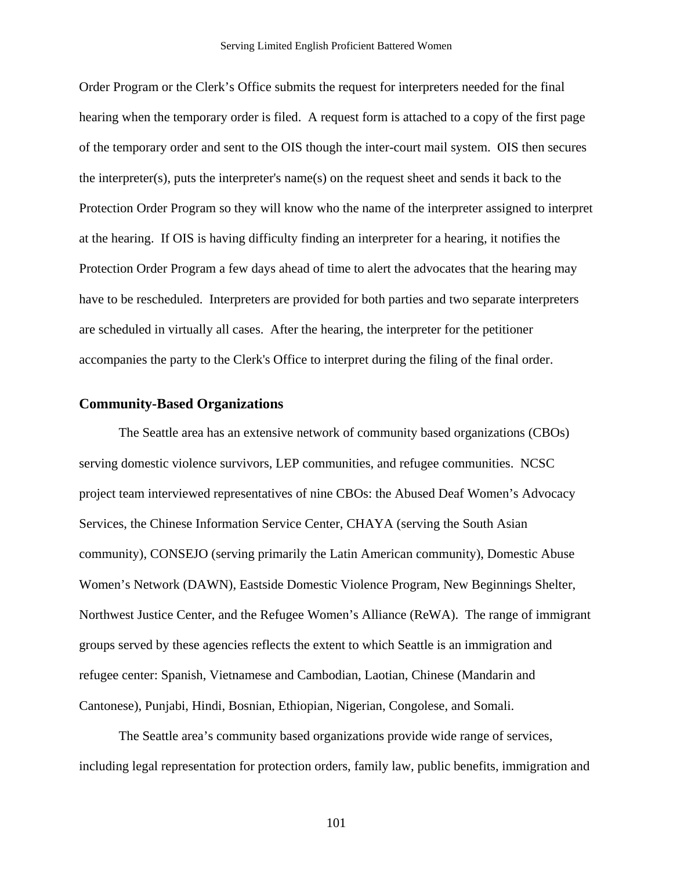Order Program or the Clerk's Office submits the request for interpreters needed for the final hearing when the temporary order is filed. A request form is attached to a copy of the first page of the temporary order and sent to the OIS though the inter-court mail system. OIS then secures the interpreter(s), puts the interpreter's name(s) on the request sheet and sends it back to the Protection Order Program so they will know who the name of the interpreter assigned to interpret at the hearing. If OIS is having difficulty finding an interpreter for a hearing, it notifies the Protection Order Program a few days ahead of time to alert the advocates that the hearing may have to be rescheduled. Interpreters are provided for both parties and two separate interpreters are scheduled in virtually all cases. After the hearing, the interpreter for the petitioner accompanies the party to the Clerk's Office to interpret during the filing of the final order.

### **Community-Based Organizations**

The Seattle area has an extensive network of community based organizations (CBOs) serving domestic violence survivors, LEP communities, and refugee communities. NCSC project team interviewed representatives of nine CBOs: the Abused Deaf Women's Advocacy Services, the Chinese Information Service Center, CHAYA (serving the South Asian community), CONSEJO (serving primarily the Latin American community), Domestic Abuse Women's Network (DAWN), Eastside Domestic Violence Program, New Beginnings Shelter, Northwest Justice Center, and the Refugee Women's Alliance (ReWA). The range of immigrant groups served by these agencies reflects the extent to which Seattle is an immigration and refugee center: Spanish, Vietnamese and Cambodian, Laotian, Chinese (Mandarin and Cantonese), Punjabi, Hindi, Bosnian, Ethiopian, Nigerian, Congolese, and Somali.

The Seattle area's community based organizations provide wide range of services, including legal representation for protection orders, family law, public benefits, immigration and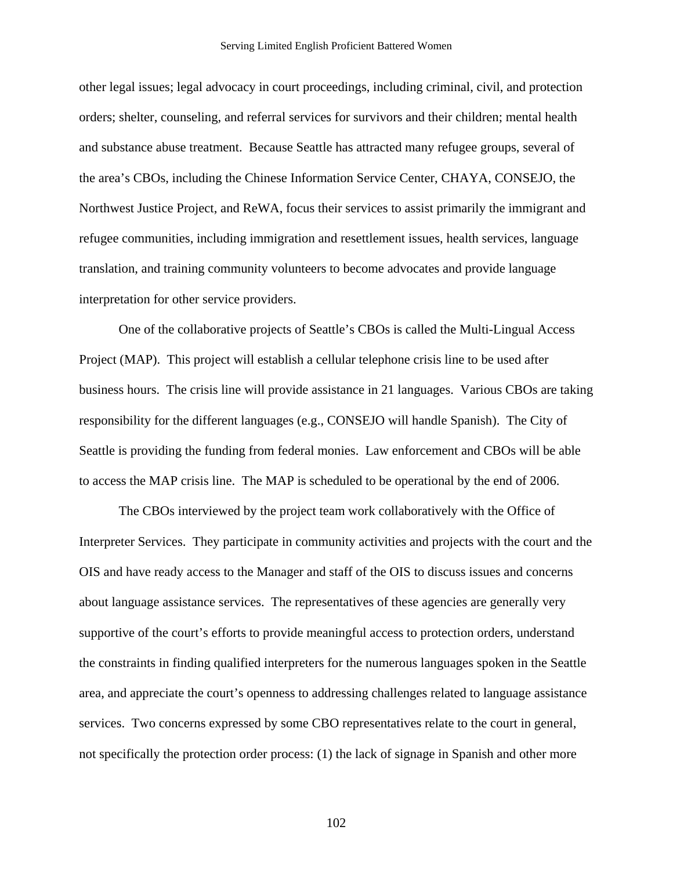other legal issues; legal advocacy in court proceedings, including criminal, civil, and protection orders; shelter, counseling, and referral services for survivors and their children; mental health and substance abuse treatment. Because Seattle has attracted many refugee groups, several of the area's CBOs, including the Chinese Information Service Center, CHAYA, CONSEJO, the Northwest Justice Project, and ReWA, focus their services to assist primarily the immigrant and refugee communities, including immigration and resettlement issues, health services, language translation, and training community volunteers to become advocates and provide language interpretation for other service providers.

One of the collaborative projects of Seattle's CBOs is called the Multi-Lingual Access Project (MAP). This project will establish a cellular telephone crisis line to be used after business hours. The crisis line will provide assistance in 21 languages. Various CBOs are taking responsibility for the different languages (e.g., CONSEJO will handle Spanish). The City of Seattle is providing the funding from federal monies. Law enforcement and CBOs will be able to access the MAP crisis line. The MAP is scheduled to be operational by the end of 2006.

The CBOs interviewed by the project team work collaboratively with the Office of Interpreter Services. They participate in community activities and projects with the court and the OIS and have ready access to the Manager and staff of the OIS to discuss issues and concerns about language assistance services. The representatives of these agencies are generally very supportive of the court's efforts to provide meaningful access to protection orders, understand the constraints in finding qualified interpreters for the numerous languages spoken in the Seattle area, and appreciate the court's openness to addressing challenges related to language assistance services. Two concerns expressed by some CBO representatives relate to the court in general, not specifically the protection order process: (1) the lack of signage in Spanish and other more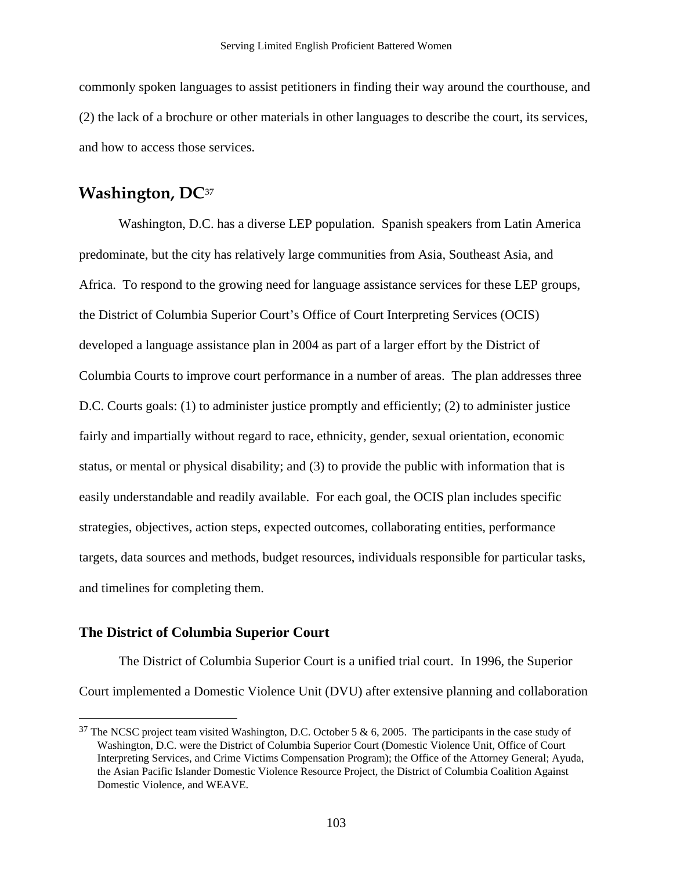<span id="page-105-0"></span>commonly spoken languages to assist petitioners in finding their way around the courthouse, and (2) the lack of a brochure or other materials in other languages to describe the court, its services, and how to access those services.

## **Washington, DC**[37](#page-105-0)

Washington, D.C. has a diverse LEP population. Spanish speakers from Latin America predominate, but the city has relatively large communities from Asia, Southeast Asia, and Africa. To respond to the growing need for language assistance services for these LEP groups, the District of Columbia Superior Court's Office of Court Interpreting Services (OCIS) developed a language assistance plan in 2004 as part of a larger effort by the District of Columbia Courts to improve court performance in a number of areas. The plan addresses three D.C. Courts goals: (1) to administer justice promptly and efficiently; (2) to administer justice fairly and impartially without regard to race, ethnicity, gender, sexual orientation, economic status, or mental or physical disability; and (3) to provide the public with information that is easily understandable and readily available. For each goal, the OCIS plan includes specific strategies, objectives, action steps, expected outcomes, collaborating entities, performance targets, data sources and methods, budget resources, individuals responsible for particular tasks, and timelines for completing them.

### **The District of Columbia Superior Court**

 $\overline{a}$ 

The District of Columbia Superior Court is a unified trial court. In 1996, the Superior Court implemented a Domestic Violence Unit (DVU) after extensive planning and collaboration

<sup>&</sup>lt;sup>37</sup> The NCSC project team visited Washington, D.C. October 5 & 6, 2005. The participants in the case study of Washington, D.C. were the District of Columbia Superior Court (Domestic Violence Unit, Office of Court Interpreting Services, and Crime Victims Compensation Program); the Office of the Attorney General; Ayuda, the Asian Pacific Islander Domestic Violence Resource Project, the District of Columbia Coalition Against Domestic Violence, and WEAVE.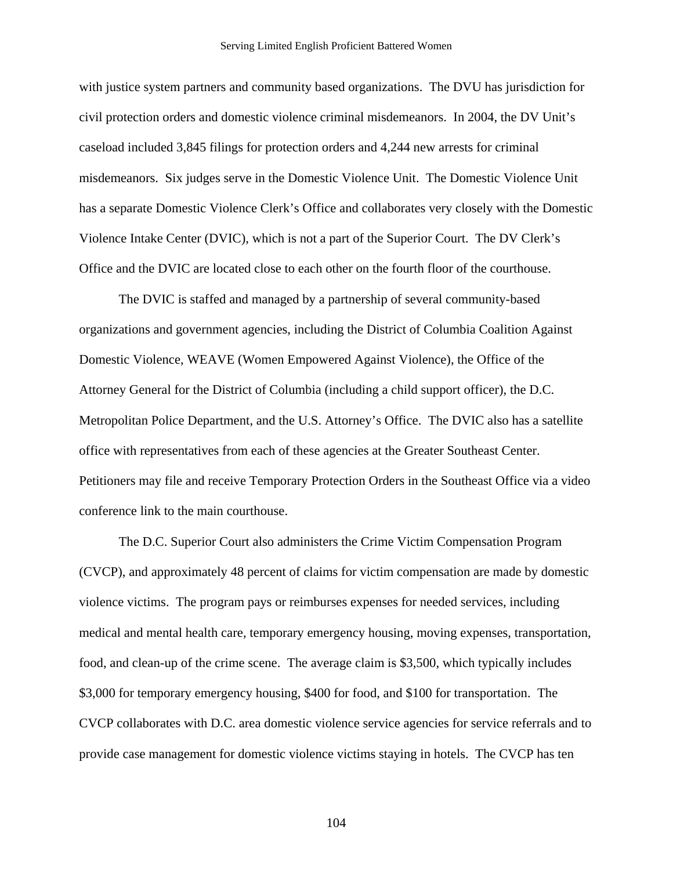with justice system partners and community based organizations. The DVU has jurisdiction for civil protection orders and domestic violence criminal misdemeanors. In 2004, the DV Unit's caseload included 3,845 filings for protection orders and 4,244 new arrests for criminal misdemeanors. Six judges serve in the Domestic Violence Unit. The Domestic Violence Unit has a separate Domestic Violence Clerk's Office and collaborates very closely with the Domestic Violence Intake Center (DVIC), which is not a part of the Superior Court. The DV Clerk's Office and the DVIC are located close to each other on the fourth floor of the courthouse.

The DVIC is staffed and managed by a partnership of several community-based organizations and government agencies, including the District of Columbia Coalition Against Domestic Violence, WEAVE (Women Empowered Against Violence), the Office of the Attorney General for the District of Columbia (including a child support officer), the D.C. Metropolitan Police Department, and the U.S. Attorney's Office. The DVIC also has a satellite office with representatives from each of these agencies at the Greater Southeast Center. Petitioners may file and receive Temporary Protection Orders in the Southeast Office via a video conference link to the main courthouse.

The D.C. Superior Court also administers the Crime Victim Compensation Program (CVCP), and approximately 48 percent of claims for victim compensation are made by domestic violence victims. The program pays or reimburses expenses for needed services, including medical and mental health care, temporary emergency housing, moving expenses, transportation, food, and clean-up of the crime scene. The average claim is \$3,500, which typically includes \$3,000 for temporary emergency housing, \$400 for food, and \$100 for transportation. The CVCP collaborates with D.C. area domestic violence service agencies for service referrals and to provide case management for domestic violence victims staying in hotels. The CVCP has ten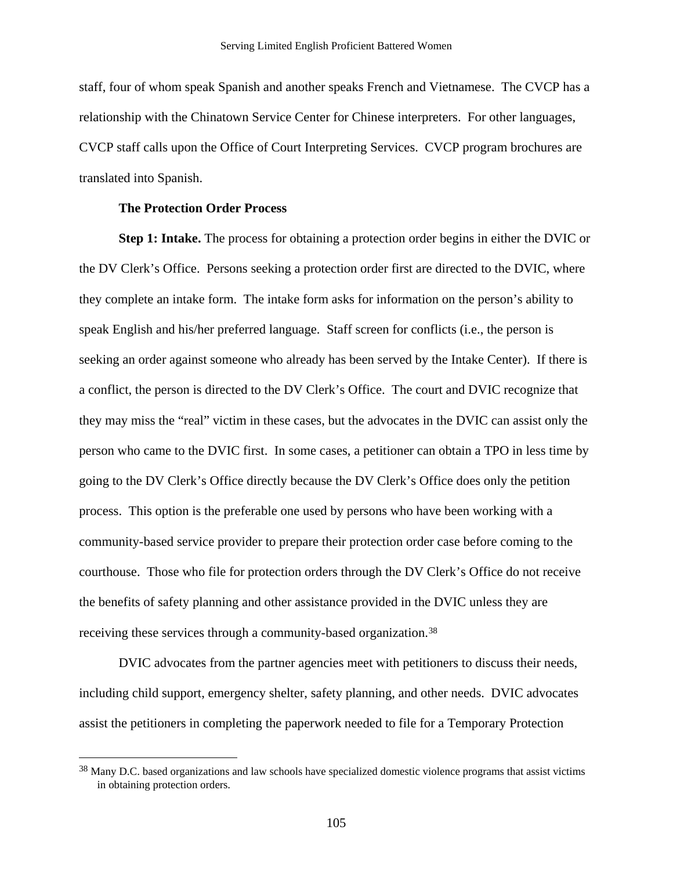<span id="page-107-0"></span>staff, four of whom speak Spanish and another speaks French and Vietnamese. The CVCP has a relationship with the Chinatown Service Center for Chinese interpreters. For other languages, CVCP staff calls upon the Office of Court Interpreting Services. CVCP program brochures are translated into Spanish.

### **The Protection Order Process**

 $\overline{a}$ 

**Step 1: Intake.** The process for obtaining a protection order begins in either the DVIC or the DV Clerk's Office. Persons seeking a protection order first are directed to the DVIC, where they complete an intake form. The intake form asks for information on the person's ability to speak English and his/her preferred language. Staff screen for conflicts (i.e., the person is seeking an order against someone who already has been served by the Intake Center). If there is a conflict, the person is directed to the DV Clerk's Office. The court and DVIC recognize that they may miss the "real" victim in these cases, but the advocates in the DVIC can assist only the person who came to the DVIC first. In some cases, a petitioner can obtain a TPO in less time by going to the DV Clerk's Office directly because the DV Clerk's Office does only the petition process. This option is the preferable one used by persons who have been working with a community-based service provider to prepare their protection order case before coming to the courthouse. Those who file for protection orders through the DV Clerk's Office do not receive the benefits of safety planning and other assistance provided in the DVIC unless they are receiving these services through a community-based organization.[3](#page-107-0)8

DVIC advocates from the partner agencies meet with petitioners to discuss their needs, including child support, emergency shelter, safety planning, and other needs. DVIC advocates assist the petitioners in completing the paperwork needed to file for a Temporary Protection

<sup>&</sup>lt;sup>38</sup> Many D.C. based organizations and law schools have specialized domestic violence programs that assist victims in obtaining protection orders.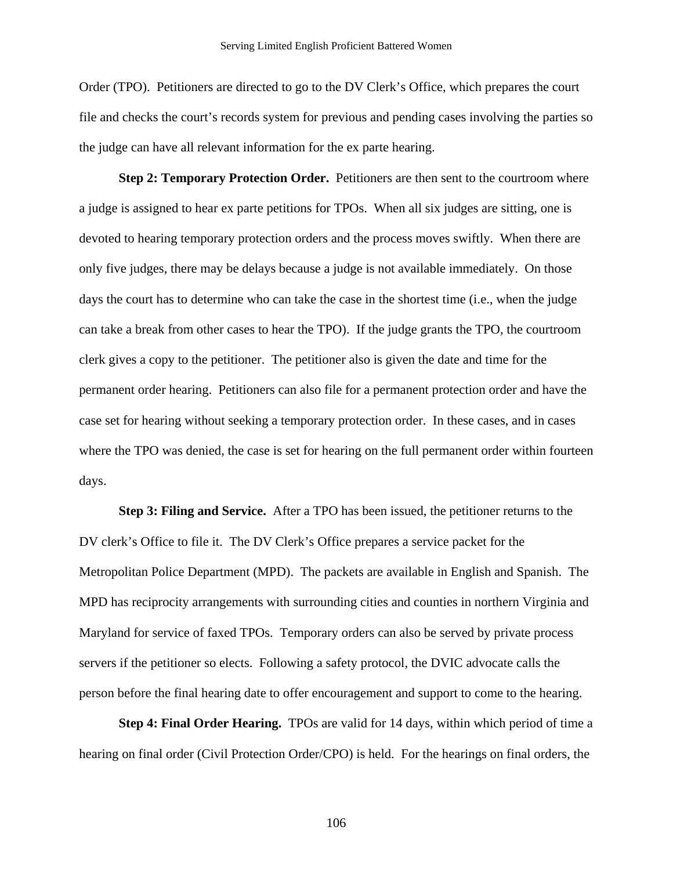Order (TPO). Petitioners are directed to go to the DV Clerk's Office, which prepares the court file and checks the court's records system for previous and pending cases involving the parties so the judge can have all relevant information for the ex parte hearing.

**Step 2: Temporary Protection Order.** Petitioners are then sent to the courtroom where a judge is assigned to hear ex parte petitions for TPOs. When all six judges are sitting, one is devoted to hearing temporary protection orders and the process moves swiftly. When there are only five judges, there may be delays because a judge is not available immediately. On those days the court has to determine who can take the case in the shortest time (i.e., when the judge can take a break from other cases to hear the TPO). If the judge grants the TPO, the courtroom clerk gives a copy to the petitioner. The petitioner also is given the date and time for the permanent order hearing. Petitioners can also file for a permanent protection order and have the case set for hearing without seeking a temporary protection order. In these cases, and in cases where the TPO was denied, the case is set for hearing on the full permanent order within fourteen days.

**Step 3: Filing and Service.** After a TPO has been issued, the petitioner returns to the DV clerk's Office to file it. The DV Clerk's Office prepares a service packet for the Metropolitan Police Department (MPD). The packets are available in English and Spanish. The MPD has reciprocity arrangements with surrounding cities and counties in northern Virginia and Maryland for service of faxed TPOs. Temporary orders can also be served by private process servers if the petitioner so elects. Following a safety protocol, the DVIC advocate calls the person before the final hearing date to offer encouragement and support to come to the hearing.

**Step 4: Final Order Hearing.** TPOs are valid for 14 days, within which period of time a hearing on final order (Civil Protection Order/CPO) is held. For the hearings on final orders, the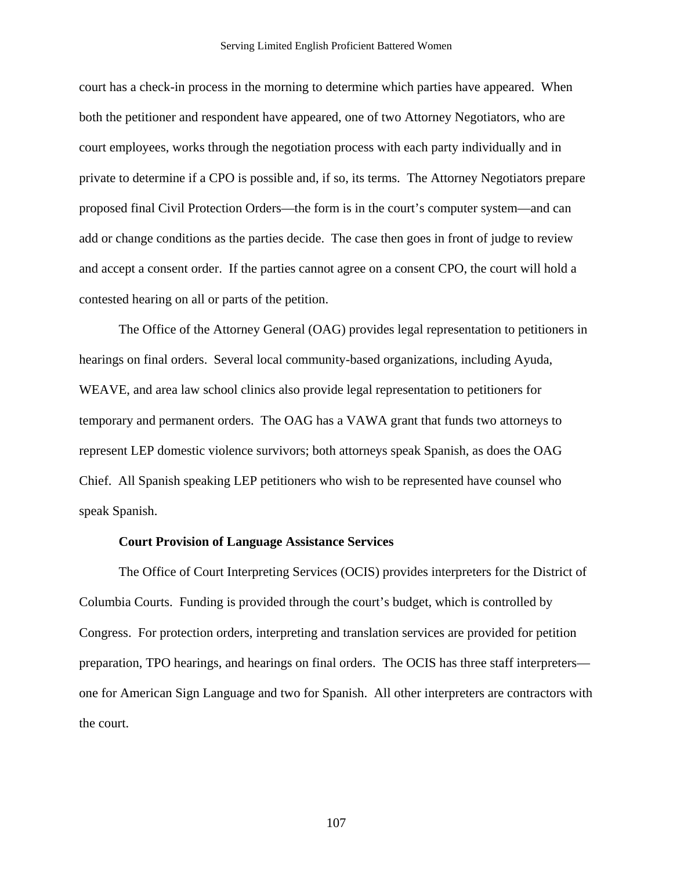court has a check-in process in the morning to determine which parties have appeared. When both the petitioner and respondent have appeared, one of two Attorney Negotiators, who are court employees, works through the negotiation process with each party individually and in private to determine if a CPO is possible and, if so, its terms. The Attorney Negotiators prepare proposed final Civil Protection Orders—the form is in the court's computer system—and can add or change conditions as the parties decide. The case then goes in front of judge to review and accept a consent order. If the parties cannot agree on a consent CPO, the court will hold a contested hearing on all or parts of the petition.

The Office of the Attorney General (OAG) provides legal representation to petitioners in hearings on final orders. Several local community-based organizations, including Ayuda, WEAVE, and area law school clinics also provide legal representation to petitioners for temporary and permanent orders. The OAG has a VAWA grant that funds two attorneys to represent LEP domestic violence survivors; both attorneys speak Spanish, as does the OAG Chief. All Spanish speaking LEP petitioners who wish to be represented have counsel who speak Spanish.

#### **Court Provision of Language Assistance Services**

The Office of Court Interpreting Services (OCIS) provides interpreters for the District of Columbia Courts. Funding is provided through the court's budget, which is controlled by Congress. For protection orders, interpreting and translation services are provided for petition preparation, TPO hearings, and hearings on final orders. The OCIS has three staff interpreters one for American Sign Language and two for Spanish. All other interpreters are contractors with the court.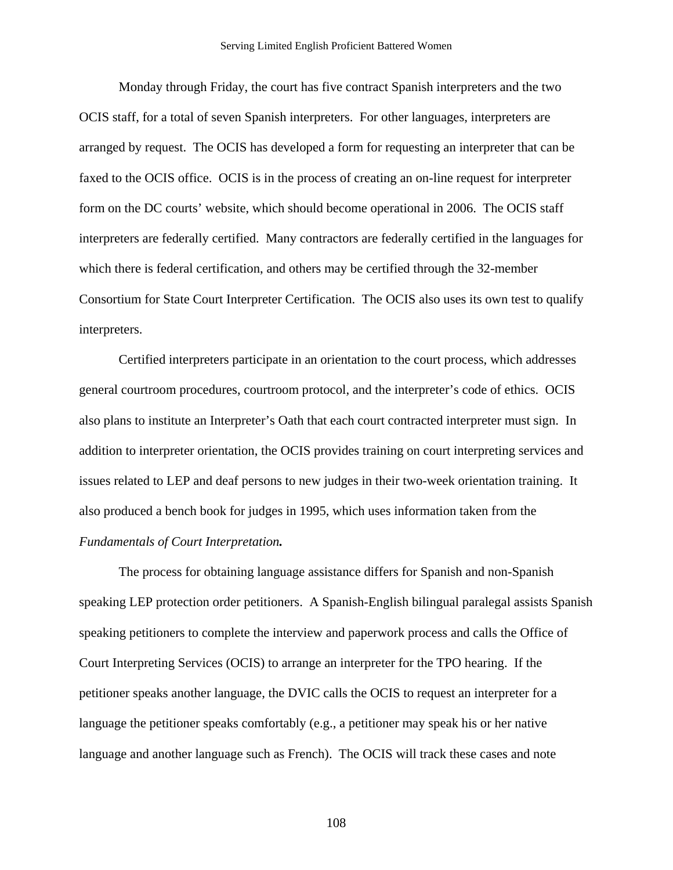Monday through Friday, the court has five contract Spanish interpreters and the two OCIS staff, for a total of seven Spanish interpreters. For other languages, interpreters are arranged by request. The OCIS has developed a form for requesting an interpreter that can be faxed to the OCIS office. OCIS is in the process of creating an on-line request for interpreter form on the DC courts' website, which should become operational in 2006. The OCIS staff interpreters are federally certified. Many contractors are federally certified in the languages for which there is federal certification, and others may be certified through the 32-member Consortium for State Court Interpreter Certification. The OCIS also uses its own test to qualify interpreters.

Certified interpreters participate in an orientation to the court process, which addresses general courtroom procedures, courtroom protocol, and the interpreter's code of ethics. OCIS also plans to institute an Interpreter's Oath that each court contracted interpreter must sign. In addition to interpreter orientation, the OCIS provides training on court interpreting services and issues related to LEP and deaf persons to new judges in their two-week orientation training. It also produced a bench book for judges in 1995, which uses information taken from the *Fundamentals of Court Interpretation.*

The process for obtaining language assistance differs for Spanish and non-Spanish speaking LEP protection order petitioners. A Spanish-English bilingual paralegal assists Spanish speaking petitioners to complete the interview and paperwork process and calls the Office of Court Interpreting Services (OCIS) to arrange an interpreter for the TPO hearing. If the petitioner speaks another language, the DVIC calls the OCIS to request an interpreter for a language the petitioner speaks comfortably (e.g., a petitioner may speak his or her native language and another language such as French). The OCIS will track these cases and note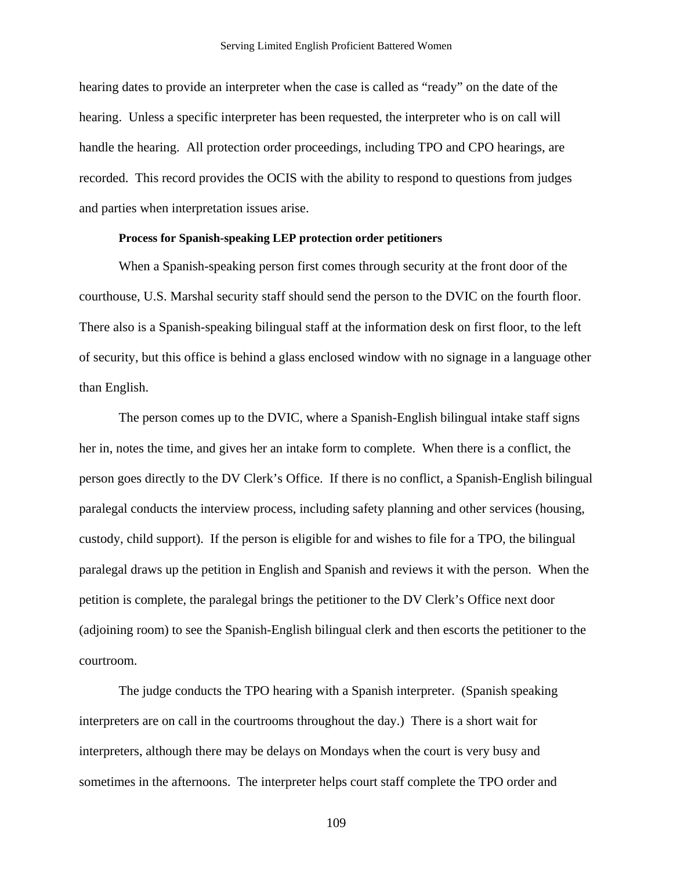hearing dates to provide an interpreter when the case is called as "ready" on the date of the hearing. Unless a specific interpreter has been requested, the interpreter who is on call will handle the hearing. All protection order proceedings, including TPO and CPO hearings, are recorded. This record provides the OCIS with the ability to respond to questions from judges and parties when interpretation issues arise.

### **Process for Spanish-speaking LEP protection order petitioners**

When a Spanish-speaking person first comes through security at the front door of the courthouse, U.S. Marshal security staff should send the person to the DVIC on the fourth floor. There also is a Spanish-speaking bilingual staff at the information desk on first floor, to the left of security, but this office is behind a glass enclosed window with no signage in a language other than English.

The person comes up to the DVIC, where a Spanish-English bilingual intake staff signs her in, notes the time, and gives her an intake form to complete. When there is a conflict, the person goes directly to the DV Clerk's Office. If there is no conflict, a Spanish-English bilingual paralegal conducts the interview process, including safety planning and other services (housing, custody, child support). If the person is eligible for and wishes to file for a TPO, the bilingual paralegal draws up the petition in English and Spanish and reviews it with the person. When the petition is complete, the paralegal brings the petitioner to the DV Clerk's Office next door (adjoining room) to see the Spanish-English bilingual clerk and then escorts the petitioner to the courtroom.

The judge conducts the TPO hearing with a Spanish interpreter. (Spanish speaking interpreters are on call in the courtrooms throughout the day.) There is a short wait for interpreters, although there may be delays on Mondays when the court is very busy and sometimes in the afternoons. The interpreter helps court staff complete the TPO order and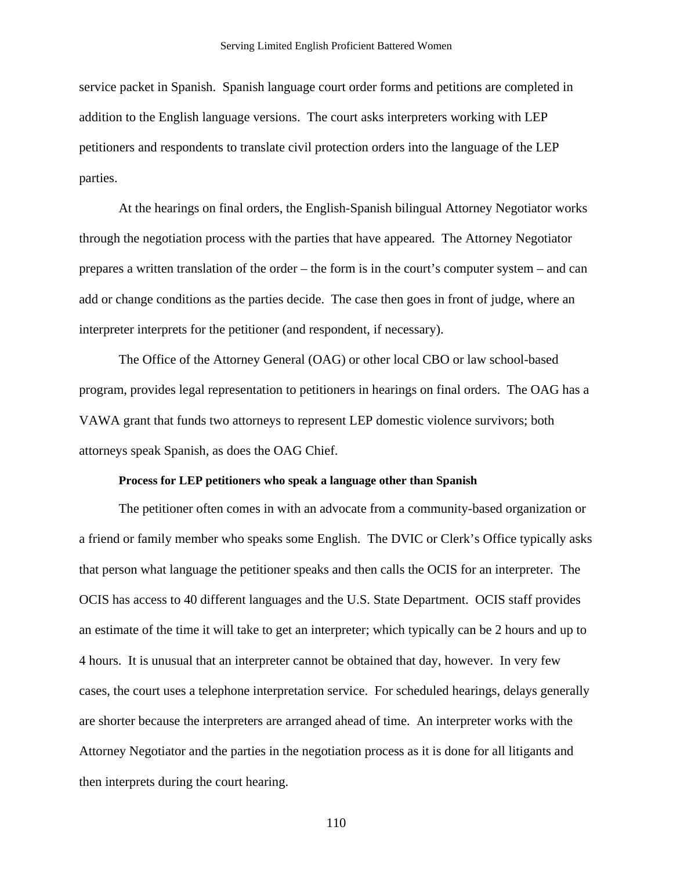service packet in Spanish. Spanish language court order forms and petitions are completed in addition to the English language versions. The court asks interpreters working with LEP petitioners and respondents to translate civil protection orders into the language of the LEP parties.

At the hearings on final orders, the English-Spanish bilingual Attorney Negotiator works through the negotiation process with the parties that have appeared. The Attorney Negotiator prepares a written translation of the order – the form is in the court's computer system – and can add or change conditions as the parties decide. The case then goes in front of judge, where an interpreter interprets for the petitioner (and respondent, if necessary).

The Office of the Attorney General (OAG) or other local CBO or law school-based program, provides legal representation to petitioners in hearings on final orders. The OAG has a VAWA grant that funds two attorneys to represent LEP domestic violence survivors; both attorneys speak Spanish, as does the OAG Chief.

### **Process for LEP petitioners who speak a language other than Spanish**

The petitioner often comes in with an advocate from a community-based organization or a friend or family member who speaks some English. The DVIC or Clerk's Office typically asks that person what language the petitioner speaks and then calls the OCIS for an interpreter. The OCIS has access to 40 different languages and the U.S. State Department. OCIS staff provides an estimate of the time it will take to get an interpreter; which typically can be 2 hours and up to 4 hours. It is unusual that an interpreter cannot be obtained that day, however. In very few cases, the court uses a telephone interpretation service. For scheduled hearings, delays generally are shorter because the interpreters are arranged ahead of time. An interpreter works with the Attorney Negotiator and the parties in the negotiation process as it is done for all litigants and then interprets during the court hearing.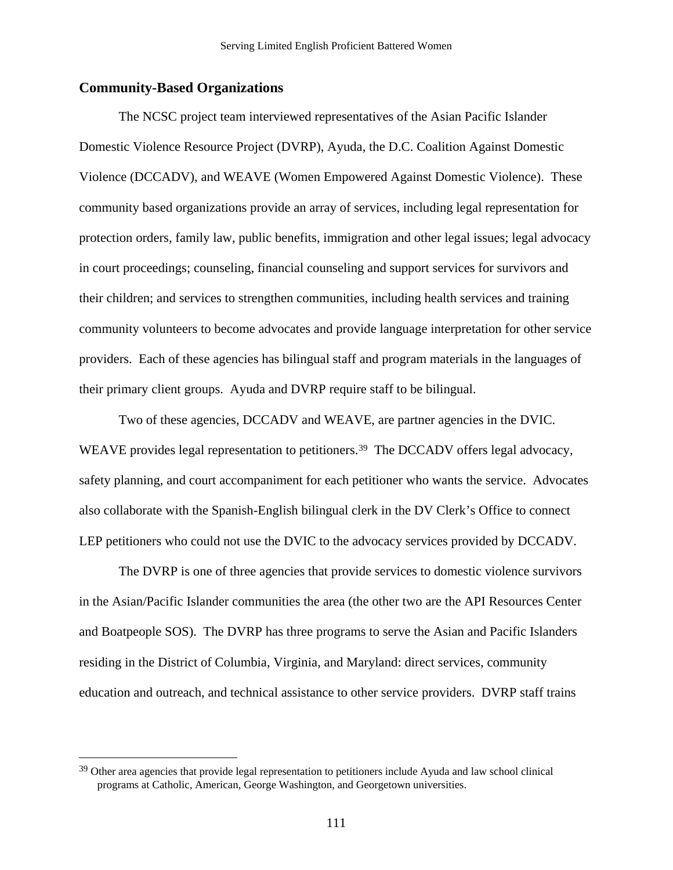### <span id="page-113-0"></span>**Community-Based Organizations**

 $\overline{a}$ 

The NCSC project team interviewed representatives of the Asian Pacific Islander Domestic Violence Resource Project (DVRP), Ayuda, the D.C. Coalition Against Domestic Violence (DCCADV), and WEAVE (Women Empowered Against Domestic Violence). These community based organizations provide an array of services, including legal representation for protection orders, family law, public benefits, immigration and other legal issues; legal advocacy in court proceedings; counseling, financial counseling and support services for survivors and their children; and services to strengthen communities, including health services and training community volunteers to become advocates and provide language interpretation for other service providers. Each of these agencies has bilingual staff and program materials in the languages of their primary client groups. Ayuda and DVRP require staff to be bilingual.

Two of these agencies, DCCADV and WEAVE, are partner agencies in the DVIC. WEAVE provides legal representation to petitioners.<sup>[39](#page-113-0)</sup> The DCCADV offers legal advocacy, safety planning, and court accompaniment for each petitioner who wants the service. Advocates also collaborate with the Spanish-English bilingual clerk in the DV Clerk's Office to connect LEP petitioners who could not use the DVIC to the advocacy services provided by DCCADV.

The DVRP is one of three agencies that provide services to domestic violence survivors in the Asian/Pacific Islander communities the area (the other two are the API Resources Center and Boatpeople SOS). The DVRP has three programs to serve the Asian and Pacific Islanders residing in the District of Columbia, Virginia, and Maryland: direct services, community education and outreach, and technical assistance to other service providers. DVRP staff trains

<sup>&</sup>lt;sup>39</sup> Other area agencies that provide legal representation to petitioners include Ayuda and law school clinical programs at Catholic, American, George Washington, and Georgetown universities.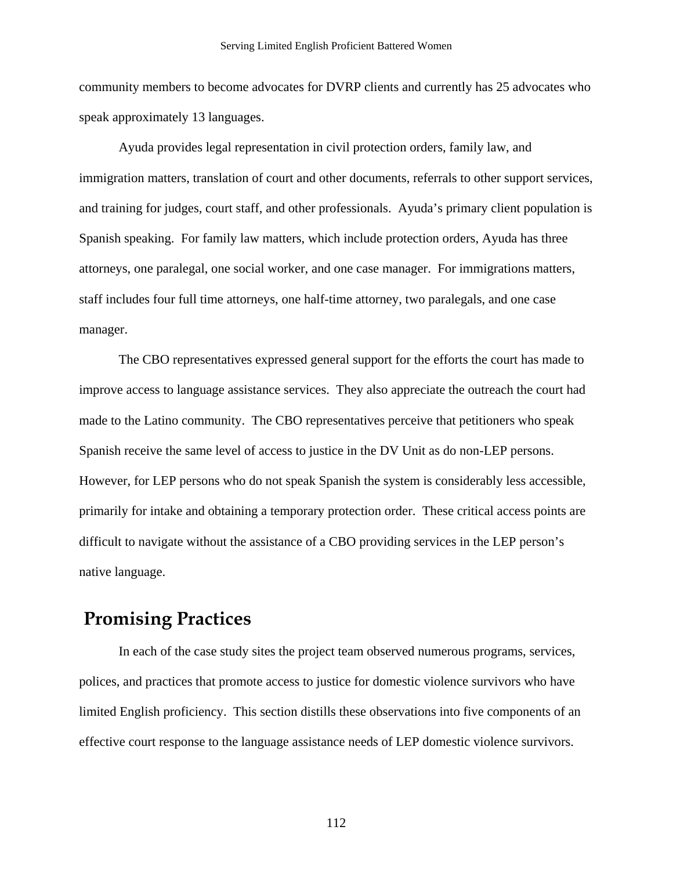community members to become advocates for DVRP clients and currently has 25 advocates who speak approximately 13 languages.

Ayuda provides legal representation in civil protection orders, family law, and immigration matters, translation of court and other documents, referrals to other support services, and training for judges, court staff, and other professionals. Ayuda's primary client population is Spanish speaking. For family law matters, which include protection orders, Ayuda has three attorneys, one paralegal, one social worker, and one case manager. For immigrations matters, staff includes four full time attorneys, one half-time attorney, two paralegals, and one case manager.

The CBO representatives expressed general support for the efforts the court has made to improve access to language assistance services. They also appreciate the outreach the court had made to the Latino community. The CBO representatives perceive that petitioners who speak Spanish receive the same level of access to justice in the DV Unit as do non-LEP persons. However, for LEP persons who do not speak Spanish the system is considerably less accessible, primarily for intake and obtaining a temporary protection order. These critical access points are difficult to navigate without the assistance of a CBO providing services in the LEP person's native language.

## **Promising Practices**

 In each of the case study sites the project team observed numerous programs, services, polices, and practices that promote access to justice for domestic violence survivors who have limited English proficiency. This section distills these observations into five components of an effective court response to the language assistance needs of LEP domestic violence survivors.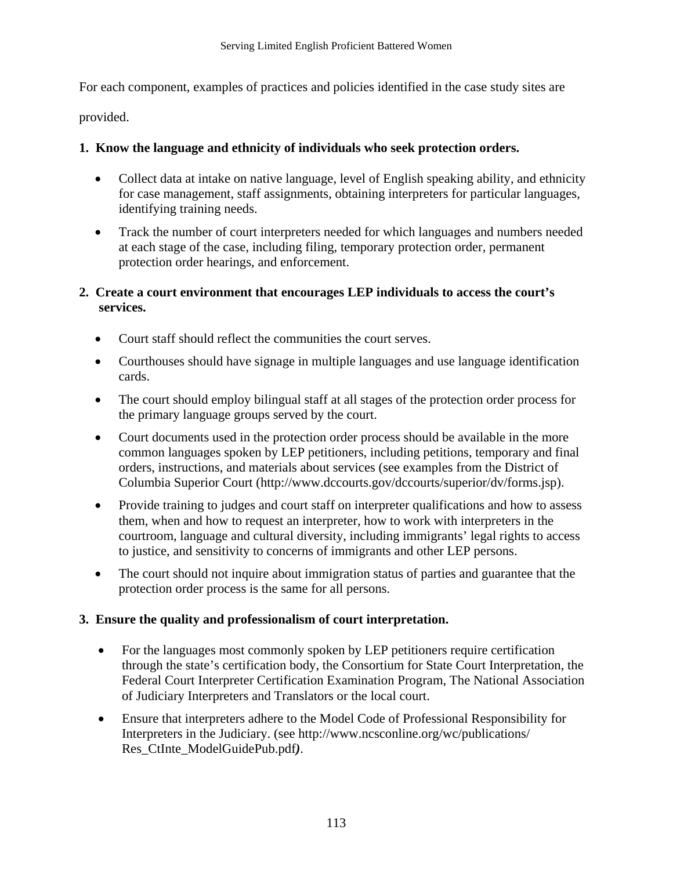For each component, examples of practices and policies identified in the case study sites are

provided.

### **1. Know the language and ethnicity of individuals who seek protection orders.**

- Collect data at intake on native language, level of English speaking ability, and ethnicity for case management, staff assignments, obtaining interpreters for particular languages, identifying training needs.
- Track the number of court interpreters needed for which languages and numbers needed at each stage of the case, including filing, temporary protection order, permanent protection order hearings, and enforcement.

### **2. Create a court environment that encourages LEP individuals to access the court's services.**

- Court staff should reflect the communities the court serves.
- Courthouses should have signage in multiple languages and use language identification cards.
- The court should employ bilingual staff at all stages of the protection order process for the primary language groups served by the court.
- Court documents used in the protection order process should be available in the more common languages spoken by LEP petitioners, including petitions, temporary and final orders, instructions, and materials about services (see examples from the District of Columbia Superior Court (http://www.dccourts.gov/dccourts/superior/dv/forms.jsp).
- Provide training to judges and court staff on interpreter qualifications and how to assess them, when and how to request an interpreter, how to work with interpreters in the courtroom, language and cultural diversity, including immigrants' legal rights to access to justice, and sensitivity to concerns of immigrants and other LEP persons.
- The court should not inquire about immigration status of parties and guarantee that the protection order process is the same for all persons.

### **3. Ensure the quality and professionalism of court interpretation.**

- For the languages most commonly spoken by LEP petitioners require certification through the state's certification body, the Consortium for State Court Interpretation, the Federal Court Interpreter Certification Examination Program, The National Association of Judiciary Interpreters and Translators or the local court.
- Ensure that interpreters adhere to the Model Code of Professional Responsibility for Interpreters in the Judiciary. (see http://www.ncsconline.org/wc/publications/ Res\_CtInte\_ModelGuidePub.pdf*)*.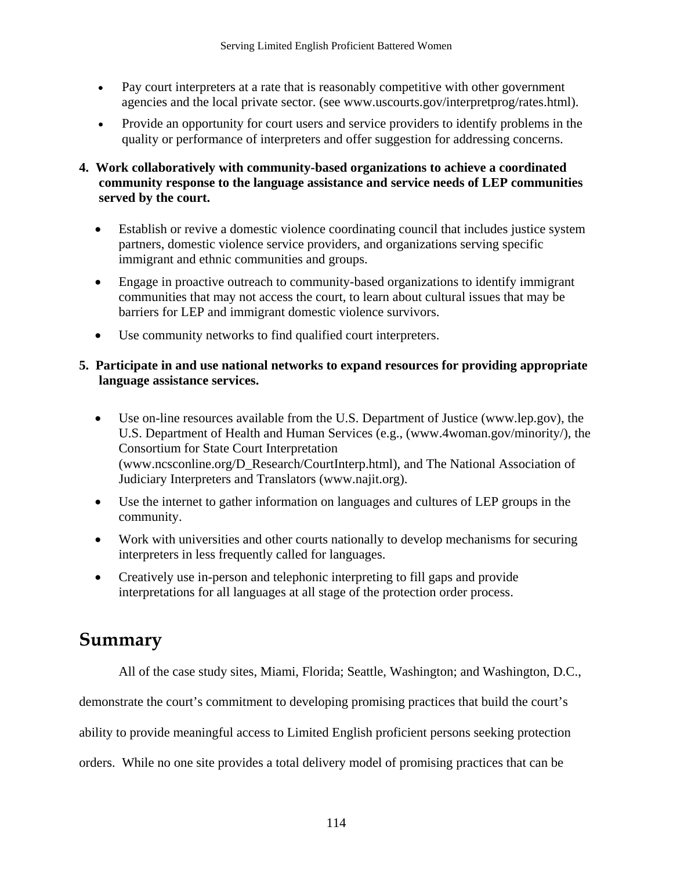- Pay court interpreters at a rate that is reasonably competitive with other government agencies and the local private sector. (see www.uscourts.gov/interpretprog/rates.html).
- Provide an opportunity for court users and service providers to identify problems in the quality or performance of interpreters and offer suggestion for addressing concerns.
- **4. Work collaboratively with community-based organizations to achieve a coordinated community response to the language assistance and service needs of LEP communities served by the court.** 
	- Establish or revive a domestic violence coordinating council that includes justice system partners, domestic violence service providers, and organizations serving specific immigrant and ethnic communities and groups.
	- Engage in proactive outreach to community-based organizations to identify immigrant communities that may not access the court, to learn about cultural issues that may be barriers for LEP and immigrant domestic violence survivors.
	- Use community networks to find qualified court interpreters.

### **5. Participate in and use national networks to expand resources for providing appropriate language assistance services.**

- Use on-line resources available from the U.S. Department of Justice (www.lep.gov), the U.S. Department of Health and Human Services (e.g., (www.4woman.gov/minority/), the Consortium for State Court Interpretation (www.ncsconline.org/D\_Research/CourtInterp.html), and The National Association of Judiciary Interpreters and Translators (www.najit.org).
- Use the internet to gather information on languages and cultures of LEP groups in the community.
- Work with universities and other courts nationally to develop mechanisms for securing interpreters in less frequently called for languages.
- Creatively use in-person and telephonic interpreting to fill gaps and provide interpretations for all languages at all stage of the protection order process.

# **Summary**

All of the case study sites, Miami, Florida; Seattle, Washington; and Washington, D.C.,

demonstrate the court's commitment to developing promising practices that build the court's

ability to provide meaningful access to Limited English proficient persons seeking protection

orders. While no one site provides a total delivery model of promising practices that can be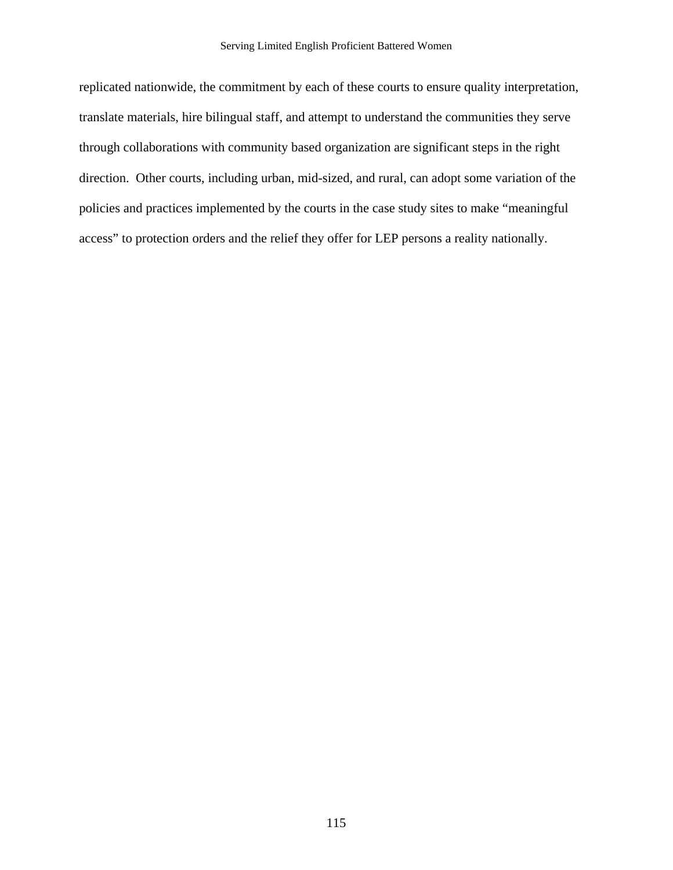replicated nationwide, the commitment by each of these courts to ensure quality interpretation, translate materials, hire bilingual staff, and attempt to understand the communities they serve through collaborations with community based organization are significant steps in the right direction. Other courts, including urban, mid-sized, and rural, can adopt some variation of the policies and practices implemented by the courts in the case study sites to make "meaningful access" to protection orders and the relief they offer for LEP persons a reality nationally.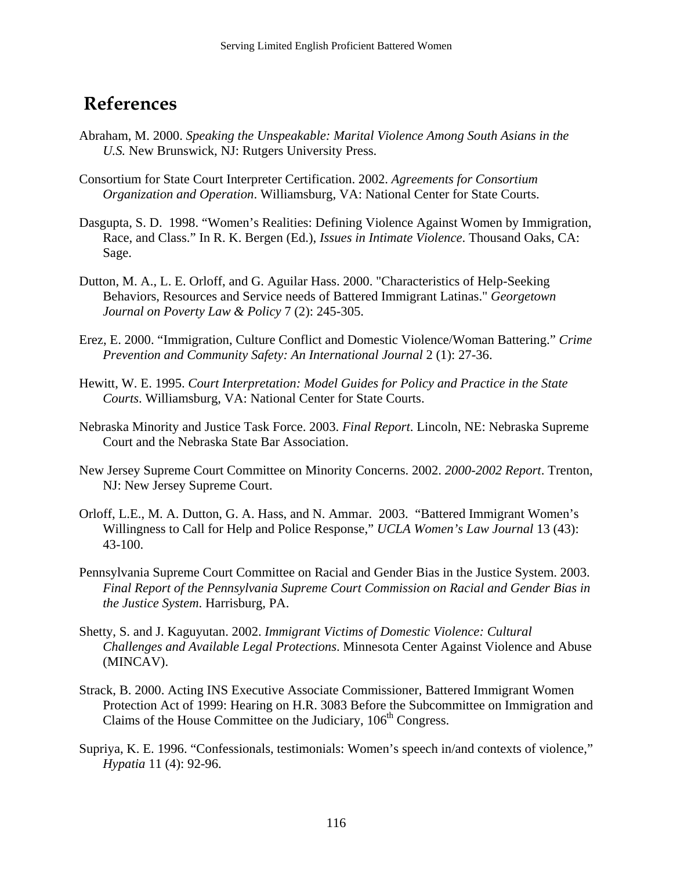# **References**

- Abraham, M. 2000. *Speaking the Unspeakable: Marital Violence Among South Asians in the U.S.* New Brunswick, NJ: Rutgers University Press.
- Consortium for State Court Interpreter Certification. 2002. *Agreements for Consortium Organization and Operation*. Williamsburg, VA: National Center for State Courts.
- Dasgupta, S. D. 1998. "Women's Realities: Defining Violence Against Women by Immigration, Race, and Class." In R. K. Bergen (Ed.), *Issues in Intimate Violence*. Thousand Oaks, CA: Sage.
- Dutton, M. A., L. E. Orloff, and G. Aguilar Hass. 2000. "Characteristics of Help-Seeking Behaviors, Resources and Service needs of Battered Immigrant Latinas." *Georgetown Journal on Poverty Law & Policy* 7 (2): 245-305.
- Erez, E. 2000. "Immigration, Culture Conflict and Domestic Violence/Woman Battering." *Crime Prevention and Community Safety: An International Journal* 2 (1): 27-36.
- Hewitt, W. E. 1995. *Court Interpretation: Model Guides for Policy and Practice in the State Courts*. Williamsburg, VA: National Center for State Courts.
- Nebraska Minority and Justice Task Force. 2003. *Final Report*. Lincoln, NE: Nebraska Supreme Court and the Nebraska State Bar Association.
- New Jersey Supreme Court Committee on Minority Concerns. 2002. *2000-2002 Report*. Trenton, NJ: New Jersey Supreme Court.
- Orloff, L.E., M. A. Dutton, G. A. Hass, and N. Ammar. 2003. "Battered Immigrant Women's Willingness to Call for Help and Police Response," *UCLA Women's Law Journal* 13 (43): 43-100.
- Pennsylvania Supreme Court Committee on Racial and Gender Bias in the Justice System. 2003. *Final Report of the Pennsylvania Supreme Court Commission on Racial and Gender Bias in the Justice System*. Harrisburg, PA.
- Shetty, S. and J. Kaguyutan. 2002. *Immigrant Victims of Domestic Violence: Cultural Challenges and Available Legal Protections*. Minnesota Center Against Violence and Abuse (MINCAV).
- Strack, B. 2000. Acting INS Executive Associate Commissioner, Battered Immigrant Women Protection Act of 1999: Hearing on H.R. 3083 Before the Subcommittee on Immigration and Claims of the House Committee on the Judiciary,  $106<sup>th</sup>$  Congress.
- Supriya, K. E. 1996. "Confessionals, testimonials: Women's speech in/and contexts of violence," *Hypatia* 11 (4): 92-96.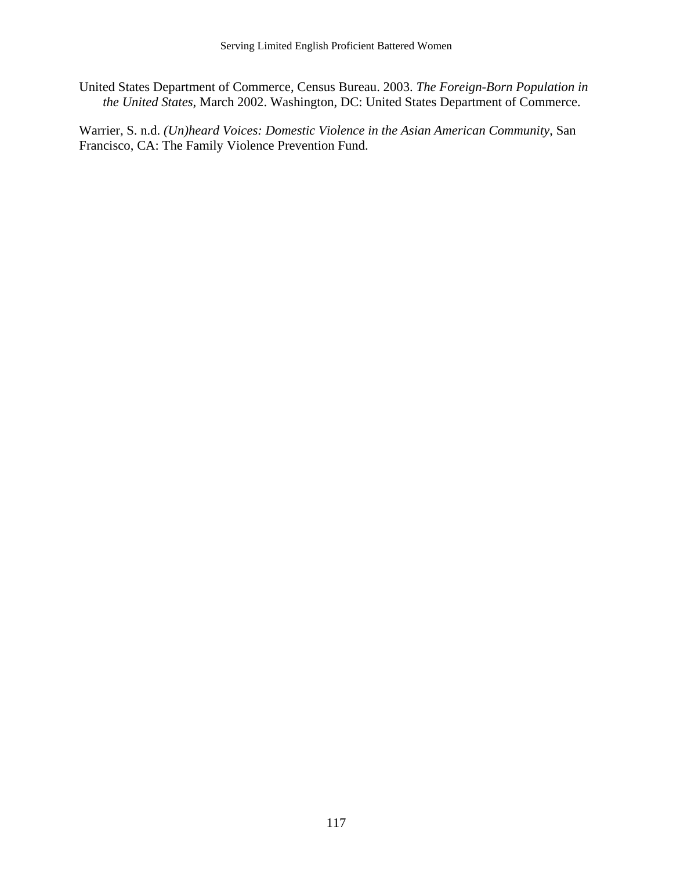United States Department of Commerce, Census Bureau. 2003. *The Foreign-Born Population in the United States*, March 2002. Washington, DC: United States Department of Commerce.

Warrier, S. n.d. *(Un)heard Voices: Domestic Violence in the Asian American Community*, San Francisco, CA: The Family Violence Prevention Fund.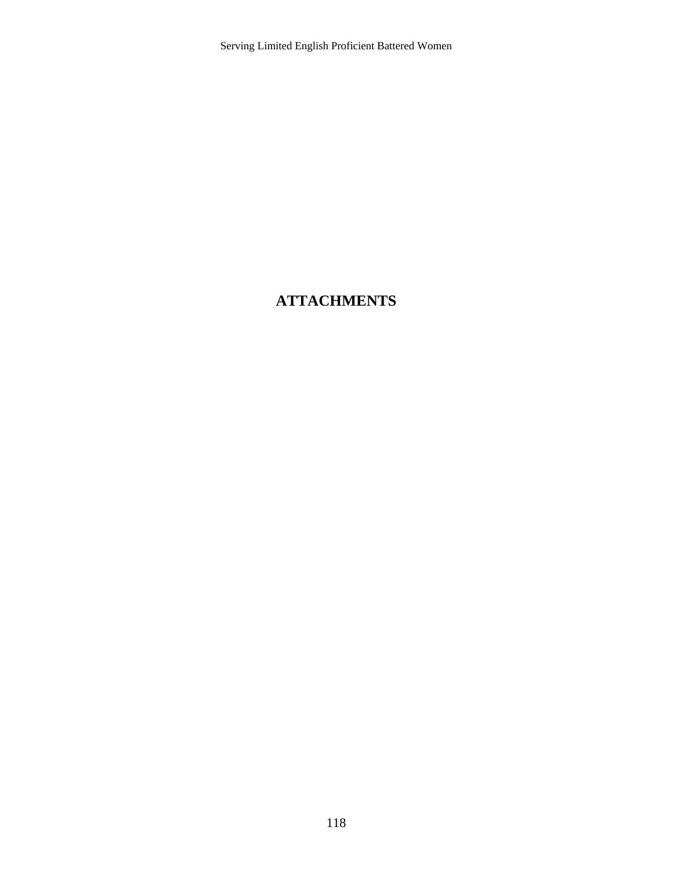# **ATTACHMENTS**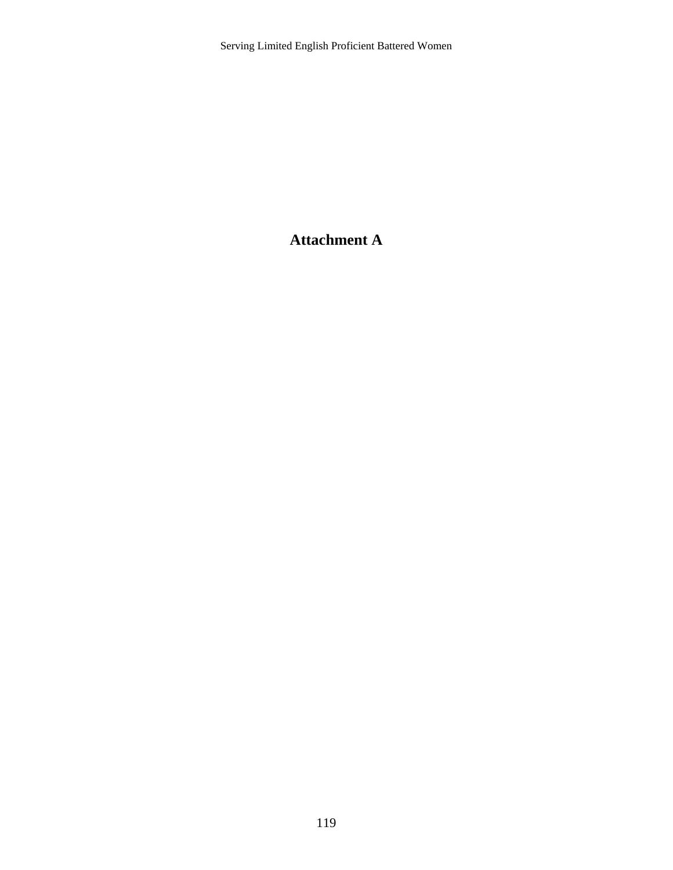# **Attachment A**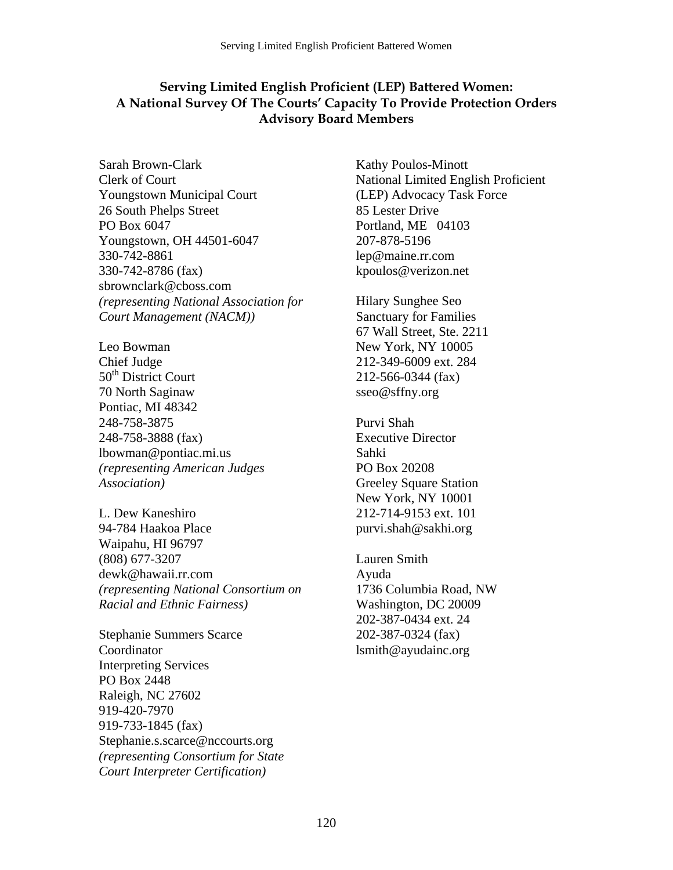### **Serving Limited English Proficient (LEP) Battered Women: A National Survey Of The Courts' Capacity To Provide Protection Orders Advisory Board Members**

Sarah Brown-Clark Clerk of Court Youngstown Municipal Court 26 South Phelps Street PO Box 6047 Youngstown, OH 44501-6047 330-742-8861 330-742-8786 (fax) sbrownclark@cboss.com *(representing National Association for Court Management (NACM))*

Leo Bowman Chief Judge 50<sup>th</sup> District Court 70 North Saginaw Pontiac, MI 48342 248-758-3875 248-758-3888 (fax) lbowman@pontiac.mi.us *(representing American Judges Association)*

L. Dew Kaneshiro 94-784 Haakoa Place Waipahu, HI 96797 (808) 677-3207 dewk@hawaii.rr.com *(representing National Consortium on Racial and Ethnic Fairness)*

Stephanie Summers Scarce **Coordinator** Interpreting Services PO Box 2448 Raleigh, NC 27602 919-420-7970 919-733-1845 (fax) Stephanie.s.scarce@nccourts.org *(representing Consortium for State Court Interpreter Certification)*

Kathy Poulos-Minott National Limited English Proficient (LEP) Advocacy Task Force 85 Lester Drive Portland, ME 04103 207-878-5196 lep@maine.rr.com kpoulos@verizon.net

Hilary Sunghee Seo Sanctuary for Families 67 Wall Street, Ste. 2211 New York, NY 10005 212-349-6009 ext. 284 212-566-0344 (fax) sseo@sffny.org

Purvi Shah Executive Director Sahki PO Box 20208 Greeley Square Station New York, NY 10001 212-714-9153 ext. 101 purvi.shah@sakhi.org

Lauren Smith Ayuda 1736 Columbia Road, NW Washington, DC 20009 202-387-0434 ext. 24 202-387-0324 (fax) lsmith@ayudainc.org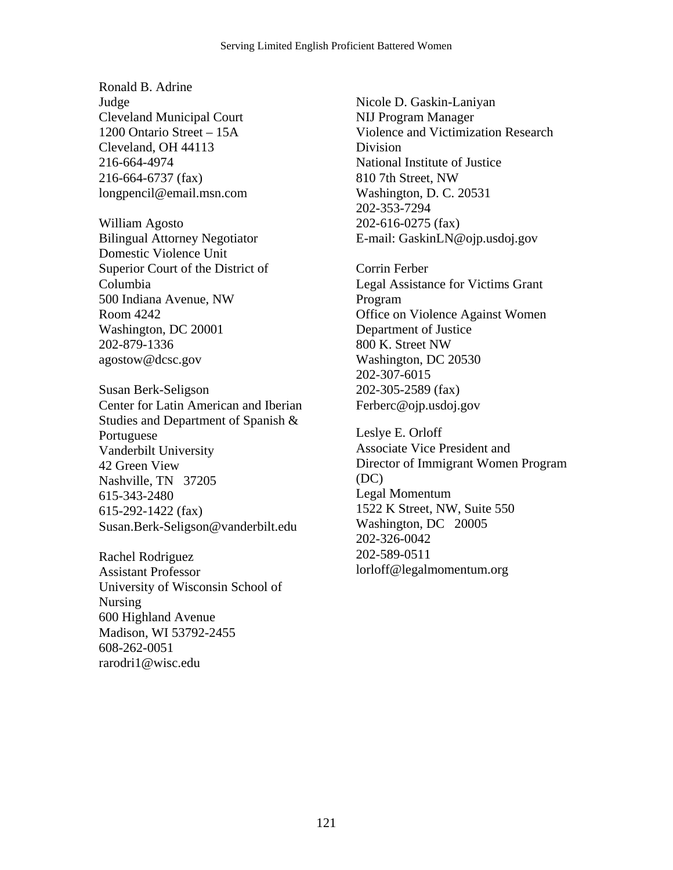Ronald B. Adrine Judge Cleveland Municipal Court 1200 Ontario Street – 15A Cleveland, OH 44113 216-664-4974 216-664-6737 (fax) longpencil@email.msn.com

William Agosto Bilingual Attorney Negotiator Domestic Violence Unit Superior Court of the District of Columbia 500 Indiana Avenue, NW Room 4242 Washington, DC 20001 202-879-1336 agostow@dcsc.gov

Susan Berk-Seligson Center for Latin American and Iberian Studies and Department of Spanish & Portuguese Vanderbilt University 42 Green View Nashville, TN 37205 615-343-2480 615-292-1422 (fax) Susan.Berk-Seligson@vanderbilt.edu

Rachel Rodriguez Assistant Professor University of Wisconsin School of Nursing 600 Highland Avenue Madison, WI 53792-2455 608-262-0051 rarodri1@wisc.edu

Nicole D. Gaskin-Laniyan NIJ Program Manager Violence and Victimization Research Division National Institute of Justice 810 7th Street, NW Washington, D. C. 20531 202-353-7294 202-616-0275 (fax) E-mail: GaskinLN@ojp.usdoj.gov

Corrin Ferber Legal Assistance for Victims Grant Program Office on Violence Against Women Department of Justice 800 K. Street NW Washington, DC 20530 202-307-6015 202-305-2589 (fax) Ferberc@ojp.usdoj.gov

Leslye E. Orloff Associate Vice President and Director of Immigrant Women Program (DC) Legal Momentum 1522 K Street, NW, Suite 550 Washington, DC 20005 202-326-0042 202-589-0511 lorloff@legalmomentum.org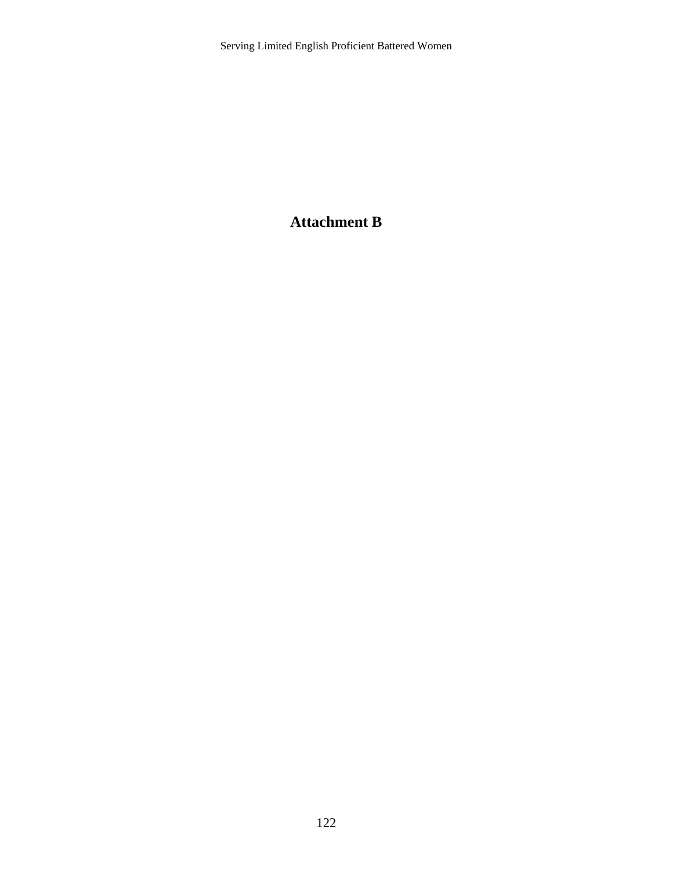## **Attachment B**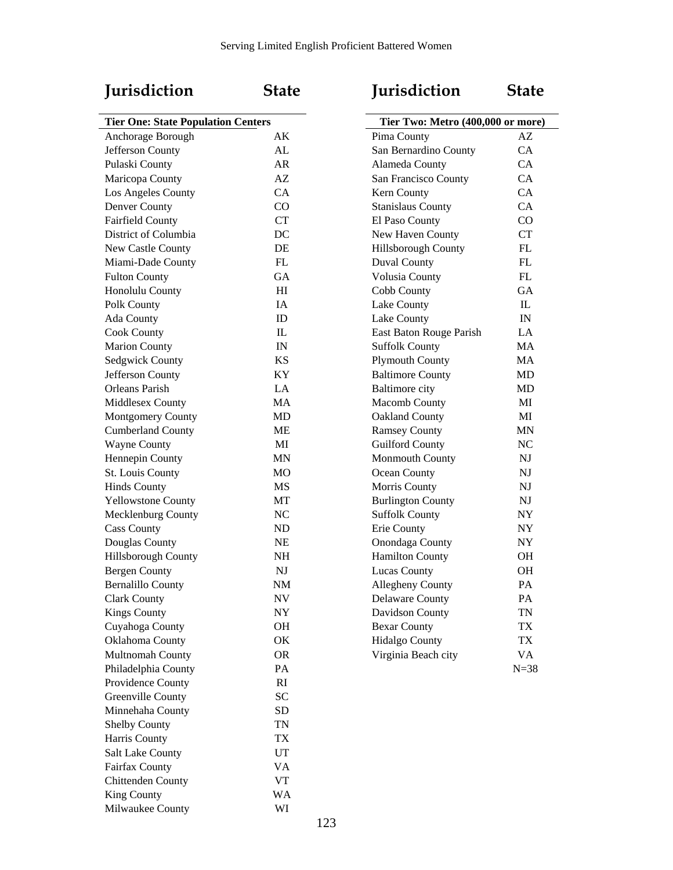## **Jurisdiction State Jurisdiction State**

| <b>Tier One: State Population Centers</b> |                | Tier Two: Metro (400,000 or more) |                          |
|-------------------------------------------|----------------|-----------------------------------|--------------------------|
| Anchorage Borough                         | AK             | Pima County                       | AZ                       |
| Jefferson County                          | AL             | San Bernardino County             | CA                       |
| Pulaski County                            | AR             | Alameda County                    | CA                       |
| Maricopa County                           | AZ             | San Francisco County              | CA                       |
| Los Angeles County                        | CA             | Kern County                       | CA                       |
| Denver County                             | CO             | <b>Stanislaus County</b>          | CA                       |
| <b>Fairfield County</b>                   | CT             | El Paso County                    | CO                       |
| District of Columbia                      | DC             | New Haven County                  | <b>CT</b>                |
| New Castle County                         | DE             | <b>Hillsborough County</b>        | FL                       |
| Miami-Dade County                         | ${\rm FL}$     | Duval County                      | ${\rm FL}$               |
| <b>Fulton County</b>                      | GA             | Volusia County                    | ${\rm FL}$               |
| Honolulu County                           | H <sub>I</sub> | Cobb County                       | <b>GA</b>                |
| Polk County                               | IA             | Lake County                       | $\mathbb{L}$             |
| Ada County                                | ID             | Lake County                       | $\ensuremath{\text{IN}}$ |
| <b>Cook County</b>                        | IL             | East Baton Rouge Parish           | LA                       |
| <b>Marion County</b>                      | IN             | <b>Suffolk County</b>             | MA                       |
| Sedgwick County                           | <b>KS</b>      | <b>Plymouth County</b>            | MA                       |
| Jefferson County                          | KY             | <b>Baltimore County</b>           | MD                       |
| <b>Orleans Parish</b>                     | LA             | <b>Baltimore</b> city             | MD                       |
| Middlesex County                          | MA             | Macomb County                     | MI                       |
| Montgomery County                         | MD             | Oakland County                    | MI                       |
| <b>Cumberland County</b>                  | ME             | <b>Ramsey County</b>              | <b>MN</b>                |
| <b>Wayne County</b>                       | MI             | <b>Guilford County</b>            | NC                       |
| Hennepin County                           | MN             | Monmouth County                   | NJ                       |
| St. Louis County                          | MO             | Ocean County                      | NJ                       |
| <b>Hinds County</b>                       | MS             | Morris County                     | $\mathbf{N}\mathbf{J}$   |
| <b>Yellowstone County</b>                 | MT             | <b>Burlington County</b>          | NJ                       |
| Mecklenburg County                        | NC             | <b>Suffolk County</b>             | ${\rm NY}$               |
| <b>Cass County</b>                        | ND             | Erie County                       | ${\rm NY}$               |
| Douglas County                            | <b>NE</b>      | Onondaga County                   | NY                       |
|                                           | <b>NH</b>      |                                   |                          |
| Hillsborough County                       |                | <b>Hamilton County</b>            | <b>OH</b><br><b>OH</b>   |
| <b>Bergen County</b>                      | NJ             | Lucas County                      | PA                       |
| <b>Bernalillo County</b>                  | $\rm{NM}$      | Allegheny County                  |                          |
| <b>Clark County</b>                       | <b>NV</b>      | Delaware County                   | PA                       |
| <b>Kings County</b>                       | NY             | Davidson County                   | <b>TN</b>                |
| Cuyahoga County                           | OH             | <b>Bexar County</b>               | TX                       |
| Oklahoma County                           | OK             | Hidalgo County                    | TX                       |
| Multnomah County                          | <b>OR</b>      | Virginia Beach city               | VA                       |
| Philadelphia County                       | PA             |                                   | $N = 38$                 |
| Providence County                         | RI             |                                   |                          |
| Greenville County                         | <b>SC</b>      |                                   |                          |
| Minnehaha County                          | ${\rm SD}$     |                                   |                          |
| Shelby County                             | <b>TN</b>      |                                   |                          |
| Harris County                             | TX             |                                   |                          |
| Salt Lake County                          | UT             |                                   |                          |
| Fairfax County                            | VA             |                                   |                          |
| Chittenden County                         | VT             |                                   |                          |
| King County                               | WA             |                                   |                          |
| Milwaukee County                          | WI             |                                   |                          |

| <b>Jurisdiction</b>               | State     |
|-----------------------------------|-----------|
| Tier Two: Metro (400,000 or more) |           |
| Pima County                       | AZ.       |
| San Bernardino County             | CA        |
| Alameda County                    | CА        |
| San Francisco County              | <b>CA</b> |
| Kern County                       | CA        |
| <b>Stanislaus County</b>          | CA        |
| El Paso County                    | CO        |
| New Haven County                  | <b>CT</b> |
| <b>Hillsborough County</b>        | FL        |
| Duval County                      | FL        |
| Volusia County                    | FL        |
| Cobb County                       | GА        |
| Lake County                       | IL        |
| Lake County                       | IN        |
| East Baton Rouge Parish           | LA        |
| <b>Suffolk County</b>             | MA        |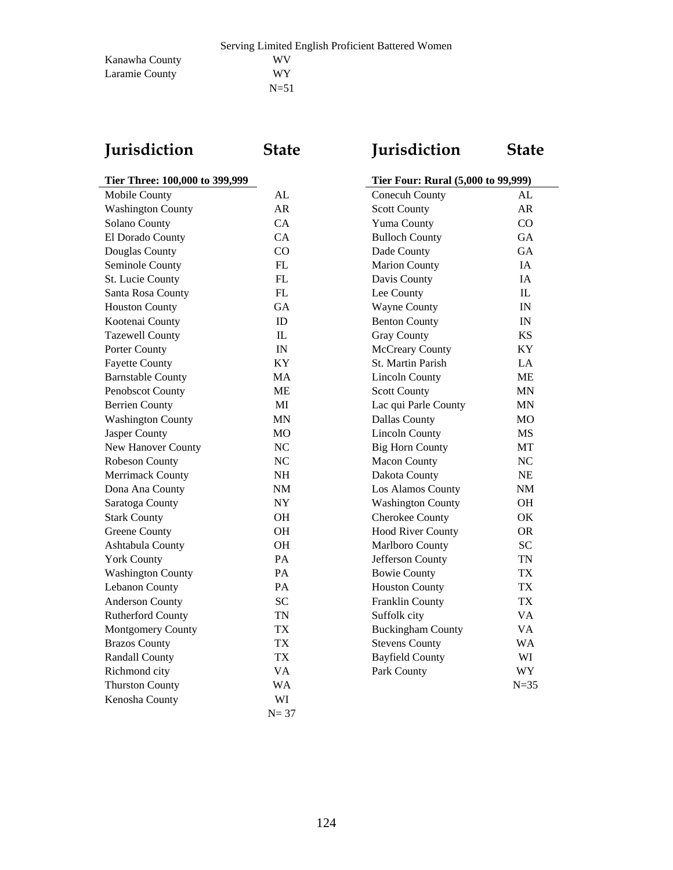Kanawha County WV Laramie County WY

| Jurisdiction |
|--------------|
|--------------|

# **Jurisdiction State Jurisdiction State**

# **Tier Three: 100,000 to 399,999**

| Mobile County            | AL        | Conecuh County           | AL               |
|--------------------------|-----------|--------------------------|------------------|
| <b>Washington County</b> | AR        | <b>Scott County</b>      | AR               |
| Solano County            | CA        | Yuma County              | CO               |
| El Dorado County         | CA        | <b>Bulloch County</b>    | GA               |
| Douglas County           | CO        | Dade County              | GA               |
| Seminole County          | FL        | <b>Marion County</b>     | IA               |
| St. Lucie County         | FL        | Davis County             | IA               |
| Santa Rosa County        | FL        | Lee County               | $\mathbf{I}$     |
| <b>Houston County</b>    | GA        | <b>Wayne County</b>      | IN               |
| Kootenai County          | ID        | <b>Benton County</b>     | IN               |
| <b>Tazewell County</b>   | IL        | <b>Gray County</b>       | <b>KS</b>        |
| Porter County            | IN        | McCreary County          | KY               |
| <b>Fayette County</b>    | KY        | St. Martin Parish        | LA               |
| <b>Barnstable County</b> | MA        | <b>Lincoln County</b>    | <b>ME</b>        |
| Penobscot County         | <b>ME</b> | <b>Scott County</b>      | <b>MN</b>        |
| <b>Berrien County</b>    | MI        | Lac qui Parle County     | $\mbox{MN}$      |
| <b>Washington County</b> | MN        | Dallas County            | <b>MO</b>        |
| Jasper County            | <b>MO</b> | <b>Lincoln County</b>    | <b>MS</b>        |
| New Hanover County       | NC        | <b>Big Horn County</b>   | MT               |
| Robeson County           | NC        | <b>Macon County</b>      | NC               |
| <b>Merrimack County</b>  | NH        | Dakota County            | NE               |
| Dona Ana County          | NM        | Los Alamos County        | $\rm{NM}$        |
| Saratoga County          | NY        | <b>Washington County</b> | <b>OH</b>        |
| <b>Stark County</b>      | <b>OH</b> | Cherokee County          | OK               |
| Greene County            | <b>OH</b> | <b>Hood River County</b> | <b>OR</b>        |
| Ashtabula County         | <b>OH</b> | Marlboro County          | <b>SC</b>        |
| <b>York County</b>       | PA        | Jefferson County         | <b>TN</b>        |
| <b>Washington County</b> | PA        | <b>Bowie County</b>      | ${\rm T}{\rm X}$ |
| Lebanon County           | PA        | <b>Houston County</b>    | ${\rm T}{\rm X}$ |
| <b>Anderson County</b>   | <b>SC</b> | Franklin County          | <b>TX</b>        |
| Rutherford County        | <b>TN</b> | Suffolk city             | VA               |
| Montgomery County        | <b>TX</b> | <b>Buckingham County</b> | VA               |
| <b>Brazos County</b>     | <b>TX</b> | <b>Stevens County</b>    | <b>WA</b>        |
| <b>Randall County</b>    | <b>TX</b> | <b>Bayfield County</b>   | WI               |
| Richmond city            | <b>VA</b> | Park County              | <b>WY</b>        |
| <b>Thurston County</b>   | <b>WA</b> |                          | $N=35$           |
| Kenosha County           | WI        |                          |                  |
|                          | $N = 37$  |                          |                  |

| Tier Three: 100,000 to 399,999 |                          |                                    |
|--------------------------------|--------------------------|------------------------------------|
| AL                             | Conecuh County           | AL                                 |
| <b>AR</b>                      | <b>Scott County</b>      | <b>AR</b>                          |
| CA                             | Yuma County              | CO                                 |
| CA                             | <b>Bulloch County</b>    | GA                                 |
| CO                             | Dade County              | <b>GA</b>                          |
| FL                             | <b>Marion County</b>     | IA                                 |
| FL                             | Davis County             | IA                                 |
| ${\rm FL}$                     | Lee County               | $\mathbf{L}$                       |
| <b>GA</b>                      | <b>Wayne County</b>      | IN                                 |
| ID                             | <b>Benton County</b>     | IN                                 |
| $\rm IL$                       | <b>Gray County</b>       | <b>KS</b>                          |
| IN                             | McCreary County          | KY                                 |
| KY                             | St. Martin Parish        | LA                                 |
| <b>MA</b>                      | <b>Lincoln County</b>    | ME                                 |
| <b>ME</b>                      | <b>Scott County</b>      | MN                                 |
| MI                             | Lac qui Parle County     | <b>MN</b>                          |
| <b>MN</b>                      | Dallas County            | <b>MO</b>                          |
| M <sub>O</sub>                 | <b>Lincoln County</b>    | <b>MS</b>                          |
| NC                             | <b>Big Horn County</b>   | MT                                 |
| NC                             | <b>Macon County</b>      | NC                                 |
| NH                             | Dakota County            | NE                                 |
| NM                             | Los Alamos County        | NM                                 |
| ${\rm NY}$                     | <b>Washington County</b> | <b>OH</b>                          |
| OH                             | Cherokee County          | OK                                 |
| OH                             | <b>Hood River County</b> | <b>OR</b>                          |
| OH                             | Marlboro County          | <b>SC</b>                          |
| PA                             | Jefferson County         | <b>TN</b>                          |
| PA                             | <b>Bowie County</b>      | <b>TX</b>                          |
| PA                             | <b>Houston County</b>    | TX                                 |
| <b>SC</b>                      | Franklin County          | TX                                 |
| <b>TN</b>                      | Suffolk city             | <b>VA</b>                          |
| <b>TX</b>                      | <b>Buckingham County</b> | <b>VA</b>                          |
| <b>TX</b>                      | <b>Stevens County</b>    | <b>WA</b>                          |
| <b>TX</b>                      | <b>Bayfield County</b>   | WI                                 |
| <b>VA</b>                      | Park County              | <b>WY</b>                          |
| <b>WA</b>                      |                          | $N=35$                             |
|                                |                          | Tier Four: Rural (5,000 to 99,999) |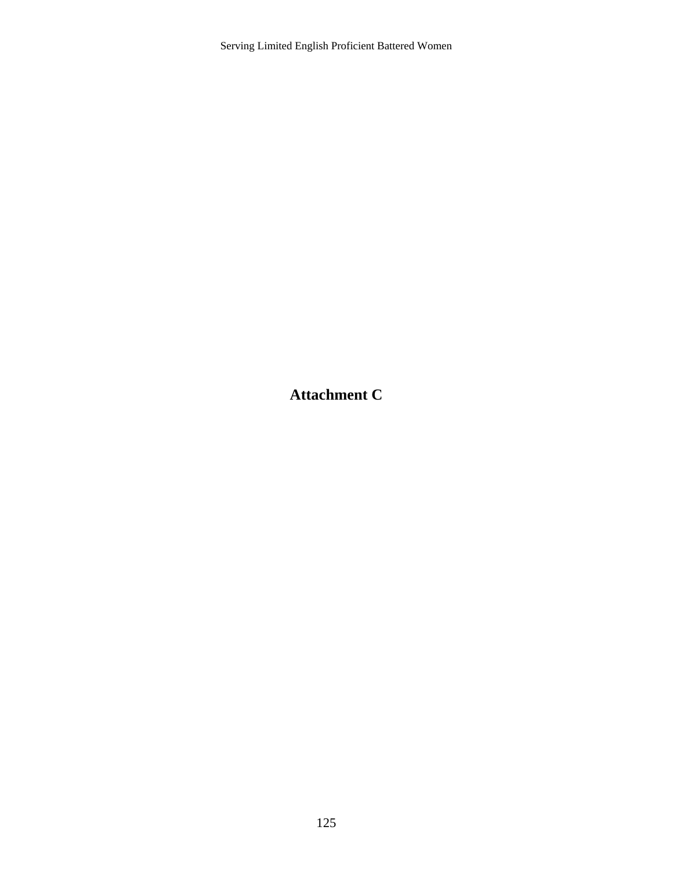**Attachment C**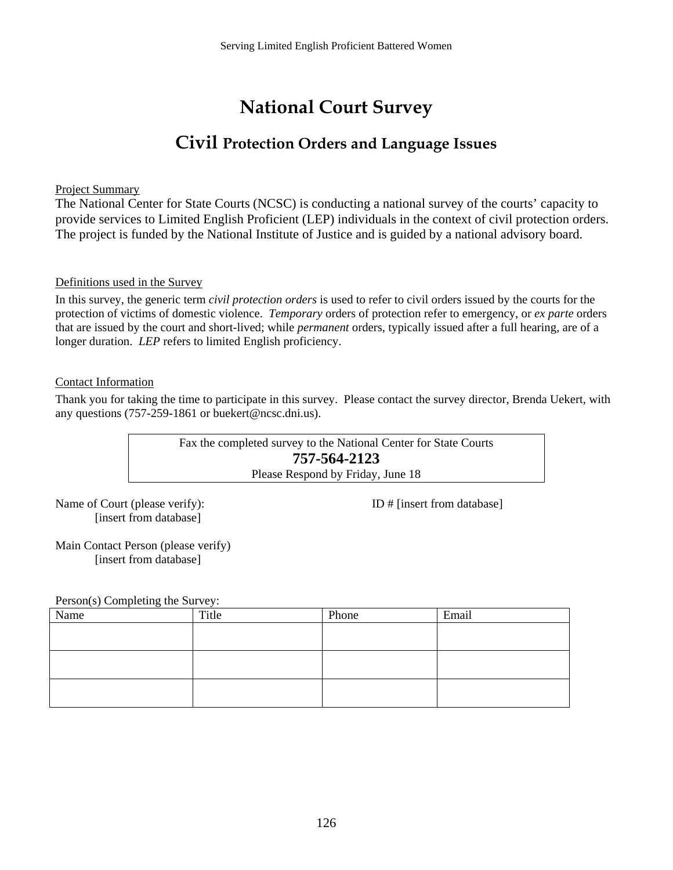# **National Court Survey**

# **Civil Protection Orders and Language Issues**

Project Summary

The National Center for State Courts (NCSC) is conducting a national survey of the courts' capacity to provide services to Limited English Proficient (LEP) individuals in the context of civil protection orders. The project is funded by the National Institute of Justice and is guided by a national advisory board.

### Definitions used in the Survey

In this survey, the generic term *civil protection orders* is used to refer to civil orders issued by the courts for the protection of victims of domestic violence. *Temporary* orders of protection refer to emergency, or *ex parte* orders that are issued by the court and short-lived; while *permanent* orders, typically issued after a full hearing, are of a longer duration. *LEP* refers to limited English proficiency.

### Contact Information

Thank you for taking the time to participate in this survey. Please contact the survey director, Brenda Uekert, with any questions (757-259-1861 or buekert@ncsc.dni.us).

> Fax the completed survey to the National Center for State Courts **757-564-2123**  Please Respond by Friday, June 18

Name of Court (please verify):  $ID \# \text{[insert from database]}$ [insert from database]

Main Contact Person (please verify) [insert from database]

Person(s) Completing the Survey:

| Name | Title | Phone | Email |
|------|-------|-------|-------|
|      |       |       |       |
|      |       |       |       |
|      |       |       |       |
|      |       |       |       |
|      |       |       |       |
|      |       |       |       |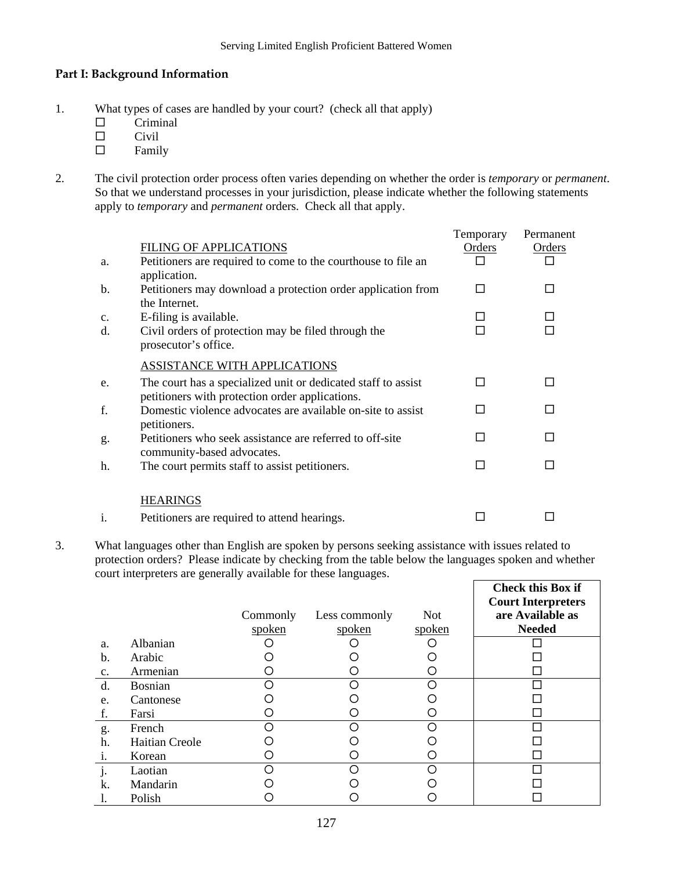### **Part I: Background Information**

- 1. What types of cases are handled by your court? (check all that apply)
	- $\square$  Criminal
	- $\square$  Civil<br> $\square$  Famil
	- Family
- 2. The civil protection order process often varies depending on whether the order is *temporary* or *permanent*. So that we understand processes in your jurisdiction, please indicate whether the following statements apply to *temporary* and *permanent* orders. Check all that apply.

|                |                                                                                                                  | Temporary | Permanent |
|----------------|------------------------------------------------------------------------------------------------------------------|-----------|-----------|
|                | <b>FILING OF APPLICATIONS</b>                                                                                    | Orders    | Orders    |
| a.             | Petitioners are required to come to the courthouse to file an<br>application.                                    |           |           |
| $\mathbf{b}$ . | Petitioners may download a protection order application from<br>the Internet.                                    | П         |           |
| $\mathbf{c}$ . | E-filing is available.                                                                                           |           |           |
| d.             | Civil orders of protection may be filed through the<br>prosecutor's office.                                      |           |           |
|                | ASSISTANCE WITH APPLICATIONS                                                                                     |           |           |
| e.             | The court has a specialized unit or dedicated staff to assist<br>petitioners with protection order applications. |           |           |
| f.             | Domestic violence advocates are available on-site to assist<br>petitioners.                                      | П         |           |
| g.             | Petitioners who seek assistance are referred to off-site<br>community-based advocates.                           | □         |           |
| h.             | The court permits staff to assist petitioners.                                                                   | П         |           |
|                | <b>HEARINGS</b>                                                                                                  |           |           |
| $\mathbf{i}$ . | Petitioners are required to attend hearings.                                                                     |           |           |

3. What languages other than English are spoken by persons seeking assistance with issues related to protection orders? Please indicate by checking from the table below the languages spoken and whether court interpreters are generally available for these languages.

|                |                       | Commonly<br>spoken | Less commonly<br>spoken | <b>Not</b><br>spoken | <b>Check this Box if</b><br><b>Court Interpreters</b><br>are Available as<br><b>Needed</b> |
|----------------|-----------------------|--------------------|-------------------------|----------------------|--------------------------------------------------------------------------------------------|
| a.             | Albanian              |                    |                         |                      |                                                                                            |
| $\mathbf{b}$ . | Arabic                |                    |                         |                      |                                                                                            |
| c.             | Armenian              |                    |                         |                      |                                                                                            |
| d.             | <b>Bosnian</b>        |                    | ∩                       | ∩                    |                                                                                            |
| e.             | Cantonese             |                    |                         |                      |                                                                                            |
| f.             | Farsi                 |                    |                         |                      |                                                                                            |
| g.             | French                |                    |                         |                      |                                                                                            |
| h.             | <b>Haitian Creole</b> |                    |                         |                      |                                                                                            |
| 1.             | Korean                |                    |                         |                      |                                                                                            |
| $\mathbf{J}$   | Laotian               |                    |                         |                      |                                                                                            |
| k.             | Mandarin              |                    |                         |                      |                                                                                            |
|                | Polish                |                    |                         |                      |                                                                                            |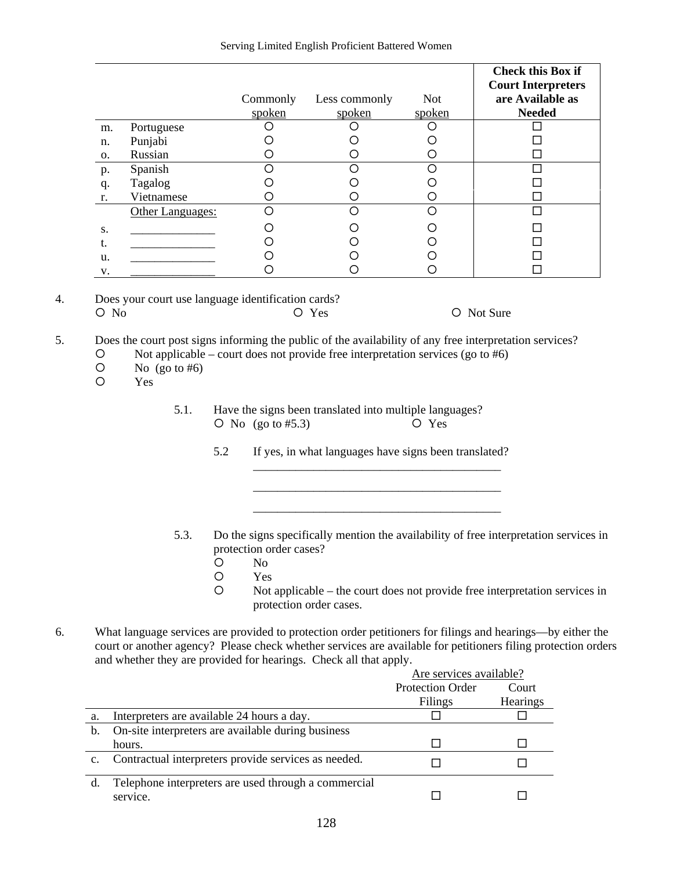|    |                  | Commonly | Less commonly | <b>Not</b> | <b>Check this Box if</b><br><b>Court Interpreters</b><br>are Available as |
|----|------------------|----------|---------------|------------|---------------------------------------------------------------------------|
|    |                  | spoken   | spoken        | spoken     | <b>Needed</b>                                                             |
| m. | Portuguese       |          |               |            |                                                                           |
| n. | Punjabi          |          |               |            |                                                                           |
| О. | Russian          |          |               |            |                                                                           |
| p. | Spanish          |          | ( )           |            |                                                                           |
| q. | Tagalog          |          |               |            |                                                                           |
| r. | Vietnamese       |          |               |            |                                                                           |
|    | Other Languages: |          | ∩             |            |                                                                           |
| S. |                  |          |               |            |                                                                           |
| t. |                  |          |               |            |                                                                           |
| u. |                  |          |               |            |                                                                           |
| V. |                  |          |               |            |                                                                           |

4. Does your court use language identification cards?  ${\rm O}$  No  ${\rm O}$  No  ${\rm O}$  Yes  ${\rm O}$  Not Sure

5. Does the court post signs informing the public of the availability of any free interpretation services?

 ${\cal O}$  Not applicable – court does not provide free interpretation services (go to #6)

 $\frac{1}{\sqrt{2\pi}}$  , which is the contract of the contract of the contract of the contract of the contract of the contract of the contract of the contract of the contract of the contract of the contract of the contract of the  $\frac{1}{\sqrt{2\pi}}$  ,  $\frac{1}{\sqrt{2\pi}}$  ,  $\frac{1}{\sqrt{2\pi}}$  ,  $\frac{1}{\sqrt{2\pi}}$  ,  $\frac{1}{\sqrt{2\pi}}$  ,  $\frac{1}{\sqrt{2\pi}}$  ,  $\frac{1}{\sqrt{2\pi}}$  ,  $\frac{1}{\sqrt{2\pi}}$  ,  $\frac{1}{\sqrt{2\pi}}$  ,  $\frac{1}{\sqrt{2\pi}}$  ,  $\frac{1}{\sqrt{2\pi}}$  ,  $\frac{1}{\sqrt{2\pi}}$  ,  $\frac{1}{\sqrt{2\pi}}$  ,

 $\frac{1}{\sqrt{2\pi}}$  ,  $\frac{1}{\sqrt{2\pi}}$  ,  $\frac{1}{\sqrt{2\pi}}$  ,  $\frac{1}{\sqrt{2\pi}}$  ,  $\frac{1}{\sqrt{2\pi}}$  ,  $\frac{1}{\sqrt{2\pi}}$  ,  $\frac{1}{\sqrt{2\pi}}$  ,  $\frac{1}{\sqrt{2\pi}}$  ,  $\frac{1}{\sqrt{2\pi}}$  ,  $\frac{1}{\sqrt{2\pi}}$  ,  $\frac{1}{\sqrt{2\pi}}$  ,  $\frac{1}{\sqrt{2\pi}}$  ,  $\frac{1}{\sqrt{2\pi}}$  ,

 $\begin{array}{cc} \n\text{O} & \text{No} \text{ (go to \#6)} \\ \n\text{O} & \text{Yes} \n\end{array}$ 

{ Yes

- 5.1. Have the signs been translated into multiple languages?<br>  $\overline{O}$  No (go to #5.3)  $\overline{O}$  Yes  ${\rm O}$  No (go to #5.3)
	- 5.2 If yes, in what languages have signs been translated?
- 5.3. Do the signs specifically mention the availability of free interpretation services in protection order cases?
	- $O$  No
	- { Yes
	- { Not applicable the court does not provide free interpretation services in protection order cases.
- 6. What language services are provided to protection order petitioners for filings and hearings—by either the court or another agency? Please check whether services are available for petitioners filing protection orders and whether they are provided for hearings. Check all that apply.

|    |                                                                  | Are services available? |                 |
|----|------------------------------------------------------------------|-------------------------|-----------------|
|    |                                                                  | <b>Protection Order</b> | Court           |
|    |                                                                  | Filings                 | <b>Hearings</b> |
| a. | Interpreters are available 24 hours a day.                       |                         |                 |
| b. | On-site interpreters are available during business               |                         |                 |
|    | hours.                                                           |                         |                 |
| c. | Contractual interpreters provide services as needed.             |                         |                 |
| d. | Telephone interpreters are used through a commercial<br>service. |                         |                 |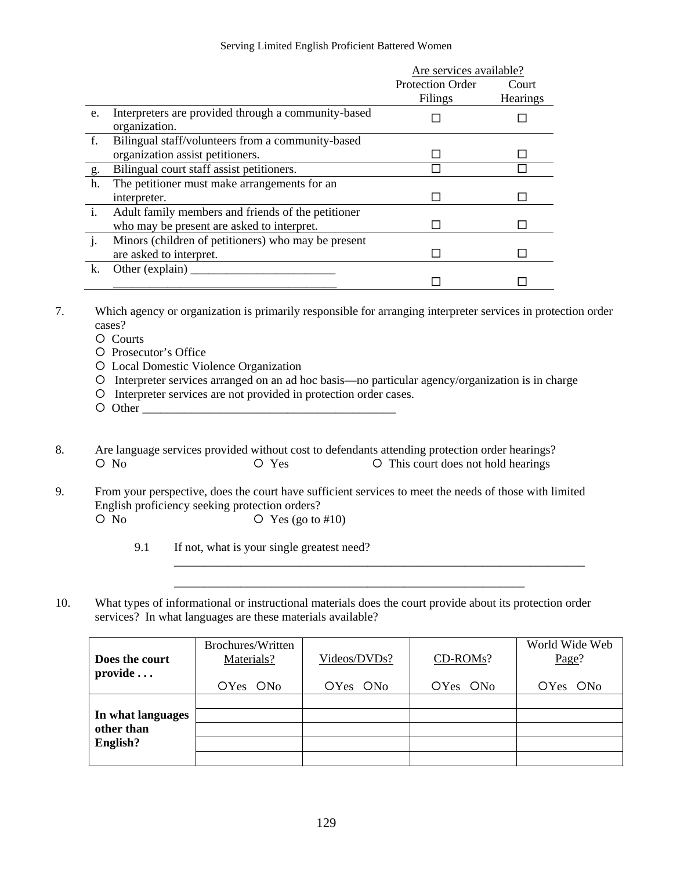|              |                                                     | Are services available? |                 |
|--------------|-----------------------------------------------------|-------------------------|-----------------|
|              |                                                     | <b>Protection Order</b> | Court           |
|              |                                                     | Filings                 | <b>Hearings</b> |
| e.           | Interpreters are provided through a community-based |                         |                 |
|              | organization.                                       |                         |                 |
| f.           | Bilingual staff/volunteers from a community-based   |                         |                 |
|              | organization assist petitioners.                    |                         |                 |
| $g$ .        | Bilingual court staff assist petitioners.           |                         |                 |
| h.           | The petitioner must make arrangements for an        |                         |                 |
|              | interpreter.                                        |                         |                 |
| $\ddot{i}$ . | Adult family members and friends of the petitioner  |                         |                 |
|              | who may be present are asked to interpret.          |                         |                 |
| j.           | Minors (children of petitioners) who may be present |                         |                 |
|              | are asked to interpret.                             |                         |                 |
| k.           | Other (explain) $\overline{\phantom{a}}$            |                         |                 |
|              |                                                     |                         |                 |

7. Which agency or organization is primarily responsible for arranging interpreter services in protection order cases?

{ Courts

- { Prosecutor's Office
- { Local Domestic Violence Organization
- { Interpreter services arranged on an ad hoc basis—no particular agency/organization is in charge
- { Interpreter services are not provided in protection order cases.
- $\circ$  Other
- 8. Are language services provided without cost to defendants attending protection order hearings?  ${\rm O}$  No  ${\rm O}$  Yes  ${\rm O}$  This court does not hold hearings
- 9. From your perspective, does the court have sufficient services to meet the needs of those with limited English proficiency seeking protection orders?  $\overline{O}$  No  $\overline{O}$  Yes (go to #10)

9.1 If not, what is your single greatest need?

10. What types of informational or instructional materials does the court provide about its protection order services? In what languages are these materials available?

| Does the court<br>$\mathbf{provide} \dots$ | Brochures/Written<br>Materials? | Videos/DVDs?         | CD-ROMs?             | World Wide Web<br>Page? |
|--------------------------------------------|---------------------------------|----------------------|----------------------|-------------------------|
|                                            | OYes ON <sub>0</sub>            | OYes ON <sub>0</sub> | OYes ON <sub>0</sub> | OYes ON <sub>0</sub>    |
|                                            |                                 |                      |                      |                         |
| In what languages                          |                                 |                      |                      |                         |
| other than                                 |                                 |                      |                      |                         |
| English?                                   |                                 |                      |                      |                         |
|                                            |                                 |                      |                      |                         |

\_\_\_\_\_\_\_\_\_\_\_\_\_\_\_\_\_\_\_\_\_\_\_\_\_\_\_\_\_\_\_\_\_\_\_\_\_\_\_\_\_\_\_\_\_\_\_\_\_\_\_\_\_\_\_\_\_\_

\_\_\_\_\_\_\_\_\_\_\_\_\_\_\_\_\_\_\_\_\_\_\_\_\_\_\_\_\_\_\_\_\_\_\_\_\_\_\_\_\_\_\_\_\_\_\_\_\_\_\_\_\_\_\_\_\_\_\_\_\_\_\_\_\_\_\_\_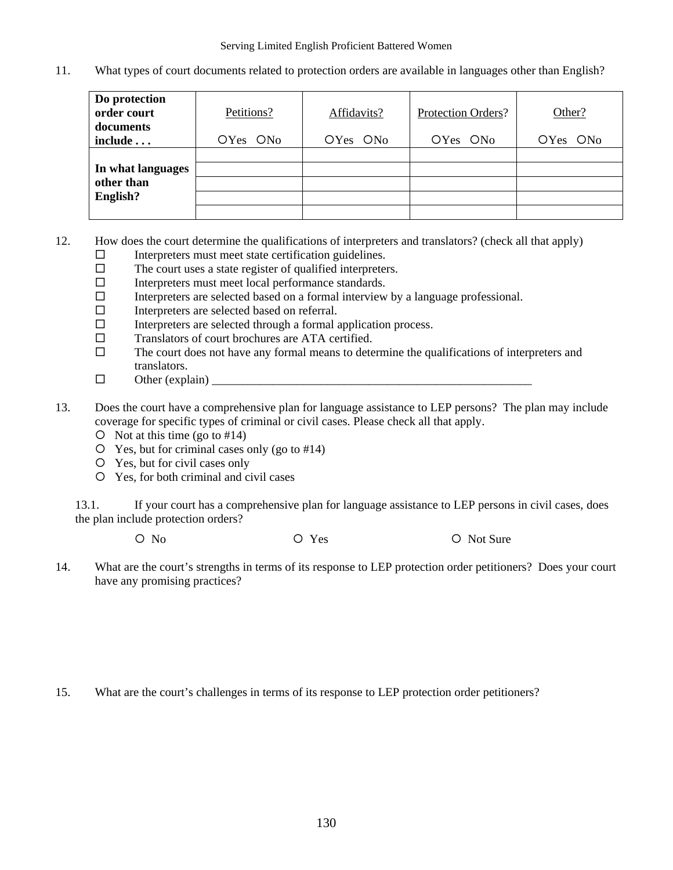11. What types of court documents related to protection orders are available in languages other than English?

| Do protection<br>order court<br>documents | Petitions?           | Affidavits?          | Protection Orders?   | Other?               |
|-------------------------------------------|----------------------|----------------------|----------------------|----------------------|
| include                                   | OYes ON <sub>0</sub> | OYes ON <sub>0</sub> | OYes ON <sub>0</sub> | OYes ON <sub>0</sub> |
|                                           |                      |                      |                      |                      |
| In what languages                         |                      |                      |                      |                      |
| other than                                |                      |                      |                      |                      |
| English?                                  |                      |                      |                      |                      |
|                                           |                      |                      |                      |                      |

- 12. How does the court determine the qualifications of interpreters and translators? (check all that apply)
	- $\Box$  Interpreters must meet state certification guidelines.<br> $\Box$  The court uses a state register of qualified interpreter
	- The court uses a state register of qualified interpreters.
	- Interpreters must meet local performance standards.
	- $\Box$  Interpreters are selected based on a formal interview by a language professional.
	- $\square$  Interpreters are selected based on referral.
	- $\Box$  Interpreters are selected through a formal application process.
	- □ Translators of court brochures are ATA certified.
	- $\square$  The court does not have any formal means to determine the qualifications of interpreters and translators.
	- $\Box$  Other (explain)
- 13. Does the court have a comprehensive plan for language assistance to LEP persons? The plan may include coverage for specific types of criminal or civil cases. Please check all that apply.
	- $\circ$  Not at this time (go to #14)
	- $\circ$  Yes, but for criminal cases only (go to #14)
	- { Yes, but for civil cases only
	- { Yes, for both criminal and civil cases

13.1. If your court has a comprehensive plan for language assistance to LEP persons in civil cases, does the plan include protection orders?

 ${\rm O}$  No  ${\rm O}$  Yes  ${\rm O}$  Not Sure

14. What are the court's strengths in terms of its response to LEP protection order petitioners? Does your court have any promising practices?

15. What are the court's challenges in terms of its response to LEP protection order petitioners?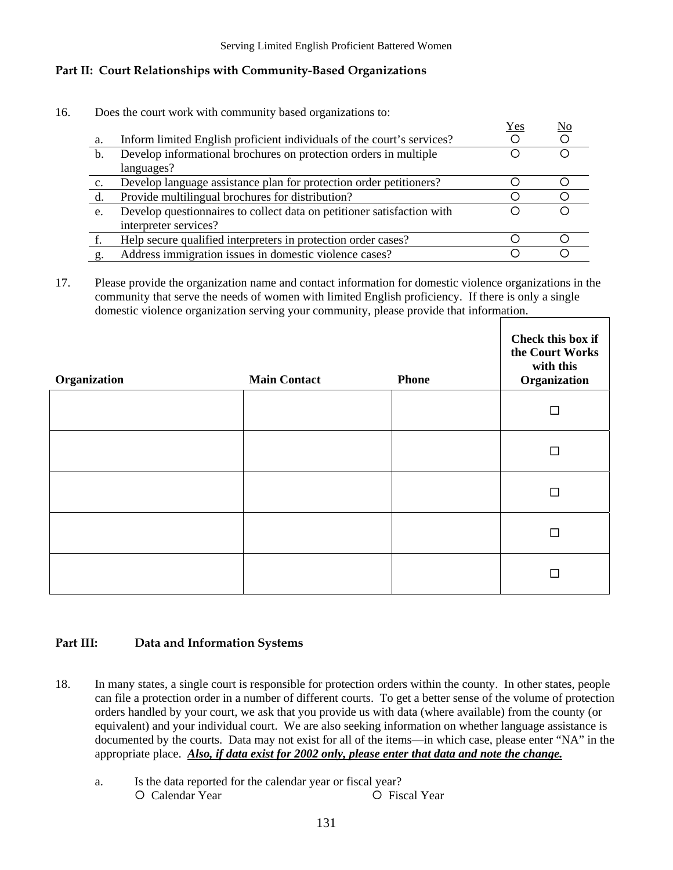### **Part II: Court Relationships with Community-Based Organizations**

16. Does the court work with community based organizations to:

|                |                                                                        | Yes | No |
|----------------|------------------------------------------------------------------------|-----|----|
| a.             | Inform limited English proficient individuals of the court's services? |     |    |
| $\mathbf b$ .  | Develop informational brochures on protection orders in multiple       |     |    |
|                | languages?                                                             |     |    |
| $\mathbf{c}$ . | Develop language assistance plan for protection order petitioners?     |     |    |
| d.             | Provide multilingual brochures for distribution?                       |     |    |
| e.             | Develop questionnaires to collect data on petitioner satisfaction with |     |    |
|                | interpreter services?                                                  |     |    |
|                | Help secure qualified interpreters in protection order cases?          |     |    |
| g.             | Address immigration issues in domestic violence cases?                 |     |    |

17. Please provide the organization name and contact information for domestic violence organizations in the community that serve the needs of women with limited English proficiency. If there is only a single domestic violence organization serving your community, please provide that information.

| Organization | <b>Main Contact</b> | <b>Phone</b> | Check this box if<br>the Court Works<br>with this<br>Organization |
|--------------|---------------------|--------------|-------------------------------------------------------------------|
|              |                     |              |                                                                   |
|              |                     |              | П                                                                 |
|              |                     |              |                                                                   |
|              |                     |              | П                                                                 |
|              |                     |              |                                                                   |

### **Part III: Data and Information Systems**

- 18. In many states, a single court is responsible for protection orders within the county. In other states, people can file a protection order in a number of different courts. To get a better sense of the volume of protection orders handled by your court, we ask that you provide us with data (where available) from the county (or equivalent) and your individual court. We are also seeking information on whether language assistance is documented by the courts. Data may not exist for all of the items—in which case, please enter "NA" in the appropriate place. *Also, if data exist for 2002 only, please enter that data and note the change.*
	- a. Is the data reported for the calendar year or fiscal year?  ${\rm O}$  Calendar Year  ${\rm O}$  Fiscal Year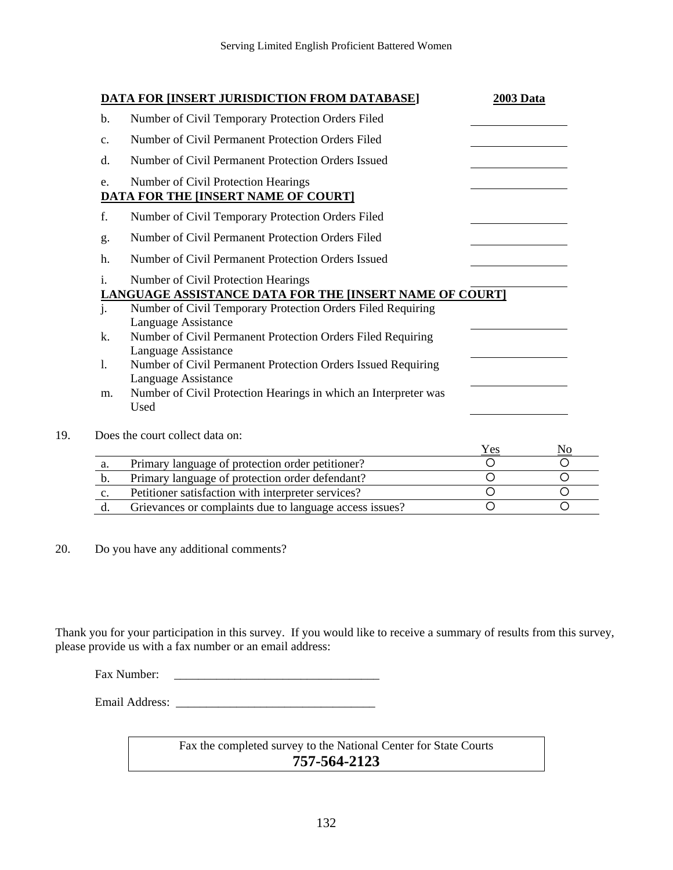|                | <b>DATA FOR [INSERT JURISDICTION FROM DATABASE]</b>                                            | 2003 Data |  |
|----------------|------------------------------------------------------------------------------------------------|-----------|--|
| b.             | Number of Civil Temporary Protection Orders Filed                                              |           |  |
| c.             | Number of Civil Permanent Protection Orders Filed                                              |           |  |
| d.             | Number of Civil Permanent Protection Orders Issued                                             |           |  |
| e.             | Number of Civil Protection Hearings<br><b>DATA FOR THE [INSERT NAME OF COURT]</b>              |           |  |
| f.             | Number of Civil Temporary Protection Orders Filed                                              |           |  |
| g.             | Number of Civil Permanent Protection Orders Filed                                              |           |  |
| h.             | Number of Civil Permanent Protection Orders Issued                                             |           |  |
| $\mathbf{i}$ . | Number of Civil Protection Hearings<br>LANGUAGE ASSISTANCE DATA FOR THE [INSERT NAME OF COURT] |           |  |
| j.             | Number of Civil Temporary Protection Orders Filed Requiring<br>Language Assistance             |           |  |
| k.             | Number of Civil Permanent Protection Orders Filed Requiring<br>Language Assistance             |           |  |
| $\mathbf{l}$ . | Number of Civil Permanent Protection Orders Issued Requiring<br>Language Assistance            |           |  |
| m.             | Number of Civil Protection Hearings in which an Interpreter was<br>Used                        |           |  |
|                | Does the court collect data on:                                                                |           |  |
| a.             | Primary language of protection order petitioner?                                               | Yes<br>O  |  |
| b.             | Primary language of protection order defendant?                                                | $\circ$   |  |
| c.             | Petitioner satisfaction with interpreter services?                                             | $\circ$   |  |

d. Grievances or complaints due to language access issues?  $\qquad \qquad \circ$ 

20. Do you have any additional comments?

Thank you for your participation in this survey. If you would like to receive a summary of results from this survey, please provide us with a fax number or an email address:

Fax Number:

Email Address: \_\_\_\_\_\_\_\_\_\_\_\_\_\_\_\_\_\_\_\_\_\_\_\_\_\_\_\_\_\_\_\_\_

Fax the completed survey to the National Center for State Courts **757-564-2123**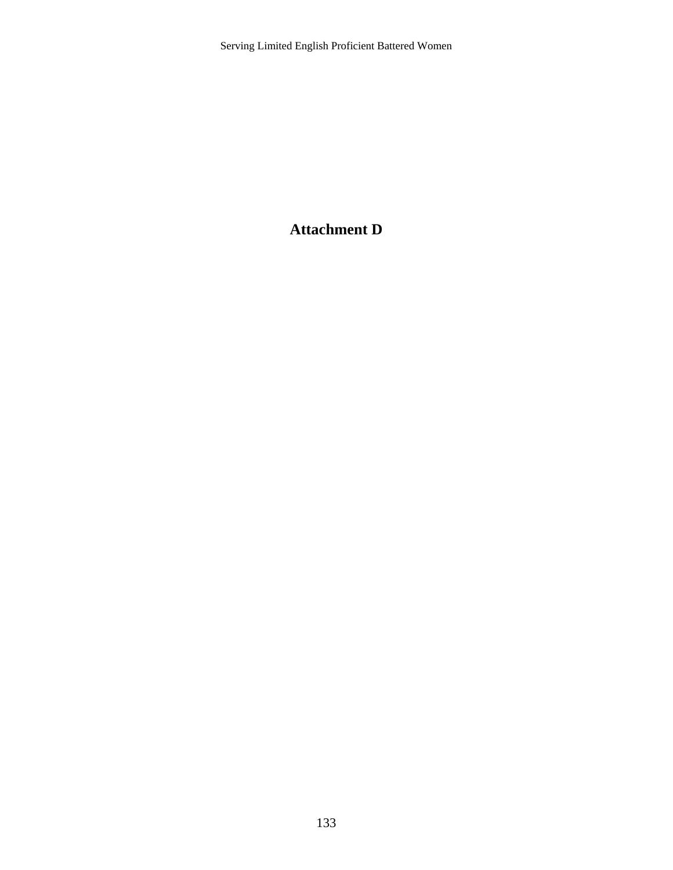### **Attachment D**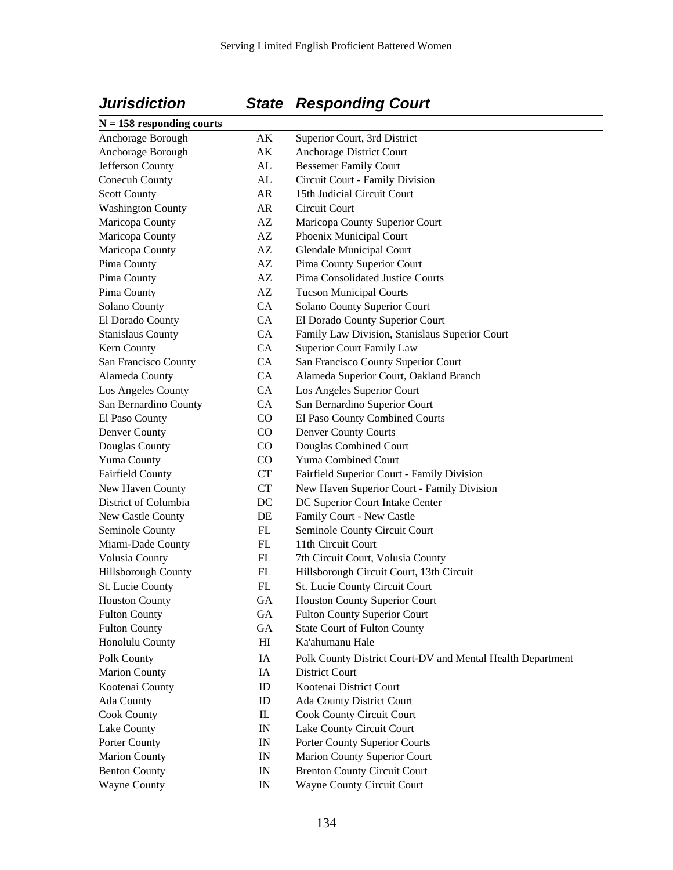# $N = 158$  respond:

# *Jurisdiction State Responding Court*

| $N = 158$ responding courts |                                 |                                                            |
|-----------------------------|---------------------------------|------------------------------------------------------------|
| Anchorage Borough           | AK                              | Superior Court, 3rd District                               |
| Anchorage Borough           | AK                              | Anchorage District Court                                   |
| Jefferson County            | AL                              | <b>Bessemer Family Court</b>                               |
| Conecuh County              | AL                              | Circuit Court - Family Division                            |
| <b>Scott County</b>         | AR                              | 15th Judicial Circuit Court                                |
| <b>Washington County</b>    | AR                              | Circuit Court                                              |
| Maricopa County             | AZ                              | Maricopa County Superior Court                             |
| Maricopa County             | AZ                              | Phoenix Municipal Court                                    |
| Maricopa County             | AZ                              | Glendale Municipal Court                                   |
| Pima County                 | AZ                              | Pima County Superior Court                                 |
| Pima County                 | AZ                              | Pima Consolidated Justice Courts                           |
| Pima County                 | AZ                              | <b>Tucson Municipal Courts</b>                             |
| Solano County               | CA                              | Solano County Superior Court                               |
| El Dorado County            | CA                              | El Dorado County Superior Court                            |
| <b>Stanislaus County</b>    | <b>CA</b>                       | Family Law Division, Stanislaus Superior Court             |
| Kern County                 | <b>CA</b>                       | <b>Superior Court Family Law</b>                           |
| San Francisco County        | CA                              | San Francisco County Superior Court                        |
| Alameda County              | <b>CA</b>                       | Alameda Superior Court, Oakland Branch                     |
| Los Angeles County          | CA                              | Los Angeles Superior Court                                 |
| San Bernardino County       | CA                              | San Bernardino Superior Court                              |
| El Paso County              | $\rm CO$                        | El Paso County Combined Courts                             |
| Denver County               | $\rm CO$                        | <b>Denver County Courts</b>                                |
| Douglas County              | $\rm CO$                        | Douglas Combined Court                                     |
| Yuma County                 | CO                              | Yuma Combined Court                                        |
| <b>Fairfield County</b>     | CT                              | Fairfield Superior Court - Family Division                 |
| New Haven County            | CT                              | New Haven Superior Court - Family Division                 |
| District of Columbia        | DC                              | DC Superior Court Intake Center                            |
| New Castle County           | DE                              | Family Court - New Castle                                  |
| Seminole County             | FL                              | Seminole County Circuit Court                              |
| Miami-Dade County           | FL                              | 11th Circuit Court                                         |
| Volusia County              | FL                              | 7th Circuit Court, Volusia County                          |
| Hillsborough County         | FL                              | Hillsborough Circuit Court, 13th Circuit                   |
| St. Lucie County            | FL                              | St. Lucie County Circuit Court                             |
| <b>Houston County</b>       | GA                              | Houston County Superior Court                              |
| <b>Fulton County</b>        | GА                              | <b>Fulton County Superior Court</b>                        |
| <b>Fulton County</b>        | GA                              | <b>State Court of Fulton County</b>                        |
| Honolulu County             | H                               | Ka'ahumanu Hale                                            |
|                             |                                 |                                                            |
| Polk County                 | IA                              | Polk County District Court-DV and Mental Health Department |
| <b>Marion County</b>        | IA                              | <b>District Court</b>                                      |
| Kootenai County             | ID                              | Kootenai District Court                                    |
| Ada County                  | ID                              | Ada County District Court                                  |
| <b>Cook County</b>          | $\mathop{\mathrm{IL}}\nolimits$ | <b>Cook County Circuit Court</b>                           |
| Lake County                 | IN                              | Lake County Circuit Court                                  |
| Porter County               | IN                              | Porter County Superior Courts                              |
| <b>Marion County</b>        | IN                              | Marion County Superior Court                               |
| <b>Benton County</b>        | IN                              | <b>Brenton County Circuit Court</b>                        |
| <b>Wayne County</b>         | IN                              | Wayne County Circuit Court                                 |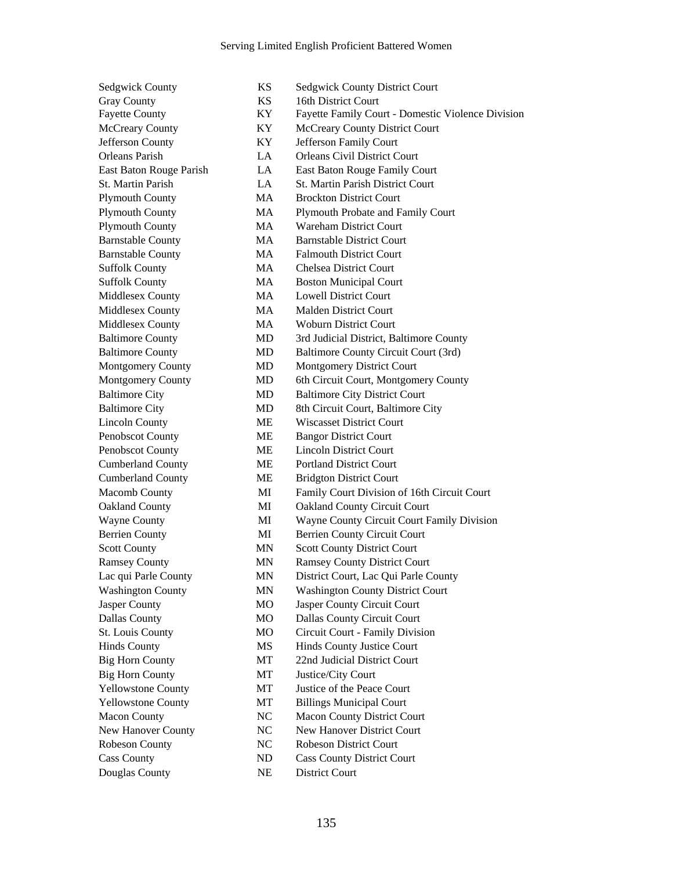Big Horn County **MT** Justice/City Court Douglas County NE District Court

Sedgwick County **KS** Sedgwick County District Court Gray County **KS** 16th District Court Fayette County KY Fayette Family Court - Domestic Violence Division McCreary County **KY** McCreary County District Court Jefferson County KY Jefferson Family Court Orleans Parish LA Orleans Civil District Court East Baton Rouge Parish LA East Baton Rouge Family Court St. Martin Parish LA St. Martin Parish District Court Plymouth County MA Brockton District Court Plymouth County MA Plymouth Probate and Family Court Plymouth County MA Wareham District Court Barnstable County MA Barnstable District Court Barnstable County MA Falmouth District Court Suffolk County MA Chelsea District Court Suffolk County **MA** Boston Municipal Court Middlesex County MA Lowell District Court Middlesex County MA Malden District Court Middlesex County MA Woburn District Court Baltimore County MD 3rd Judicial District, Baltimore County Baltimore County MD Baltimore County Circuit Court (3rd) Montgomery County MD Montgomery District Court Montgomery County MD 6th Circuit Court, Montgomery County Baltimore City MD Baltimore City District Court Baltimore City **MD** 8th Circuit Court, Baltimore City Lincoln County ME Wiscasset District Court Penobscot County ME Bangor District Court Penobscot County ME Lincoln District Court Cumberland County ME Portland District Court Cumberland County ME Bridgton District Court Macomb County MI Family Court Division of 16th Circuit Court Oakland County MI Oakland County Circuit Court Wayne County MI Wayne County Circuit Court Family Division Berrien County MI Berrien County Circuit Court Scott County MN Scott County District Court Ramsey County MN Ramsey County District Court Lac qui Parle County MN District Court, Lac Qui Parle County Washington County MN Washington County District Court Jasper County MO Jasper County Circuit Court Dallas County MO Dallas County Circuit Court St. Louis County MO Circuit Court - Family Division Hinds County MS Hinds County Justice Court Big Horn County MT 22nd Judicial District Court Yellowstone County MT Justice of the Peace Court Yellowstone County MT Billings Municipal Court Macon County NC Macon County District Court New Hanover County NC New Hanover District Court Robeson County NC Robeson District Court Cass County ND Cass County District Court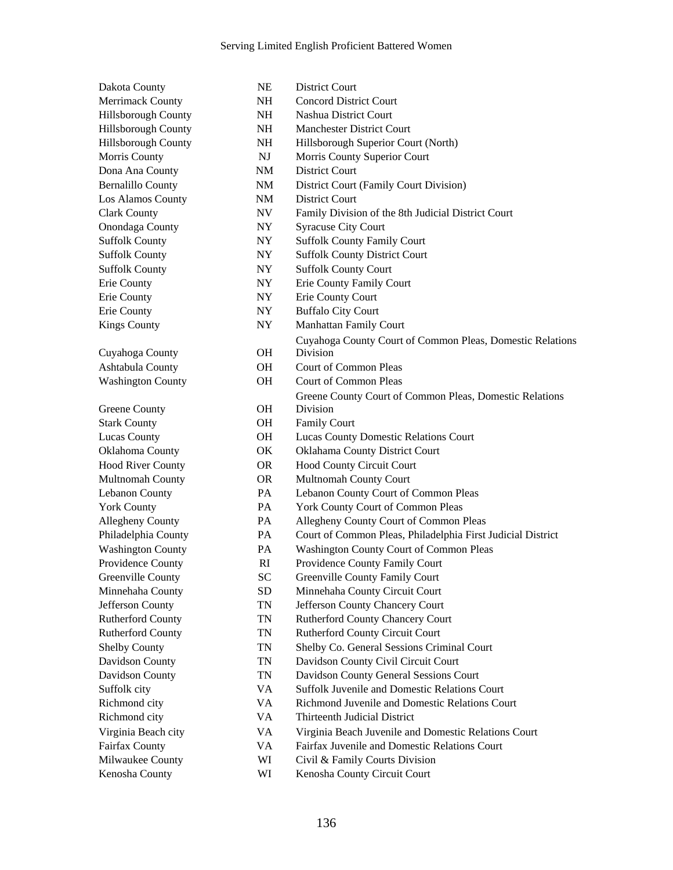Dakota County NE District Court Dona Ana County NM District Court Los Alamos County NM District Court Cuyahoga County OH Greene County **OH** Stark County **OH** Family Court

Merrimack County **NH** Concord District Court Hillsborough County NH Nashua District Court Hillsborough County NH Manchester District Court Hillsborough County NH Hillsborough Superior Court (North) Morris County **NJ** Morris County Superior Court Bernalillo County NM District Court (Family Court Division) Clark County NV Family Division of the 8th Judicial District Court Onondaga County NY Syracuse City Court Suffolk County NY Suffolk County Family Court Suffolk County NY Suffolk County District Court Suffolk County NY Suffolk County Court Erie County NY Erie County Family Court Erie County NY Erie County Court Erie County NY Buffalo City Court Kings County **NY** Manhattan Family Court Cuyahoga County Court of Common Pleas, Domestic Relations Division Ashtabula County OH Court of Common Pleas Washington County **OH** Court of Common Pleas Greene County Court of Common Pleas, Domestic Relations Division Lucas County OH Lucas County Domestic Relations Court Oklahoma County OK Oklahama County District Court Hood River County OR Hood County Circuit Court Multnomah County OR Multnomah County Court Lebanon County PA Lebanon County Court of Common Pleas York County PA York County Court of Common Pleas Allegheny County PA Allegheny County Court of Common Pleas Philadelphia County PA Court of Common Pleas, Philadelphia First Judicial District Washington County PA Washington County Court of Common Pleas Providence County **RI** Providence County Family Court Greenville County SC Greenville County Family Court Minnehaha County SD Minnehaha County Circuit Court Jefferson County TN Jefferson County Chancery Court Rutherford County TN Rutherford County Chancery Court Rutherford County TN Rutherford County Circuit Court Shelby County TN Shelby Co. General Sessions Criminal Court Davidson County TN Davidson County Civil Circuit Court Davidson County TN Davidson County General Sessions Court Suffolk city VA Suffolk Juvenile and Domestic Relations Court Richmond city VA Richmond Juvenile and Domestic Relations Court Richmond city VA Thirteenth Judicial District Virginia Beach city VA Virginia Beach Juvenile and Domestic Relations Court Fairfax County VA Fairfax Juvenile and Domestic Relations Court Milwaukee County WI Civil & Family Courts Division

Kenosha County WI Kenosha County Circuit Court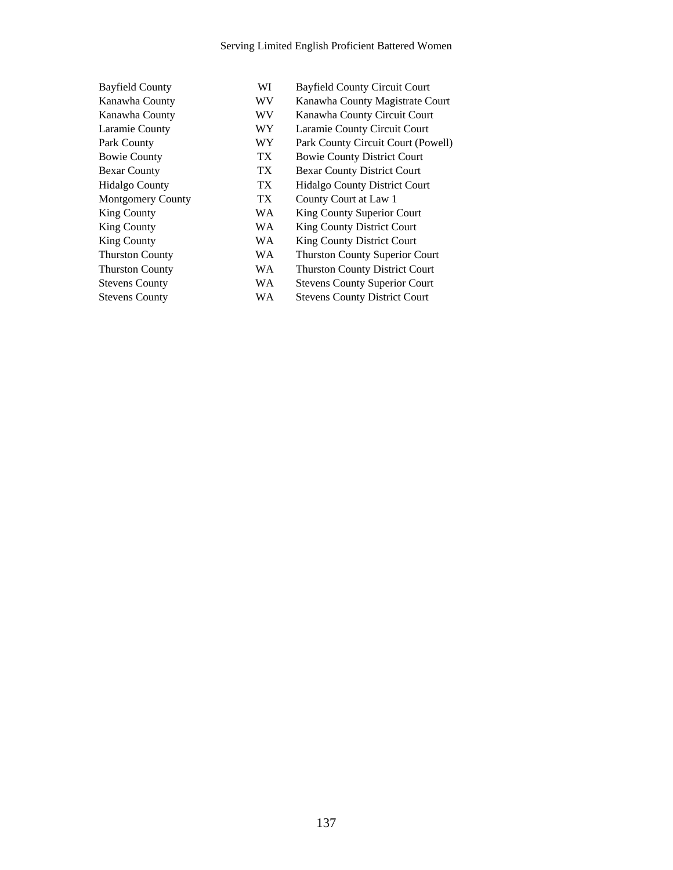Stevens County WA Stevens County District Court

Bayfield County WI Bayfield County Circuit Court Kanawha County WV Kanawha County Magistrate Court Kanawha County WV Kanawha County Circuit Court Laramie County WY Laramie County Circuit Court Park County **WY** Park County Circuit Court (Powell) Bowie County TX Bowie County District Court Bexar County TX Bexar County District Court Hidalgo County TX Hidalgo County District Court Montgomery County TX County Court at Law 1 King County WA King County Superior Court King County WA King County District Court King County WA King County District Court Thurston County WA Thurston County Superior Court Thurston County WA Thurston County District Court Stevens County WA Stevens County Superior Court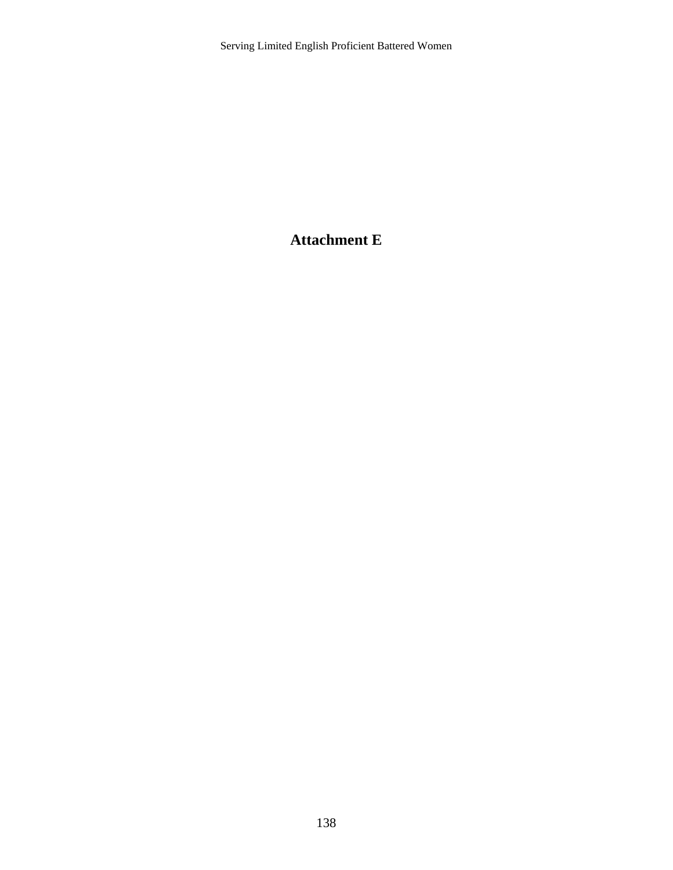# **Attachment E**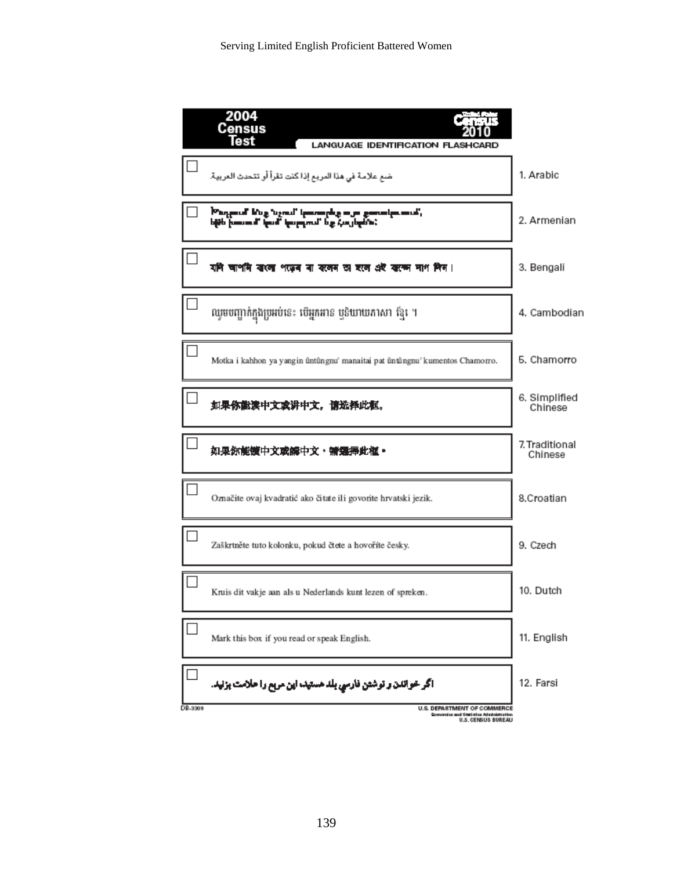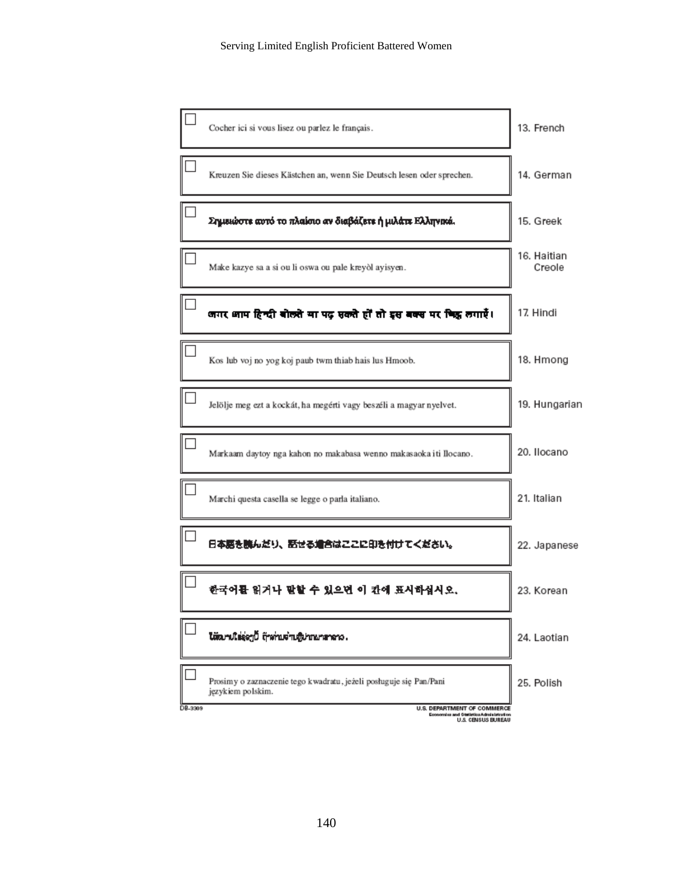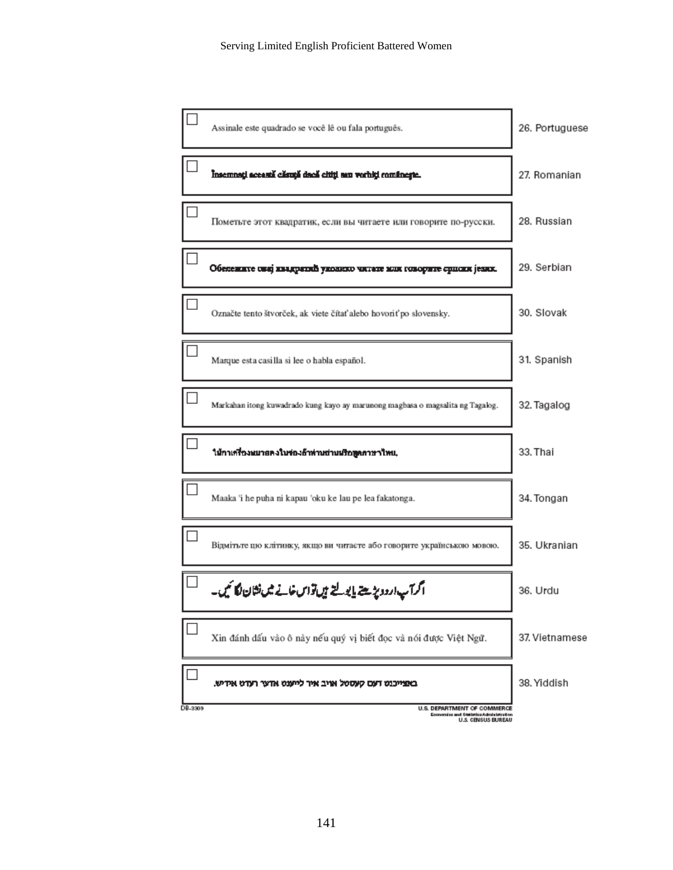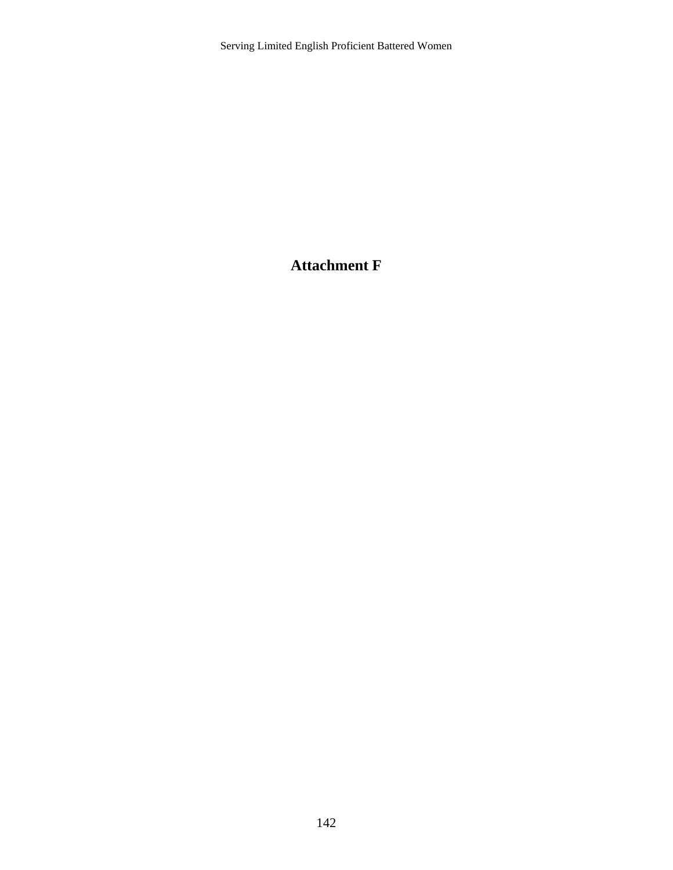### **Attachment F**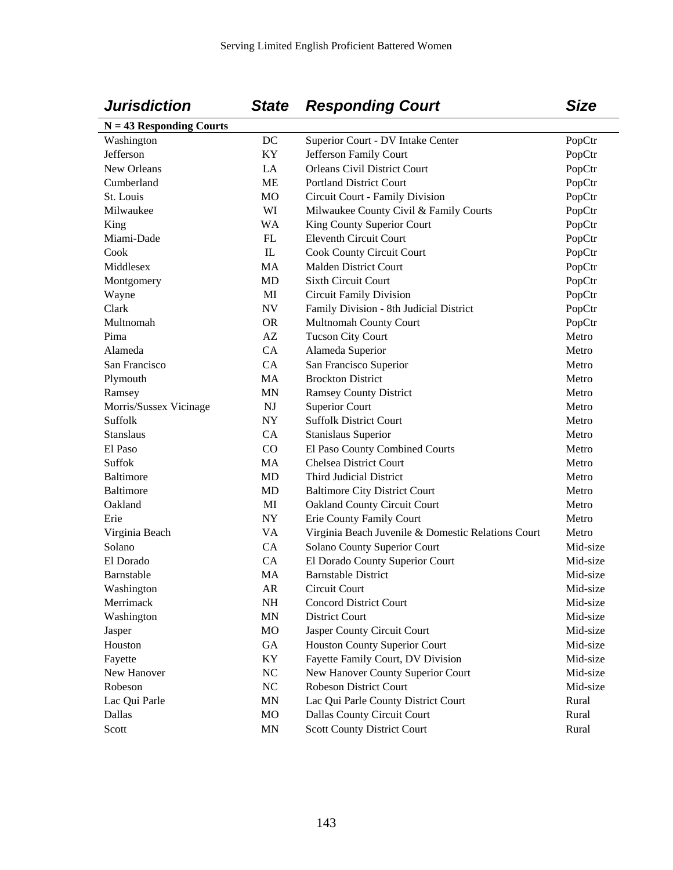### *Jurisdiction State Responding Court Size*

| $N = 43$ Responding Courts |                          |                                                    |          |
|----------------------------|--------------------------|----------------------------------------------------|----------|
| Washington                 | DC                       | Superior Court - DV Intake Center                  | PopCtr   |
| Jefferson                  | KY                       | Jefferson Family Court                             | PopCtr   |
| New Orleans                | LA                       | <b>Orleans Civil District Court</b>                | PopCtr   |
| Cumberland                 | <b>ME</b>                | <b>Portland District Court</b>                     | PopCtr   |
| St. Louis                  | <b>MO</b>                | Circuit Court - Family Division                    | PopCtr   |
| Milwaukee                  | WI                       | Milwaukee County Civil & Family Courts             | PopCtr   |
| King                       | <b>WA</b>                | King County Superior Court                         | PopCtr   |
| Miami-Dade                 | ${\rm FL}$               | <b>Eleventh Circuit Court</b>                      | PopCtr   |
| Cook                       | $\mathbf{I}$             | Cook County Circuit Court                          | PopCtr   |
| Middlesex                  | MA                       | <b>Malden District Court</b>                       | PopCtr   |
| Montgomery                 | <b>MD</b>                | <b>Sixth Circuit Court</b>                         | PopCtr   |
| Wayne                      | MI                       | <b>Circuit Family Division</b>                     | PopCtr   |
| Clark                      | $\ensuremath{\text{NV}}$ | Family Division - 8th Judicial District            | PopCtr   |
| Multnomah                  | <b>OR</b>                | Multnomah County Court                             | PopCtr   |
| Pima                       | $\mathbf{A}\mathbf{Z}$   | <b>Tucson City Court</b>                           | Metro    |
| Alameda                    | CA                       | Alameda Superior                                   | Metro    |
| San Francisco              | CA                       | San Francisco Superior                             | Metro    |
| Plymouth                   | MA                       | <b>Brockton District</b>                           | Metro    |
| Ramsey                     | <b>MN</b>                | <b>Ramsey County District</b>                      | Metro    |
| Morris/Sussex Vicinage     | <b>NJ</b>                | <b>Superior Court</b>                              | Metro    |
| Suffolk                    | ${\rm NY}$               | <b>Suffolk District Court</b>                      | Metro    |
| <b>Stanslaus</b>           | CA                       | <b>Stanislaus Superior</b>                         | Metro    |
| El Paso                    | CO                       | El Paso County Combined Courts                     | Metro    |
| Suffok                     | MA                       | <b>Chelsea District Court</b>                      | Metro    |
| Baltimore                  | <b>MD</b>                | Third Judicial District                            | Metro    |
| Baltimore                  | <b>MD</b>                | <b>Baltimore City District Court</b>               | Metro    |
| Oakland                    | MI                       | Oakland County Circuit Court                       | Metro    |
| Erie                       | <b>NY</b>                | Erie County Family Court                           | Metro    |
| Virginia Beach             | VA                       | Virginia Beach Juvenile & Domestic Relations Court | Metro    |
| Solano                     | CA                       | Solano County Superior Court                       | Mid-size |
| El Dorado                  | CA                       | El Dorado County Superior Court                    | Mid-size |
| Barnstable                 | <b>MA</b>                | <b>Barnstable District</b>                         | Mid-size |
| Washington                 | ${\sf AR}$               | Circuit Court                                      | Mid-size |
| Merrimack                  | NH                       | <b>Concord District Court</b>                      | Mid-size |
| Washington                 | <b>MN</b>                | District Court                                     | Mid-size |
| Jasper                     | MO                       | Jasper County Circuit Court                        | Mid-size |
| Houston                    | GA                       | <b>Houston County Superior Court</b>               | Mid-size |
| Fayette                    | KY                       | Fayette Family Court, DV Division                  | Mid-size |
| New Hanover                | $\rm NC$                 | New Hanover County Superior Court                  | Mid-size |
| Robeson                    | $\rm NC$                 | <b>Robeson District Court</b>                      | Mid-size |
| Lac Qui Parle              | <b>MN</b>                | Lac Qui Parle County District Court                | Rural    |
| Dallas                     | MO                       | Dallas County Circuit Court                        | Rural    |
| Scott                      | MN                       | <b>Scott County District Court</b>                 | Rural    |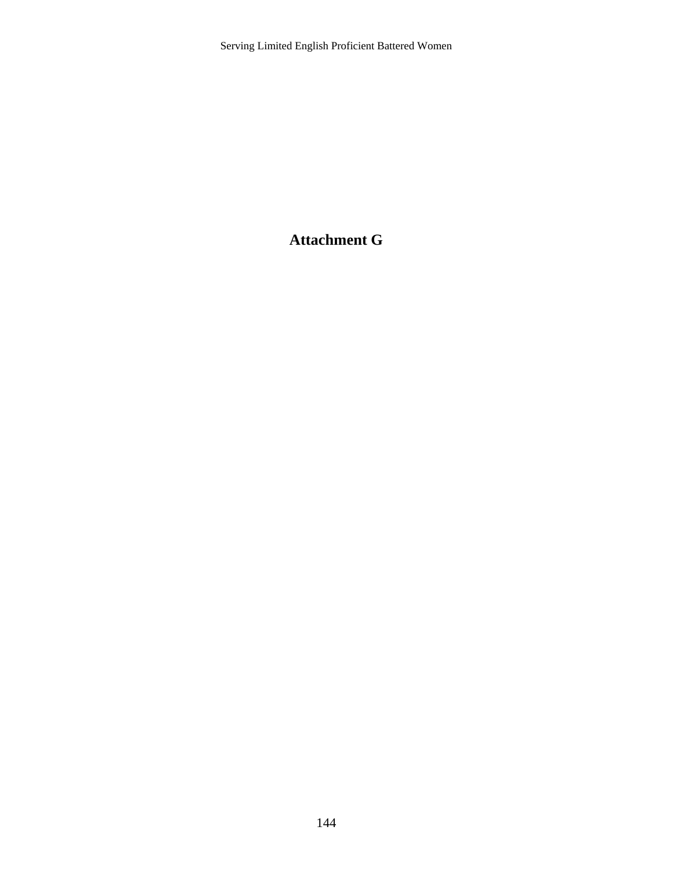### **Attachment G**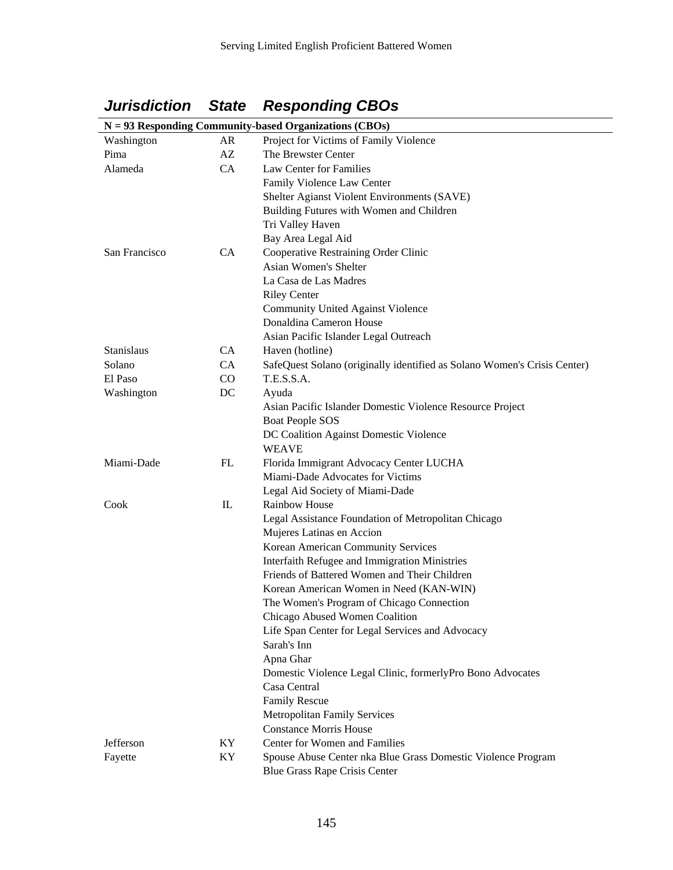|  |  | <b>Jurisdiction State Responding CBOs</b> |
|--|--|-------------------------------------------|
|--|--|-------------------------------------------|

| $N = 93$ Responding Community-based Organizations (CBOs) |              |                                                                          |  |  |  |
|----------------------------------------------------------|--------------|--------------------------------------------------------------------------|--|--|--|
| Washington                                               | AR           | Project for Victims of Family Violence                                   |  |  |  |
| Pima                                                     | AZ           | The Brewster Center                                                      |  |  |  |
| Alameda                                                  | CA           | Law Center for Families                                                  |  |  |  |
|                                                          |              | Family Violence Law Center                                               |  |  |  |
|                                                          |              | Shelter Agianst Violent Environments (SAVE)                              |  |  |  |
|                                                          |              | Building Futures with Women and Children                                 |  |  |  |
|                                                          |              | Tri Valley Haven                                                         |  |  |  |
|                                                          |              | Bay Area Legal Aid                                                       |  |  |  |
| San Francisco                                            | <b>CA</b>    | Cooperative Restraining Order Clinic                                     |  |  |  |
|                                                          |              | Asian Women's Shelter                                                    |  |  |  |
|                                                          |              | La Casa de Las Madres                                                    |  |  |  |
|                                                          |              | <b>Riley Center</b>                                                      |  |  |  |
|                                                          |              | <b>Community United Against Violence</b>                                 |  |  |  |
|                                                          |              | Donaldina Cameron House                                                  |  |  |  |
|                                                          |              | Asian Pacific Islander Legal Outreach                                    |  |  |  |
| Stanislaus                                               | <b>CA</b>    | Haven (hotline)                                                          |  |  |  |
| Solano                                                   | <b>CA</b>    | SafeQuest Solano (originally identified as Solano Women's Crisis Center) |  |  |  |
| El Paso                                                  | $\rm CO$     | T.E.S.S.A.                                                               |  |  |  |
| Washington                                               | DC           | Ayuda                                                                    |  |  |  |
|                                                          |              | Asian Pacific Islander Domestic Violence Resource Project                |  |  |  |
|                                                          |              | <b>Boat People SOS</b>                                                   |  |  |  |
|                                                          |              | DC Coalition Against Domestic Violence                                   |  |  |  |
|                                                          |              | <b>WEAVE</b>                                                             |  |  |  |
| Miami-Dade                                               | FL           | Florida Immigrant Advocacy Center LUCHA                                  |  |  |  |
|                                                          |              | Miami-Dade Advocates for Victims                                         |  |  |  |
|                                                          |              | Legal Aid Society of Miami-Dade                                          |  |  |  |
| Cook                                                     | $\mathbf{I}$ | <b>Rainbow House</b>                                                     |  |  |  |
|                                                          |              | Legal Assistance Foundation of Metropolitan Chicago                      |  |  |  |
|                                                          |              | Mujeres Latinas en Accion                                                |  |  |  |
|                                                          |              | Korean American Community Services                                       |  |  |  |
|                                                          |              | Interfaith Refugee and Immigration Ministries                            |  |  |  |
|                                                          |              | Friends of Battered Women and Their Children                             |  |  |  |
|                                                          |              | Korean American Women in Need (KAN-WIN)                                  |  |  |  |
|                                                          |              | The Women's Program of Chicago Connection                                |  |  |  |
|                                                          |              | Chicago Abused Women Coalition                                           |  |  |  |
|                                                          |              | Life Span Center for Legal Services and Advocacy                         |  |  |  |
|                                                          |              | Sarah's Inn                                                              |  |  |  |
|                                                          |              | Apna Ghar                                                                |  |  |  |
|                                                          |              | Domestic Violence Legal Clinic, formerlyPro Bono Advocates               |  |  |  |
|                                                          |              | Casa Central                                                             |  |  |  |
|                                                          |              | <b>Family Rescue</b>                                                     |  |  |  |
|                                                          |              | <b>Metropolitan Family Services</b>                                      |  |  |  |
|                                                          |              | <b>Constance Morris House</b>                                            |  |  |  |
| Jefferson                                                | KY           | Center for Women and Families                                            |  |  |  |
| Fayette                                                  | KY           | Spouse Abuse Center nka Blue Grass Domestic Violence Program             |  |  |  |
|                                                          |              | Blue Grass Rape Crisis Center                                            |  |  |  |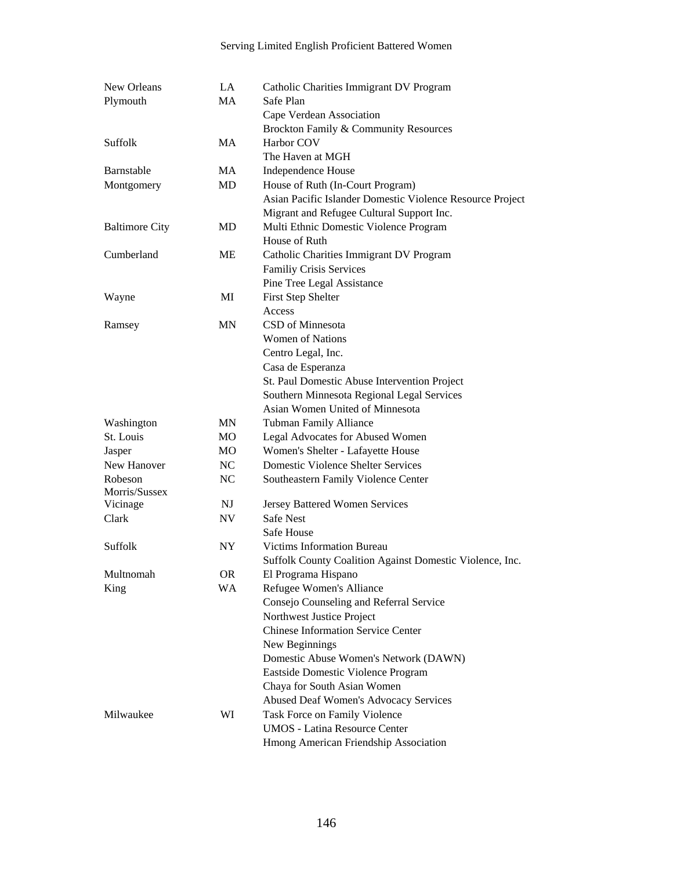| New Orleans           | LA        | Catholic Charities Immigrant DV Program                   |
|-----------------------|-----------|-----------------------------------------------------------|
| Plymouth              | <b>MA</b> | Safe Plan                                                 |
|                       |           | Cape Verdean Association                                  |
|                       |           | Brockton Family & Community Resources                     |
| Suffolk               | MA        | Harbor COV                                                |
|                       |           | The Haven at MGH                                          |
| Barnstable            | MA        | Independence House                                        |
| Montgomery            | MD        | House of Ruth (In-Court Program)                          |
|                       |           | Asian Pacific Islander Domestic Violence Resource Project |
|                       |           | Migrant and Refugee Cultural Support Inc.                 |
| <b>Baltimore City</b> | MD        | Multi Ethnic Domestic Violence Program                    |
|                       |           | House of Ruth                                             |
| Cumberland            | ME        | Catholic Charities Immigrant DV Program                   |
|                       |           | Familiy Crisis Services                                   |
|                       |           | Pine Tree Legal Assistance                                |
| Wayne                 | MI        | <b>First Step Shelter</b>                                 |
|                       |           | Access                                                    |
| Ramsey                | <b>MN</b> | CSD of Minnesota                                          |
|                       |           | <b>Women of Nations</b>                                   |
|                       |           | Centro Legal, Inc.                                        |
|                       |           | Casa de Esperanza                                         |
|                       |           | St. Paul Domestic Abuse Intervention Project              |
|                       |           | Southern Minnesota Regional Legal Services                |
|                       |           | Asian Women United of Minnesota                           |
| Washington            | MN        | <b>Tubman Family Alliance</b>                             |
| St. Louis             | <b>MO</b> | Legal Advocates for Abused Women                          |
| Jasper                | <b>MO</b> | Women's Shelter - Lafayette House                         |
| New Hanover           | NC        | <b>Domestic Violence Shelter Services</b>                 |
| Robeson               | NC        | <b>Southeastern Family Violence Center</b>                |
| Morris/Sussex         | NJ        | Jersey Battered Women Services                            |
| Vicinage<br>Clark     | NV        | <b>Safe Nest</b>                                          |
|                       |           | <b>Safe House</b>                                         |
| Suffolk               | NY.       | <b>Victims Information Bureau</b>                         |
|                       |           |                                                           |
| Multnomah             | 0R        | Suffolk County Coalition Against Domestic Violence, Inc.  |
| King                  | <b>WA</b> | El Programa Hispano<br>Refugee Women's Alliance           |
|                       |           | Consejo Counseling and Referral Service                   |
|                       |           | Northwest Justice Project                                 |
|                       |           | <b>Chinese Information Service Center</b>                 |
|                       |           | New Beginnings                                            |
|                       |           | Domestic Abuse Women's Network (DAWN)                     |
|                       |           | Eastside Domestic Violence Program                        |
|                       |           | Chaya for South Asian Women                               |
|                       |           | <b>Abused Deaf Women's Advocacy Services</b>              |
| Milwaukee             | WI        | Task Force on Family Violence                             |
|                       |           | <b>UMOS</b> - Latina Resource Center                      |
|                       |           | Hmong American Friendship Association                     |
|                       |           |                                                           |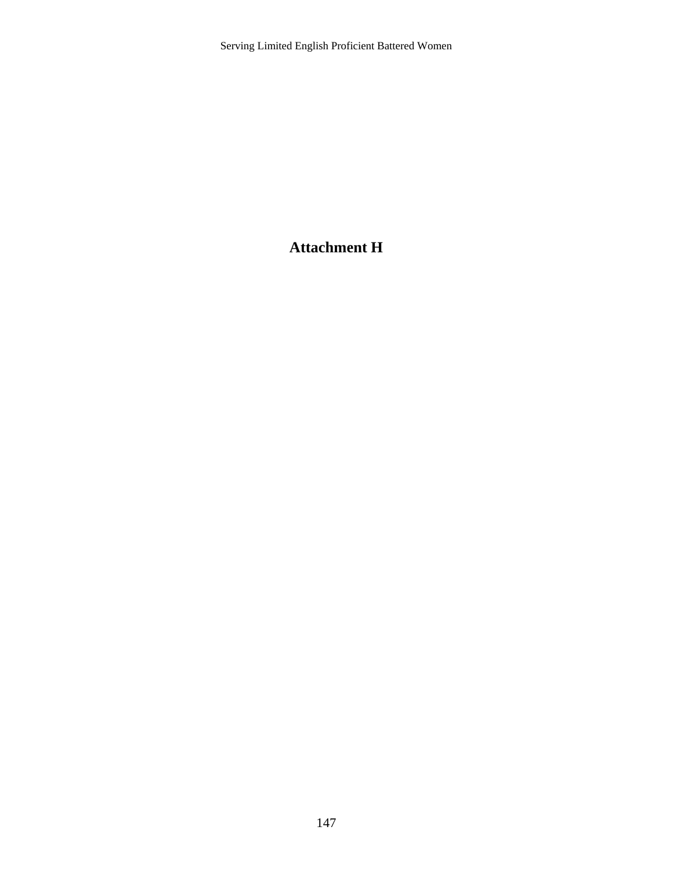### **Attachment H**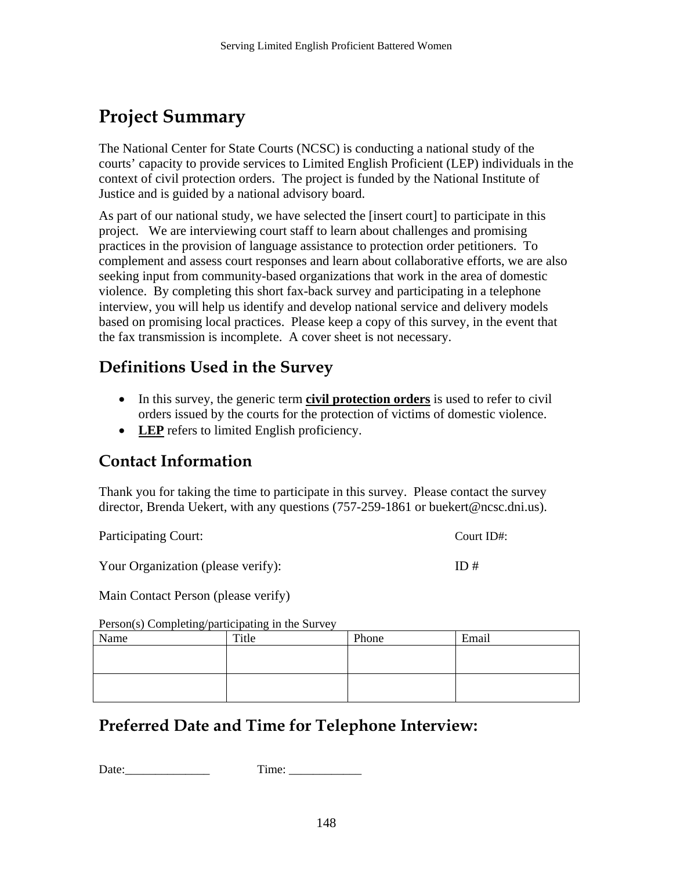# **Project Summary**

The National Center for State Courts (NCSC) is conducting a national study of the courts' capacity to provide services to Limited English Proficient (LEP) individuals in the context of civil protection orders. The project is funded by the National Institute of Justice and is guided by a national advisory board.

As part of our national study, we have selected the [insert court] to participate in this project. We are interviewing court staff to learn about challenges and promising practices in the provision of language assistance to protection order petitioners. To complement and assess court responses and learn about collaborative efforts, we are also seeking input from community-based organizations that work in the area of domestic violence. By completing this short fax-back survey and participating in a telephone interview, you will help us identify and develop national service and delivery models based on promising local practices. Please keep a copy of this survey, in the event that the fax transmission is incomplete. A cover sheet is not necessary.

### **Definitions Used in the Survey**

- In this survey, the generic term **civil protection orders** is used to refer to civil orders issued by the courts for the protection of victims of domestic violence.
- **LEP** refers to limited English proficiency.

### **Contact Information**

Thank you for taking the time to participate in this survey. Please contact the survey director, Brenda Uekert, with any questions (757-259-1861 or buekert@ncsc.dni.us).

Participating Court: Court ID#:

Your Organization (please verify): ID #

Main Contact Person (please verify)

Person(s) Completing/participating in the Survey

| Name | Title | Phone | Email |
|------|-------|-------|-------|
|      |       |       |       |
|      |       |       |       |
|      |       |       |       |
|      |       |       |       |

### **Preferred Date and Time for Telephone Interview:**

```
Date: Time:
```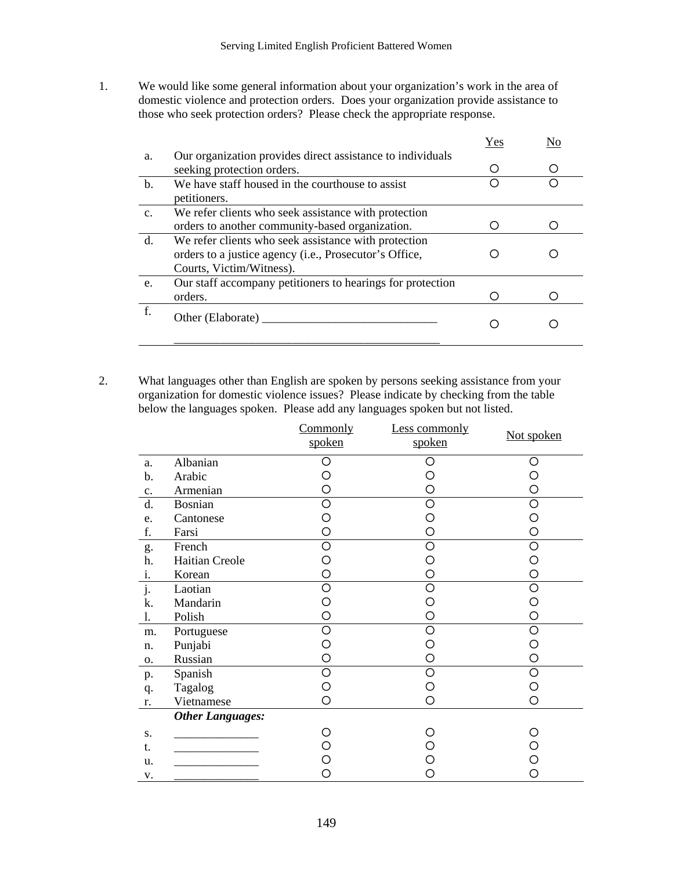1. We would like some general information about your organization's work in the area of domestic violence and protection orders. Does your organization provide assistance to those who seek protection orders? Please check the appropriate response.

|                |                                                                                                                                            | Yes | No |
|----------------|--------------------------------------------------------------------------------------------------------------------------------------------|-----|----|
| a.             | Our organization provides direct assistance to individuals<br>seeking protection orders.                                                   |     |    |
| b.             | We have staff housed in the courthouse to assist<br>petitioners.                                                                           |     |    |
| C <sub>1</sub> | We refer clients who seek assistance with protection<br>orders to another community-based organization.                                    |     |    |
| $\mathbf{d}$ . | We refer clients who seek assistance with protection<br>orders to a justice agency (i.e., Prosecutor's Office,<br>Courts, Victim/Witness). |     |    |
| e.             | Our staff accompany petitioners to hearings for protection<br>orders.                                                                      |     |    |
| f.             | Other (Elaborate)                                                                                                                          |     |    |

2. What languages other than English are spoken by persons seeking assistance from your organization for domestic violence issues? Please indicate by checking from the table below the languages spoken. Please add any languages spoken but not listed.

|                           |                         | Commonly<br>spoken | Less commonly<br>spoken | Not spoken |
|---------------------------|-------------------------|--------------------|-------------------------|------------|
| a.                        | Albanian                | O                  | Ω                       | ◯          |
| $\mathbf b$ .             | Arabic                  | Ω                  | Ο                       |            |
| c.                        | Armenian                | О                  | О                       | O          |
| d.                        | <b>Bosnian</b>          | O                  | Ο                       | Ω          |
| e.                        | Cantonese               | O                  | О                       | О          |
| f.                        | Farsi                   | O                  | O                       | O          |
| g.                        | French                  | O                  | O                       | O          |
| h.                        | Haitian Creole          | О                  | Ο                       | O          |
| i.                        | Korean                  | O                  | O                       | О          |
| $\overline{\mathbf{j}}$ . | Laotian                 | $\circ$            | O                       | O          |
| k.                        | Mandarin                | О                  | О                       | ∩          |
| 1.                        | Polish                  | O                  | O                       | Ο          |
| m.                        | Portuguese              | $\circ$            | Ο                       | O          |
| n.                        | Punjabi                 | Ο                  | Ο                       | ∩          |
| 0.                        | Russian                 | O                  | Ο                       | О          |
| p.                        | Spanish                 | $\circ$            | O                       | O          |
| q.                        | Tagalog                 | Ο                  | Ο                       | О          |
| r.                        | Vietnamese              | O                  | O                       | O          |
|                           | <b>Other Languages:</b> |                    |                         |            |
| S.                        |                         | Ω                  |                         |            |
| t.                        |                         | О                  |                         |            |
| u.                        |                         | O                  | O                       | ∩          |
| v.                        |                         | Ο                  | O                       | ∩          |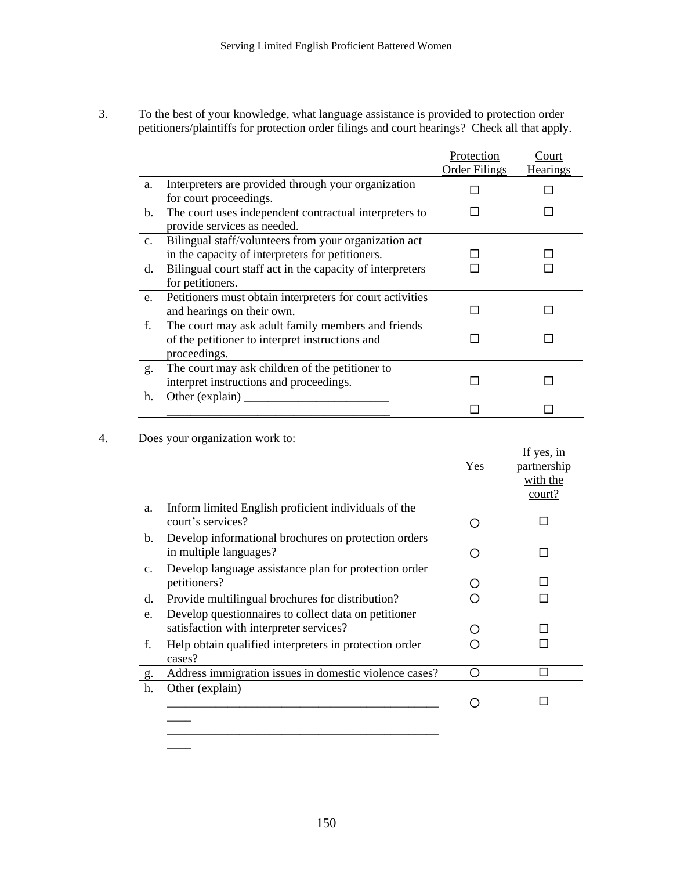3. To the best of your knowledge, what language assistance is provided to protection order petitioners/plaintiffs for protection order filings and court hearings? Check all that apply.

| a.<br>b.<br>c.<br>d.<br>e.<br>f.<br>g.<br>h.<br>a.<br>$\mathbf b$ . | Interpreters are provided through your organization<br>for court proceedings.<br>The court uses independent contractual interpreters to<br>provide services as needed.<br>Bilingual staff/volunteers from your organization act<br>in the capacity of interpreters for petitioners.<br>Bilingual court staff act in the capacity of interpreters<br>for petitioners.<br>Petitioners must obtain interpreters for court activities<br>and hearings on their own.<br>The court may ask adult family members and friends<br>of the petitioner to interpret instructions and<br>proceedings.<br>The court may ask children of the petitioner to<br>interpret instructions and proceedings.<br>Does your organization work to: | $\Box$<br>$\Box$<br>⊔<br>П<br>$\Box$<br>ΙI<br>□<br>п | □<br>□<br>п                       |
|---------------------------------------------------------------------|---------------------------------------------------------------------------------------------------------------------------------------------------------------------------------------------------------------------------------------------------------------------------------------------------------------------------------------------------------------------------------------------------------------------------------------------------------------------------------------------------------------------------------------------------------------------------------------------------------------------------------------------------------------------------------------------------------------------------|------------------------------------------------------|-----------------------------------|
|                                                                     |                                                                                                                                                                                                                                                                                                                                                                                                                                                                                                                                                                                                                                                                                                                           |                                                      |                                   |
|                                                                     |                                                                                                                                                                                                                                                                                                                                                                                                                                                                                                                                                                                                                                                                                                                           |                                                      |                                   |
|                                                                     |                                                                                                                                                                                                                                                                                                                                                                                                                                                                                                                                                                                                                                                                                                                           |                                                      |                                   |
|                                                                     |                                                                                                                                                                                                                                                                                                                                                                                                                                                                                                                                                                                                                                                                                                                           |                                                      |                                   |
|                                                                     |                                                                                                                                                                                                                                                                                                                                                                                                                                                                                                                                                                                                                                                                                                                           |                                                      |                                   |
|                                                                     |                                                                                                                                                                                                                                                                                                                                                                                                                                                                                                                                                                                                                                                                                                                           |                                                      |                                   |
|                                                                     |                                                                                                                                                                                                                                                                                                                                                                                                                                                                                                                                                                                                                                                                                                                           |                                                      |                                   |
|                                                                     |                                                                                                                                                                                                                                                                                                                                                                                                                                                                                                                                                                                                                                                                                                                           |                                                      |                                   |
|                                                                     | Inform limited English proficient individuals of the                                                                                                                                                                                                                                                                                                                                                                                                                                                                                                                                                                                                                                                                      | Yes                                                  | partnership<br>with the<br>court? |
|                                                                     | court's services?                                                                                                                                                                                                                                                                                                                                                                                                                                                                                                                                                                                                                                                                                                         | O                                                    | П                                 |
|                                                                     | Develop informational brochures on protection orders<br>in multiple languages?                                                                                                                                                                                                                                                                                                                                                                                                                                                                                                                                                                                                                                            | O                                                    |                                   |
| $\mathbf{c}$ .                                                      | Develop language assistance plan for protection order<br>petitioners?                                                                                                                                                                                                                                                                                                                                                                                                                                                                                                                                                                                                                                                     | O                                                    |                                   |
| d.                                                                  | Provide multilingual brochures for distribution?                                                                                                                                                                                                                                                                                                                                                                                                                                                                                                                                                                                                                                                                          | Ω                                                    |                                   |
| e.                                                                  | Develop questionnaires to collect data on petitioner<br>satisfaction with interpreter services?                                                                                                                                                                                                                                                                                                                                                                                                                                                                                                                                                                                                                           | C)                                                   |                                   |
| f.                                                                  | Help obtain qualified interpreters in protection order<br>cases?                                                                                                                                                                                                                                                                                                                                                                                                                                                                                                                                                                                                                                                          | O                                                    |                                   |
| g.                                                                  |                                                                                                                                                                                                                                                                                                                                                                                                                                                                                                                                                                                                                                                                                                                           | O                                                    |                                   |
| Other (explain)<br>h.                                               | Address immigration issues in domestic violence cases?                                                                                                                                                                                                                                                                                                                                                                                                                                                                                                                                                                                                                                                                    |                                                      |                                   |

 $\overline{\phantom{a}}$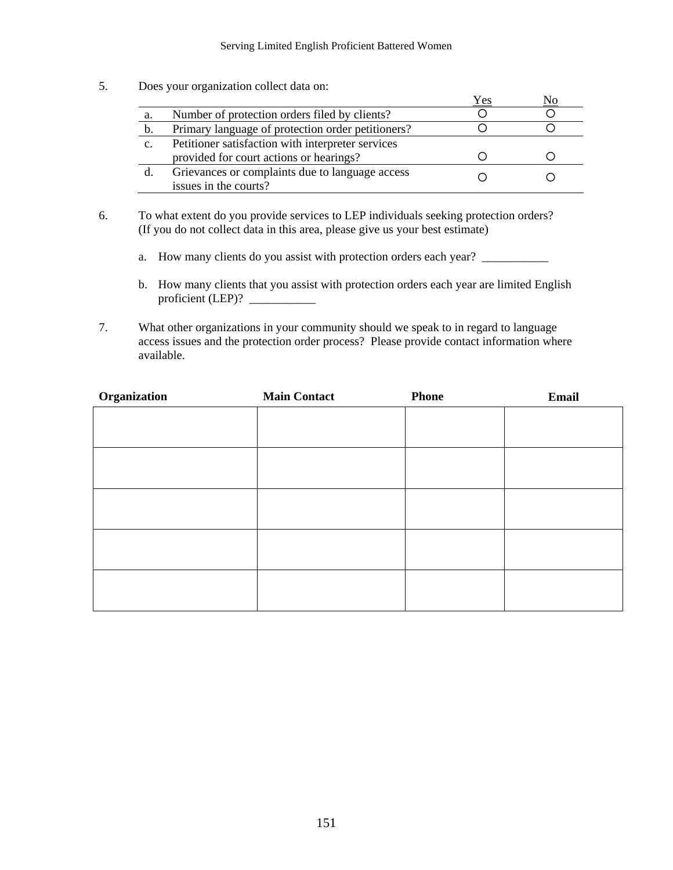5. Does your organization collect data on:

|    |                                                                          | Yes |  |
|----|--------------------------------------------------------------------------|-----|--|
| a. | Number of protection orders filed by clients?                            |     |  |
| b. | Primary language of protection order petitioners?                        |     |  |
| c. | Petitioner satisfaction with interpreter services                        |     |  |
|    | provided for court actions or hearings?                                  |     |  |
| d. | Grievances or complaints due to language access<br>issues in the courts? |     |  |

- 6. To what extent do you provide services to LEP individuals seeking protection orders? (If you do not collect data in this area, please give us your best estimate)
	- a. How many clients do you assist with protection orders each year?
	- b. How many clients that you assist with protection orders each year are limited English proficient (LEP)?
- 7. What other organizations in your community should we speak to in regard to language access issues and the protection order process? Please provide contact information where available.

| Organization | <b>Main Contact</b> | <b>Phone</b> | Email |
|--------------|---------------------|--------------|-------|
|              |                     |              |       |
|              |                     |              |       |
|              |                     |              |       |
|              |                     |              |       |
|              |                     |              |       |
|              |                     |              |       |
|              |                     |              |       |
|              |                     |              |       |
|              |                     |              |       |
|              |                     |              |       |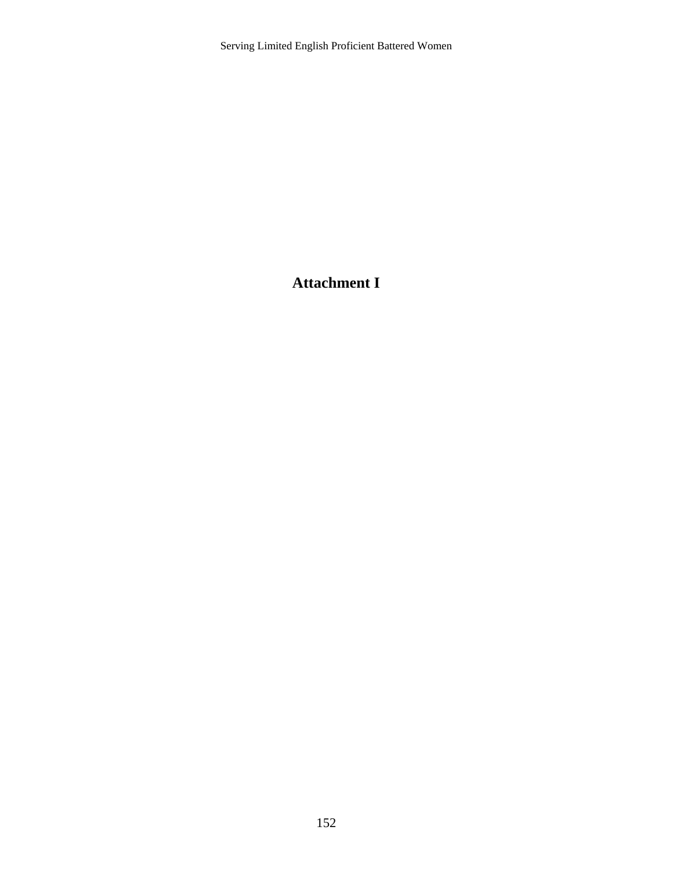### **Attachment I**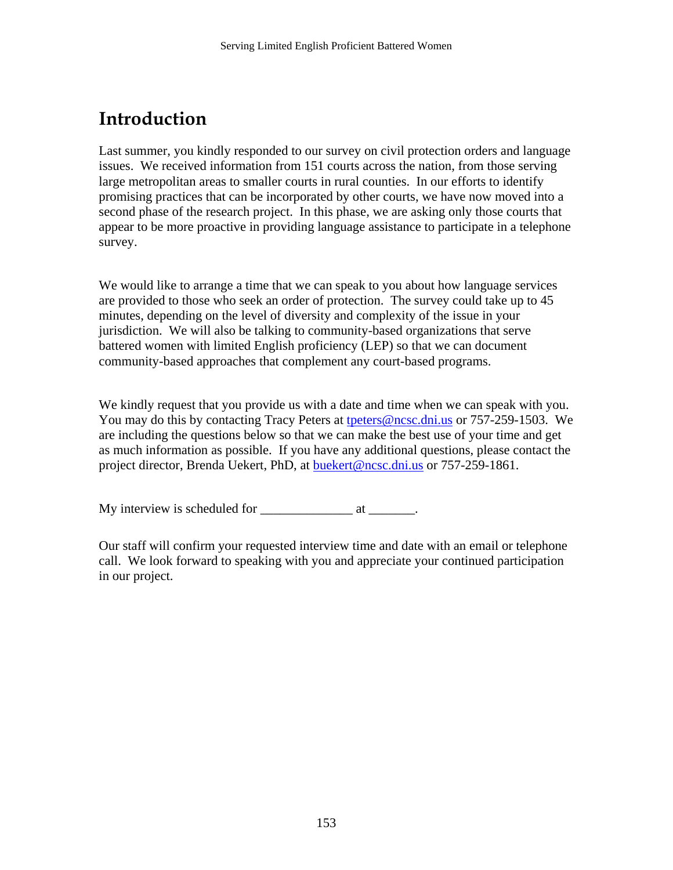# **Introduction**

Last summer, you kindly responded to our survey on civil protection orders and language issues. We received information from 151 courts across the nation, from those serving large metropolitan areas to smaller courts in rural counties. In our efforts to identify promising practices that can be incorporated by other courts, we have now moved into a second phase of the research project. In this phase, we are asking only those courts that appear to be more proactive in providing language assistance to participate in a telephone survey.

We would like to arrange a time that we can speak to you about how language services are provided to those who seek an order of protection. The survey could take up to 45 minutes, depending on the level of diversity and complexity of the issue in your jurisdiction. We will also be talking to community-based organizations that serve battered women with limited English proficiency (LEP) so that we can document community-based approaches that complement any court-based programs.

We kindly request that you provide us with a date and time when we can speak with you. You may do this by contacting Tracy Peters at [tpeters@ncsc.dni.us](mailto:tpeters@ncsc.dni.us) or 757-259-1503. We are including the questions below so that we can make the best use of your time and get as much information as possible. If you have any additional questions, please contact the project director, Brenda Uekert, PhD, at **[buekert@ncsc.dni.us](mailto:buekert@ncsc.dni.us)** or 757-259-1861.

My interview is scheduled for \_\_\_\_\_\_\_\_\_\_\_\_\_\_ at \_\_\_\_\_\_\_.

Our staff will confirm your requested interview time and date with an email or telephone call. We look forward to speaking with you and appreciate your continued participation in our project.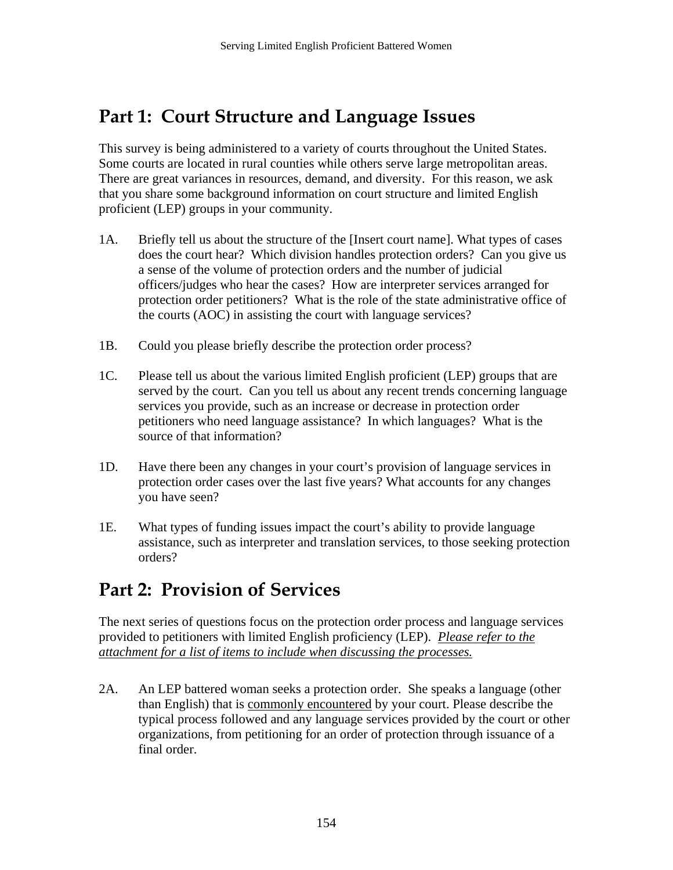## **Part 1: Court Structure and Language Issues**

This survey is being administered to a variety of courts throughout the United States. Some courts are located in rural counties while others serve large metropolitan areas. There are great variances in resources, demand, and diversity. For this reason, we ask that you share some background information on court structure and limited English proficient (LEP) groups in your community.

- 1A. Briefly tell us about the structure of the [Insert court name]. What types of cases does the court hear? Which division handles protection orders? Can you give us a sense of the volume of protection orders and the number of judicial officers/judges who hear the cases? How are interpreter services arranged for protection order petitioners? What is the role of the state administrative office of the courts (AOC) in assisting the court with language services?
- 1B. Could you please briefly describe the protection order process?
- 1C. Please tell us about the various limited English proficient (LEP) groups that are served by the court. Can you tell us about any recent trends concerning language services you provide, such as an increase or decrease in protection order petitioners who need language assistance? In which languages? What is the source of that information?
- 1D. Have there been any changes in your court's provision of language services in protection order cases over the last five years? What accounts for any changes you have seen?
- 1E. What types of funding issues impact the court's ability to provide language assistance, such as interpreter and translation services, to those seeking protection orders?

# **Part 2: Provision of Services**

The next series of questions focus on the protection order process and language services provided to petitioners with limited English proficiency (LEP). *Please refer to the attachment for a list of items to include when discussing the processes.* 

2A. An LEP battered woman seeks a protection order. She speaks a language (other than English) that is commonly encountered by your court. Please describe the typical process followed and any language services provided by the court or other organizations, from petitioning for an order of protection through issuance of a final order.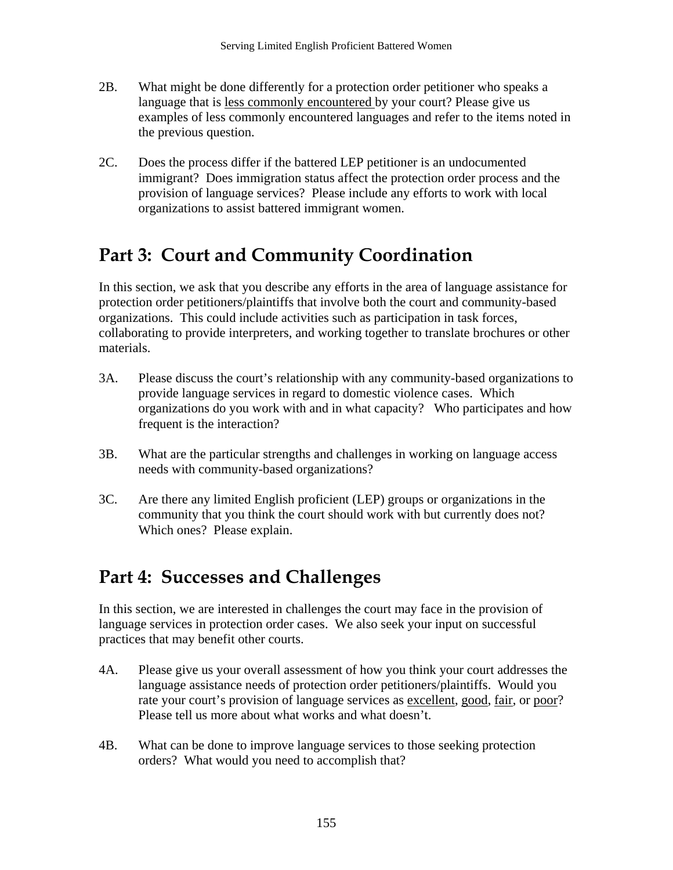- 2B. What might be done differently for a protection order petitioner who speaks a language that is less commonly encountered by your court? Please give us examples of less commonly encountered languages and refer to the items noted in the previous question.
- 2C. Does the process differ if the battered LEP petitioner is an undocumented immigrant? Does immigration status affect the protection order process and the provision of language services? Please include any efforts to work with local organizations to assist battered immigrant women.

# **Part 3: Court and Community Coordination**

In this section, we ask that you describe any efforts in the area of language assistance for protection order petitioners/plaintiffs that involve both the court and community-based organizations. This could include activities such as participation in task forces, collaborating to provide interpreters, and working together to translate brochures or other materials.

- 3A. Please discuss the court's relationship with any community-based organizations to provide language services in regard to domestic violence cases. Which organizations do you work with and in what capacity? Who participates and how frequent is the interaction?
- 3B. What are the particular strengths and challenges in working on language access needs with community-based organizations?
- 3C. Are there any limited English proficient (LEP) groups or organizations in the community that you think the court should work with but currently does not? Which ones? Please explain.

# **Part 4: Successes and Challenges**

In this section, we are interested in challenges the court may face in the provision of language services in protection order cases. We also seek your input on successful practices that may benefit other courts.

- 4A. Please give us your overall assessment of how you think your court addresses the language assistance needs of protection order petitioners/plaintiffs. Would you rate your court's provision of language services as excellent, good, fair, or poor? Please tell us more about what works and what doesn't.
- 4B. What can be done to improve language services to those seeking protection orders? What would you need to accomplish that?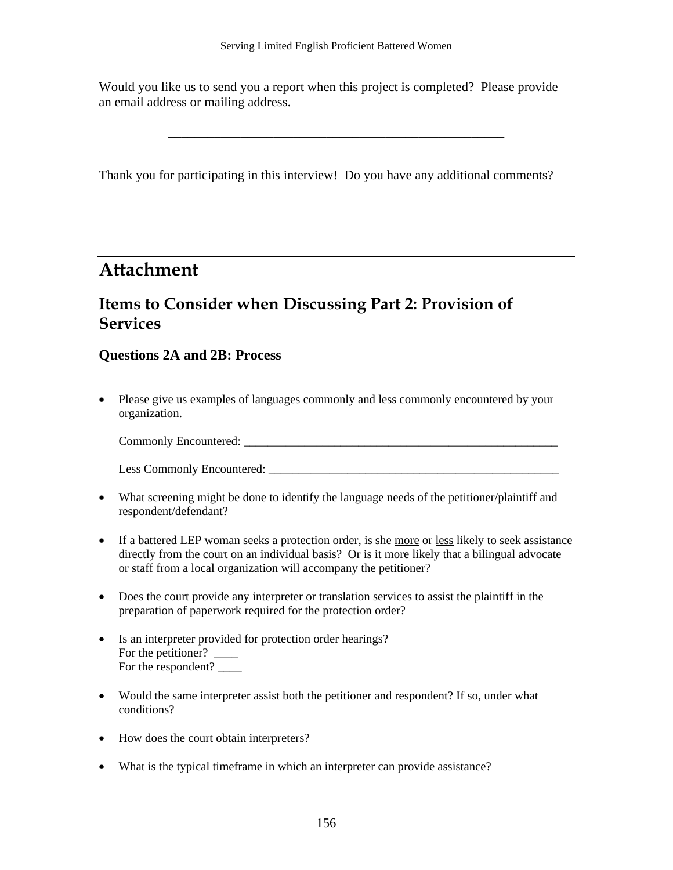Would you like us to send you a report when this project is completed? Please provide an email address or mailing address.

\_\_\_\_\_\_\_\_\_\_\_\_\_\_\_\_\_\_\_\_\_\_\_\_\_\_\_\_\_\_\_\_\_\_\_\_\_\_\_\_\_\_\_\_\_\_\_\_\_\_\_

Thank you for participating in this interview! Do you have any additional comments?

### **Attachment**

### **Items to Consider when Discussing Part 2: Provision of Services**

### **Questions 2A and 2B: Process**

• Please give us examples of languages commonly and less commonly encountered by your organization.

Commonly Encountered:

Less Commonly Encountered:

- What screening might be done to identify the language needs of the petitioner/plaintiff and respondent/defendant?
- If a battered LEP woman seeks a protection order, is she more or less likely to seek assistance directly from the court on an individual basis? Or is it more likely that a bilingual advocate or staff from a local organization will accompany the petitioner?
- Does the court provide any interpreter or translation services to assist the plaintiff in the preparation of paperwork required for the protection order?
- Is an interpreter provided for protection order hearings? For the petitioner? For the respondent?  $\overline{\phantom{a}}$
- Would the same interpreter assist both the petitioner and respondent? If so, under what conditions?
- How does the court obtain interpreters?
- What is the typical timeframe in which an interpreter can provide assistance?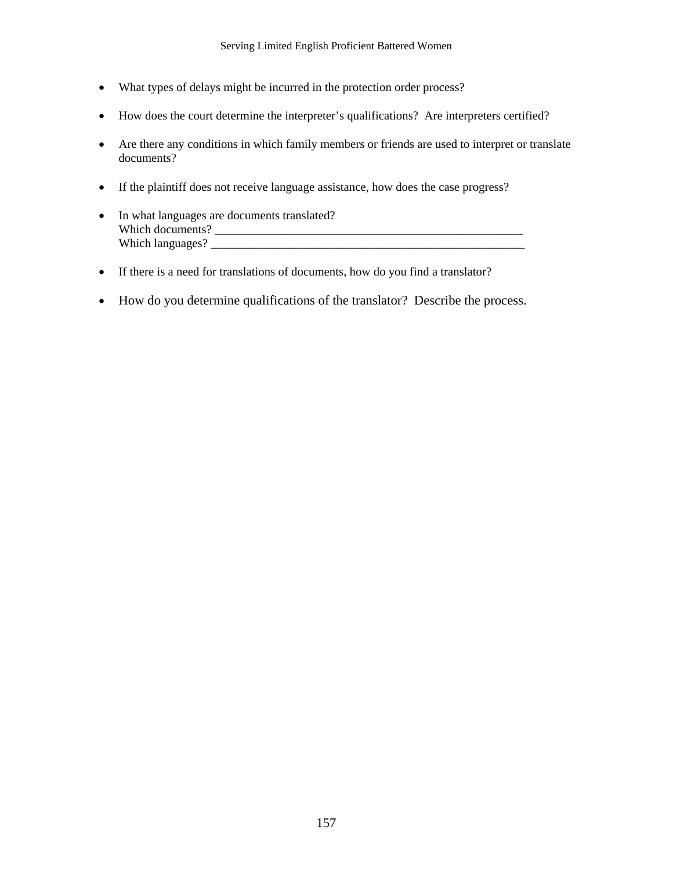- What types of delays might be incurred in the protection order process?
- How does the court determine the interpreter's qualifications? Are interpreters certified?
- Are there any conditions in which family members or friends are used to interpret or translate documents?
- If the plaintiff does not receive language assistance, how does the case progress?
- In what languages are documents translated? Which documents? \_\_\_\_\_\_\_\_\_\_\_\_\_\_\_\_\_\_\_\_\_\_\_\_\_\_\_\_\_\_\_\_\_\_\_\_\_\_\_\_\_\_\_\_\_\_\_\_\_\_\_ Which languages?
- If there is a need for translations of documents, how do you find a translator?
- How do you determine qualifications of the translator? Describe the process.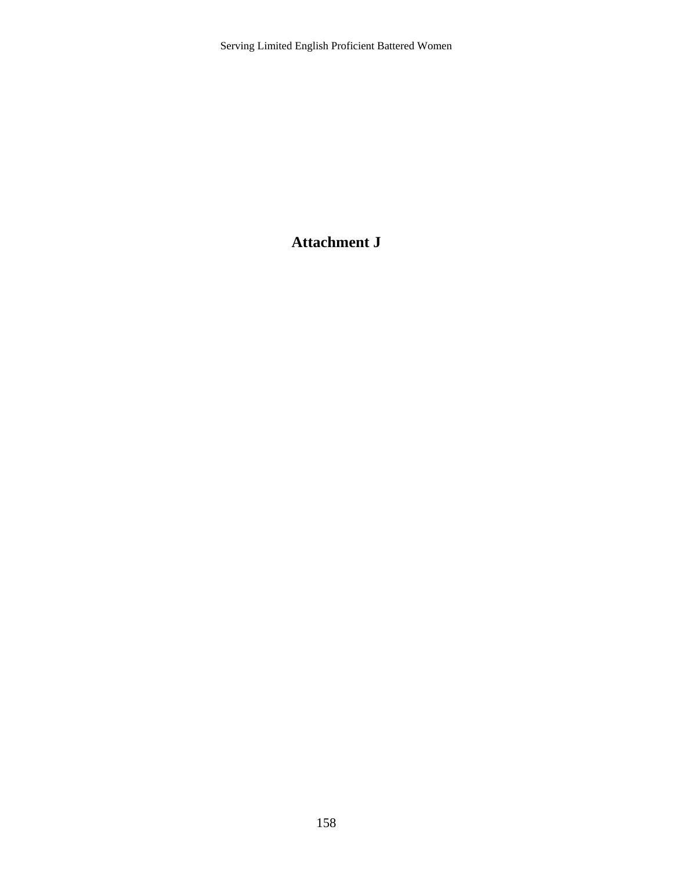### **Attachment J**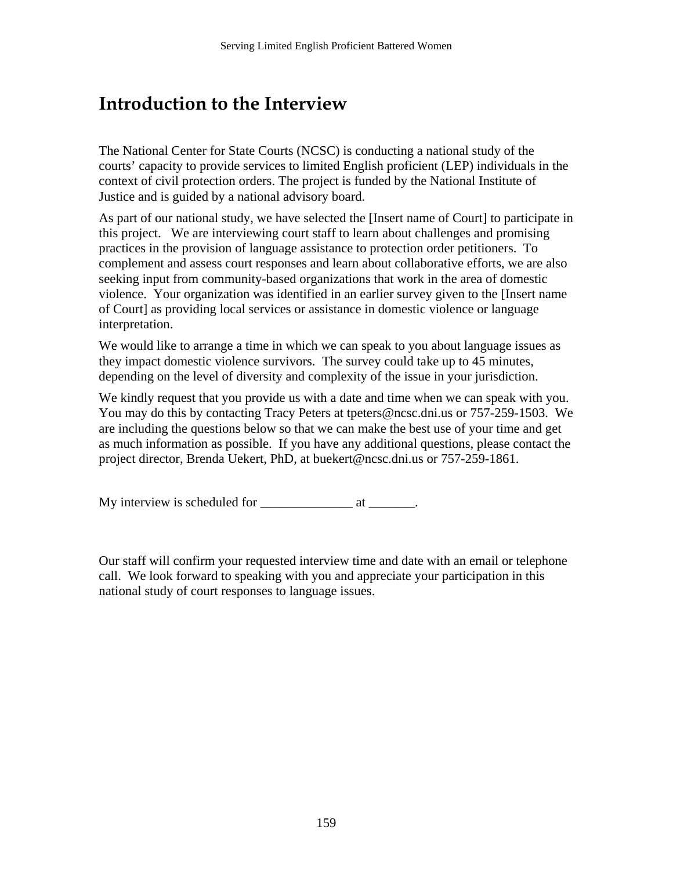## **Introduction to the Interview**

The National Center for State Courts (NCSC) is conducting a national study of the courts' capacity to provide services to limited English proficient (LEP) individuals in the context of civil protection orders. The project is funded by the National Institute of Justice and is guided by a national advisory board.

As part of our national study, we have selected the [Insert name of Court] to participate in this project. We are interviewing court staff to learn about challenges and promising practices in the provision of language assistance to protection order petitioners. To complement and assess court responses and learn about collaborative efforts, we are also seeking input from community-based organizations that work in the area of domestic violence. Your organization was identified in an earlier survey given to the [Insert name of Court] as providing local services or assistance in domestic violence or language interpretation.

We would like to arrange a time in which we can speak to you about language issues as they impact domestic violence survivors. The survey could take up to 45 minutes, depending on the level of diversity and complexity of the issue in your jurisdiction.

We kindly request that you provide us with a date and time when we can speak with you. You may do this by contacting Tracy Peters at tpeters@ncsc.dni.us or 757-259-1503. We are including the questions below so that we can make the best use of your time and get as much information as possible. If you have any additional questions, please contact the project director, Brenda Uekert, PhD, at buekert@ncsc.dni.us or 757-259-1861.

My interview is scheduled for \_\_\_\_\_\_\_\_\_\_\_\_\_\_ at \_\_\_\_\_\_\_.

Our staff will confirm your requested interview time and date with an email or telephone call. We look forward to speaking with you and appreciate your participation in this national study of court responses to language issues.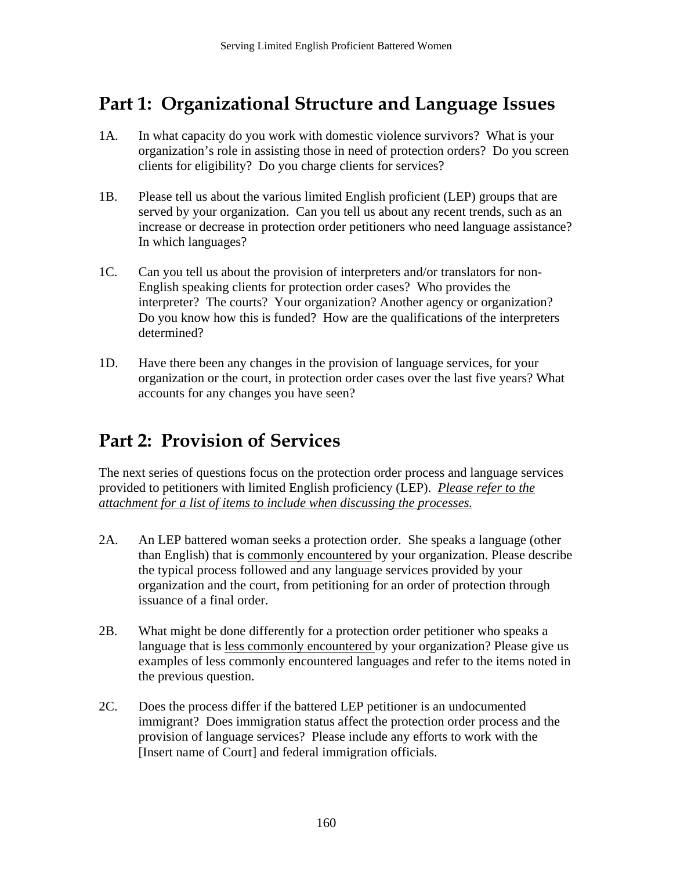# **Part 1: Organizational Structure and Language Issues**

- 1A. In what capacity do you work with domestic violence survivors? What is your organization's role in assisting those in need of protection orders? Do you screen clients for eligibility? Do you charge clients for services?
- 1B. Please tell us about the various limited English proficient (LEP) groups that are served by your organization. Can you tell us about any recent trends, such as an increase or decrease in protection order petitioners who need language assistance? In which languages?
- 1C. Can you tell us about the provision of interpreters and/or translators for non-English speaking clients for protection order cases? Who provides the interpreter? The courts? Your organization? Another agency or organization? Do you know how this is funded? How are the qualifications of the interpreters determined?
- 1D. Have there been any changes in the provision of language services, for your organization or the court, in protection order cases over the last five years? What accounts for any changes you have seen?

# **Part 2: Provision of Services**

The next series of questions focus on the protection order process and language services provided to petitioners with limited English proficiency (LEP). *Please refer to the attachment for a list of items to include when discussing the processes.* 

- 2A. An LEP battered woman seeks a protection order. She speaks a language (other than English) that is commonly encountered by your organization. Please describe the typical process followed and any language services provided by your organization and the court, from petitioning for an order of protection through issuance of a final order.
- 2B. What might be done differently for a protection order petitioner who speaks a language that is less commonly encountered by your organization? Please give us examples of less commonly encountered languages and refer to the items noted in the previous question.
- 2C. Does the process differ if the battered LEP petitioner is an undocumented immigrant? Does immigration status affect the protection order process and the provision of language services? Please include any efforts to work with the [Insert name of Court] and federal immigration officials.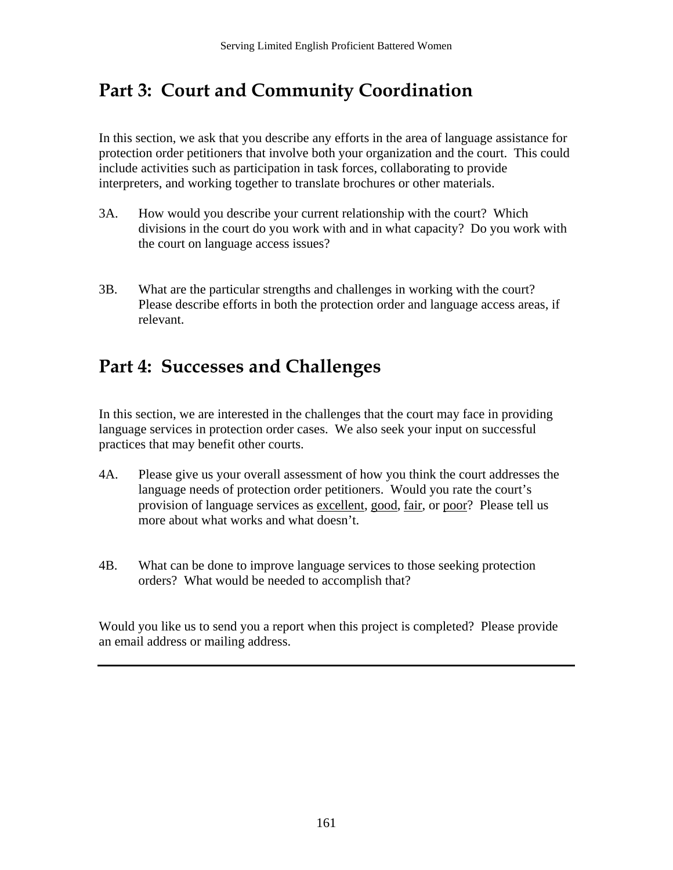# **Part 3: Court and Community Coordination**

In this section, we ask that you describe any efforts in the area of language assistance for protection order petitioners that involve both your organization and the court. This could include activities such as participation in task forces, collaborating to provide interpreters, and working together to translate brochures or other materials.

- 3A. How would you describe your current relationship with the court? Which divisions in the court do you work with and in what capacity? Do you work with the court on language access issues?
- 3B. What are the particular strengths and challenges in working with the court? Please describe efforts in both the protection order and language access areas, if relevant.

# **Part 4: Successes and Challenges**

In this section, we are interested in the challenges that the court may face in providing language services in protection order cases. We also seek your input on successful practices that may benefit other courts.

- 4A. Please give us your overall assessment of how you think the court addresses the language needs of protection order petitioners. Would you rate the court's provision of language services as excellent, good, fair, or poor? Please tell us more about what works and what doesn't.
- 4B. What can be done to improve language services to those seeking protection orders? What would be needed to accomplish that?

Would you like us to send you a report when this project is completed? Please provide an email address or mailing address.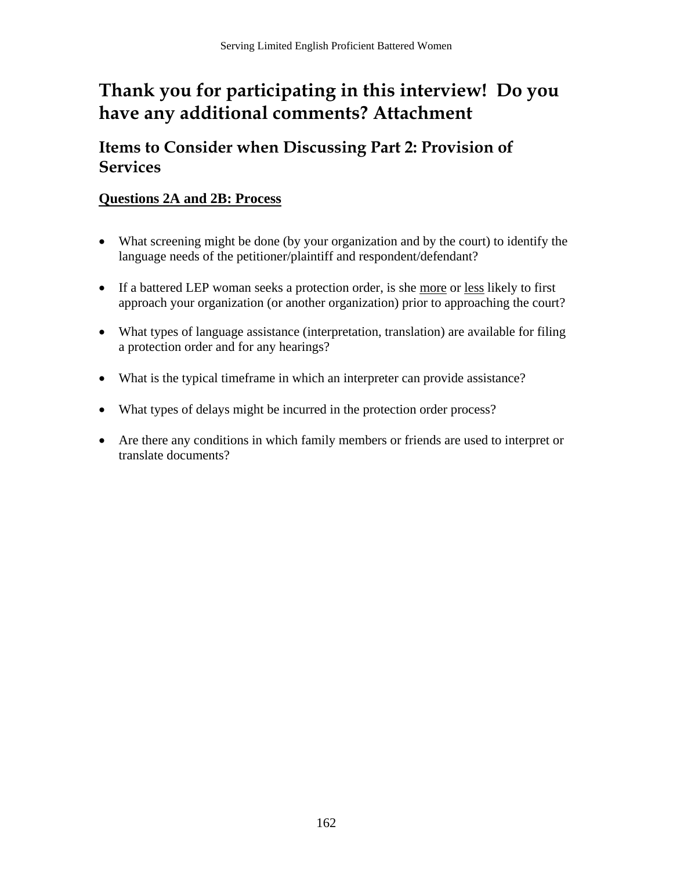# **Thank you for participating in this interview! Do you have any additional comments? Attachment**

**Items to Consider when Discussing Part 2: Provision of Services** 

### **Questions 2A and 2B: Process**

- What screening might be done (by your organization and by the court) to identify the language needs of the petitioner/plaintiff and respondent/defendant?
- If a battered LEP woman seeks a protection order, is she more or less likely to first approach your organization (or another organization) prior to approaching the court?
- What types of language assistance (interpretation, translation) are available for filing a protection order and for any hearings?
- What is the typical timeframe in which an interpreter can provide assistance?
- What types of delays might be incurred in the protection order process?
- Are there any conditions in which family members or friends are used to interpret or translate documents?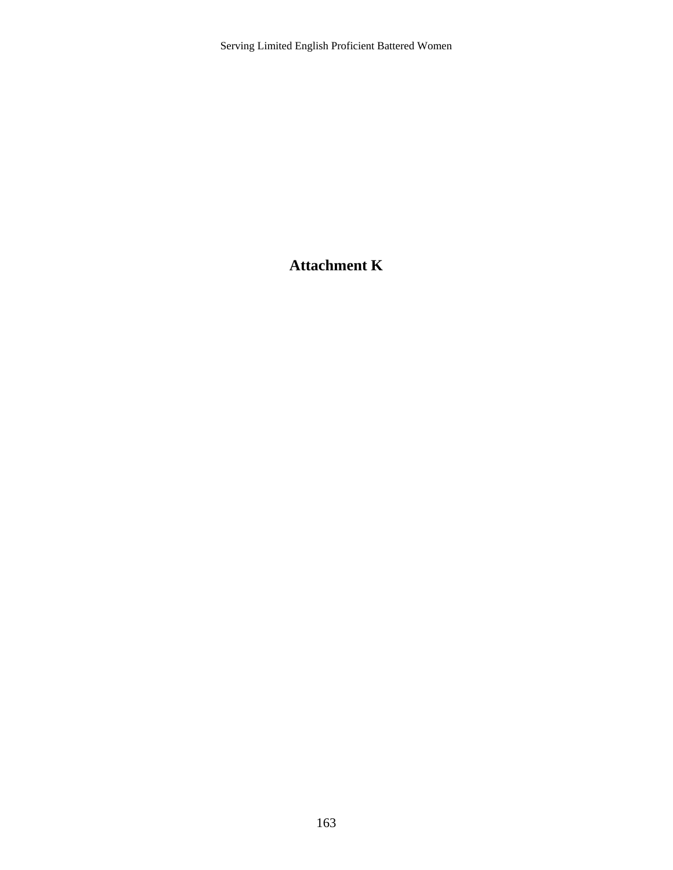### **Attachment K**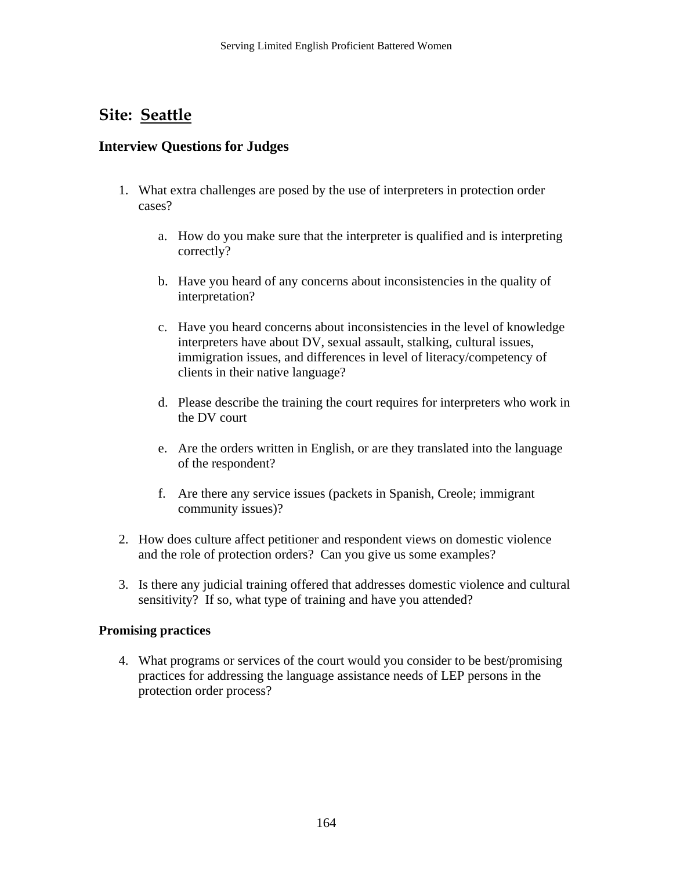### **Site: Seattle**

### **Interview Questions for Judges**

- 1. What extra challenges are posed by the use of interpreters in protection order cases?
	- a. How do you make sure that the interpreter is qualified and is interpreting correctly?
	- b. Have you heard of any concerns about inconsistencies in the quality of interpretation?
	- c. Have you heard concerns about inconsistencies in the level of knowledge interpreters have about DV, sexual assault, stalking, cultural issues, immigration issues, and differences in level of literacy/competency of clients in their native language?
	- d. Please describe the training the court requires for interpreters who work in the DV court
	- e. Are the orders written in English, or are they translated into the language of the respondent?
	- f. Are there any service issues (packets in Spanish, Creole; immigrant community issues)?
- 2. How does culture affect petitioner and respondent views on domestic violence and the role of protection orders? Can you give us some examples?
- 3. Is there any judicial training offered that addresses domestic violence and cultural sensitivity? If so, what type of training and have you attended?

#### **Promising practices**

4. What programs or services of the court would you consider to be best/promising practices for addressing the language assistance needs of LEP persons in the protection order process?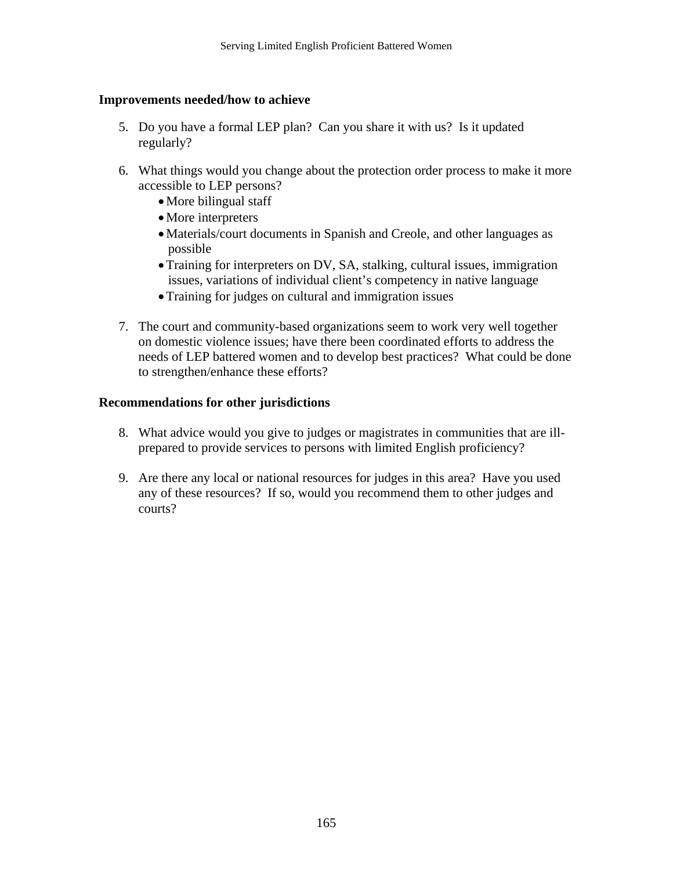#### **Improvements needed/how to achieve**

- 5. Do you have a formal LEP plan? Can you share it with us? Is it updated regularly?
- 6. What things would you change about the protection order process to make it more accessible to LEP persons?
	- More bilingual staff
	- More interpreters
	- •Materials/court documents in Spanish and Creole, and other languages as possible
	- •Training for interpreters on DV, SA, stalking, cultural issues, immigration issues, variations of individual client's competency in native language
	- •Training for judges on cultural and immigration issues
- 7. The court and community-based organizations seem to work very well together on domestic violence issues; have there been coordinated efforts to address the needs of LEP battered women and to develop best practices? What could be done to strengthen/enhance these efforts?

#### **Recommendations for other jurisdictions**

- 8. What advice would you give to judges or magistrates in communities that are illprepared to provide services to persons with limited English proficiency?
- 9. Are there any local or national resources for judges in this area? Have you used any of these resources? If so, would you recommend them to other judges and courts?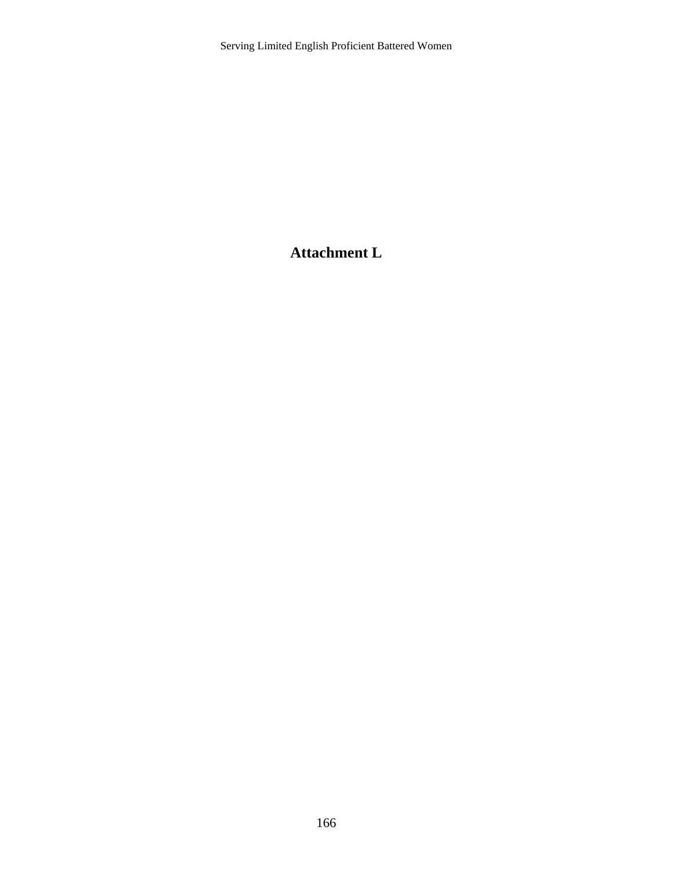### **Attachment L**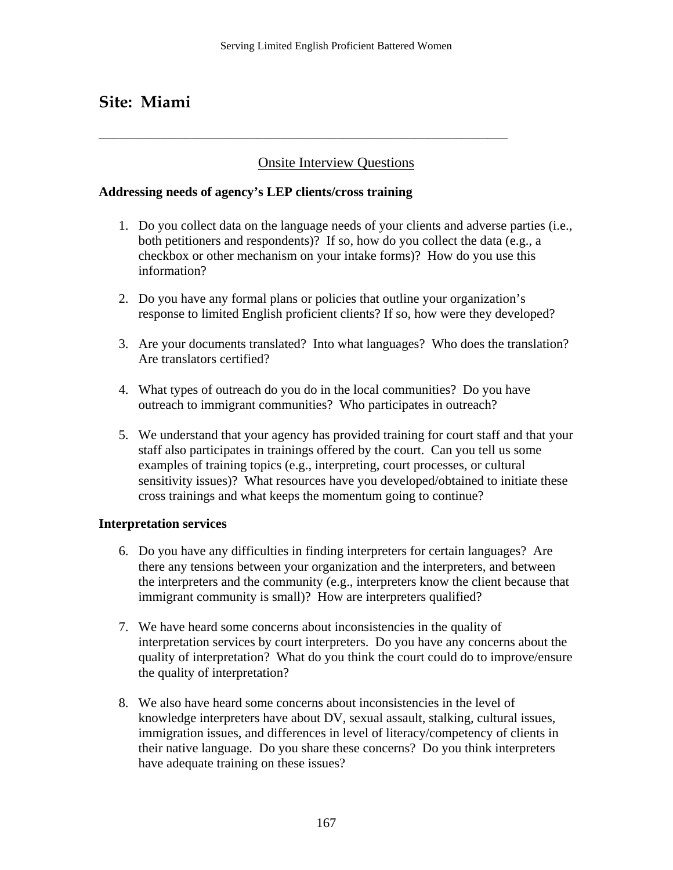### **Site: Miami**

### Onsite Interview Questions

**\_\_\_\_\_\_\_\_\_\_\_\_\_\_\_\_\_\_\_\_\_\_\_\_\_\_\_\_\_\_\_\_\_\_\_\_\_\_\_\_\_\_\_\_\_\_\_\_\_\_\_\_\_\_\_\_\_\_\_\_\_\_** 

#### **Addressing needs of agency's LEP clients/cross training**

- 1. Do you collect data on the language needs of your clients and adverse parties (i.e., both petitioners and respondents)? If so, how do you collect the data (e.g., a checkbox or other mechanism on your intake forms)? How do you use this information?
- 2. Do you have any formal plans or policies that outline your organization's response to limited English proficient clients? If so, how were they developed?
- 3. Are your documents translated? Into what languages? Who does the translation? Are translators certified?
- 4. What types of outreach do you do in the local communities? Do you have outreach to immigrant communities? Who participates in outreach?
- 5. We understand that your agency has provided training for court staff and that your staff also participates in trainings offered by the court. Can you tell us some examples of training topics (e.g., interpreting, court processes, or cultural sensitivity issues)? What resources have you developed/obtained to initiate these cross trainings and what keeps the momentum going to continue?

#### **Interpretation services**

- 6. Do you have any difficulties in finding interpreters for certain languages? Are there any tensions between your organization and the interpreters, and between the interpreters and the community (e.g., interpreters know the client because that immigrant community is small)? How are interpreters qualified?
- 7. We have heard some concerns about inconsistencies in the quality of interpretation services by court interpreters. Do you have any concerns about the quality of interpretation? What do you think the court could do to improve/ensure the quality of interpretation?
- 8. We also have heard some concerns about inconsistencies in the level of knowledge interpreters have about DV, sexual assault, stalking, cultural issues, immigration issues, and differences in level of literacy/competency of clients in their native language. Do you share these concerns? Do you think interpreters have adequate training on these issues?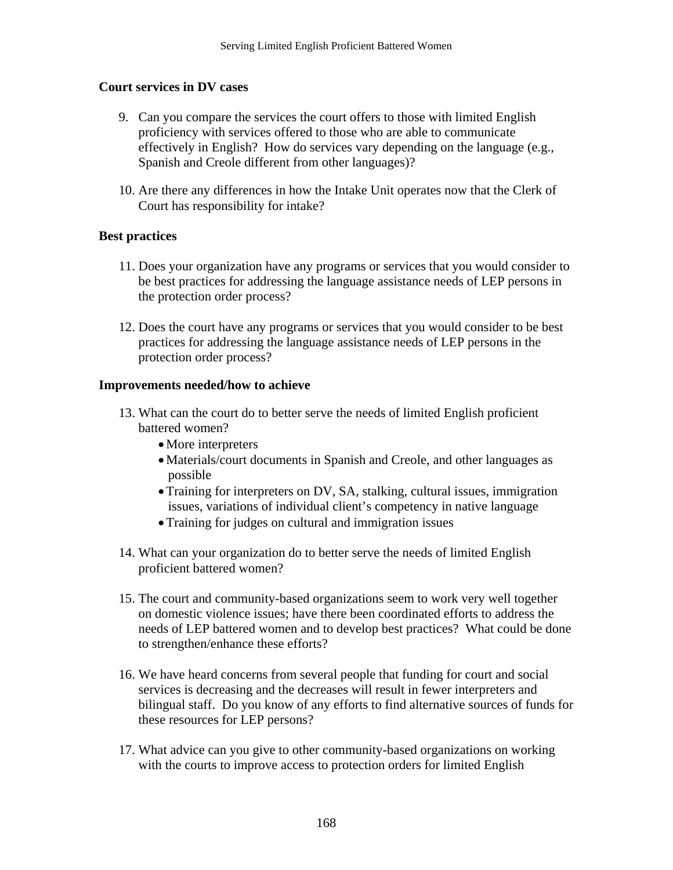#### **Court services in DV cases**

- 9. Can you compare the services the court offers to those with limited English proficiency with services offered to those who are able to communicate effectively in English? How do services vary depending on the language (e.g., Spanish and Creole different from other languages)?
- 10. Are there any differences in how the Intake Unit operates now that the Clerk of Court has responsibility for intake?

#### **Best practices**

- 11. Does your organization have any programs or services that you would consider to be best practices for addressing the language assistance needs of LEP persons in the protection order process?
- 12. Does the court have any programs or services that you would consider to be best practices for addressing the language assistance needs of LEP persons in the protection order process?

#### **Improvements needed/how to achieve**

- 13. What can the court do to better serve the needs of limited English proficient battered women?
	- More interpreters
	- •Materials/court documents in Spanish and Creole, and other languages as possible
	- Training for interpreters on DV, SA, stalking, cultural issues, immigration issues, variations of individual client's competency in native language
	- •Training for judges on cultural and immigration issues
- 14. What can your organization do to better serve the needs of limited English proficient battered women?
- 15. The court and community-based organizations seem to work very well together on domestic violence issues; have there been coordinated efforts to address the needs of LEP battered women and to develop best practices? What could be done to strengthen/enhance these efforts?
- 16. We have heard concerns from several people that funding for court and social services is decreasing and the decreases will result in fewer interpreters and bilingual staff. Do you know of any efforts to find alternative sources of funds for these resources for LEP persons?
- 17. What advice can you give to other community-based organizations on working with the courts to improve access to protection orders for limited English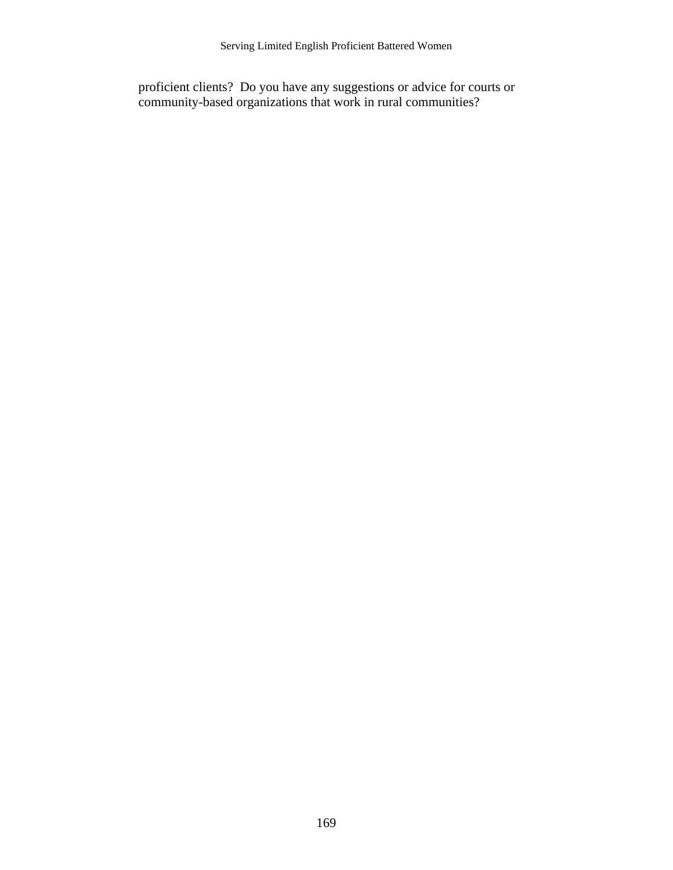proficient clients? Do you have any suggestions or advice for courts or community-based organizations that work in rural communities?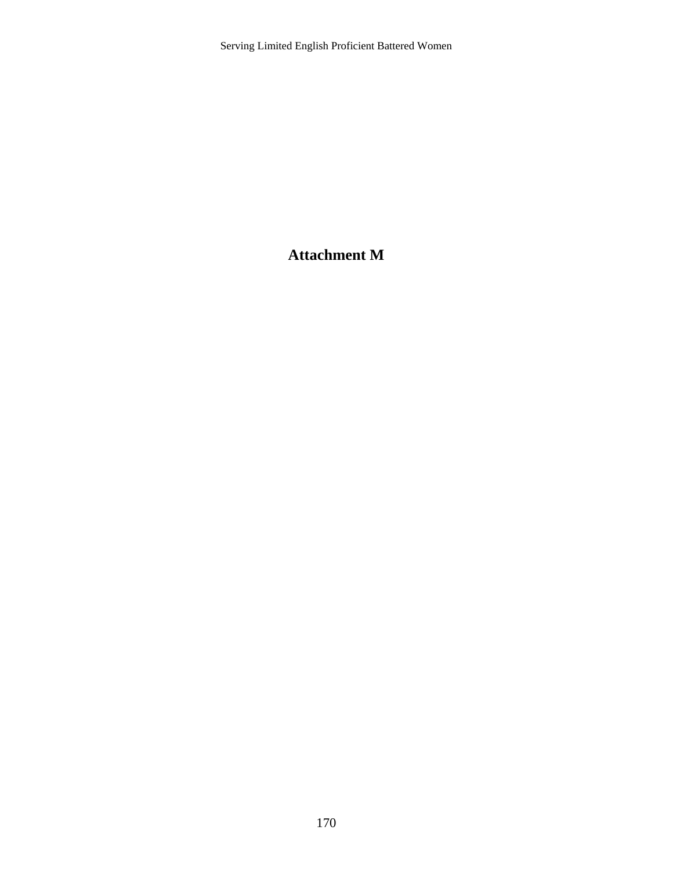### **Attachment M**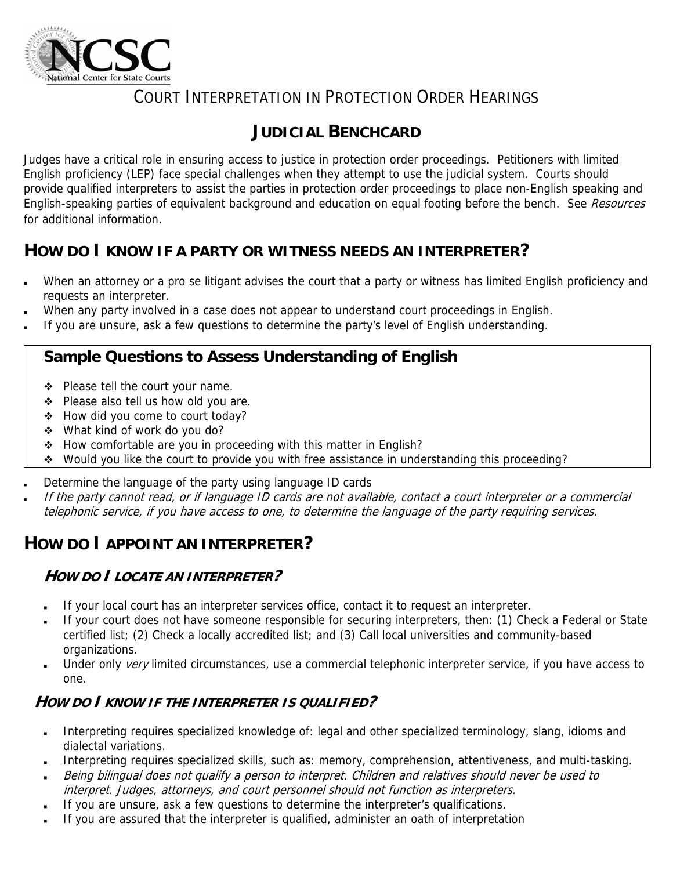

### COURT INTERPRETATION IN PROTECTION ORDER HEARINGS

### **JUDICIAL BENCHCARD**

Judges have a critical role in ensuring access to justice in protection order proceedings. Petitioners with limited English proficiency (LEP) face special challenges when they attempt to use the judicial system. Courts should provide qualified interpreters to assist the parties in protection order proceedings to place non-English speaking and English-speaking parties of equivalent background and education on equal footing before the bench. See Resources for additional information.

### **HOW DO I KNOW IF A PARTY OR WITNESS NEEDS AN INTERPRETER?**

- When an attorney or a pro se litigant advises the court that a party or witness has limited English proficiency and requests an interpreter.
- When any party involved in a case does not appear to understand court proceedings in English.
- If you are unsure, ask a few questions to determine the party's level of English understanding.

### **Sample Questions to Assess Understanding of English**

- ◆ Please tell the court your name.
- ❖ Please also tell us how old you are.
- How did you come to court today?
- What kind of work do you do?
- ◆ How comfortable are you in proceeding with this matter in English?
- \* Would you like the court to provide you with free assistance in understanding this proceeding?
- Determine the language of the party using language ID cards
- If the party cannot read, or if language ID cards are not available, contact a court interpreter or a commercial telephonic service, if you have access to one, to determine the language of the party requiring services.

### **HOW DO I APPOINT AN INTERPRETER?**

### **HOW DO I LOCATE AN INTERPRETER?**

- If your local court has an interpreter services office, contact it to request an interpreter.
- If your court does not have someone responsible for securing interpreters, then: (1) Check a Federal or State certified list; (2) Check a locally accredited list; and (3) Call local universities and community-based organizations.
- Under only very limited circumstances, use a commercial telephonic interpreter service, if you have access to one.

### **HOW DO I KNOW IF THE INTERPRETER IS QUALIFIED?**

- Interpreting requires specialized knowledge of: legal and other specialized terminology, slang, idioms and dialectal variations.
- Interpreting requires specialized skills, such as: memory, comprehension, attentiveness, and multi-tasking.
- Being bilingual does not qualify a person to interpret. Children and relatives should never be used to
- interpret. Judges, attorneys, and court personnel should not function as interpreters.
- If you are unsure, ask a few questions to determine the interpreter's qualifications.
- If you are assured that the interpreter is qualified, administer an oath of interpretation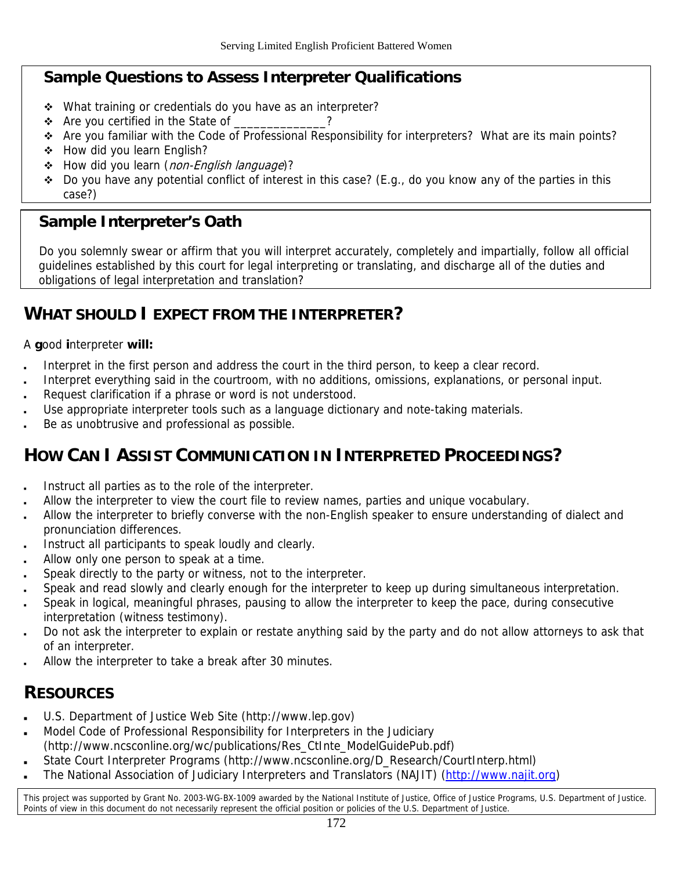### **Sample Questions to Assess Interpreter Qualifications**

- \* What training or credentials do you have as an interpreter?
- $\div$  Are you certified in the State of \_\_\_\_\_\_\_\_\_\_\_?
- \* Are you familiar with the Code of Professional Responsibility for interpreters? What are its main points?
- ◆ How did you learn English?
- How did you learn (non-English language)?
- $\bullet$  Do you have any potential conflict of interest in this case? (E.g., do you know any of the parties in this case?)

### **Sample Interpreter's Oath**

Do you solemnly swear or affirm that you will interpret accurately, completely and impartially, follow all official guidelines established by this court for legal interpreting or translating, and discharge all of the duties and obligations of legal interpretation and translation?

### **WHAT SHOULD I EXPECT FROM THE INTERPRETER?**

A **g**ood **i**nterpreter **will:**

- Interpret in the first person and address the court in the third person, to keep a clear record.
- Interpret everything said in the courtroom, with no additions, omissions, explanations, or personal input.
- Request clarification if a phrase or word is not understood.
- Use appropriate interpreter tools such as a language dictionary and note-taking materials.
- Be as unobtrusive and professional as possible.

### **HOW CAN I ASSIST COMMUNICATION IN INTERPRETED PROCEEDINGS?**

- Instruct all parties as to the role of the interpreter.
- Allow the interpreter to view the court file to review names, parties and unique vocabulary.
- Allow the interpreter to briefly converse with the non-English speaker to ensure understanding of dialect and pronunciation differences.
- Instruct all participants to speak loudly and clearly.
- Allow only one person to speak at a time.
- Speak directly to the party or witness, not to the interpreter.
- Speak and read slowly and clearly enough for the interpreter to keep up during simultaneous interpretation.
- Speak in logical, meaningful phrases, pausing to allow the interpreter to keep the pace, during consecutive interpretation (witness testimony).
- Do not ask the interpreter to explain or restate anything said by the party and do not allow attorneys to ask that of an interpreter.
- Allow the interpreter to take a break after 30 minutes.

### **RESOURCES**

- U.S. Department of Justice Web Site (http://www.lep.gov)
- Model Code of Professional Responsibility for Interpreters in the Judiciary (http://www.ncsconline.org/wc/publications/Res\_CtInte\_ModelGuidePub.pdf)
- State Court Interpreter Programs (http://www.ncsconline.org/D\_Research/CourtInterp.html)
- The National Association of Judiciary Interpreters and Translators (NAJIT) ([http://www.najit.org\)](http://www.najit.org/)

This project was supported by Grant No. 2003-WG-BX-1009 awarded by the National Institute of Justice, Office of Justice Programs, U.S. Department of Justice. Points of view in this document do not necessarily represent the official position or policies of the U.S. Department of Justice.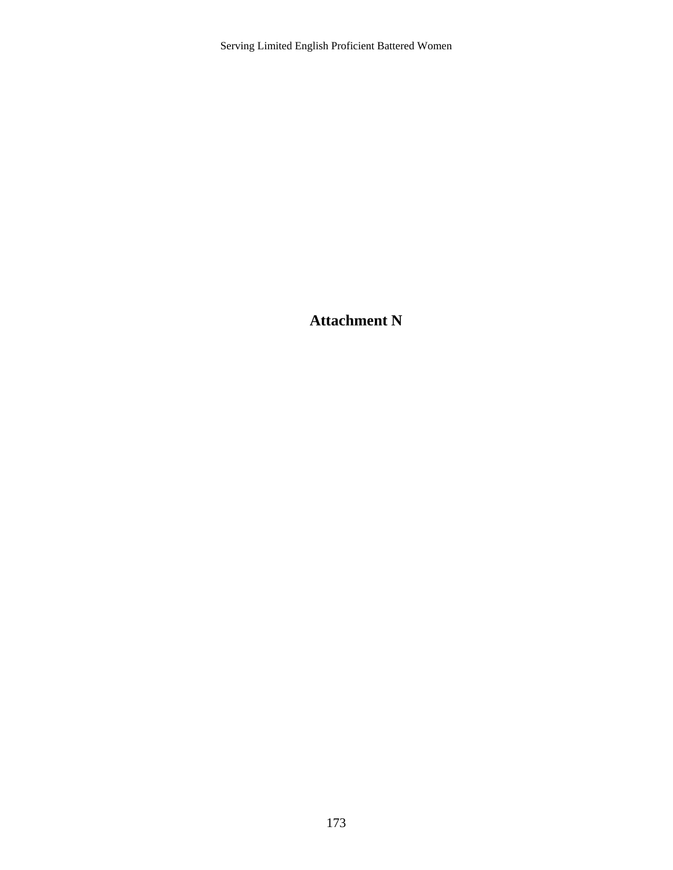**Attachment N**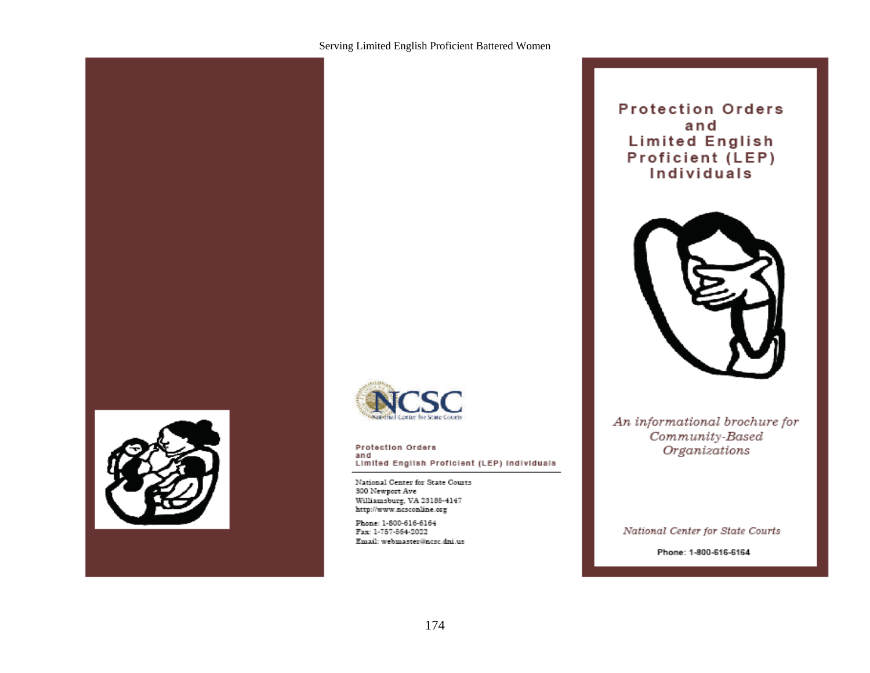

# for State Court

#### Protection Orders and Limited English Proficient (LEP) Individuals

National Center for State Courts 300 Newport Ave Williamsburg, VA 23185-4147 http://www.ncsconline.org

Phone: 1-800-616-6164 Fax: 1-757-564-2022 Email: webmaster@ncsc.dni.us

### **Protection Orders** and **Limited English** Proficient (LEP) Individuals



An informational brochure for Community-Based Organizations

National Center for State Courts

Phone: 1-800-616-6164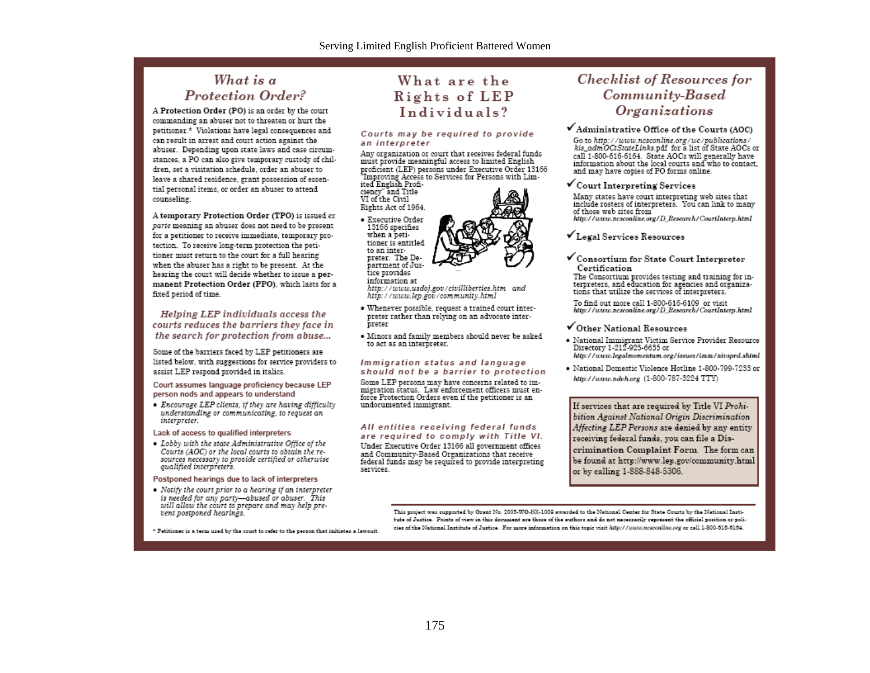#### What is a **Protection Order?**

A Protection Order (PO) is an order by the court commanding an abuser not to threaten or hurt the petitioner.\* Violations have legal consequences and can result in arrest and court action against the abuser. Depending upon state laws and case circumstances, a PO can also give temporary custody of children, set a visitation schedule, order an abuser to leave a shared residence, grant possession of essential personal items, or order an abuser to attend counseling.

A temporary Protection Order (TPO) is issued ex parte meaning an abuser does not need to be present for a petitioner to receive immediate, temporary protection. To receive long-term protection the petitioner must return to the court for a full hearing when the abuser has a right to be present. At the hearing the court will decide whether to issue a permanent Protection Order (PPO), which lasts for a fixed period of time.

Helping LEP individuals access the courts reduces the barriers they face in the search for protection from abuse...

Some of the barriers faced by LEP petitioners are listed below, with suggestions for service providers to assist LEP respond provided in italics.

#### Court assumes language proficiency because LEP person nods and appears to understand

• Encourage LEP clients, if they are having difficulty understanding or communicating, to request an interpreter.

#### Lack of access to qualified interpreters

• Lobby with the state Administrative Office of the Courts (AOC) or the local courts to obtain the resources necessary to provide certified or otherwise qualified interpreters.

#### Postponed hearings due to lack of interpreters

• Notify the court prior to a hearing if an interpreter is needed for any party—abused or abuser. This will allow the court to prepare and may help prevent postponed hearings.

\* Petitioner is a term used by the court to refer to the person that initiates a lawouit.

### What are the Rights of LEP Individuals?

#### Courts may be required to provide an interpreter

Any organization or court that receives federal funds must provide meaningful access to limited English proficient (LEP) persons under Executive Order 13166 "Improving Access to Services for Persons with Limited English Profi-

ciency" and Title<br>VI of the Civil Rights Act of 1964.

· Executive Order 13166 specifies when a petitioner is entitled to an interpreter. The Department of Justice provides

information at http://www.usdoj.gov/civilliberties.htm and http://www.lep.gov/community.html

- · Whenever possible, request a trained court interpreter rather than relying on an advocate interpreter
- · Minors and family members should never be asked to act as an interpreter.

#### Immigration status and language should not be a barrier to protection

Some LEP persons may have concerns related to immigration status. Law enforcement officers must enforce Protection Orders even if the petitioner is an undocumented immigrant.

All entities receiving federal funds are required to comply with Title VI. Under Executive Order 13166 all government offices and Community-Based Organizations that receive federal funds may be required to provide interpreting services.

#### **Checklist of Resources for** Community-Based Organizations

#### $\checkmark$  Administrative Office of the Courts (AOC)

Go to http://www.ncsconline.org/wc/publications/<br>kis\_admOCtStateLinks.pdf for a list of State AOCs or call 1-800-616-6164. State AOCs will generally have information about the local courts and who to contact, and may have copies of PO forms online.

#### ✔ Court Interpreting Services

Many states have court interpreting web sites that include rosters of interpreters. You can link to many of those web sites from

http://www.ncsconline.org/D\_Research/CourtInterp.html

- ✔ Legal Services Resources
- $\checkmark$  Consortium for State Court Interpreter Certification

The Consortium provides testing and training for interpreters, and education for agencies and organizations that utilize the services of interpreters.

To find out more call 1-800-616-6109 or visit<br>http://www.ncsconline.org/D\_Research/CourtInterp.html

#### $\checkmark$  Other National Resources

- National Immigrant Victim Service Provider Resource<br>Directory 1-212-925-6635 or http://www.legalmomentum.org/issues/imm/nivsprd.shtml

• National Domestic Violence Hotline 1-800-799-7233 or http://www.ndvh.org (1-800-787-3224 TTY)

If services that are required by Title VI Prohibition Against National Origin Discrimination Affecting LEP Persons are denied by any entity receiving federal funds, you can file a Discrimination Complaint Form. The form can be found at http://www.lep.gov/community.html or by calling 1-888-848-5306.

This project was supported by Grant No. 2005-WG-BX-1009 awarded to the National Center for State Courts by the National Institute of Justice. Points of view in this document are those of the authors and do not necessarily represent the official position or policies of the National Institute of Justice. For more information on this topic visit http://munn.nesconline.org or call 1-300-616-6164.

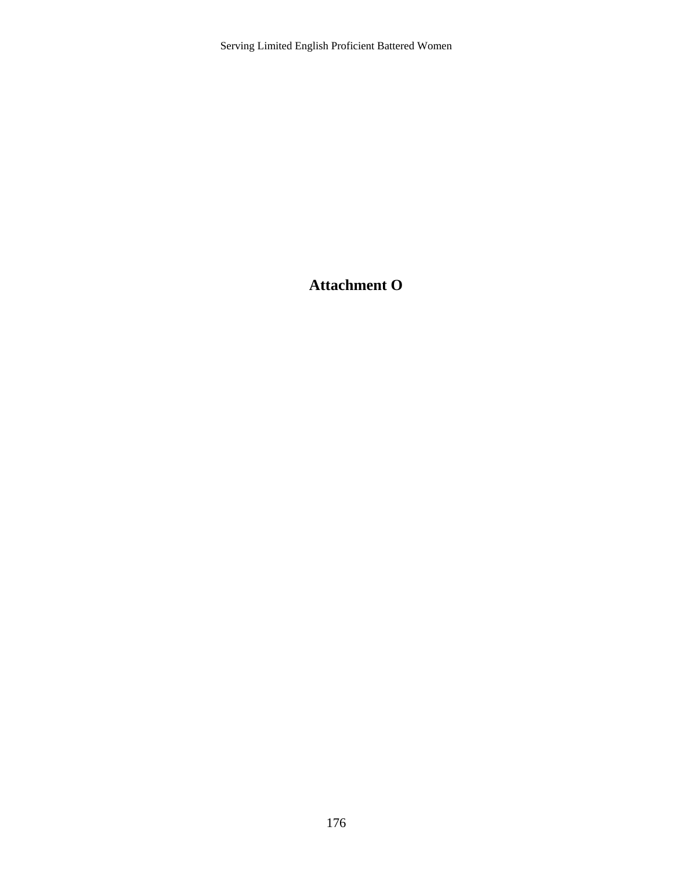**Attachment O**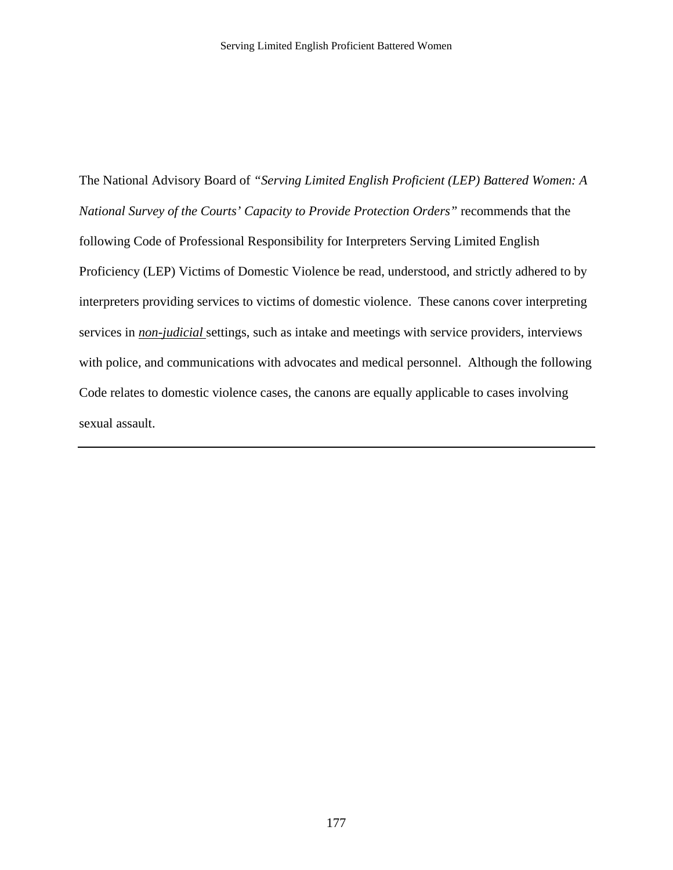The National Advisory Board of *"Serving Limited English Proficient (LEP) Battered Women: A National Survey of the Courts' Capacity to Provide Protection Orders"* recommends that the following Code of Professional Responsibility for Interpreters Serving Limited English Proficiency (LEP) Victims of Domestic Violence be read, understood, and strictly adhered to by interpreters providing services to victims of domestic violence. These canons cover interpreting services in *non-judicial* settings, such as intake and meetings with service providers, interviews with police, and communications with advocates and medical personnel. Although the following Code relates to domestic violence cases, the canons are equally applicable to cases involving sexual assault.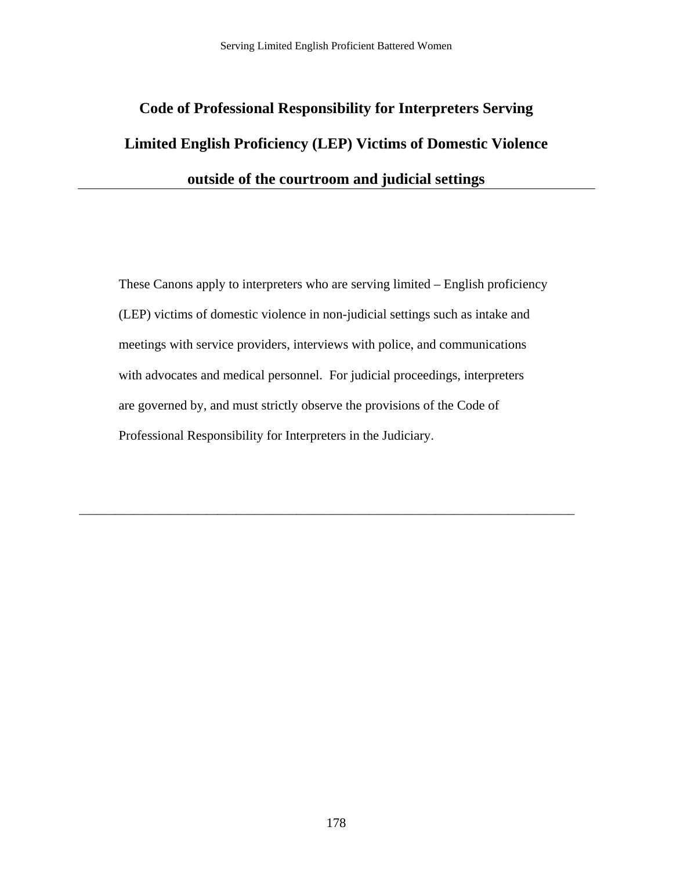# **Code of Professional Responsibility for Interpreters Serving Limited English Proficiency (LEP) Victims of Domestic Violence outside of the courtroom and judicial settings**

These Canons apply to interpreters who are serving limited – English proficiency (LEP) victims of domestic violence in non-judicial settings such as intake and meetings with service providers, interviews with police, and communications with advocates and medical personnel. For judicial proceedings, interpreters are governed by, and must strictly observe the provisions of the Code of Professional Responsibility for Interpreters in the Judiciary.

\_\_\_\_\_\_\_\_\_\_\_\_\_\_\_\_\_\_\_\_\_\_\_\_\_\_\_\_\_\_\_\_\_\_\_\_\_\_\_\_\_\_\_\_\_\_\_\_\_\_\_\_\_\_\_\_\_\_\_\_\_\_\_\_\_\_\_\_\_\_\_\_\_\_\_\_\_\_\_\_\_\_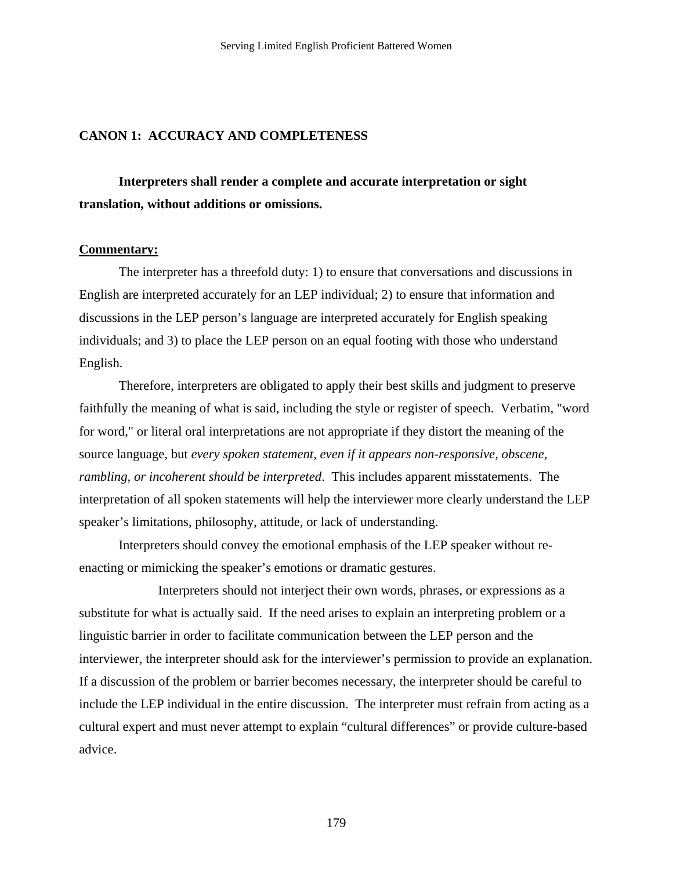#### **CANON 1: ACCURACY AND COMPLETENESS**

 **Interpreters shall render a complete and accurate interpretation or sight translation, without additions or omissions.** 

#### **Commentary:**

 The interpreter has a threefold duty: 1) to ensure that conversations and discussions in English are interpreted accurately for an LEP individual; 2) to ensure that information and discussions in the LEP person's language are interpreted accurately for English speaking individuals; and 3) to place the LEP person on an equal footing with those who understand English.

 Therefore, interpreters are obligated to apply their best skills and judgment to preserve faithfully the meaning of what is said, including the style or register of speech. Verbatim, "word for word," or literal oral interpretations are not appropriate if they distort the meaning of the source language, but *every spoken statement, even if it appears non-responsive, obscene, rambling, or incoherent should be interpreted*. This includes apparent misstatements. The interpretation of all spoken statements will help the interviewer more clearly understand the LEP speaker's limitations, philosophy, attitude, or lack of understanding.

 Interpreters should convey the emotional emphasis of the LEP speaker without reenacting or mimicking the speaker's emotions or dramatic gestures.

 Interpreters should not interject their own words, phrases, or expressions as a substitute for what is actually said. If the need arises to explain an interpreting problem or a linguistic barrier in order to facilitate communication between the LEP person and the interviewer, the interpreter should ask for the interviewer's permission to provide an explanation. If a discussion of the problem or barrier becomes necessary, the interpreter should be careful to include the LEP individual in the entire discussion. The interpreter must refrain from acting as a cultural expert and must never attempt to explain "cultural differences" or provide culture-based advice.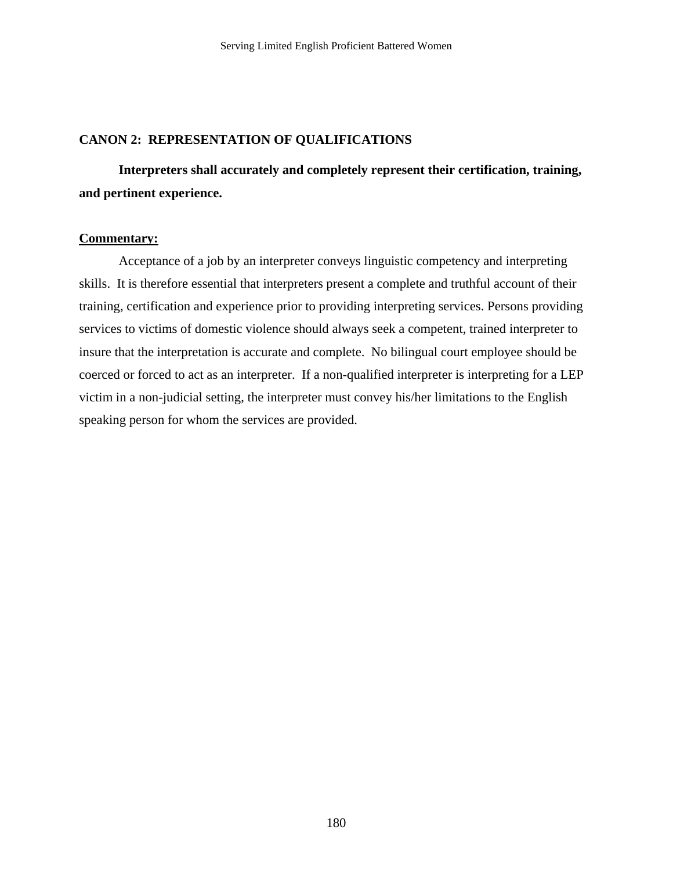#### **CANON 2: REPRESENTATION OF QUALIFICATIONS**

 **Interpreters shall accurately and completely represent their certification, training, and pertinent experience.** 

#### **Commentary:**

 Acceptance of a job by an interpreter conveys linguistic competency and interpreting skills. It is therefore essential that interpreters present a complete and truthful account of their training, certification and experience prior to providing interpreting services. Persons providing services to victims of domestic violence should always seek a competent, trained interpreter to insure that the interpretation is accurate and complete. No bilingual court employee should be coerced or forced to act as an interpreter. If a non-qualified interpreter is interpreting for a LEP victim in a non-judicial setting, the interpreter must convey his/her limitations to the English speaking person for whom the services are provided.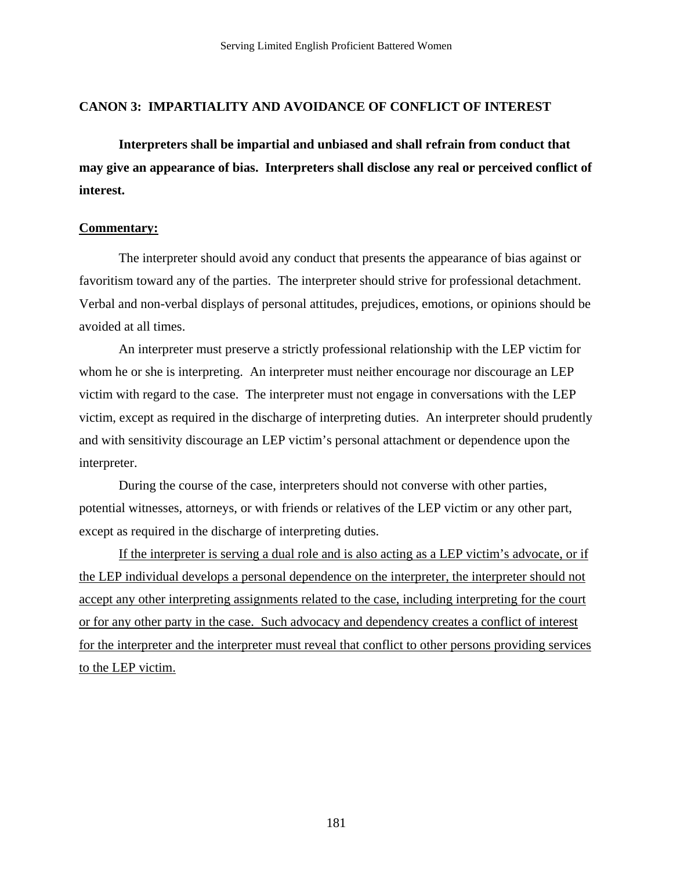#### **CANON 3: IMPARTIALITY AND AVOIDANCE OF CONFLICT OF INTEREST**

 **Interpreters shall be impartial and unbiased and shall refrain from conduct that may give an appearance of bias. Interpreters shall disclose any real or perceived conflict of interest.** 

#### **Commentary:**

 The interpreter should avoid any conduct that presents the appearance of bias against or favoritism toward any of the parties. The interpreter should strive for professional detachment. Verbal and non-verbal displays of personal attitudes, prejudices, emotions, or opinions should be avoided at all times.

 An interpreter must preserve a strictly professional relationship with the LEP victim for whom he or she is interpreting. An interpreter must neither encourage nor discourage an LEP victim with regard to the case. The interpreter must not engage in conversations with the LEP victim, except as required in the discharge of interpreting duties. An interpreter should prudently and with sensitivity discourage an LEP victim's personal attachment or dependence upon the interpreter.

 During the course of the case, interpreters should not converse with other parties, potential witnesses, attorneys, or with friends or relatives of the LEP victim or any other part, except as required in the discharge of interpreting duties.

 If the interpreter is serving a dual role and is also acting as a LEP victim's advocate, or if the LEP individual develops a personal dependence on the interpreter, the interpreter should not accept any other interpreting assignments related to the case, including interpreting for the court or for any other party in the case. Such advocacy and dependency creates a conflict of interest for the interpreter and the interpreter must reveal that conflict to other persons providing services to the LEP victim.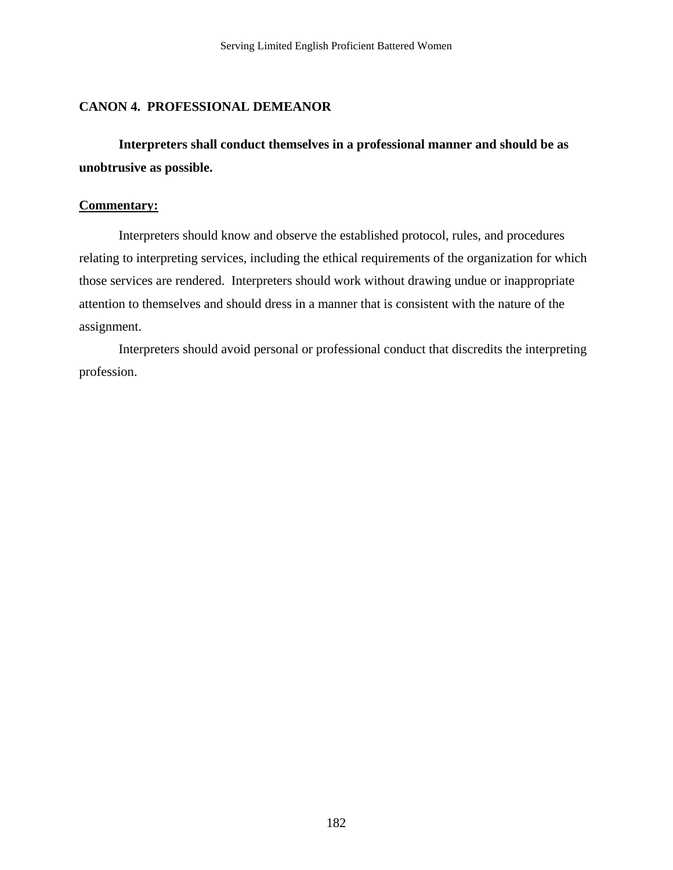#### **CANON 4. PROFESSIONAL DEMEANOR**

 **Interpreters shall conduct themselves in a professional manner and should be as unobtrusive as possible.** 

#### **Commentary:**

 Interpreters should know and observe the established protocol, rules, and procedures relating to interpreting services, including the ethical requirements of the organization for which those services are rendered. Interpreters should work without drawing undue or inappropriate attention to themselves and should dress in a manner that is consistent with the nature of the assignment.

 Interpreters should avoid personal or professional conduct that discredits the interpreting profession.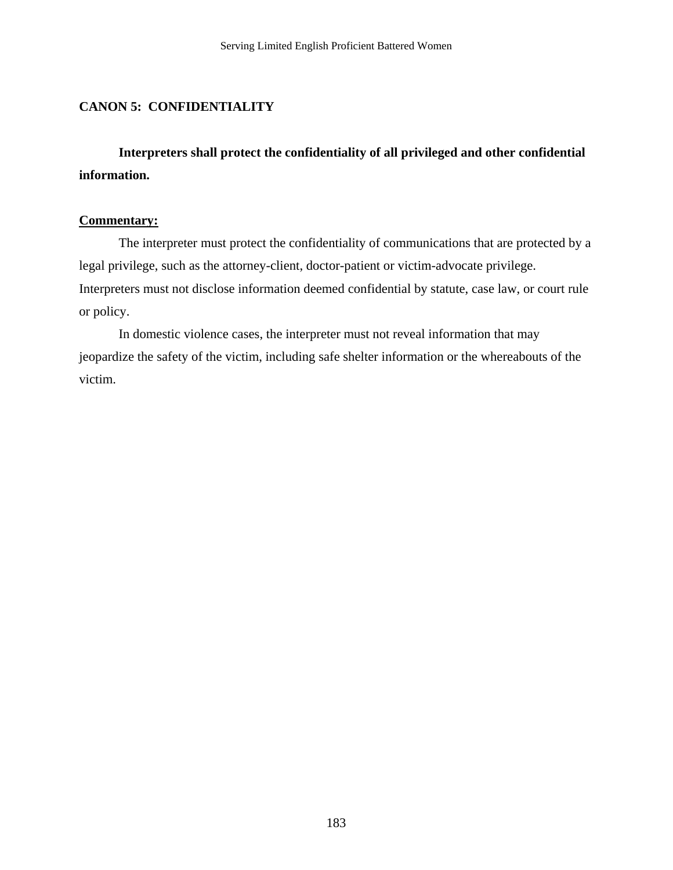### **CANON 5: CONFIDENTIALITY**

 **Interpreters shall protect the confidentiality of all privileged and other confidential information.** 

#### **Commentary:**

 The interpreter must protect the confidentiality of communications that are protected by a legal privilege, such as the attorney-client, doctor-patient or victim-advocate privilege. Interpreters must not disclose information deemed confidential by statute, case law, or court rule or policy.

 In domestic violence cases, the interpreter must not reveal information that may jeopardize the safety of the victim, including safe shelter information or the whereabouts of the victim.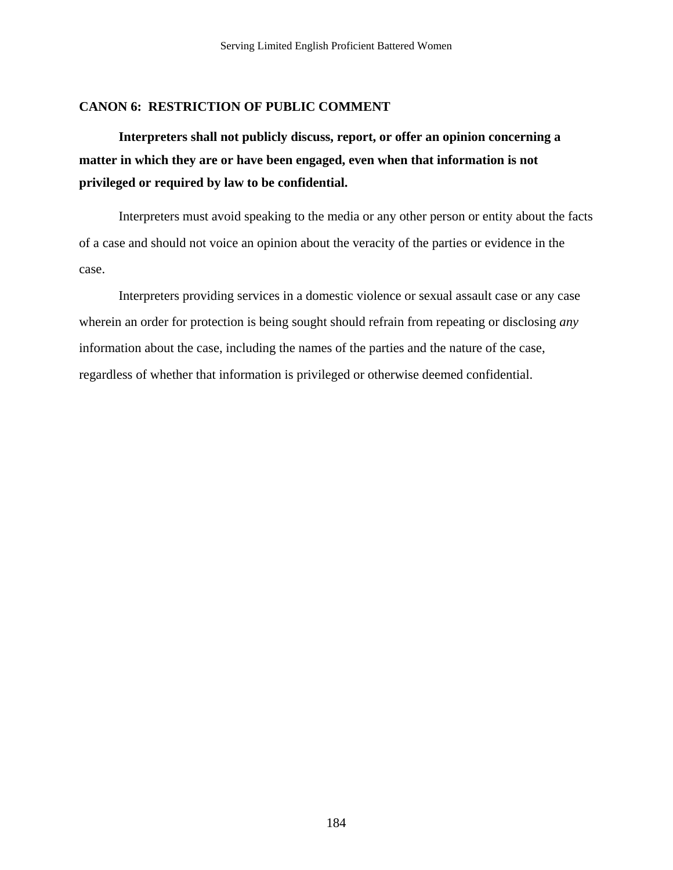#### **CANON 6: RESTRICTION OF PUBLIC COMMENT**

 **Interpreters shall not publicly discuss, report, or offer an opinion concerning a matter in which they are or have been engaged, even when that information is not privileged or required by law to be confidential.**

Interpreters must avoid speaking to the media or any other person or entity about the facts of a case and should not voice an opinion about the veracity of the parties or evidence in the case.

Interpreters providing services in a domestic violence or sexual assault case or any case wherein an order for protection is being sought should refrain from repeating or disclosing *any* information about the case, including the names of the parties and the nature of the case, regardless of whether that information is privileged or otherwise deemed confidential.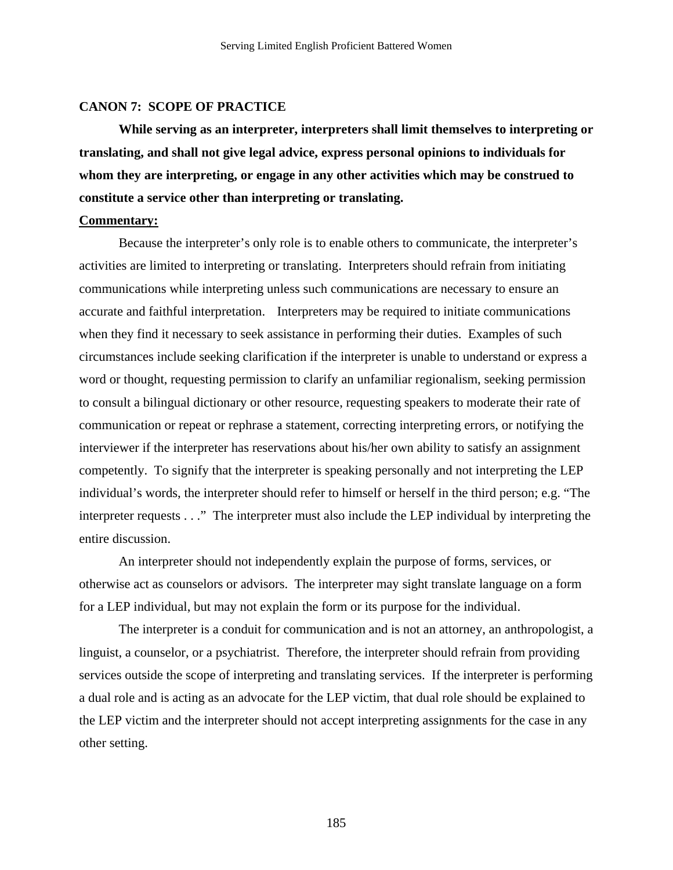#### **CANON 7: SCOPE OF PRACTICE**

 **While serving as an interpreter, interpreters shall limit themselves to interpreting or translating, and shall not give legal advice, express personal opinions to individuals for whom they are interpreting, or engage in any other activities which may be construed to constitute a service other than interpreting or translating.** 

#### **Commentary:**

 Because the interpreter's only role is to enable others to communicate, the interpreter's activities are limited to interpreting or translating. Interpreters should refrain from initiating communications while interpreting unless such communications are necessary to ensure an accurate and faithful interpretation. Interpreters may be required to initiate communications when they find it necessary to seek assistance in performing their duties. Examples of such circumstances include seeking clarification if the interpreter is unable to understand or express a word or thought, requesting permission to clarify an unfamiliar regionalism, seeking permission to consult a bilingual dictionary or other resource, requesting speakers to moderate their rate of communication or repeat or rephrase a statement, correcting interpreting errors, or notifying the interviewer if the interpreter has reservations about his/her own ability to satisfy an assignment competently. To signify that the interpreter is speaking personally and not interpreting the LEP individual's words, the interpreter should refer to himself or herself in the third person; e.g. "The interpreter requests . . ." The interpreter must also include the LEP individual by interpreting the entire discussion.

 An interpreter should not independently explain the purpose of forms, services, or otherwise act as counselors or advisors. The interpreter may sight translate language on a form for a LEP individual, but may not explain the form or its purpose for the individual.

 The interpreter is a conduit for communication and is not an attorney, an anthropologist, a linguist, a counselor, or a psychiatrist. Therefore, the interpreter should refrain from providing services outside the scope of interpreting and translating services. If the interpreter is performing a dual role and is acting as an advocate for the LEP victim, that dual role should be explained to the LEP victim and the interpreter should not accept interpreting assignments for the case in any other setting.

185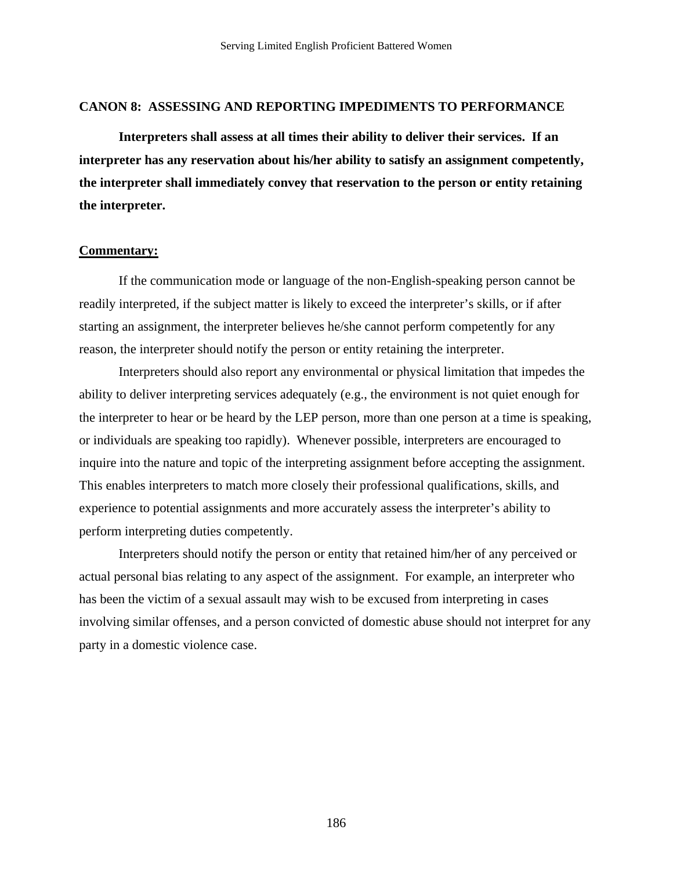#### **CANON 8: ASSESSING AND REPORTING IMPEDIMENTS TO PERFORMANCE**

 **Interpreters shall assess at all times their ability to deliver their services. If an interpreter has any reservation about his/her ability to satisfy an assignment competently, the interpreter shall immediately convey that reservation to the person or entity retaining the interpreter.** 

#### **Commentary:**

 If the communication mode or language of the non-English-speaking person cannot be readily interpreted, if the subject matter is likely to exceed the interpreter's skills, or if after starting an assignment, the interpreter believes he/she cannot perform competently for any reason, the interpreter should notify the person or entity retaining the interpreter.

 Interpreters should also report any environmental or physical limitation that impedes the ability to deliver interpreting services adequately (e.g., the environment is not quiet enough for the interpreter to hear or be heard by the LEP person, more than one person at a time is speaking, or individuals are speaking too rapidly). Whenever possible, interpreters are encouraged to inquire into the nature and topic of the interpreting assignment before accepting the assignment. This enables interpreters to match more closely their professional qualifications, skills, and experience to potential assignments and more accurately assess the interpreter's ability to perform interpreting duties competently.

 Interpreters should notify the person or entity that retained him/her of any perceived or actual personal bias relating to any aspect of the assignment. For example, an interpreter who has been the victim of a sexual assault may wish to be excused from interpreting in cases involving similar offenses, and a person convicted of domestic abuse should not interpret for any party in a domestic violence case.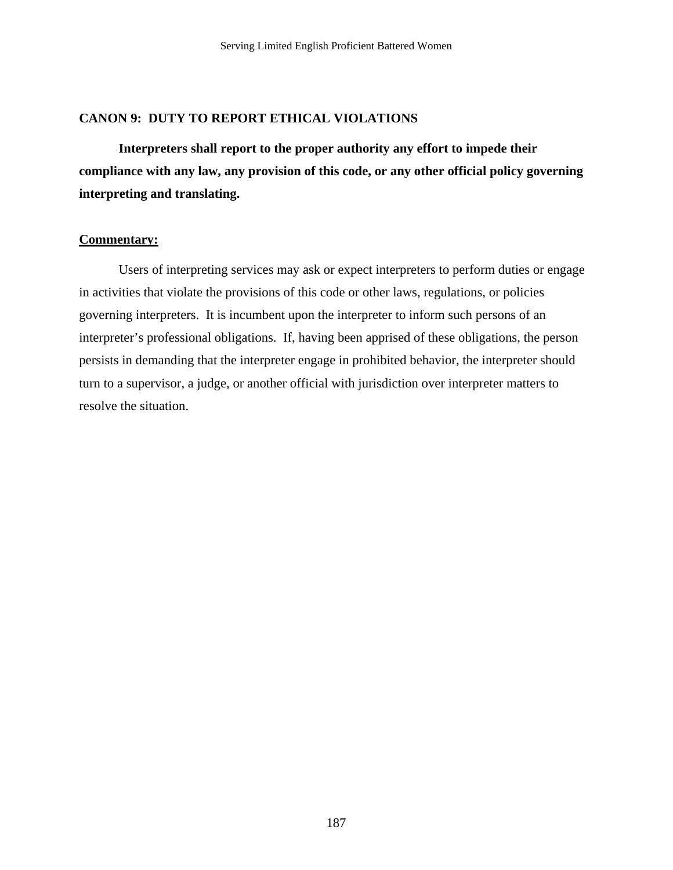#### **CANON 9: DUTY TO REPORT ETHICAL VIOLATIONS**

 **Interpreters shall report to the proper authority any effort to impede their compliance with any law, any provision of this code, or any other official policy governing interpreting and translating.** 

#### **Commentary:**

 Users of interpreting services may ask or expect interpreters to perform duties or engage in activities that violate the provisions of this code or other laws, regulations, or policies governing interpreters. It is incumbent upon the interpreter to inform such persons of an interpreter's professional obligations. If, having been apprised of these obligations, the person persists in demanding that the interpreter engage in prohibited behavior, the interpreter should turn to a supervisor, a judge, or another official with jurisdiction over interpreter matters to resolve the situation.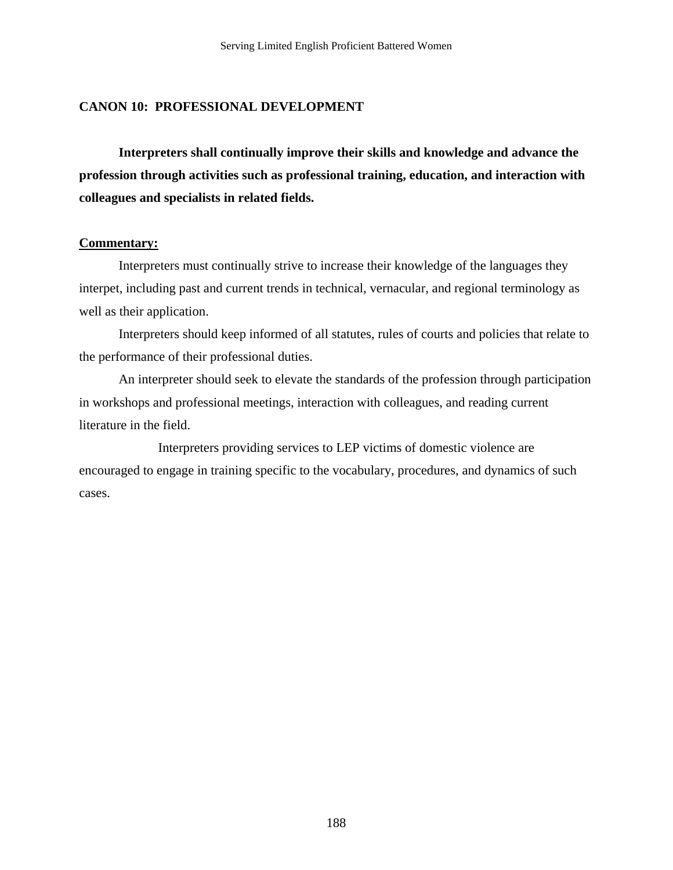#### **CANON 10: PROFESSIONAL DEVELOPMENT**

 **Interpreters shall continually improve their skills and knowledge and advance the profession through activities such as professional training, education, and interaction with colleagues and specialists in related fields.** 

#### **Commentary:**

 Interpreters must continually strive to increase their knowledge of the languages they interpet, including past and current trends in technical, vernacular, and regional terminology as well as their application.

 Interpreters should keep informed of all statutes, rules of courts and policies that relate to the performance of their professional duties.

 An interpreter should seek to elevate the standards of the profession through participation in workshops and professional meetings, interaction with colleagues, and reading current literature in the field.

 Interpreters providing services to LEP victims of domestic violence are encouraged to engage in training specific to the vocabulary, procedures, and dynamics of such cases.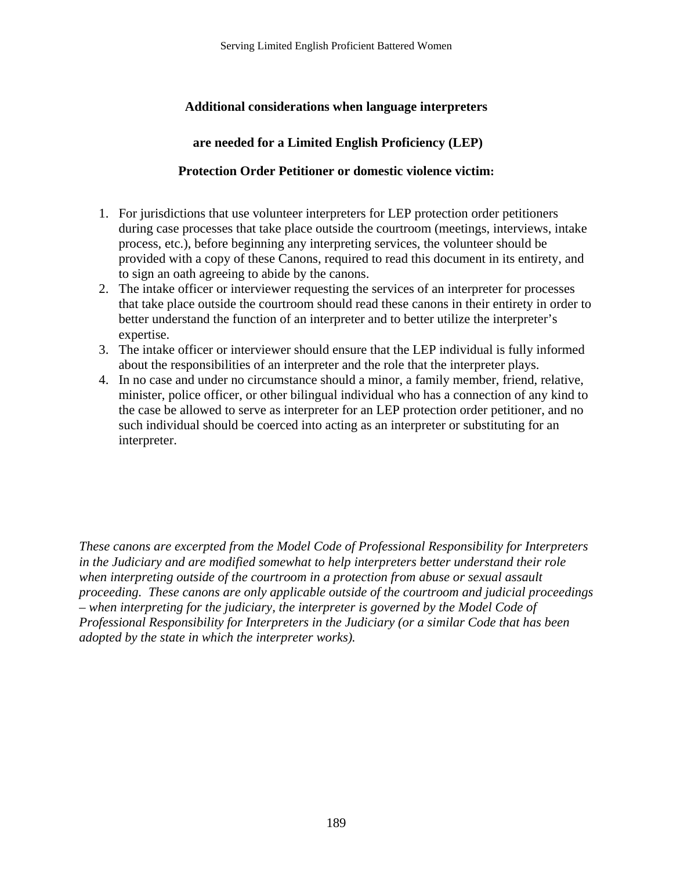### **Additional considerations when language interpreters**

### **are needed for a Limited English Proficiency (LEP)**

#### **Protection Order Petitioner or domestic violence victim:**

- 1. For jurisdictions that use volunteer interpreters for LEP protection order petitioners during case processes that take place outside the courtroom (meetings, interviews, intake process, etc.), before beginning any interpreting services, the volunteer should be provided with a copy of these Canons, required to read this document in its entirety, and to sign an oath agreeing to abide by the canons.
- 2. The intake officer or interviewer requesting the services of an interpreter for processes that take place outside the courtroom should read these canons in their entirety in order to better understand the function of an interpreter and to better utilize the interpreter's expertise.
- 3. The intake officer or interviewer should ensure that the LEP individual is fully informed about the responsibilities of an interpreter and the role that the interpreter plays.
- 4. In no case and under no circumstance should a minor, a family member, friend, relative, minister, police officer, or other bilingual individual who has a connection of any kind to the case be allowed to serve as interpreter for an LEP protection order petitioner, and no such individual should be coerced into acting as an interpreter or substituting for an interpreter.

*These canons are excerpted from the Model Code of Professional Responsibility for Interpreters in the Judiciary and are modified somewhat to help interpreters better understand their role when interpreting outside of the courtroom in a protection from abuse or sexual assault proceeding. These canons are only applicable outside of the courtroom and judicial proceedings – when interpreting for the judiciary, the interpreter is governed by the Model Code of Professional Responsibility for Interpreters in the Judiciary (or a similar Code that has been adopted by the state in which the interpreter works).*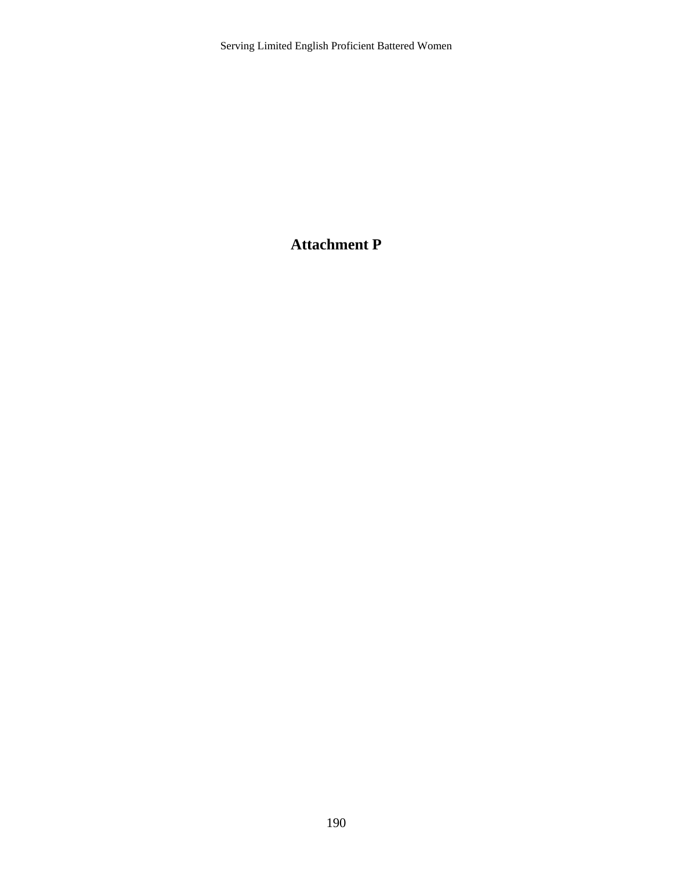Serving Limited English Proficient Battered Women

### **Attachment P**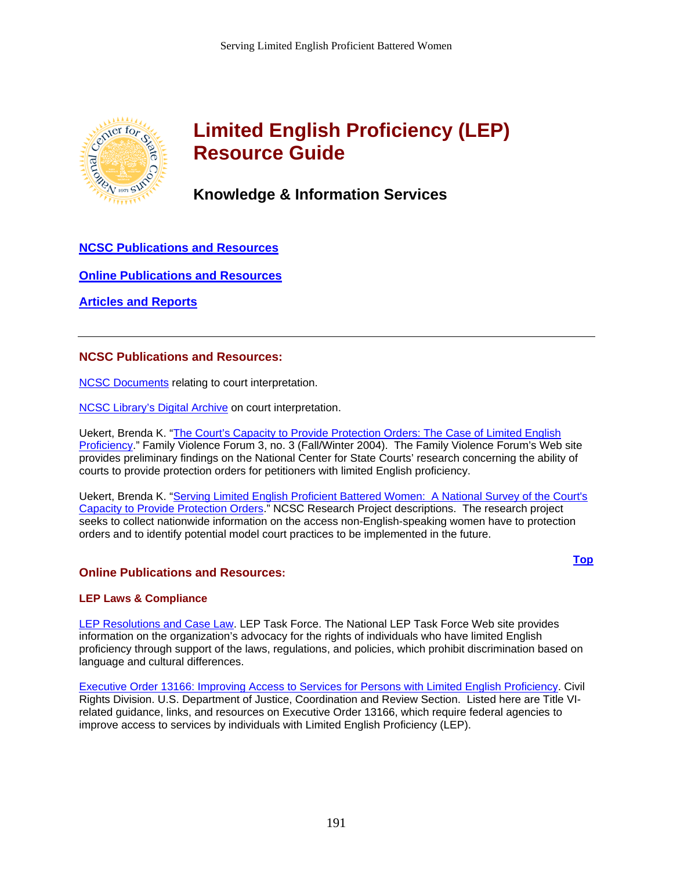<span id="page-193-0"></span>

# **Limited English Proficiency (LEP) Resource Guide**

### **Knowledge & Information Services**

**[NCSC Publications and Resources](#page-193-0)**

**[Online Publications and Resources](#page-193-0)**

**[Articles and Reports](#page-197-0)**

#### **NCSC Publications and Resources:**

[NCSC Documents](http://library.ncsc.dni.us/uhtbin/cgisirsi.exe/YHuBPOF1gr/203280006/38/72/X/BLASTOFF) relating to court interpretation.

[NCSC Library's Digital Archive](http://contentdm.ncsconline.org/cdm4/results.php?CISORESTMP=/cdm4/results.php&CISOVIEWTMP=/cdm4/item_viewer.php&CISOMODE=bib&CISOGRID=thumbnail,A,1;title,A,1;subjec,A,0;descri,200,0;none,A,0;20;title,none,none,none,none&CISOBIB=creato,A,0,N;title,A,1,N;su) on court interpretation.

Uekert, Brenda K. "[The Court's Capacity to Provide Protection Orders: The Case of Limited English](http://www.ncsconline.org/Projects_Initiatives/Family/vol_3.3.htm#Capacity)  [Proficiency.](http://www.ncsconline.org/Projects_Initiatives/Family/vol_3.3.htm#Capacity)" Family Violence Forum 3, no. 3 (Fall/Winter 2004). The Family Violence Forum's Web site provides preliminary findings on the National Center for State Courts' research concerning the ability of courts to provide protection orders for petitioners with limited English proficiency.

Uekert, Brenda K. "[Serving Limited English Proficient Battered Women: A National Survey of the Court's](http://www.ncsconline.org/D_Research/descriptions.html#LEP)  [Capacity to Provide Protection Orders.](http://www.ncsconline.org/D_Research/descriptions.html#LEP)" NCSC Research Project descriptions. The research project seeks to collect nationwide information on the access non-English-speaking women have to protection orders and to identify potential model court practices to be implemented in the future.

#### **Online Publications and Resources:**

**[Top](#page-193-0)**

#### **LEP Laws & Compliance**

[LEP Resolutions and Case Law.](http://www.leptaskforce.org/OCR & Case Law.htm) LEP Task Force. The National LEP Task Force Web site provides information on the organization's advocacy for the rights of individuals who have limited English proficiency through support of the laws, regulations, and policies, which prohibit discrimination based on language and cultural differences.

[Executive Order 13166: Improving Access to Services for Persons with Limited English Proficiency.](http://www.usdoj.gov/crt/cor/13166.htm) Civil Rights Division. U.S. Department of Justice, Coordination and Review Section. Listed here are Title VIrelated guidance, links, and resources on Executive Order 13166, which require federal agencies to improve access to services by individuals with Limited English Proficiency (LEP).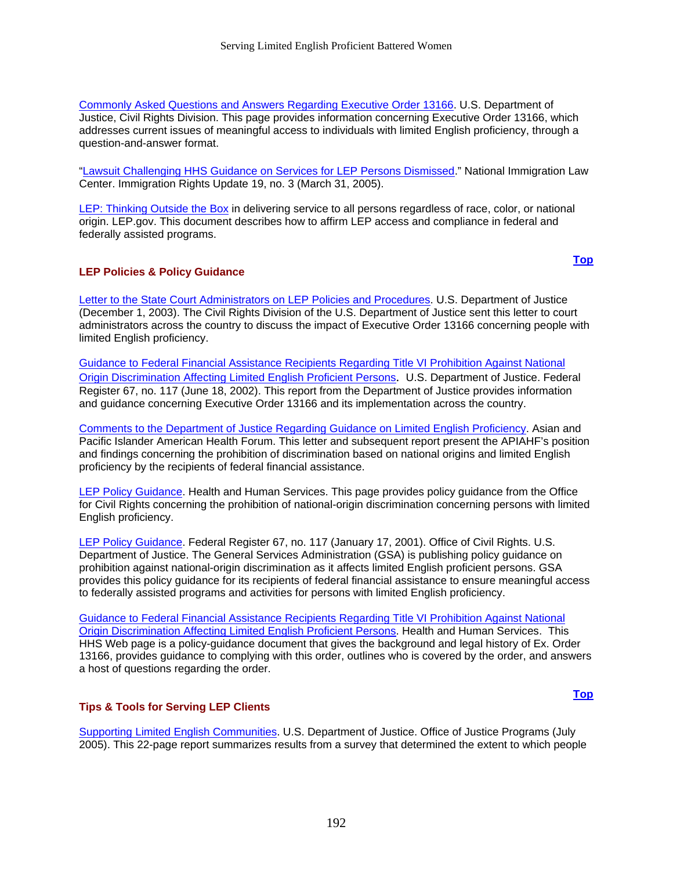[Commonly Asked Questions and Answers Regarding Executive Order 13166.](http://www.usdoj.gov/crt/cor/Pubs/lepqa.htm) U.S. Department of Justice, Civil Rights Division. This page provides information concerning Executive Order 13166, which addresses current issues of meaningful access to individuals with limited English proficiency, through a question-and-answer format.

["Lawsuit Challenging HHS Guidance on Services for LEP Persons Dismissed.](http://www.nilc.org/immspbs/la/langaccess014.htm)" National Immigration Law Center. Immigration Rights Update 19, no. 3 (March 31, 2005).

[LEP: Thinking Outside the Box](http://www.lep.gov/recipbroch.html) in delivering service to all persons regardless of race, color, or national origin. LEP.gov. This document describes how to affirm LEP access and compliance in federal and federally assisted programs.

#### **LEP Policies & Policy Guidance**

**[Top](#page-193-0)**

**[Top](#page-193-0)**

[Letter to the State Court Administrators on LEP Policies and Procedures.](http://www.usdoj.gov/crt/cor/courtsletter_generic.htm) U.S. Department of Justice (December 1, 2003). The Civil Rights Division of the U.S. Department of Justice sent this letter to court administrators across the country to discuss the impact of Executive Order 13166 concerning people with limited English proficiency.

[Guidance to Federal Financial Assistance Recipients Regarding Title VI Prohibition Against National](http://www.usdoj.gov/crt/cor/lep/DOJFinLEPFRJun182002.htm)  [Origin Discrimination Affecting Limited English Proficient Persons](http://www.usdoj.gov/crt/cor/lep/DOJFinLEPFRJun182002.htm). U.S. Department of Justice. Federal Register 67, no. 117 (June 18, 2002). This report from the Department of Justice provides information and guidance concerning Executive Order 13166 and its implementation across the country.

[Comments to the Department of Justice Regarding Guidance on Limited English Proficiency.](http://www.apiahf.org/policy/culturalcompetence/20020219_comments_to_doj_re.htm) Asian and Pacific Islander American Health Forum. This letter and subsequent report present the APIAHF's position and findings concerning the prohibition of discrimination based on national origins and limited English proficiency by the recipients of federal financial assistance.

[LEP Policy Guidance](http://www.hhs.gov/ocr/lep/guide.html). Health and Human Services. This page provides policy guidance from the Office for Civil Rights concerning the prohibition of national-origin discrimination concerning persons with limited English proficiency.

[LEP Policy Guidance](http://www.usdoj.gov/crt/cor/lep/gsalep.htm). Federal Register 67, no. 117 (January 17, 2001). Office of Civil Rights. U.S. Department of Justice. The General Services Administration (GSA) is publishing policy guidance on prohibition against national-origin discrimination as it affects limited English proficient persons. GSA provides this policy guidance for its recipients of federal financial assistance to ensure meaningful access to federally assisted programs and activities for persons with limited English proficiency.

[Guidance to Federal Financial Assistance Recipients Regarding Title VI Prohibition Against National](http://www.hhs.gov/ocr/lep/revisedlep.html) [Origin Discrimination Affecting Limited English Proficient Persons](http://www.hhs.gov/ocr/lep/revisedlep.html). Health and Human Services.This HHS Web page is a policy-guidance document that gives the background and legal history of Ex. Order 13166, provides guidance to complying with this order, outlines who is covered by the order, and answers a host of questions regarding the order.

#### **Tips & Tools for Serving LEP Clients**

[Supporting Limited English Communities](http://www.ojp.usdoj.gov/ccdo/pub/pdf/ncj210506.pdf). U.S. Department of Justice. Office of Justice Programs (July 2005). This 22-page report summarizes results from a survey that determined the extent to which people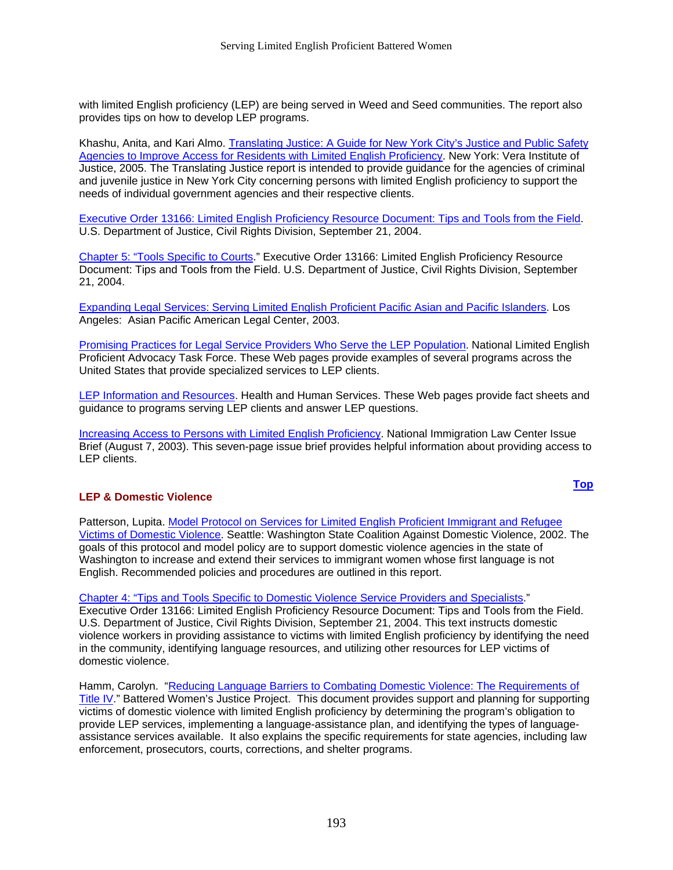with limited English proficiency (LEP) are being served in Weed and Seed communities. The report also provides tips on how to develop LEP programs.

Khashu, Anita, and Kari Almo. [Translating Justice: A Guide for New York City's Justice and Public Safety](http://www.vera.org/publication_pdf/342_619.pdf)  [Agencies to Improve Access for Residents with Limited English Proficiency.](http://www.vera.org/publication_pdf/342_619.pdf) New York: Vera Institute of Justice, 2005. The Translating Justice report is intended to provide guidance for the agencies of criminal and juvenile justice in New York City concerning persons with limited English proficiency to support the needs of individual government agencies and their respective clients.

[Executive Order 13166: Limited English Proficiency Resource Document: Tips and Tools from the Field](http://www.lep.gov/tips_and_tools-9-21-04.htm). U.S. Department of Justice, Civil Rights Division, September 21, 2004.

[Chapter 5: "Tools Specific to Courts](http://www.lep.gov/lepdoc chapter5.htm)." Executive Order 13166: Limited English Proficiency Resource Document: Tips and Tools from the Field. U.S. Department of Justice, Civil Rights Division, September 21, 2004.

[Expanding Legal Services: Serving Limited English Proficient Pacific Asian and Pacific Islanders](http://apalc.org/pdffiles/ELS_Web.pdf). Los Angeles: Asian Pacific American Legal Center, 2003.

[Promising Practices for Legal Service Providers Who Serve the LEP Population.](http://www.leptaskforce.org/Promising Practices.htm) National Limited English Proficient Advocacy Task Force. These Web pages provide examples of several programs across the United States that provide specialized services to LEP clients.

[LEP Information and Resources.](http://www.hhs.gov/ocr/lep/revisedlep.html) Health and Human Services. These Web pages provide fact sheets and guidance to programs serving LEP clients and answer LEP questions.

[Increasing Access to Persons with Limited English Proficiency.](http://www.nilc.org/immspbs/la/Language_access_issue_brief-final.pdf) National Immigration Law Center Issue Brief (August 7, 2003). This seven-page issue brief provides helpful information about providing access to LEP clients.

#### **LEP & Domestic Violence**

Patterson, Lupita. [Model Protocol on Services for Limited English Proficient Immigrant and Refugee](http://www.wscadv.org/Resources/protocol_LEP_victims.pdf)  [Victims of Domestic Violence](http://www.wscadv.org/Resources/protocol_LEP_victims.pdf). Seattle: Washington State Coalition Against Domestic Violence, 2002. The goals of this protocol and model policy are to support domestic violence agencies in the state of Washington to increase and extend their services to immigrant women whose first language is not English. Recommended policies and procedures are outlined in this report.

[Chapter 4: "Tips and Tools Specific to Domestic Violence Service Providers and Specialists](http://www.usdoj.gov/crt/lep/lepdoc chapter4.htm)."

Executive Order 13166: Limited English Proficiency Resource Document: Tips and Tools from the Field. U.S. Department of Justice, Civil Rights Division, September 21, 2004. This text instructs domestic violence workers in providing assistance to victims with limited English proficiency by identifying the need in the community, identifying language resources, and utilizing other resources for LEP victims of domestic violence.

Hamm, Carolyn. ["Reducing Language Barriers to Combating Domestic Violence: The Requirements of](http://data.ipharos.com/bwjp/documents/REDUCING LANGUAGE BARRIERS TO COMBATING DOMESTIC VIOLENCE.pdf)  [Title IV](http://data.ipharos.com/bwjp/documents/REDUCING LANGUAGE BARRIERS TO COMBATING DOMESTIC VIOLENCE.pdf)." Battered Women's Justice Project. This document provides support and planning for supporting victims of domestic violence with limited English proficiency by determining the program's obligation to provide LEP services, implementing a language-assistance plan, and identifying the types of languageassistance services available. It also explains the specific requirements for state agencies, including law enforcement, prosecutors, courts, corrections, and shelter programs.

**[Top](#page-193-0)**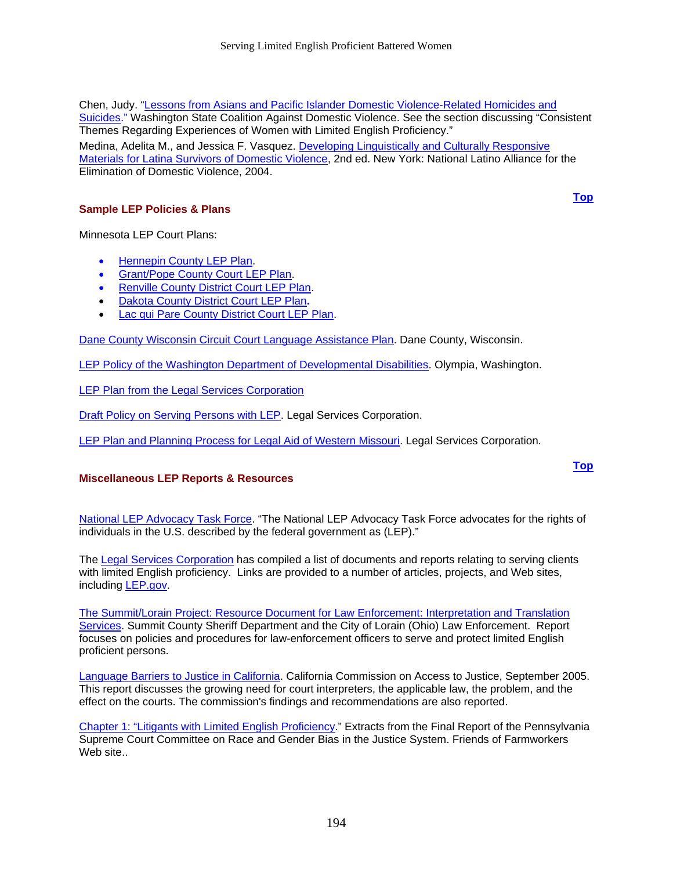Chen, Judy. ["Lessons from Asians and Pacific Islander Domestic Violence-Related Homicides and](http://www.apiahf.org/apidvinstitute/CriticalIssues/chen.htm)  [Suicides.](http://www.apiahf.org/apidvinstitute/CriticalIssues/chen.htm)" Washington State Coalition Against Domestic Violence. See the section discussing "Consistent Themes Regarding Experiences of Women with Limited English Proficiency." Medina, Adelita M., and Jessica F. Vasquez. [Developing Linguistically and Culturally Responsive](http://www.dvalianza.org/pdfs/r_devlinguistic.pdf)  [Materials for Latina Survivors of Domestic Violence](http://www.dvalianza.org/pdfs/r_devlinguistic.pdf), 2nd ed. New York: National Latino Alliance for the Elimination of Domestic Violence, 2004.

#### **Sample LEP Policies & Plans**

**[Top](#page-193-0)**

**[Top](#page-193-0)**

Minnesota LEP Court Plans:

- [Hennepin County LEP Plan.](http://www.courts.state.mn.us/districts/fourth/Administration/Limited English Proficiency Plan.doc)
- [Grant/Pope County Court LEP Plan](http://www.courts.state.mn.us/districts/eighth/PDF docs/LEP/Grant and Pope Counties LEP Plan.pdf).
- [Renville County District Court LEP Plan](http://www.courts.state.mn.us/districts/eighth/PDF docs/LEP/Renville County LEP Plan.pdf).
- [Dakota County District Court LEP Plan](http://www.co.dakota.mn.us/Courts/PDF/LEP Plan 2005.doc)**.**
- [Lac qui Pare County District Court LEP Plan.](http://www.courts.state.mn.us/districts/eighth/PDF docs/LEP/Lac Qui Parle County LEP Plan.pdf)

[Dane County Wisconsin Circuit Court Language Assistance Plan](http://www.co.dane.wi.us/clrkcort/pdf/20040615_language_assistance.pdf). Dane County, Wisconsin.

[LEP Policy of the Washington Department of Developmental Disabilities.](http://www1.dshs.wa.gov/pdf/adsa/ddd/policy_archives/apolicy5.05_12_93.pdf) Olympia, Washington.

[LEP Plan from the Legal Services Corporation](http://www.lri.lsc.gov/pdf/03/030200_LEPplan.pdf)

[Draft Policy on Serving Persons with LEP](http://www.lri.lsc.gov/pdf/05/050022_leppolicy.pdf). Legal Services Corporation.

[LEP Plan and Planning Process for Legal Aid of Western Missouri.](http://www.lri.lsc.gov/abstracts/abstract.asp?level1=Diversity&level2=LEP&abstractid=050022&ImageId=2) Legal Services Corporation.

#### **Miscellaneous LEP Reports & Resources**

[National LEP Advocacy Task Force](http://www.leptaskforce.org/LEP Home Page.htm). "The National LEP Advocacy Task Force advocates for the rights of individuals in the U.S. described by the federal government as (LEP)."

The [Legal Services Corporation](http://www.lri.lsc.gov/sitepages/diversity/div_lep.htm) has compiled a list of documents and reports relating to serving clients with limited English proficiency. Links are provided to a number of articles, projects, and Web sites, including [LEP.gov](http://www.lep.gov/).

[The Summit/Lorain Project: Resource Document for Law Enforcement: Interpretation and Translation](http://www.co.summit.oh.us/Sheriff/LEP.pdf)  [Services](http://www.co.summit.oh.us/Sheriff/LEP.pdf). Summit County Sheriff Department and the City of Lorain (Ohio) Law Enforcement. Report focuses on policies and procedures for law-enforcement officers to serve and protect limited English proficient persons.

[Language Barriers to Justice in California.](http://calbar.ca.gov/calbar/pdfs/reports/2005_Language-Barriers_Report.pdf) California Commission on Access to Justice, September 2005. This report discusses the growing need for court interpreters, the applicable law, the problem, and the effect on the courts. The commission's findings and recommendations are also reported.

[Chapter 1: "Litigants with Limited English Proficiency.](http://www.friendsfw.org/LEP/LEP_Litigants.htm#Ch1)" Extracts from the Final Report of the Pennsylvania Supreme Court Committee on Race and Gender Bias in the Justice System. Friends of Farmworkers Web site.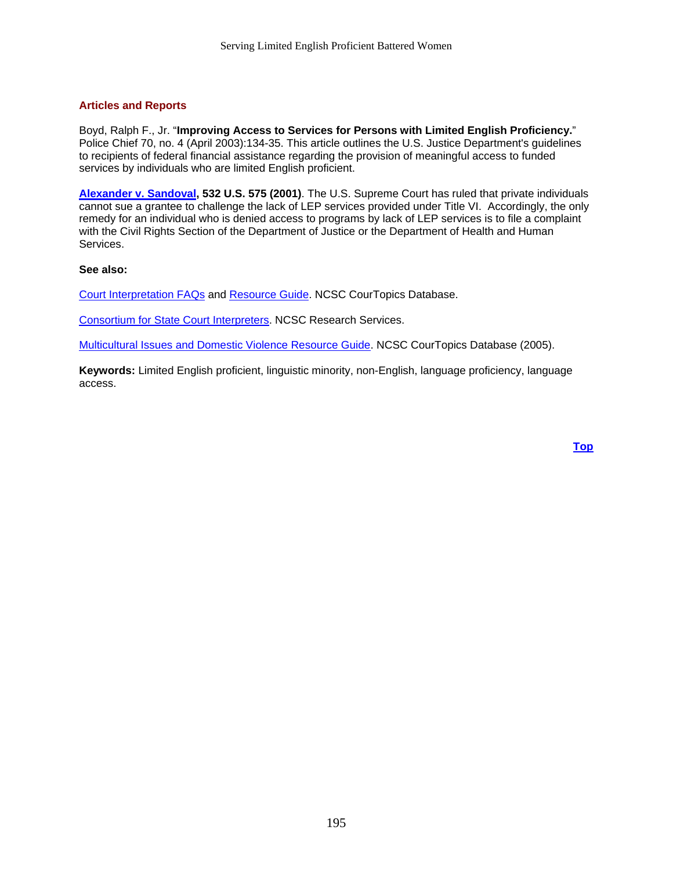#### <span id="page-197-0"></span>**Articles and Reports**

Boyd, Ralph F., Jr. "**Improving Access to Services for Persons with Limited English Proficiency.**" Police Chief 70, no. 4 (April 2003):134-35. This article outlines the U.S. Justice Department's guidelines to recipients of federal financial assistance regarding the provision of meaningful access to funded services by individuals who are limited English proficient.

**[Alexander v. Sandoval,](http://www.law.cornell.edu/supct/html/99-1908.ZO.html) 532 U.S. 575 (2001)**. The U.S. Supreme Court has ruled that private individuals cannot sue a grantee to challenge the lack of LEP services provided under Title VI. Accordingly, the only remedy for an individual who is denied access to programs by lack of LEP services is to file a complaint with the Civil Rights Section of the Department of Justice or the Department of Health and Human Services.

#### **See also:**

[Court Interpretation FAQs](http://www.ncsconline.org/WC/FAQs/CtInteFAQ.htm) and [Resource Guide](http://www.ncsconline.org/WC/Education/CtInteGuide.htm). NCSC CourTopics Database.

[Consortium for State Court Interpreters.](http://www.ncsconline.org/D_Research/CourtInterp.html) NCSC Research Services.

[Multicultural Issues and Domestic Violence Resource Guide](http://www.ncsconline.org/WC/Education/FamVioCultureGuide.htm). NCSC CourTopics Database (2005).

**Keywords:** Limited English proficient, linguistic minority, non-English, language proficiency, language access.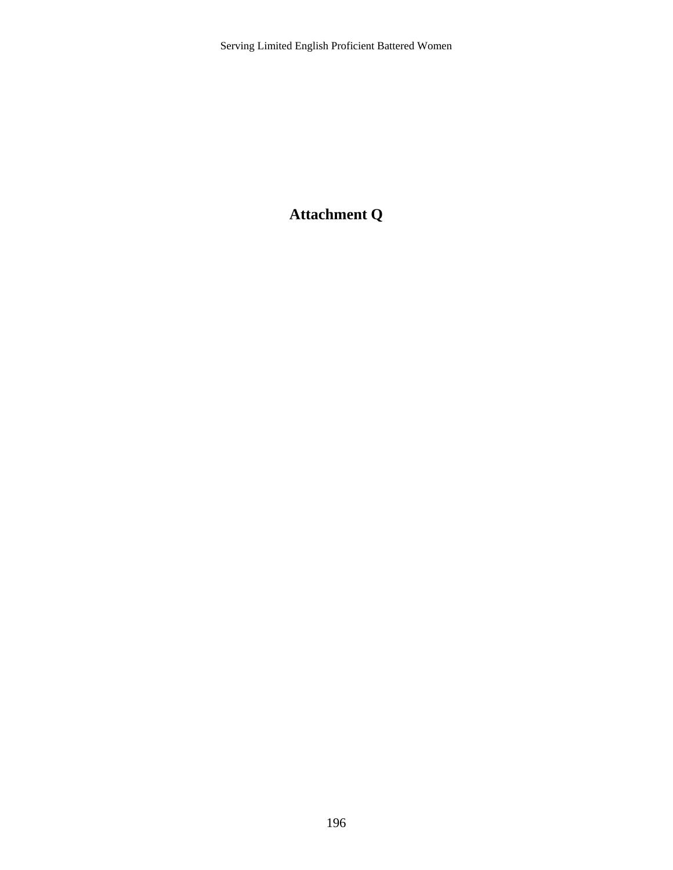# **Attachment Q**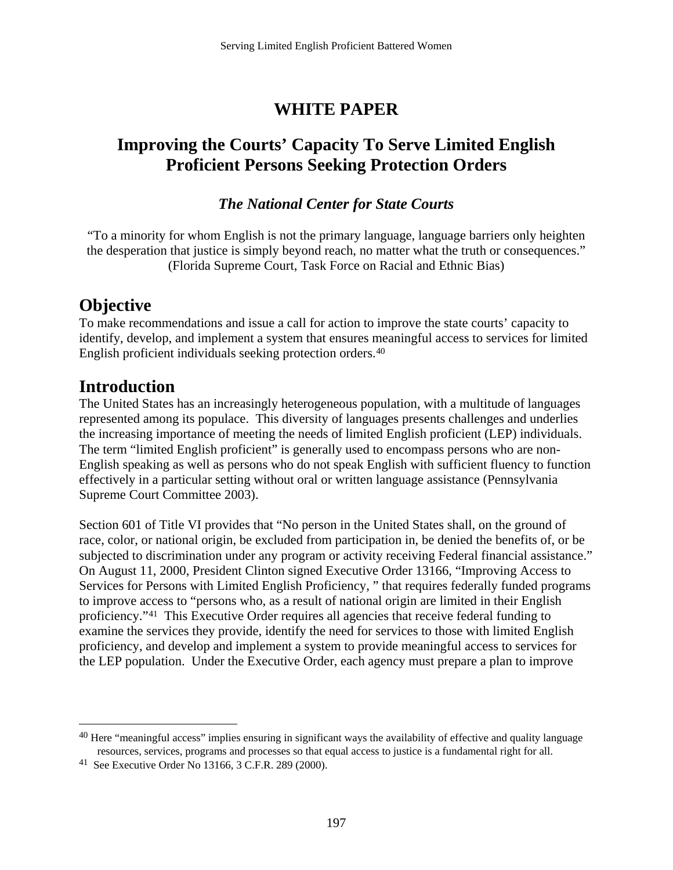# **WHITE PAPER**

# <span id="page-199-0"></span>**Improving the Courts' Capacity To Serve Limited English Proficient Persons Seeking Protection Orders**

### *The National Center for State Courts*

"To a minority for whom English is not the primary language, language barriers only heighten the desperation that justice is simply beyond reach, no matter what the truth or consequences." (Florida Supreme Court, Task Force on Racial and Ethnic Bias)

# **Objective**

To make recommendations and issue a call for action to improve the state courts' capacity to identify, develop, and implement a system that ensures meaningful access to services for limited English proficient individuals seeking protection orders[.4](#page-199-0)0

## **Introduction**

1

The United States has an increasingly heterogeneous population, with a multitude of languages represented among its populace. This diversity of languages presents challenges and underlies the increasing importance of meeting the needs of limited English proficient (LEP) individuals. The term "limited English proficient" is generally used to encompass persons who are non-English speaking as well as persons who do not speak English with sufficient fluency to function effectively in a particular setting without oral or written language assistance (Pennsylvania Supreme Court Committee 2003).

Section 601 of Title VI provides that "No person in the United States shall, on the ground of race, color, or national origin, be excluded from participation in, be denied the benefits of, or be subjected to discrimination under any program or activity receiving Federal financial assistance." On August 11, 2000, President Clinton signed Executive Order 13166, "Improving Access to Services for Persons with Limited English Proficiency, " that requires federally funded programs to improve access to "persons who, as a result of national origin are limited in their English proficiency.["41](#page-199-0) This Executive Order requires all agencies that receive federal funding to examine the services they provide, identify the need for services to those with limited English proficiency, and develop and implement a system to provide meaningful access to services for the LEP population. Under the Executive Order, each agency must prepare a plan to improve

<sup>&</sup>lt;sup>40</sup> Here "meaningful access" implies ensuring in significant ways the availability of effective and quality language resources, services, programs and processes so that equal access to justice is a fundamental right for all.

<sup>41</sup> See Executive Order No 13166, 3 C.F.R. 289 (2000).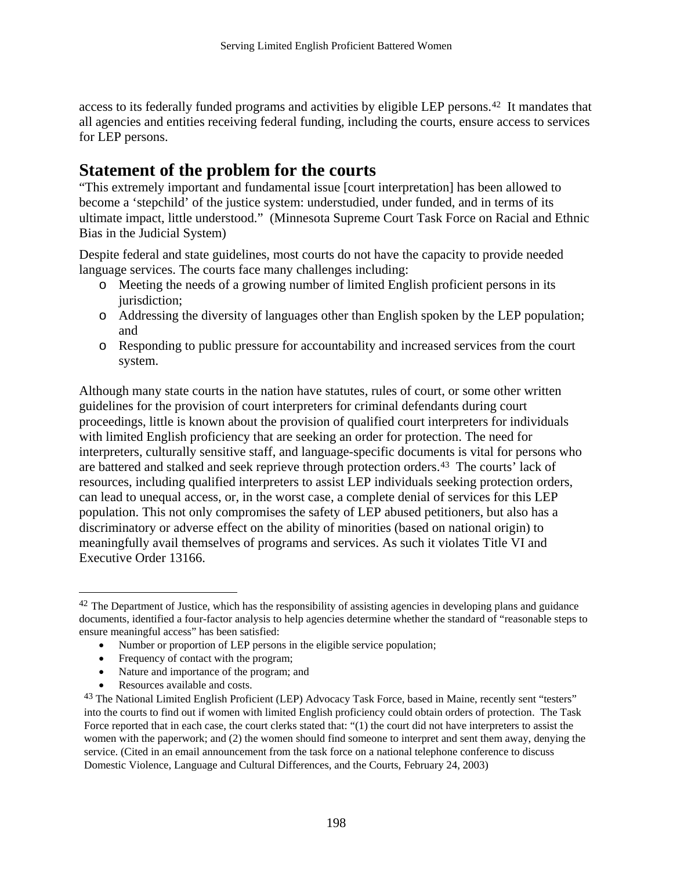<span id="page-200-0"></span>access to its federally funded programs and activities by eligible LEP persons.[42](#page-200-0) It mandates that all agencies and entities receiving federal funding, including the courts, ensure access to services for LEP persons.

## **Statement of the problem for the courts**

"This extremely important and fundamental issue [court interpretation] has been allowed to become a 'stepchild' of the justice system: understudied, under funded, and in terms of its ultimate impact, little understood." (Minnesota Supreme Court Task Force on Racial and Ethnic Bias in the Judicial System)

Despite federal and state guidelines, most courts do not have the capacity to provide needed language services. The courts face many challenges including:

- o Meeting the needs of a growing number of limited English proficient persons in its jurisdiction;
- o Addressing the diversity of languages other than English spoken by the LEP population; and
- o Responding to public pressure for accountability and increased services from the court system.

Although many state courts in the nation have statutes, rules of court, or some other written guidelines for the provision of court interpreters for criminal defendants during court proceedings, little is known about the provision of qualified court interpreters for individuals with limited English proficiency that are seeking an order for protection. The need for interpreters, culturally sensitive staff, and language-specific documents is vital for persons who are battered and stalked and seek reprieve through protection orders.[4](#page-200-0)3 The courts' lack of resources, including qualified interpreters to assist LEP individuals seeking protection orders, can lead to unequal access, or, in the worst case, a complete denial of services for this LEP population. This not only compromises the safety of LEP abused petitioners, but also has a discriminatory or adverse effect on the ability of minorities (based on national origin) to meaningfully avail themselves of programs and services. As such it violates Title VI and Executive Order 13166.

- Number or proportion of LEP persons in the eligible service population;
- Frequency of contact with the program;
- Nature and importance of the program; and
- Resources available and costs.

 $\overline{a}$ 

<sup>&</sup>lt;sup>42</sup> The Department of Justice, which has the responsibility of assisting agencies in developing plans and guidance documents, identified a four-factor analysis to help agencies determine whether the standard of "reasonable steps to ensure meaningful access" has been satisfied:

<sup>43</sup> The National Limited English Proficient (LEP) Advocacy Task Force, based in Maine, recently sent "testers" into the courts to find out if women with limited English proficiency could obtain orders of protection. The Task Force reported that in each case, the court clerks stated that: "(1) the court did not have interpreters to assist the women with the paperwork; and (2) the women should find someone to interpret and sent them away, denying the service. (Cited in an email announcement from the task force on a national telephone conference to discuss Domestic Violence, Language and Cultural Differences, and the Courts, February 24, 2003)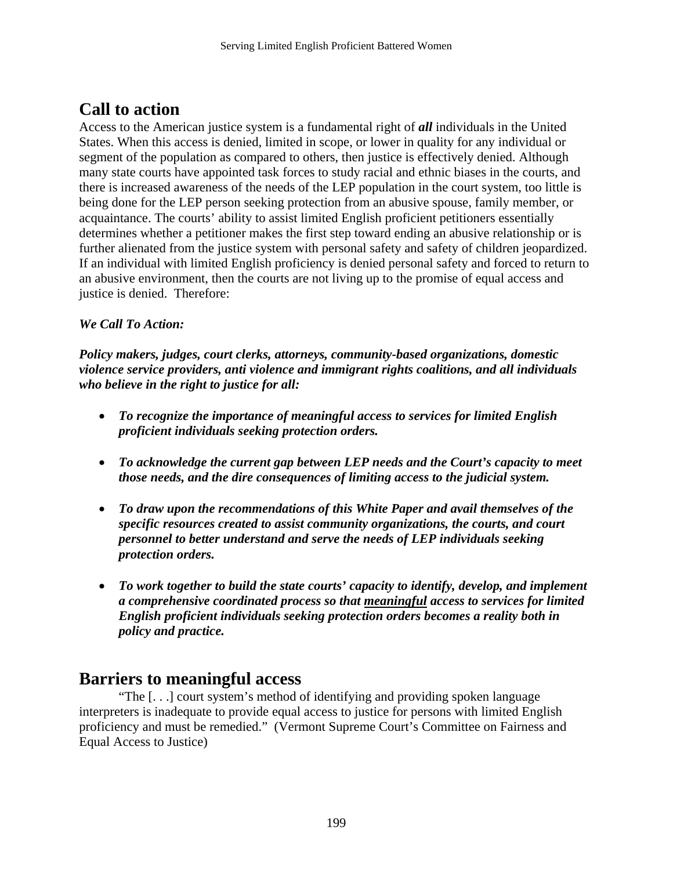# **Call to action**

Access to the American justice system is a fundamental right of *all* individuals in the United States. When this access is denied, limited in scope, or lower in quality for any individual or segment of the population as compared to others, then justice is effectively denied. Although many state courts have appointed task forces to study racial and ethnic biases in the courts, and there is increased awareness of the needs of the LEP population in the court system, too little is being done for the LEP person seeking protection from an abusive spouse, family member, or acquaintance. The courts' ability to assist limited English proficient petitioners essentially determines whether a petitioner makes the first step toward ending an abusive relationship or is further alienated from the justice system with personal safety and safety of children jeopardized. If an individual with limited English proficiency is denied personal safety and forced to return to an abusive environment, then the courts are not living up to the promise of equal access and justice is denied. Therefore:

### *We Call To Action:*

*Policy makers, judges, court clerks, attorneys, community-based organizations, domestic violence service providers, anti violence and immigrant rights coalitions, and all individuals who believe in the right to justice for all:* 

- *To recognize the importance of meaningful access to services for limited English proficient individuals seeking protection orders.*
- *To acknowledge the current gap between LEP needs and the Court's capacity to meet those needs, and the dire consequences of limiting access to the judicial system.*
- *To draw upon the recommendations of this White Paper and avail themselves of the specific resources created to assist community organizations, the courts, and court personnel to better understand and serve the needs of LEP individuals seeking protection orders.*
- *To work together to build the state courts' capacity to identify, develop, and implement a comprehensive coordinated process so that meaningful access to services for limited English proficient individuals seeking protection orders becomes a reality both in policy and practice.*

### **Barriers to meaningful access**

"The [. . .] court system's method of identifying and providing spoken language interpreters is inadequate to provide equal access to justice for persons with limited English proficiency and must be remedied." (Vermont Supreme Court's Committee on Fairness and Equal Access to Justice)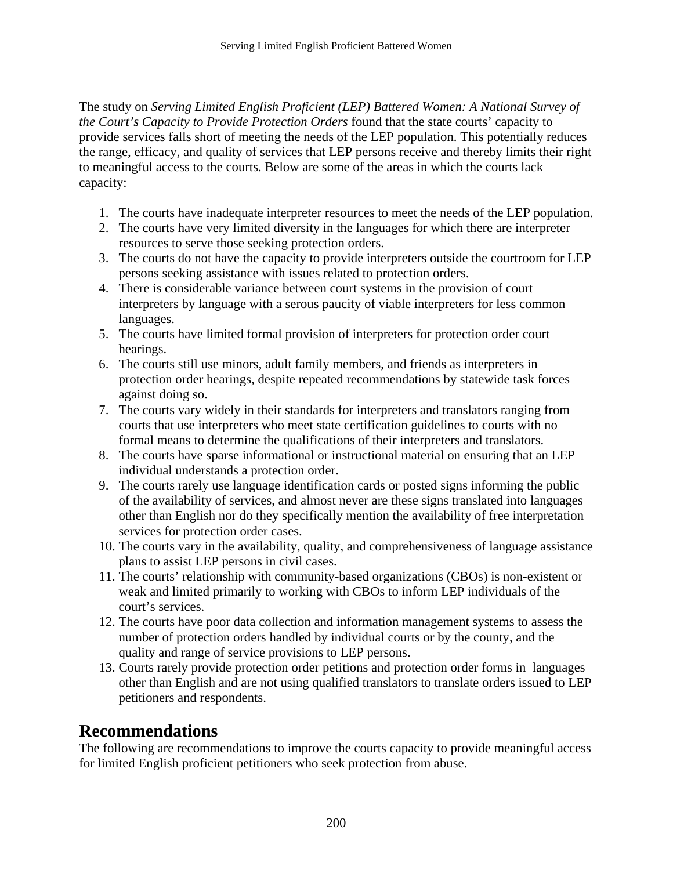The study on *Serving Limited English Proficient (LEP) Battered Women: A National Survey of the Court's Capacity to Provide Protection Orders* found that the state courts' capacity to provide services falls short of meeting the needs of the LEP population. This potentially reduces the range, efficacy, and quality of services that LEP persons receive and thereby limits their right to meaningful access to the courts. Below are some of the areas in which the courts lack capacity:

- 1. The courts have inadequate interpreter resources to meet the needs of the LEP population.
- 2. The courts have very limited diversity in the languages for which there are interpreter resources to serve those seeking protection orders.
- 3. The courts do not have the capacity to provide interpreters outside the courtroom for LEP persons seeking assistance with issues related to protection orders.
- 4. There is considerable variance between court systems in the provision of court interpreters by language with a serous paucity of viable interpreters for less common languages.
- 5. The courts have limited formal provision of interpreters for protection order court hearings.
- 6. The courts still use minors, adult family members, and friends as interpreters in protection order hearings, despite repeated recommendations by statewide task forces against doing so.
- 7. The courts vary widely in their standards for interpreters and translators ranging from courts that use interpreters who meet state certification guidelines to courts with no formal means to determine the qualifications of their interpreters and translators.
- 8. The courts have sparse informational or instructional material on ensuring that an LEP individual understands a protection order.
- 9. The courts rarely use language identification cards or posted signs informing the public of the availability of services, and almost never are these signs translated into languages other than English nor do they specifically mention the availability of free interpretation services for protection order cases.
- 10. The courts vary in the availability, quality, and comprehensiveness of language assistance plans to assist LEP persons in civil cases.
- 11. The courts' relationship with community-based organizations (CBOs) is non-existent or weak and limited primarily to working with CBOs to inform LEP individuals of the court's services.
- 12. The courts have poor data collection and information management systems to assess the number of protection orders handled by individual courts or by the county, and the quality and range of service provisions to LEP persons.
- 13. Courts rarely provide protection order petitions and protection order forms in languages other than English and are not using qualified translators to translate orders issued to LEP petitioners and respondents.

# **Recommendations**

The following are recommendations to improve the courts capacity to provide meaningful access for limited English proficient petitioners who seek protection from abuse.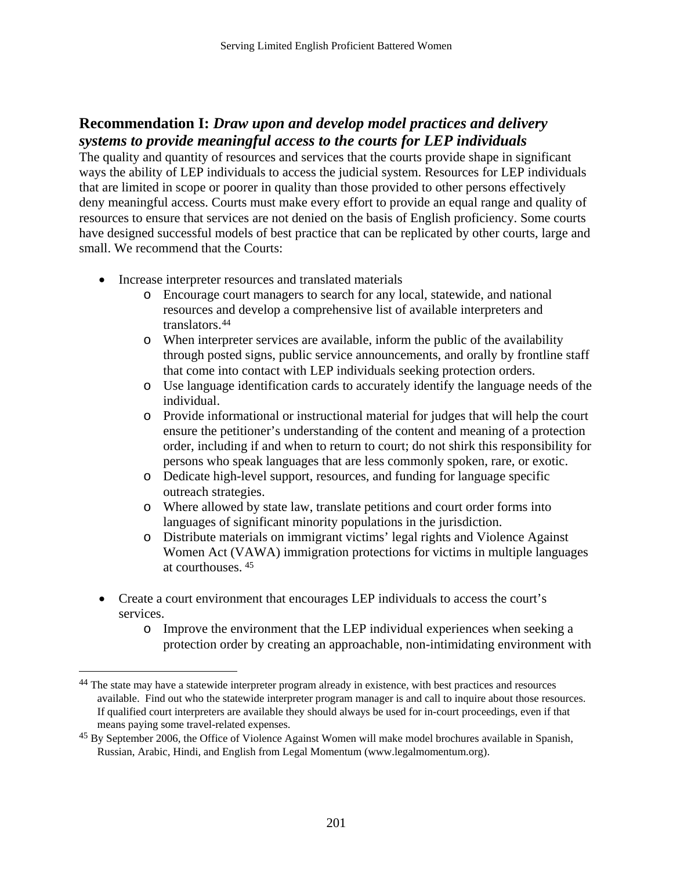### <span id="page-203-0"></span>**Recommendation I:** *Draw upon and develop model practices and delivery systems to provide meaningful access to the courts for LEP individuals*

The quality and quantity of resources and services that the courts provide shape in significant ways the ability of LEP individuals to access the judicial system. Resources for LEP individuals that are limited in scope or poorer in quality than those provided to other persons effectively deny meaningful access. Courts must make every effort to provide an equal range and quality of resources to ensure that services are not denied on the basis of English proficiency. Some courts have designed successful models of best practice that can be replicated by other courts, large and small. We recommend that the Courts:

• Increase interpreter resources and translated materials

 $\overline{a}$ 

- o Encourage court managers to search for any local, statewide, and national resources and develop a comprehensive list of available interpreters and translators.[4](#page-203-0)4
- o When interpreter services are available, inform the public of the availability through posted signs, public service announcements, and orally by frontline staff that come into contact with LEP individuals seeking protection orders.
- o Use language identification cards to accurately identify the language needs of the individual.
- o Provide informational or instructional material for judges that will help the court ensure the petitioner's understanding of the content and meaning of a protection order, including if and when to return to court; do not shirk this responsibility for persons who speak languages that are less commonly spoken, rare, or exotic.
- o Dedicate high-level support, resources, and funding for language specific outreach strategies.
- o Where allowed by state law, translate petitions and court order forms into languages of significant minority populations in the jurisdiction.
- o Distribute materials on immigrant victims' legal rights and Violence Against Women Act (VAWA) immigration protections for victims in multiple languages at courthouses. [45](#page-203-0)
- Create a court environment that encourages LEP individuals to access the court's services.
	- o Improve the environment that the LEP individual experiences when seeking a protection order by creating an approachable, non-intimidating environment with

<sup>44</sup> The state may have a statewide interpreter program already in existence, with best practices and resources available. Find out who the statewide interpreter program manager is and call to inquire about those resources. If qualified court interpreters are available they should always be used for in-court proceedings, even if that means paying some travel-related expenses.

<sup>45</sup> By September 2006, the Office of Violence Against Women will make model brochures available in Spanish, Russian, Arabic, Hindi, and English from Legal Momentum (www.legalmomentum.org).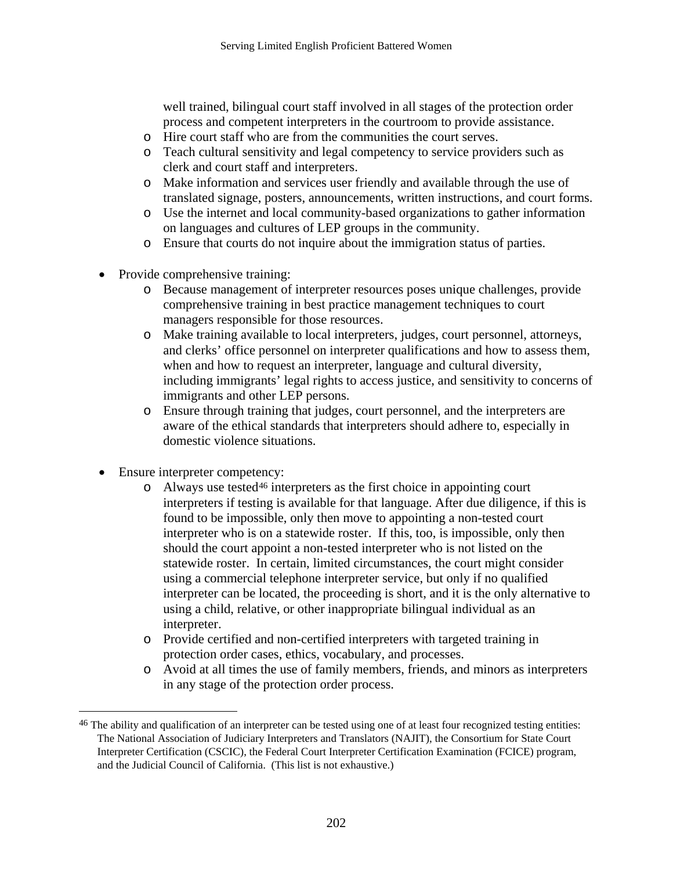<span id="page-204-0"></span>well trained, bilingual court staff involved in all stages of the protection order process and competent interpreters in the courtroom to provide assistance.

- o Hire court staff who are from the communities the court serves.
- o Teach cultural sensitivity and legal competency to service providers such as clerk and court staff and interpreters.
- o Make information and services user friendly and available through the use of translated signage, posters, announcements, written instructions, and court forms.
- o Use the internet and local community-based organizations to gather information on languages and cultures of LEP groups in the community.
- o Ensure that courts do not inquire about the immigration status of parties.
- Provide comprehensive training:
	- o Because management of interpreter resources poses unique challenges, provide comprehensive training in best practice management techniques to court managers responsible for those resources.
	- o Make training available to local interpreters, judges, court personnel, attorneys, and clerks' office personnel on interpreter qualifications and how to assess them, when and how to request an interpreter, language and cultural diversity, including immigrants' legal rights to access justice, and sensitivity to concerns of immigrants and other LEP persons.
	- o Ensure through training that judges, court personnel, and the interpreters are aware of the ethical standards that interpreters should adhere to, especially in domestic violence situations.
- Ensure interpreter competency:

 $\overline{a}$ 

- $\circ$  Always use tested<sup>[46](#page-204-0)</sup> interpreters as the first choice in appointing court interpreters if testing is available for that language. After due diligence, if this is found to be impossible, only then move to appointing a non-tested court interpreter who is on a statewide roster. If this, too, is impossible, only then should the court appoint a non-tested interpreter who is not listed on the statewide roster. In certain, limited circumstances, the court might consider using a commercial telephone interpreter service, but only if no qualified interpreter can be located, the proceeding is short, and it is the only alternative to using a child, relative, or other inappropriate bilingual individual as an interpreter.
- o Provide certified and non-certified interpreters with targeted training in protection order cases, ethics, vocabulary, and processes.
- o Avoid at all times the use of family members, friends, and minors as interpreters in any stage of the protection order process.

<sup>&</sup>lt;sup>46</sup> The ability and qualification of an interpreter can be tested using one of at least four recognized testing entities: The National Association of Judiciary Interpreters and Translators (NAJIT), the Consortium for State Court Interpreter Certification (CSCIC), the Federal Court Interpreter Certification Examination (FCICE) program, and the Judicial Council of California. (This list is not exhaustive.)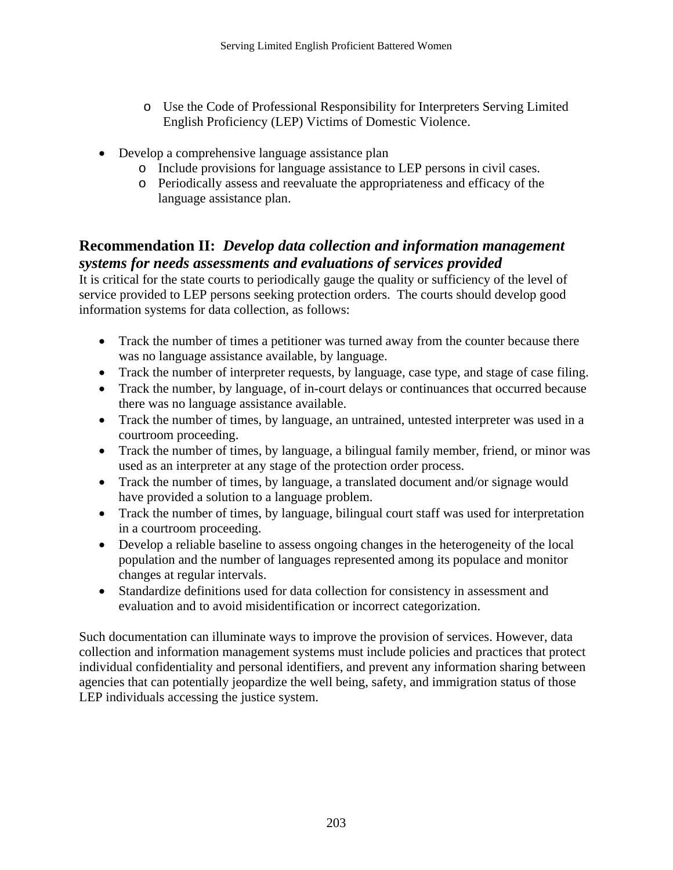- o Use the Code of Professional Responsibility for Interpreters Serving Limited English Proficiency (LEP) Victims of Domestic Violence.
- Develop a comprehensive language assistance plan
	- o Include provisions for language assistance to LEP persons in civil cases.
	- o Periodically assess and reevaluate the appropriateness and efficacy of the language assistance plan.

### **Recommendation II:** *Develop data collection and information management systems for needs assessments and evaluations of services provided*

It is critical for the state courts to periodically gauge the quality or sufficiency of the level of service provided to LEP persons seeking protection orders. The courts should develop good information systems for data collection, as follows:

- Track the number of times a petitioner was turned away from the counter because there was no language assistance available, by language.
- Track the number of interpreter requests, by language, case type, and stage of case filing.
- Track the number, by language, of in-court delays or continuances that occurred because there was no language assistance available.
- Track the number of times, by language, an untrained, untested interpreter was used in a courtroom proceeding.
- Track the number of times, by language, a bilingual family member, friend, or minor was used as an interpreter at any stage of the protection order process.
- Track the number of times, by language, a translated document and/or signage would have provided a solution to a language problem.
- Track the number of times, by language, bilingual court staff was used for interpretation in a courtroom proceeding.
- Develop a reliable baseline to assess ongoing changes in the heterogeneity of the local population and the number of languages represented among its populace and monitor changes at regular intervals.
- Standardize definitions used for data collection for consistency in assessment and evaluation and to avoid misidentification or incorrect categorization.

Such documentation can illuminate ways to improve the provision of services. However, data collection and information management systems must include policies and practices that protect individual confidentiality and personal identifiers, and prevent any information sharing between agencies that can potentially jeopardize the well being, safety, and immigration status of those LEP individuals accessing the justice system.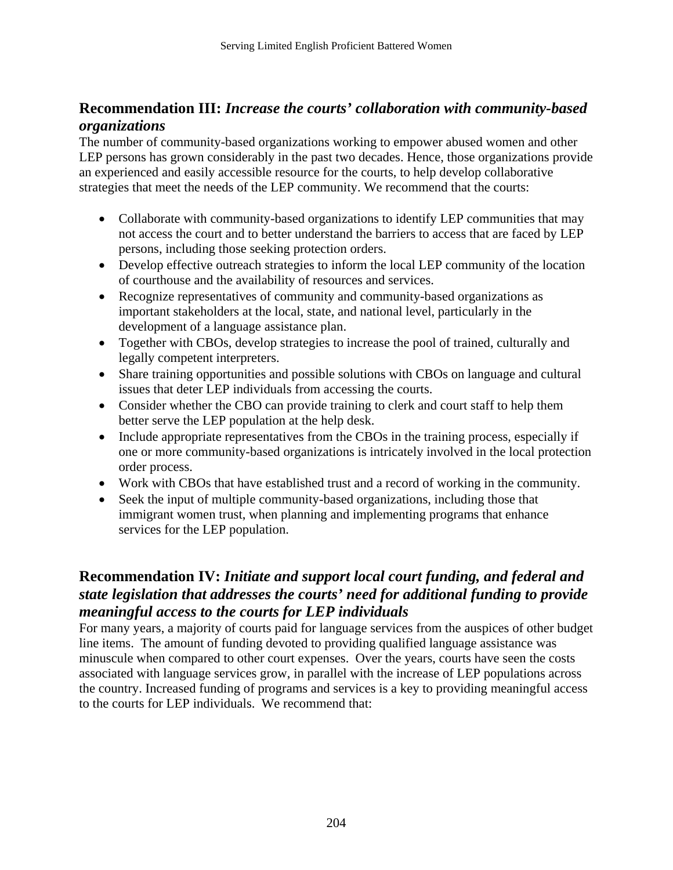### **Recommendation III:** *Increase the courts' collaboration with community-based organizations*

The number of community-based organizations working to empower abused women and other LEP persons has grown considerably in the past two decades. Hence, those organizations provide an experienced and easily accessible resource for the courts, to help develop collaborative strategies that meet the needs of the LEP community. We recommend that the courts:

- Collaborate with community-based organizations to identify LEP communities that may not access the court and to better understand the barriers to access that are faced by LEP persons, including those seeking protection orders.
- Develop effective outreach strategies to inform the local LEP community of the location of courthouse and the availability of resources and services.
- Recognize representatives of community and community-based organizations as important stakeholders at the local, state, and national level, particularly in the development of a language assistance plan.
- Together with CBOs, develop strategies to increase the pool of trained, culturally and legally competent interpreters.
- Share training opportunities and possible solutions with CBOs on language and cultural issues that deter LEP individuals from accessing the courts.
- Consider whether the CBO can provide training to clerk and court staff to help them better serve the LEP population at the help desk.
- Include appropriate representatives from the CBOs in the training process, especially if one or more community-based organizations is intricately involved in the local protection order process.
- Work with CBOs that have established trust and a record of working in the community.
- Seek the input of multiple community-based organizations, including those that immigrant women trust, when planning and implementing programs that enhance services for the LEP population.

### **Recommendation IV:** *Initiate and support local court funding, and federal and state legislation that addresses the courts' need for additional funding to provide meaningful access to the courts for LEP individuals*

For many years, a majority of courts paid for language services from the auspices of other budget line items. The amount of funding devoted to providing qualified language assistance was minuscule when compared to other court expenses. Over the years, courts have seen the costs associated with language services grow, in parallel with the increase of LEP populations across the country. Increased funding of programs and services is a key to providing meaningful access to the courts for LEP individuals. We recommend that: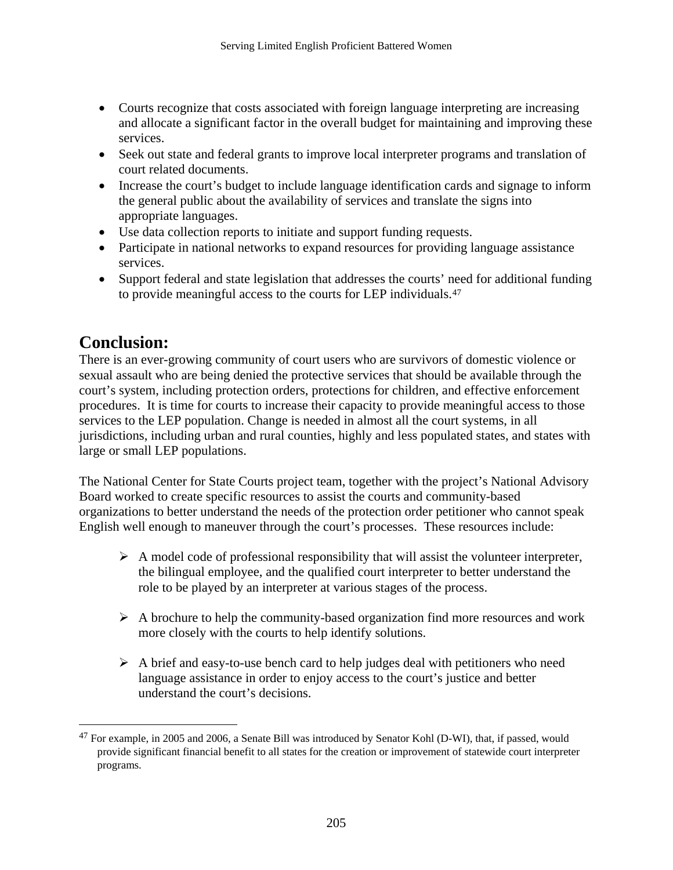- <span id="page-207-0"></span>• Courts recognize that costs associated with foreign language interpreting are increasing and allocate a significant factor in the overall budget for maintaining and improving these services.
- Seek out state and federal grants to improve local interpreter programs and translation of court related documents.
- Increase the court's budget to include language identification cards and signage to inform the general public about the availability of services and translate the signs into appropriate languages.
- Use data collection reports to initiate and support funding requests.
- Participate in national networks to expand resources for providing language assistance services.
- Support federal and state legislation that addresses the courts' need for additional funding to provide meaningful access to the courts for LEP individuals.[47](#page-207-0)

# **Conclusion:**

<u>.</u>

There is an ever-growing community of court users who are survivors of domestic violence or sexual assault who are being denied the protective services that should be available through the court's system, including protection orders, protections for children, and effective enforcement procedures. It is time for courts to increase their capacity to provide meaningful access to those services to the LEP population. Change is needed in almost all the court systems, in all jurisdictions, including urban and rural counties, highly and less populated states, and states with large or small LEP populations.

The National Center for State Courts project team, together with the project's National Advisory Board worked to create specific resources to assist the courts and community-based organizations to better understand the needs of the protection order petitioner who cannot speak English well enough to maneuver through the court's processes. These resources include:

- $\triangleright$  A model code of professional responsibility that will assist the volunteer interpreter, the bilingual employee, and the qualified court interpreter to better understand the role to be played by an interpreter at various stages of the process.
- $\triangleright$  A brochure to help the community-based organization find more resources and work more closely with the courts to help identify solutions.
- $\triangleright$  A brief and easy-to-use bench card to help judges deal with petitioners who need language assistance in order to enjoy access to the court's justice and better understand the court's decisions.

<sup>47</sup> For example, in 2005 and 2006, a Senate Bill was introduced by Senator Kohl (D-WI), that, if passed, would provide significant financial benefit to all states for the creation or improvement of statewide court interpreter programs.